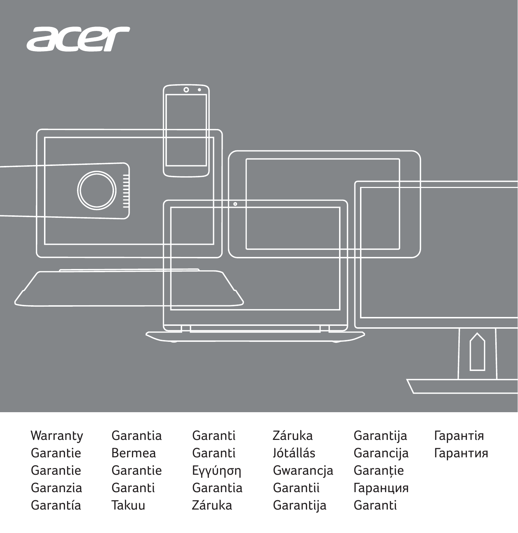



- Warranty Garantie Garantie Garanzia Garantía
- Garantia Bermea Garantie Garanti Takuu
- Garanti Garanti Εγγύηση Garantia Záruka
- Záruka Jótállás Gwarancja Garantii Garantija
- Garantija Garancija Garanție Гаранция Garanti
- Гарантія Гарантия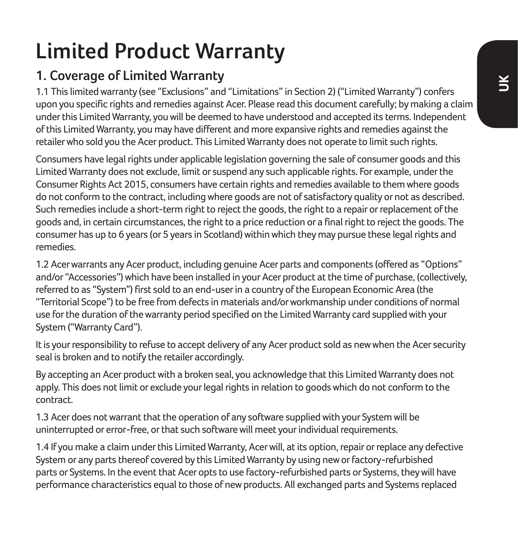# **Limited Product Warranty**

## **1. Coverage of Limited Warranty**

1.1 This limited warranty (see "Exclusions" and "Limitations" in Section 2) ("Limited Warranty") confers upon you specific rights and remedies against Acer. Please read this document carefully; by making a claim under this Limited Warranty, you will be deemed to have understood and accepted its terms. Independent of this Limited Warranty, you may have different and more expansive rights and remedies against the retailer who sold you the Acer product. This Limited Warranty does not operate to limit such rights.

Consumers have legal rights under applicable legislation governing the sale of consumer goods and this Limited Warranty does not exclude, limit or suspend any such applicable rights. For example, under the Consumer Rights Act 2015, consumers have certain rights and remedies available to them where goods do not conform to the contract, including where goods are not of satisfactory quality or not as described. Such remedies include a short-term right to reject the goods, the right to a repair or replacement of the goods and, in certain circumstances, the right to a price reduction or a final right to reject the goods. The consumer has up to 6 years (or 5 years in Scotland) within which they may pursue these legal rights and remedies.

1.2 Acer warrants any Acer product, including genuine Acer parts and components (offered as "Options" and/or "Accessories") which have been installed in your Acer product at the time of purchase, (collectively, referred to as "System") first sold to an end-user in a country of the European Economic Area (the "Territorial Scope") to be free from defects in materials and/or workmanship under conditions of normal use for the duration of the warranty period specified on the Limited Warranty card supplied with your System ("Warranty Card").

It is your responsibility to refuse to accept delivery of any Acer product sold as new when the Acer security seal is broken and to notify the retailer accordingly.

By accepting an Acer product with a broken seal, you acknowledge that this Limited Warranty does not apply. This does not limit or exclude your legal rights in relation to goods which do not conform to the contract.

1.3 Acer does not warrant that the operation of any software supplied with your System will be uninterrupted or error-free, or that such software will meet your individual requirements.

1.4 If you make a claim under this Limited Warranty, Acer will, at its option, repair or replace any defective System or any parts thereof covered by this Limited Warranty by using new or factory-refurbished parts or Systems. In the event that Acer opts to use factory-refurbished parts or Systems, they will have performance characteristics equal to those of new products. All exchanged parts and Systems replaced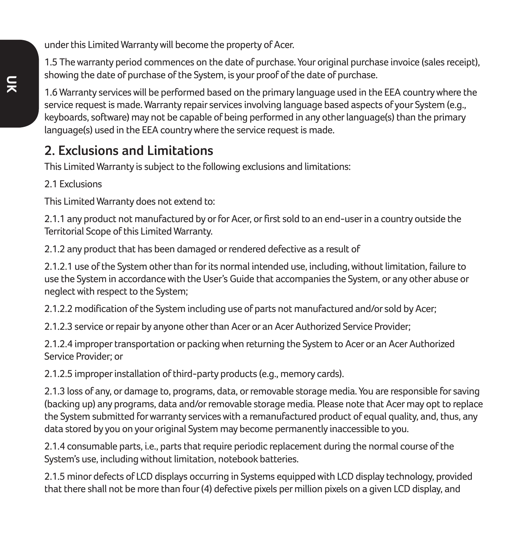under this Limited Warranty will become the property of Acer.

1.5 The warranty period commences on the date of purchase. Your original purchase invoice (sales receipt), showing the date of purchase of the System, is your proof of the date of purchase.

1.6 Warranty services will be performed based on the primary language used in the EEA country where the service request is made. Warranty repair services involving language based aspects of your System (e.g., keyboards, software) may not be capable of being performed in any other language(s) than the primary language(s) used in the EEA country where the service request is made.

### **2. Exclusions and Limitations**

This Limited Warranty is subject to the following exclusions and limitations:

2.1 Exclusions

This Limited Warranty does not extend to:

2.1.1 any product not manufactured by or for Acer, or first sold to an end-user in a country outside the Territorial Scope of this Limited Warranty.

2.1.2 any product that has been damaged or rendered defective as a result of

2.1.2.1 use of the System other than for its normal intended use, including, without limitation, failure to use the System in accordance with the User's Guide that accompanies the System, or any other abuse or neglect with respect to the System;

2.1.2.2 modification of the System including use of parts not manufactured and/or sold by Acer;

2.1.2.3 service or repair by anyone other than Acer or an Acer Authorized Service Provider;

2.1.2.4 improper transportation or packing when returning the System to Acer or an Acer Authorized Service Provider; or

2.1.2.5 improper installation of third-party products (e.g., memory cards).

2.1.3 loss of any, or damage to, programs, data, or removable storage media. You are responsible for saving (backing up) any programs, data and/or removable storage media. Please note that Acer may opt to replace the System submitted for warranty services with a remanufactured product of equal quality, and, thus, any data stored by you on your original System may become permanently inaccessible to you.

2.1.4 consumable parts, i.e., parts that require periodic replacement during the normal course of the System's use, including without limitation, notebook batteries.

2.1.5 minor defects of LCD displays occurring in Systems equipped with LCD display technology, provided that there shall not be more than four (4) defective pixels per million pixels on a given LCD display, and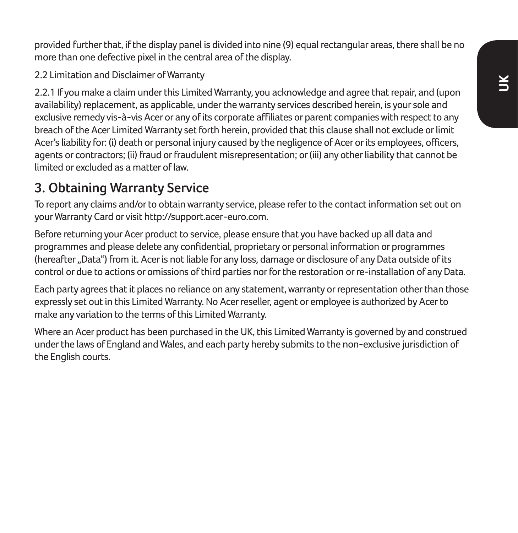provided further that, if the display panel is divided into nine (9) equal rectangular areas, there shall be no more than one defective pixel in the central area of the display.

2.2 Limitation and Disclaimer of Warranty

2.2.1 If you make a claim under this Limited Warranty, you acknowledge and agree that repair, and (upon availability) replacement, as applicable, under the warranty services described herein, is your sole and exclusive remedy vis-à-vis Acer or any of its corporate affiliates or parent companies with respect to any breach of the Acer Limited Warranty set forth herein, provided that this clause shall not exclude or limit Acer's liability for: (i) death or personal injury caused by the negligence of Acer or its employees, officers, agents or contractors; (ii) fraud or fraudulent misrepresentation; or (iii) any other liability that cannot be limited or excluded as a matter of law.

## **3. Obtaining Warranty Service**

To report any claims and/or to obtain warranty service, please refer to the contact information set out on your Warranty Card or visit http://support.acer-euro.com.

Before returning your Acer product to service, please ensure that you have backed up all data and programmes and please delete any confidential, proprietary or personal information or programmes (hereafter "Data") from it. Acer is not liable for any loss, damage or disclosure of any Data outside of its control or due to actions or omissions of third parties nor for the restoration or re-installation of any Data.

Each party agrees that it places no reliance on any statement, warranty or representation other than those expressly set out in this Limited Warranty. No Acer reseller, agent or employee is authorized by Acer to make any variation to the terms of this Limited Warranty.

Where an Acer product has been purchased in the UK, this Limited Warranty is governed by and construed under the laws of England and Wales, and each party hereby submits to the non-exclusive jurisdiction of the English courts.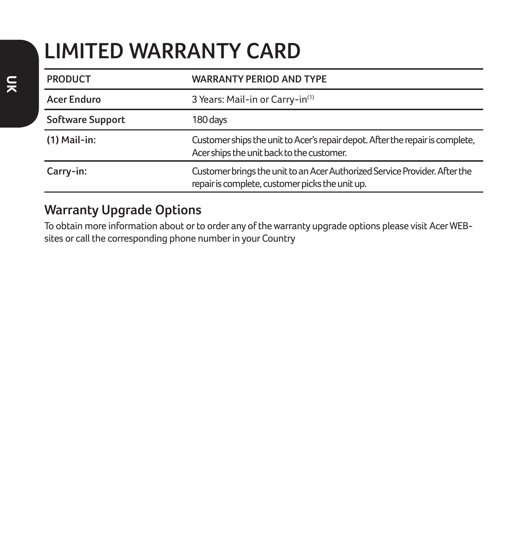# **LIMITED WARRANTY CARD**

| <b>PRODUCT</b>   | <b>WARRANTY PERIOD AND TYPE</b>                                                                                               |
|------------------|-------------------------------------------------------------------------------------------------------------------------------|
| Acer Enduro      | 3 Years: Mail-in or Carry-in <sup>(1)</sup>                                                                                   |
| Software Support | 180 days                                                                                                                      |
| $(1)$ Mail-in:   | Customer ships the unit to Acer's repair depot. After the repair is complete,<br>Acer ships the unit back to the customer.    |
| Carry-in:        | Customer brings the unit to an Acer Authorized Service Provider. After the<br>repair is complete, customer picks the unit up. |

#### **Warranty Upgrade Options**

To obtain more information about or to order any of the warranty upgrade options please visit Acer WEBsites or call the corresponding phone number in your Country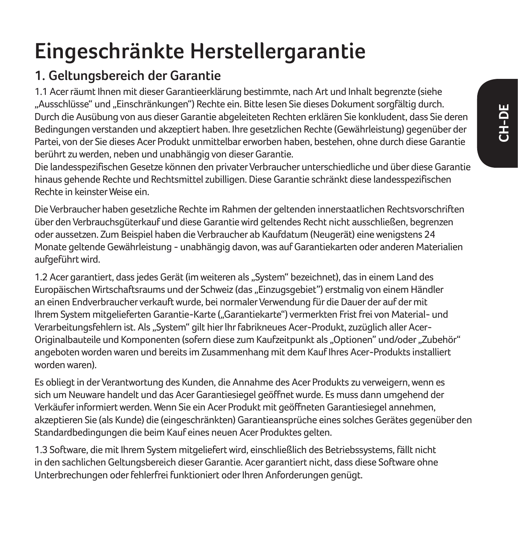# **Eingeschränkte Herstellergarantie**

## **1. Geltungsbereich der Garantie**

1.1 Acer räumt Ihnen mit dieser Garantieerklärung bestimmte, nach Art und Inhalt begrenzte (siehe "Ausschlüsse" und "Einschränkungen") Rechte ein. Bitte lesen Sie dieses Dokument sorgfältig durch. Durch die Ausübung von aus dieser Garantie abgeleiteten Rechten erklären Sie konkludent, dass Sie deren Bedingungen verstanden und akzeptiert haben. Ihre gesetzlichen Rechte (Gewährleistung) gegenüber der Partei, von der Sie dieses Acer Produkt unmittelbar erworben haben, bestehen, ohne durch diese Garantie berührt zu werden, neben und unabhängig von dieser Garantie.

Die landesspezifischen Gesetze können den privater Verbraucher unterschiedliche und über diese Garantie hinaus gehende Rechte und Rechtsmittel zubilligen. Diese Garantie schränkt diese landesspezifischen Rechte in keinster Weise ein.

Die Verbraucher haben gesetzliche Rechte im Rahmen der geltenden innerstaatlichen Rechtsvorschriften über den Verbrauchsgüterkauf und diese Garantie wird geltendes Recht nicht ausschließen, begrenzen oder aussetzen. Zum Beispiel haben die Verbraucher ab Kaufdatum (Neugerät) eine wenigstens 24 Monate geltende Gewährleistung - unabhängig davon, was auf Garantiekarten oder anderen Materialien aufgeführt wird.

1.2 Acer garantiert, dass jedes Gerät (im weiteren als "System" bezeichnet), das in einem Land des Europäischen Wirtschaftsraums und der Schweiz (das "Einzugsgebiet") erstmalig von einem Händler an einen Endverbraucher verkauft wurde, bei normaler Verwendung für die Dauer der auf der mit Ihrem System mitgelieferten Garantie-Karte ("Garantiekarte") vermerkten Frist frei von Material- und Verarbeitungsfehlern ist. Als "System" gilt hier lhr fabrikneues Acer-Produkt, zuzüglich aller Acer-Originalbauteile und Komponenten (sofern diese zum Kaufzeitpunkt als "Optionen" und/oder "Zubehör" angeboten worden waren und bereits im Zusammenhang mit dem Kauf Ihres Acer-Produkts installiert worden waren).

Es obliegt in der Verantwortung des Kunden, die Annahme des Acer Produkts zu verweigern, wenn es sich um Neuware handelt und das Acer Garantiesiegel geöffnet wurde. Es muss dann umgehend der Verkäufer informiert werden. Wenn Sie ein Acer Produkt mit geöffneten Garantiesiegel annehmen, akzeptieren Sie (als Kunde) die (eingeschränkten) Garantieansprüche eines solches Gerätes gegenüber den Standardbedingungen die beim Kauf eines neuen Acer Produktes gelten.

1.3 Software, die mit Ihrem System mitgeliefert wird, einschließlich des Betriebssystems, fällt nicht in den sachlichen Geltungsbereich dieser Garantie. Acer garantiert nicht, dass diese Software ohne Unterbrechungen oder fehlerfrei funktioniert oder Ihren Anforderungen genügt.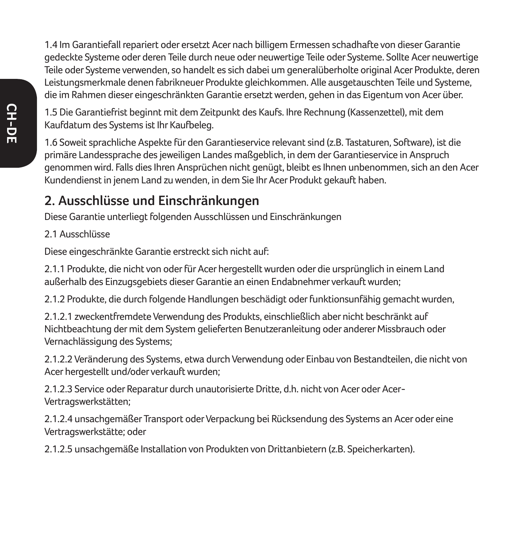1.4 Im Garantiefall repariert oder ersetzt Acer nach billigem Ermessen schadhafte von dieser Garantie gedeckte Systeme oder deren Teile durch neue oder neuwertige Teile oder Systeme. Sollte Acer neuwertige Teile oder Systeme verwenden, so handelt es sich dabei um generalüberholte original Acer Produkte, deren Leistungsmerkmale denen fabrikneuer Produkte gleichkommen. Alle ausgetauschten Teile und Systeme, die im Rahmen dieser eingeschränkten Garantie ersetzt werden, gehen in das Eigentum von Acer über.

1.5 Die Garantiefrist beginnt mit dem Zeitpunkt des Kaufs. Ihre Rechnung (Kassenzettel), mit dem Kaufdatum des Systems ist Ihr Kaufbeleg.

1.6 Soweit sprachliche Aspekte für den Garantieservice relevant sind (z.B. Tastaturen, Software), ist die primäre Landessprache des jeweiligen Landes maßgeblich, in dem der Garantieservice in Anspruch genommen wird. Falls dies Ihren Ansprüchen nicht genügt, bleibt es Ihnen unbenommen, sich an den Acer Kundendienst in jenem Land zu wenden, in dem Sie Ihr Acer Produkt gekauft haben.

### **2. Ausschlüsse und Einschränkungen**

Diese Garantie unterliegt folgenden Ausschlüssen und Einschränkungen

2.1 Ausschlüsse

Diese eingeschränkte Garantie erstreckt sich nicht auf:

2.1.1 Produkte, die nicht von oder für Acer hergestellt wurden oder die ursprünglich in einem Land außerhalb des Einzugsgebiets dieser Garantie an einen Endabnehmer verkauft wurden;

2.1.2 Produkte, die durch folgende Handlungen beschädigt oder funktionsunfähig gemacht wurden,

2.1.2.1 zweckentfremdete Verwendung des Produkts, einschließlich aber nicht beschränkt auf Nichtbeachtung der mit dem System gelieferten Benutzeranleitung oder anderer Missbrauch oder Vernachlässigung des Systems;

2.1.2.2 Veränderung des Systems, etwa durch Verwendung oder Einbau von Bestandteilen, die nicht von Acer hergestellt und/oder verkauft wurden;

2.1.2.3 Service oder Reparatur durch unautorisierte Dritte, d.h. nicht von Acer oder Acer-Vertragswerkstätten;

2.1.2.4 unsachgemäßer Transport oder Verpackung bei Rücksendung des Systems an Acer oder eine Vertragswerkstätte; oder

2.1.2.5 unsachgemäße Installation von Produkten von Drittanbietern (z.B. Speicherkarten).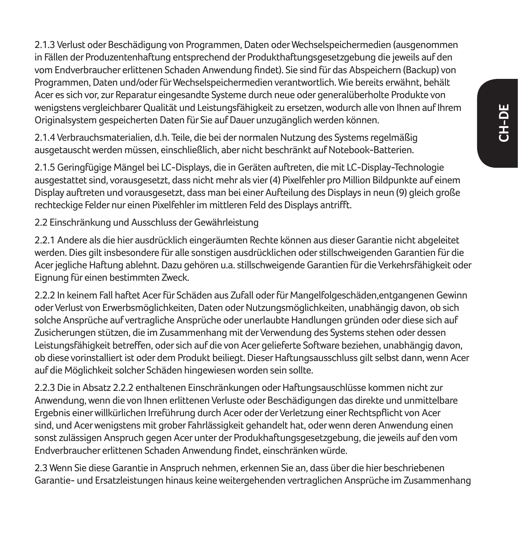2.1.3 Verlust oder Beschädigung von Programmen, Daten oder Wechselspeichermedien (ausgenommen in Fällen der Produzentenhaftung entsprechend der Produkthaftungsgesetzgebung die jeweils auf den vom Endverbraucher erlittenen Schaden Anwendung findet). Sie sind für das Abspeichern (Backup) von Programmen, Daten und/oder für Wechselspeichermedien verantwortlich. Wie bereits erwähnt, behält Acer es sich vor, zur Reparatur eingesandte Systeme durch neue oder generalüberholte Produkte von wenigstens vergleichbarer Qualität und Leistungsfähigkeit zu ersetzen, wodurch alle von Ihnen auf Ihrem Originalsystem gespeicherten Daten für Sie auf Dauer unzugänglich werden können.

2.1.4 Verbrauchsmaterialien, d.h. Teile, die bei der normalen Nutzung des Systems regelmäßig ausgetauscht werden müssen, einschließlich, aber nicht beschränkt auf Notebook-Batterien.

2.1.5 Geringfügige Mängel bei LC-Displays, die in Geräten auftreten, die mit LC-Display-Technologie ausgestattet sind, vorausgesetzt, dass nicht mehr als vier (4) Pixelfehler pro Million Bildpunkte auf einem Display auftreten und vorausgesetzt, dass man bei einer Aufteilung des Displays in neun (9) gleich große rechteckige Felder nur einen Pixelfehler im mittleren Feld des Displays antrifft.

2.2 Einschränkung und Ausschluss der Gewährleistung

2.2.1 Andere als die hier ausdrücklich eingeräumten Rechte können aus dieser Garantie nicht abgeleitet werden. Dies gilt insbesondere für alle sonstigen ausdrücklichen oder stillschweigenden Garantien für die Acer jegliche Haftung ablehnt. Dazu gehören u.a. stillschweigende Garantien für die Verkehrsfähigkeit oder Eignung für einen bestimmten Zweck.

2.2.2 In keinem Fall haftet Acer für Schäden aus Zufall oder für Mangelfolgeschäden,entgangenen Gewinn oder Verlust von Erwerbsmöglichkeiten, Daten oder Nutzungsmöglichkeiten, unabhängig davon, ob sich solche Ansprüche auf vertragliche Ansprüche oder unerlaubte Handlungen gründen oder diese sich auf Zusicherungen stützen, die im Zusammenhang mit der Verwendung des Systems stehen oder dessen Leistungsfähigkeit betreffen, oder sich auf die von Acer gelieferte Software beziehen, unabhängig davon, ob diese vorinstalliert ist oder dem Produkt beiliegt. Dieser Haftungsausschluss gilt selbst dann, wenn Acer auf die Möglichkeit solcher Schäden hingewiesen worden sein sollte.

2.2.3 Die in Absatz 2.2.2 enthaltenen Einschränkungen oder Haftungsauschlüsse kommen nicht zur Anwendung, wenn die von Ihnen erlittenen Verluste oder Beschädigungen das direkte und unmittelbare Ergebnis einer willkürlichen Irreführung durch Acer oder der Verletzung einer Rechtspflicht von Acer sind, und Acer wenigstens mit grober Fahrlässigkeit gehandelt hat, oder wenn deren Anwendung einen sonst zulässigen Anspruch gegen Acer unter der Produkhaftungsgesetzgebung, die jeweils auf den vom Endverbraucher erlittenen Schaden Anwendung findet, einschränken würde.

2.3 Wenn Sie diese Garantie in Anspruch nehmen, erkennen Sie an, dass über die hier beschriebenen Garantie- und Ersatzleistungen hinaus keine weitergehenden vertraglichen Ansprüche im Zusammenhang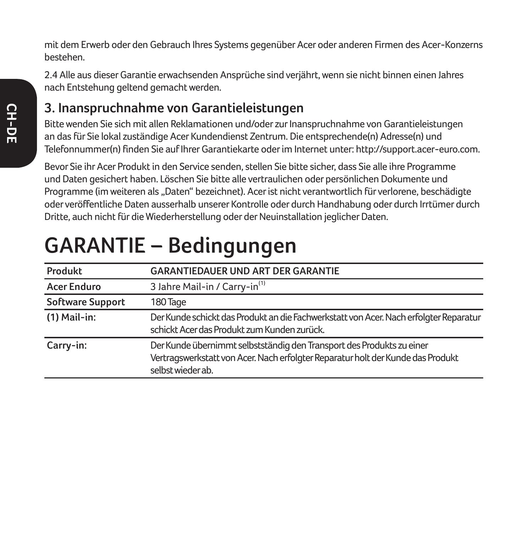mit dem Erwerb oder den Gebrauch Ihres Systems gegenüber Acer oder anderen Firmen des Acer-Konzerns bestehen.

2.4 Alle aus dieser Garantie erwachsenden Ansprüche sind verjährt, wenn sie nicht binnen einen Jahres nach Entstehung geltend gemacht werden.

### **3. Inanspruchnahme von Garantieleistungen**

Bitte wenden Sie sich mit allen Reklamationen und/oder zur Inanspruchnahme von Garantieleistungen an das für Sie lokal zuständige Acer Kundendienst Zentrum. Die entsprechende(n) Adresse(n) und Telefonnummer(n) finden Sie auf Ihrer Garantiekarte oder im Internet unter: http://support.acer-euro.com.

Bevor Sie ihr Acer Produkt in den Service senden, stellen Sie bitte sicher, dass Sie alle ihre Programme und Daten gesichert haben. Löschen Sie bitte alle vertraulichen oder persönlichen Dokumente und Programme (im weiteren als "Daten" bezeichnet). Acer ist nicht verantwortlich für verlorene, beschädigte oder veröffentliche Daten ausserhalb unserer Kontrolle oder durch Handhabung oder durch Irrtümer durch Dritte, auch nicht für die Wiederherstellung oder der Neuinstallation jeglicher Daten.

# **GARANTIE – Bedingungen**

| Produkt                 | <b>GARANTIEDAUER UND ART DER GARANTIE</b>                                                                                                                                     |
|-------------------------|-------------------------------------------------------------------------------------------------------------------------------------------------------------------------------|
| <b>Acer Enduro</b>      | 3 Jahre Mail-in / Carry-in <sup>(1)</sup>                                                                                                                                     |
| <b>Software Support</b> | 180 Tage                                                                                                                                                                      |
| $(1)$ Mail-in:          | Der Kunde schickt das Produkt an die Fachwerkstatt von Acer. Nach erfolgter Reparatur<br>schickt Acer das Produkt zum Kunden zurück.                                          |
| Carry-in:               | Der Kunde übernimmt selbstständig den Transport des Produkts zu einer<br>Vertragswerkstatt von Acer. Nach erfolgter Reparatur holt der Kunde das Produkt<br>selbst wieder ab. |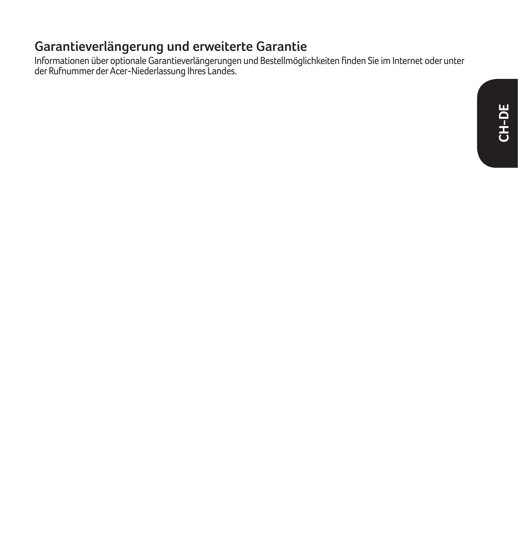### **Garantieverlängerung und erweiterte Garantie**

Informationen über optionale Garantieverlängerungen und Bestellmöglichkeiten finden Sie im Internet oder unter der Rufnummer der Acer-Niederlassung Ihres Landes.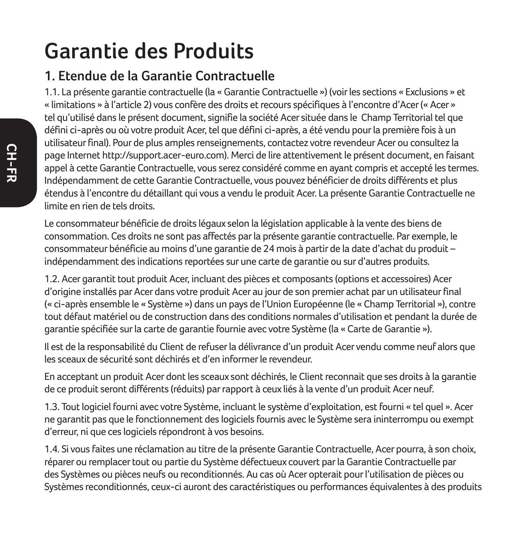## **Garantie des Produits**

### **1. Etendue de la Garantie Contractuelle**

1.1. La présente garantie contractuelle (la « Garantie Contractuelle ») (voir les sections « Exclusions » et « limitations » à l'article 2) vous confère des droits et recours spécifiques à l'encontre d'Acer (« Acer » tel qu'utilisé dans le présent document, signifie la société Acer située dans le Champ Territorial tel que défini ci-après ou où votre produit Acer, tel que défini ci-après, a été vendu pour la première fois à un utilisateur final). Pour de plus amples renseignements, contactez votre revendeur Acer ou consultez la page Internet http://support.acer-euro.com). Merci de lire attentivement le présent document, en faisant appel à cette Garantie Contractuelle, vous serez considéré comme en ayant compris et accepté les termes. Indépendamment de cette Garantie Contractuelle, vous pouvez bénéficier de droits différents et plus étendus à l'encontre du détaillant qui vous a vendu le produit Acer. La présente Garantie Contractuelle ne limite en rien de tels droits.

Le consommateur bénéficie de droits légaux selon la législation applicable à la vente des biens de consommation. Ces droits ne sont pas affectés par la présente garantie contractuelle. Par exemple, le consommateur bénéficie au moins d'une garantie de 24 mois à partir de la date d'achat du produit – indépendamment des indications reportées sur une carte de garantie ou sur d'autres produits.

1.2. Acer garantit tout produit Acer, incluant des pièces et composants (options et accessoires) Acer d'origine installés par Acer dans votre produit Acer au jour de son premier achat par un utilisateur final (« ci-après ensemble le « Système ») dans un pays de l'Union Européenne (le « Champ Territorial »), contre tout défaut matériel ou de construction dans des conditions normales d'utilisation et pendant la durée de garantie spécifiée sur la carte de garantie fournie avec votre Système (la « Carte de Garantie »).

Il est de la responsabilité du Client de refuser la délivrance d'un produit Acer vendu comme neuf alors que les sceaux de sécurité sont déchirés et d'en informer le revendeur.

En acceptant un produit Acer dont les sceaux sont déchirés, le Client reconnait que ses droits à la garantie de ce produit seront différents (réduits) par rapport à ceux liés à la vente d'un produit Acer neuf.

1.3. Tout logiciel fourni avec votre Système, incluant le système d'exploitation, est fourni « tel quel ». Acer ne garantit pas que le fonctionnement des logiciels fournis avec le Système sera ininterrompu ou exempt d'erreur, ni que ces logiciels répondront à vos besoins.

1.4. Si vous faites une réclamation au titre de la présente Garantie Contractuelle, Acer pourra, à son choix, réparer ou remplacer tout ou partie du Système défectueux couvert par la Garantie Contractuelle par des Systèmes ou pièces neufs ou reconditionnés. Au cas où Acer opterait pour l'utilisation de pièces ou Systèmes reconditionnés, ceux-ci auront des caractéristiques ou performances équivalentes à des produits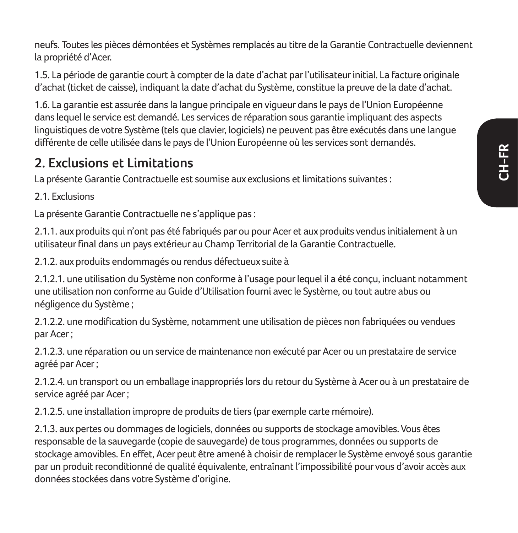neufs. Toutes les pièces démontées et Systèmes remplacés au titre de la Garantie Contractuelle deviennent la propriété d'Acer.

1.5. La période de garantie court à compter de la date d'achat par l'utilisateur initial. La facture originale d'achat (ticket de caisse), indiquant la date d'achat du Système, constitue la preuve de la date d'achat.

1.6. La garantie est assurée dans la langue principale en vigueur dans le pays de l'Union Européenne dans lequel le service est demandé. Les services de réparation sous garantie impliquant des aspects linguistiques de votre Système (tels que clavier, logiciels) ne peuvent pas être exécutés dans une langue différente de celle utilisée dans le pays de l'Union Européenne où les services sont demandés.

### **2. Exclusions et Limitations**

La présente Garantie Contractuelle est soumise aux exclusions et limitations suivantes :

2.1. Evelusions

La présente Garantie Contractuelle ne s'applique pas :

2.1.1. aux produits qui n'ont pas été fabriqués par ou pour Acer et aux produits vendus initialement à un utilisateur final dans un pays extérieur au Champ Territorial de la Garantie Contractuelle.

2.1.2. aux produits endommagés ou rendus défectueux suite à

2.1.2.1. une utilisation du Système non conforme à l'usage pour lequel il a été conçu, incluant notamment une utilisation non conforme au Guide d'Utilisation fourni avec le Système, ou tout autre abus ou négligence du Système ;

2.1.2.2. une modification du Système, notamment une utilisation de pièces non fabriquées ou vendues par Acer ;

2.1.2.3. une réparation ou un service de maintenance non exécuté par Acer ou un prestataire de service agréé par Acer ;

2.1.2.4. un transport ou un emballage inappropriés lors du retour du Système à Acer ou à un prestataire de service agréé par Acer ;

2.1.2.5. une installation impropre de produits de tiers (par exemple carte mémoire).

2.1.3. aux pertes ou dommages de logiciels, données ou supports de stockage amovibles. Vous êtes responsable de la sauvegarde (copie de sauvegarde) de tous programmes, données ou supports de stockage amovibles. En effet, Acer peut être amené à choisir de remplacer le Système envoyé sous garantie par un produit reconditionné de qualité équivalente, entraînant l'impossibilité pour vous d'avoir accès aux données stockées dans votre Système d'origine.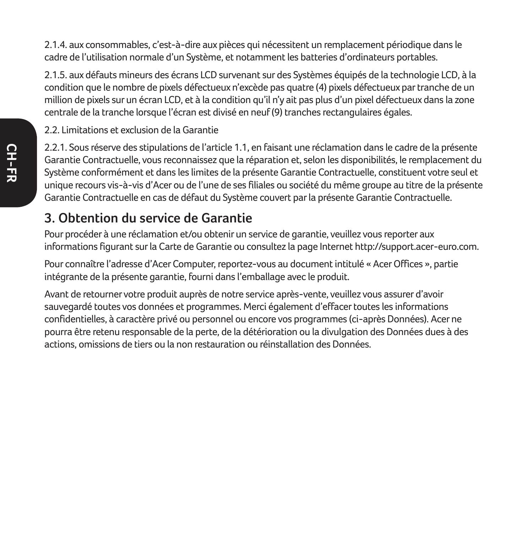2.1.4. aux consommables, c'est-à-dire aux pièces qui nécessitent un remplacement périodique dans le cadre de l'utilisation normale d'un Système, et notamment les batteries d'ordinateurs portables.

2.1.5. aux défauts mineurs des écrans LCD survenant sur des Systèmes équipés de la technologie LCD, à la condition que le nombre de pixels défectueux n'excède pas quatre (4) pixels défectueux par tranche de un million de pixels sur un écran LCD, et à la condition qu'il n'y ait pas plus d'un pixel défectueux dans la zone centrale de la tranche lorsque l'écran est divisé en neuf (9) tranches rectangulaires égales.

2.2. Limitations et exclusion de la Garantie

2.2.1. Sous réserve des stipulations de l'article 1.1, en faisant une réclamation dans le cadre de la présente Garantie Contractuelle, vous reconnaissez que la réparation et, selon les disponibilités, le remplacement du Système conformément et dans les limites de la présente Garantie Contractuelle, constituent votre seul et unique recours vis-à-vis d'Acer ou de l'une de ses filiales ou société du même groupe au titre de la présente Garantie Contractuelle en cas de défaut du Système couvert par la présente Garantie Contractuelle.

### **3. Obtention du service de Garantie**

Pour procéder à une réclamation et/ou obtenir un service de garantie, veuillez vous reporter aux informations figurant sur la Carte de Garantie ou consultez la page Internet http://support.acer-euro.com.

Pour connaître l'adresse d'Acer Computer, reportez-vous au document intitulé « Acer Offices », partie intégrante de la présente garantie, fourni dans l'emballage avec le produit.

Avant de retourner votre produit auprès de notre service après-vente, veuillez vous assurer d'avoir sauvegardé toutes vos données et programmes. Merci également d'effacer toutes les informations confidentielles, à caractère privé ou personnel ou encore vos programmes (ci-après Données). Acer ne pourra être retenu responsable de la perte, de la détérioration ou la divulgation des Données dues à des actions, omissions de tiers ou la non restauration ou réinstallation des Données.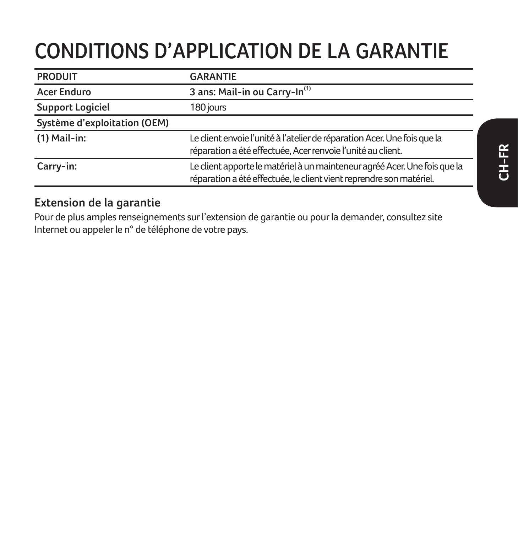# **CONDITIONS D'APPLICATION DE LA GARANTIE**

| <b>PRODUIT</b>               | <b>GARANTIE</b>                                                                                                                                  |
|------------------------------|--------------------------------------------------------------------------------------------------------------------------------------------------|
| Acer Enduro                  | 3 ans: Mail-in ou Carry-In <sup>(1)</sup>                                                                                                        |
| <b>Support Logiciel</b>      | 180 jours                                                                                                                                        |
| Système d'exploitation (OEM) |                                                                                                                                                  |
| $(1)$ Mail-in:               | Le client envoie l'unité à l'atelier de réparation Acer. Une fois que la<br>réparation a été effectuée, Acer renvoie l'unité au client.          |
| Carry-in:                    | Le client apporte le matériel à un mainteneur agréé Acer. Une fois que la<br>réparation a été effectuée, le client vient reprendre son matériel. |

#### **Extension de la garantie**

Pour de plus amples renseignements sur l'extension de garantie ou pour la demander, consultez site Internet ou appeler le n° de téléphone de votre pays.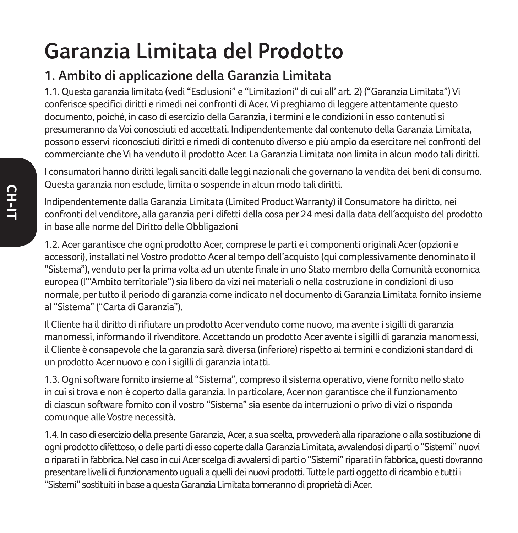# **Garanzia Limitata del Prodotto**

## **1. Ambito di applicazione della Garanzia Limitata**

1.1. Questa garanzia limitata (vedi "Esclusioni" e "Limitazioni" di cui all' art. 2) ("Garanzia Limitata") Vi conferisce specifici diritti e rimedi nei confronti di Acer. Vi preghiamo di leggere attentamente questo documento, poiché, in caso di esercizio della Garanzia, i termini e le condizioni in esso contenuti si presumeranno da Voi conosciuti ed accettati. Indipendentemente dal contenuto della Garanzia Limitata, possono esservi riconosciuti diritti e rimedi di contenuto diverso e più ampio da esercitare nei confronti del commerciante che Vi ha venduto il prodotto Acer. La Garanzia Limitata non limita in alcun modo tali diritti.

I consumatori hanno diritti legali sanciti dalle leggi nazionali che governano la vendita dei beni di consumo. Questa garanzia non esclude, limita o sospende in alcun modo tali diritti.

Indipendentemente dalla Garanzia Limitata (Limited Product Warranty) il Consumatore ha diritto, nei confronti del venditore, alla garanzia per i difetti della cosa per 24 mesi dalla data dell'acquisto del prodotto in base alle norme del Diritto delle Obbligazioni

1.2. Acer garantisce che ogni prodotto Acer, comprese le parti e i componenti originali Acer (opzioni e accessori), installati nel Vostro prodotto Acer al tempo dell'acquisto (qui complessivamente denominato il "Sistema"), venduto per la prima volta ad un utente finale in uno Stato membro della Comunità economica europea (l'"Ambito territoriale") sia libero da vizi nei materiali o nella costruzione in condizioni di uso normale, per tutto il periodo di garanzia come indicato nel documento di Garanzia Limitata fornito insieme al "Sistema" ("Carta di Garanzia").

Il Cliente ha il diritto di rifiutare un prodotto Acer venduto come nuovo, ma avente i sigilli di garanzia manomessi, informando il rivenditore. Accettando un prodotto Acer avente i sigilli di garanzia manomessi, il Cliente è consapevole che la garanzia sarà diversa (inferiore) rispetto ai termini e condizioni standard di un prodotto Acer nuovo e con i sigilli di garanzia intatti.

1.3. Ogni software fornito insieme al "Sistema", compreso il sistema operativo, viene fornito nello stato in cui si trova e non è coperto dalla garanzia. In particolare, Acer non garantisce che il funzionamento di ciascun software fornito con il vostro "Sistema" sia esente da interruzioni o privo di vizi o risponda comunque alle Vostre necessità.

1.4. In caso di esercizio della presente Garanzia, Acer, a sua scelta, provvederà alla riparazione o alla sostituzione di ogni prodotto difettoso, o delle parti di esso coperte dalla Garanzia Limitata, avvalendosi di parti o "Sistemi" nuovi o riparati in fabbrica. Nel caso in cui Acer scelga di avvalersi di parti o "Sistemi" riparati in fabbrica, questi dovranno presentare livelli di funzionamento uguali a quelli dei nuovi prodotti. Tutte le parti oggetto di ricambio e tutti i "Sistemi" sostituiti in base a questa Garanzia Limitata torneranno di proprietà di Acer.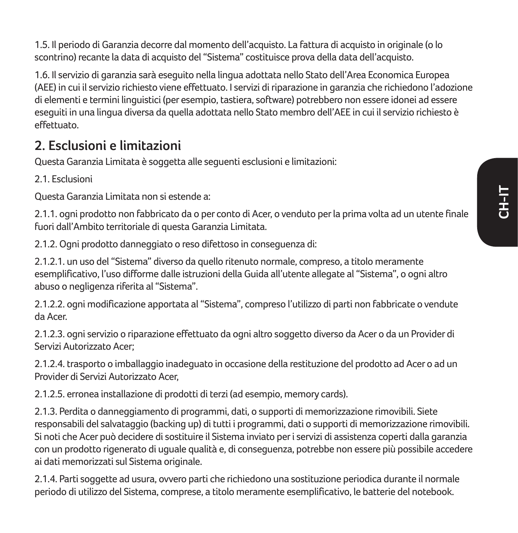1.5. Il periodo di Garanzia decorre dal momento dell'acquisto. La fattura di acquisto in originale (o lo scontrino) recante la data di acquisto del "Sistema" costituisce prova della data dell'acquisto.

1.6. Il servizio di garanzia sarà eseguito nella lingua adottata nello Stato dell'Area Economica Europea (AEE) in cui il servizio richiesto viene effettuato. I servizi di riparazione in garanzia che richiedono l'adozione di elementi e termini linguistici (per esempio, tastiera, software) potrebbero non essere idonei ad essere eseguiti in una lingua diversa da quella adottata nello Stato membro dell'AEE in cui il servizio richiesto è effettuato.

### **2. Esclusioni e limitazioni**

Questa Garanzia Limitata è soggetta alle seguenti esclusioni e limitazioni:

2.1. Esclusioni

Questa Garanzia Limitata non si estende a:

2.1.1. ogni prodotto non fabbricato da o per conto di Acer, o venduto per la prima volta ad un utente finale fuori dall'Ambito territoriale di questa Garanzia Limitata.

2.1.2. Ogni prodotto danneggiato o reso difettoso in conseguenza di:

2.1.2.1. un uso del "Sistema" diverso da quello ritenuto normale, compreso, a titolo meramente esemplificativo, l'uso difforme dalle istruzioni della Guida all'utente allegate al "Sistema", o ogni altro abuso o negligenza riferita al "Sistema".

2.1.2.2. ogni modificazione apportata al "Sistema", compreso l'utilizzo di parti non fabbricate o vendute da Acer.

2.1.2.3. ogni servizio o riparazione effettuato da ogni altro soggetto diverso da Acer o da un Provider di Servizi Autorizzato Acer;

2.1.2.4. trasporto o imballaggio inadeguato in occasione della restituzione del prodotto ad Acer o ad un Provider di Servizi Autorizzato Acer,

2.1.2.5. erronea installazione di prodotti di terzi (ad esempio, memory cards).

2.1.3. Perdita o danneggiamento di programmi, dati, o supporti di memorizzazione rimovibili. Siete responsabili del salvataggio (backing up) di tutti i programmi, dati o supporti di memorizzazione rimovibili. Si noti che Acer può decidere di sostituire il Sistema inviato per i servizi di assistenza coperti dalla garanzia con un prodotto rigenerato di uguale qualità e, di conseguenza, potrebbe non essere più possibile accedere ai dati memorizzati sul Sistema originale.

2.1.4. Parti soggette ad usura, ovvero parti che richiedono una sostituzione periodica durante il normale periodo di utilizzo del Sistema, comprese, a titolo meramente esemplificativo, le batterie del notebook.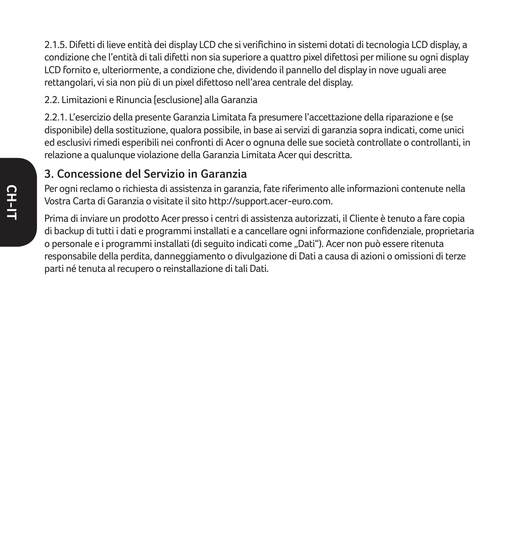2.1.5. Difetti di lieve entità dei display LCD che si verifichino in sistemi dotati di tecnologia LCD display, a condizione che l'entità di tali difetti non sia superiore a quattro pixel difettosi per milione su ogni display LCD fornito e, ulteriormente, a condizione che, dividendo il pannello del display in nove uguali aree rettangolari, vi sia non più di un pixel difettoso nell'area centrale del display.

2.2. Limitazioni e Rinuncia [esclusione] alla Garanzia

2.2.1. L'esercizio della presente Garanzia Limitata fa presumere l'accettazione della riparazione e (se disponibile) della sostituzione, qualora possibile, in base ai servizi di garanzia sopra indicati, come unici ed esclusivi rimedi esperibili nei confronti di Acer o ognuna delle sue società controllate o controllanti, in relazione a qualunque violazione della Garanzia Limitata Acer qui descritta.

#### **3. Concessione del Servizio in Garanzia**

Per ogni reclamo o richiesta di assistenza in garanzia, fate riferimento alle informazioni contenute nella Vostra Carta di Garanzia o visitate il sito http://support.acer-euro.com.

Prima di inviare un prodotto Acer presso i centri di assistenza autorizzati, il Cliente è tenuto a fare copia di backup di tutti i dati e programmi installati e a cancellare ogni informazione confidenziale, proprietaria o personale e i programmi installati (di seguito indicati come "Dati"). Acer non può essere ritenuta responsabile della perdita, danneggiamento o divulgazione di Dati a causa di azioni o omissioni di terze parti né tenuta al recupero o reinstallazione di tali Dati.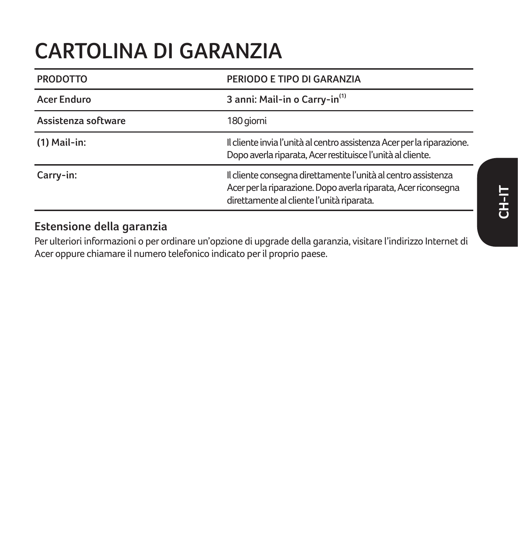## **CARTOLINA DI GARANZIA**

| <b>PRODOTTO</b>     | PERIODO E TIPO DI GARANZIA                                                                                                                                                   |
|---------------------|------------------------------------------------------------------------------------------------------------------------------------------------------------------------------|
| Acer Enduro         | 3 anni: Mail-in o Carry-in <sup>(1)</sup>                                                                                                                                    |
| Assistenza software | 180 giorni                                                                                                                                                                   |
| $(1)$ Mail-in:      | Il cliente invia l'unità al centro assistenza Acer per la riparazione.<br>Dopo averla riparata, Acer restituisce l'unità al cliente.                                         |
| Carry-in:           | Il cliente consegna direttamente l'unità al centro assistenza<br>Acer per la riparazione. Dopo averla riparata, Acer riconsegna<br>direttamente al cliente l'unità riparata. |

#### **Estensione della garanzia**

Per ulteriori informazioni o per ordinare un'opzione di upgrade della garanzia, visitare l'indirizzo Internet di Acer oppure chiamare il numero telefonico indicato per il proprio paese.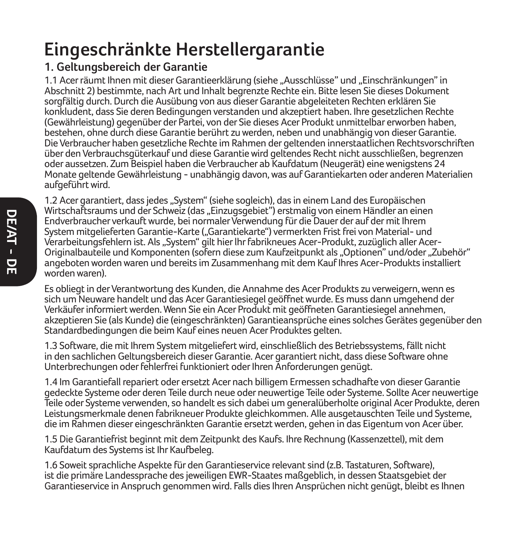## **Eingeschränkte Herstellergarantie**

#### **1. Geltungsbereich der Garantie**

1.1 Acer räumt Ihnen mit dieser Garantieerklärung (siehe "Ausschlüsse" und "Einschränkungen" in Abschnitt 2) bestimmte, nach Art und Inhalt begrenzte Rechte ein. Bitte lesen Sie dieses Dokument sorgfältig durch. Durch die Ausübung von aus dieser Garantie abgeleiteten Rechten erklären Sie konkludent, dass Sie deren Bedingungen verstanden und akzeptiert haben. Ihre gesetzlichen Rechte (Gewährleistung) gegenüber der Partei, von der Sie dieses Acer Produkt unmittelbar erworben haben, bestehen, ohne durch diese Garantie berührt zu werden, neben und unabhängig von dieser Garantie. Die Verbraucher haben gesetzliche Rechte im Rahmen der geltenden innerstaatlichen Rechtsvorschriften über den Verbrauchsgüterkauf und diese Garantie wird geltendes Recht nicht ausschließen, begrenzen oder aussetzen. Zum Beispiel haben die Verbraucher ab Kaufdatum (Neugerät) eine wenigstens 24 Monate geltende Gewährleistung - unabhängig davon, was auf Garantiekarten oder anderen Materialien aufgeführt wird.

DE/AT - DE **DE/AT - DE**

1.2 Acer garantiert, dass jedes "System" (siehe sogleich), das in einem Land des Europäischen Wirtschaftsraums und der Schweiz (das "Einzugsgebiet") erstmalig von einem Händler an einen Endverbraucher verkauft wurde, bei normaler Verwendung für die Dauer der auf der mit Ihrem System mitgelieferten Garantie-Karte ("Garantiekarte") vermerkten Frist frei von Material- und Verarbeitungsfehlern ist. Als "System" gilt hier lhr fabrikneues Acer-Produkt, zuzüglich aller Acer-Originalbauteile und Komponenten (sofern diese zum Kaufzeitpunkt als "Optionen" und/oder "Zubehör" angeboten worden waren und bereits im Zusammenhang mit dem Kauf Ihres Acer-Produkts installiert worden waren).

Es obliegt in der Verantwortung des Kunden, die Annahme des Acer Produkts zu verweigern, wenn es sich um Neuware handelt und das Acer Garantiesiegel geöffnet wurde. Es muss dann umgehend der Verkäufer informiert werden. Wenn Sie ein Acer Produkt mit geöffneten Garantiesiegel annehmen, akzeptieren Sie (als Kunde) die (eingeschränkten) Garantieansprüche eines solches Gerätes gegenüber den Standardbedingungen die beim Kauf eines neuen Acer Produktes gelten.

1.3 Software, die mit Ihrem System mitgeliefert wird, einschließlich des Betriebssystems, fällt nicht in den sachlichen Geltungsbereich dieser Garantie. Acer garantiert nicht, dass diese Software ohne Unterbrechungen oder fehlerfrei funktioniert oder Ihren Anforderungen genügt.

1.4 Im Garantiefall repariert oder ersetzt Acer nach billigem Ermessen schadhafte von dieser Garantie gedeckte Systeme oder deren Teile durch neue oder neuwertige Teile oder Systeme. Sollte Acer neuwertige Teile oder Systeme verwenden, so handelt es sich dabei um generalüberholte original Acer Produkte, deren Leistungsmerkmale denen fabrikneuer Produkte gleichkommen. Alle ausgetauschten Teile und Systeme, die im Rahmen dieser eingeschränkten Garantie ersetzt werden, gehen in das Eigentum von Acer über.

1.5 Die Garantiefrist beginnt mit dem Zeitpunkt des Kaufs. Ihre Rechnung (Kassenzettel), mit dem Kaufdatum des Systems ist Ihr Kaufbeleg.

1.6 Soweit sprachliche Aspekte für den Garantieservice relevant sind (z.B. Tastaturen, Software), ist die primäre Landessprache des jeweiligen EWR-Staates maßgeblich, in dessen Staatsgebiet der Garantieservice in Anspruch genommen wird. Falls dies Ihren Ansprüchen nicht genügt, bleibt es Ihnen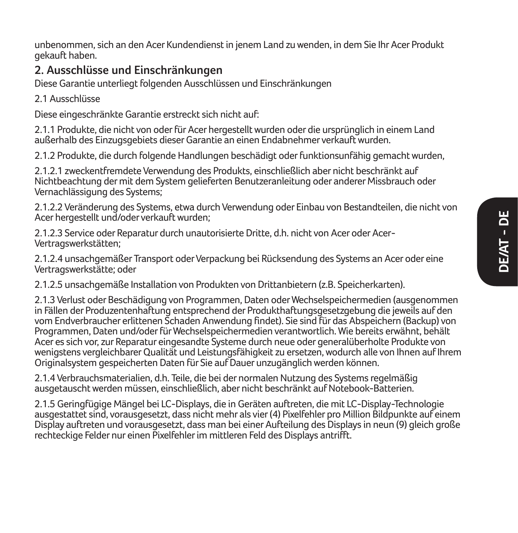unbenommen, sich an den Acer Kundendienst in jenem Land zu wenden, in dem Sie Ihr Acer Produkt gekauft haben.

#### **2. Ausschlüsse und Einschränkungen**

Diese Garantie unterliegt folgenden Ausschlüssen und Einschränkungen

2.1 Ausschlüsse

Diese eingeschränkte Garantie erstreckt sich nicht auf:

2.1.1 Produkte, die nicht von oder für Acer hergestellt wurden oder die ursprünglich in einem Land außerhalb des Einzugsgebiets dieser Garantie an einen Endabnehmer verkauft wurden.

2.1.2 Produkte, die durch folgende Handlungen beschädigt oder funktionsunfähig gemacht wurden,

2.1.2.1 zweckentfremdete Verwendung des Produkts, einschließlich aber nicht beschränkt auf Nichtbeachtung der mit dem System gelieferten Benutzeranleitung oder anderer Missbrauch oder Vernachlässigung des Systems:

2.1.2.2 Veränderung des Systems, etwa durch Verwendung oder Einbau von Bestandteilen, die nicht von Acer hergestellt und/oder verkauft wurden;

2.1.2.3 Service oder Reparatur durch unautorisierte Dritte, d.h. nicht von Acer oder Acer-Vertragswerkstätten;

2.1.2.4 unsachgemäßer Transport oder Verpackung bei Rücksendung des Systems an Acer oder eine Vertragswerkstätte; oder

2.1.2.5 unsachgemäße Installation von Produkten von Drittanbietern (z.B. Speicherkarten).

2.1.3 Verlust oder Beschädigung von Programmen, Daten oder Wechselspeichermedien (ausgenommen in Fällen der Produzentenhaftung entsprechend der Produkthaftungsgesetzgebung die jeweils auf den vom Endverbraucher erlittenen Schaden Anwendung findet). Sie sind für das Abspeichern (Backup) von Programmen, Daten und/oder für Wechselspeichermedien verantwortlich. Wie bereits erwähnt, behält Acer es sich vor, zur Reparatur eingesandte Systeme durch neue oder generalüberholte Produkte von wenigstens vergleichbarer Qualität und Leistungsfähigkeit zu ersetzen, wodurch alle von Ihnen auf Ihrem Originalsystem gespeicherten Daten für Sie auf Dauer unzugänglich werden können.

2.1.4 Verbrauchsmaterialien, d.h. Teile, die bei der normalen Nutzung des Systems regelmäßig ausgetauscht werden müssen, einschließlich, aber nicht beschränkt auf Notebook-Batterien.

2.1.5 Geringfügige Mängel bei LC-Displays, die in Geräten auftreten, die mit LC-Display-Technologie ausgestattet sind, vorausgesetzt, dass nicht mehr als vier (4) Pixelfehler pro Million Bildpunkte auf einem Display auftreten und vorausgesetzt, dass man bei einer Aufteilung des Displays in neun (9) gleich große rechteckige Felder nur einen Pixelfehler im mittleren Feld des Displays antrifft.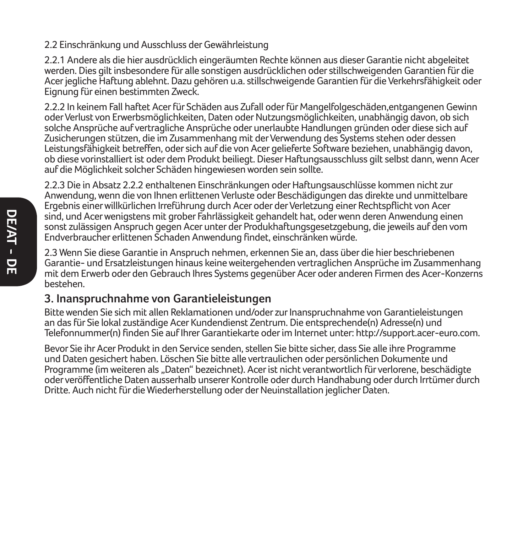#### 2.2 Einschränkung und Ausschluss der Gewährleistung

2.2.1 Andere als die hier ausdrücklich eingeräumten Rechte können aus dieser Garantie nicht abgeleitet werden. Dies gilt insbesondere für alle sonstigen ausdrücklichen oder stillschweigenden Garantien für die Acer jegliche Haftung ablehnt. Dazu gehören u.a. stillschweigende Garantien für die Verkehrsfähigkeit oder Eignung für einen bestimmten Zweck.

2.2.2 In keinem Fall haftet Acer für Schäden aus Zufall oder für Mangelfolgeschäden,entgangenen Gewinn oder Verlust von Erwerbsmöglichkeiten, Daten oder Nutzungsmöglichkeiten, unabhängig davon, ob sich solche Ansprüche auf vertragliche Ansprüche oder unerlaubte Handlungen gründen oder diese sich auf Zusicherungen stützen, die im Zusammenhang mit der Verwendung des Systems stehen oder dessen Leistungsfähigkeit betreffen, oder sich auf die von Acer gelieferte Software beziehen, unabhängig davon, ob diese vorinstalliert ist oder dem Produkt beiliegt. Dieser Haftungsausschluss gilt selbst dann, wenn Acer auf die Möglichkeit solcher Schäden hingewiesen worden sein sollte.

2.2.3 Die in Absatz 2.2.2 enthaltenen Einschränkungen oder Haftungsauschlüsse kommen nicht zur Anwendung, wenn die von Ihnen erlittenen Verluste oder Beschädigungen das direkte und unmittelbare Ergebnis einer willkürlichen Irreführung durch Acer oder der Verletzung einer Rechtspflicht von Acer sind, und Acer wenigstens mit grober Fahrlässigkeit gehandelt hat, oder wenn deren Anwendung einen sonst zulässigen Anspruch gegen Acer unter der Produkhaftungsgesetzgebung, die jeweils auf den vom Endverbraucher erlittenen Schaden Anwendung findet, einschränken würde.

2.3 Wenn Sie diese Garantie in Anspruch nehmen, erkennen Sie an, dass über die hier beschriebenen Garantie- und Ersatzleistungen hinaus keine weitergehenden vertraglichen Ansprüche im Zusammenhang mit dem Erwerb oder den Gebrauch Ihres Systems gegenüber Acer oder anderen Firmen des Acer-Konzerns bestehen.

#### **3. Inanspruchnahme von Garantieleistungen**

Bitte wenden Sie sich mit allen Reklamationen und/oder zur Inanspruchnahme von Garantieleistungen an das für Sie lokal zuständige Acer Kundendienst Zentrum. Die entsprechende(n) Adresse(n) und Telefonnummer(n) finden Sie auf Ihrer Garantiekarte oder im Internet unter: http://support.acer-euro.com.

Bevor Sie ihr Acer Produkt in den Service senden, stellen Sie bitte sicher, dass Sie alle ihre Programme und Daten gesichert haben. Löschen Sie bitte alle vertraulichen oder persönlichen Dokumente und Programme (im weiteren als "Daten" bezeichnet). Acer ist nicht verantwortlich für verlorene, beschädigte oder veröffentliche Daten ausserhalb unserer Kontrolle oder durch Handhabung oder durch Irrtümer durch Dritte. Auch nicht für die Wiederherstellung oder der Neuinstallation jeglicher Daten.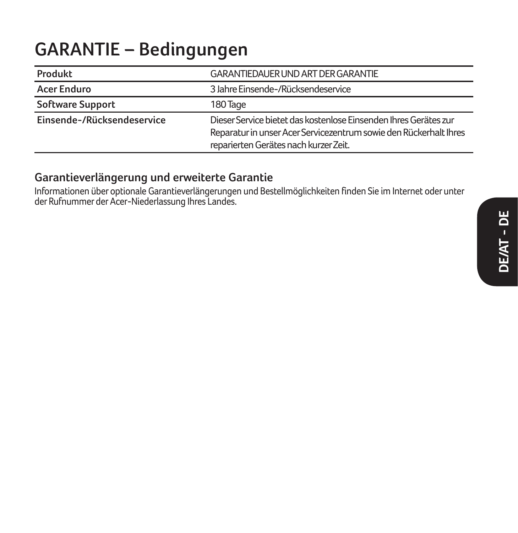## **GARANTIE – Bedingungen**

| Produkt                    | GARANTIEDAUER UND ART DER GARANTIE                                                                                                                                             |
|----------------------------|--------------------------------------------------------------------------------------------------------------------------------------------------------------------------------|
| <b>Acer Enduro</b>         | 3 Jahre Einsende-/Rücksendeservice                                                                                                                                             |
| Software Support           | 180 Tage                                                                                                                                                                       |
| Einsende-/Rücksendeservice | Dieser Service bietet das kostenlose Einsenden Ihres Gerätes zur<br>Reparatur in unser Acer Servicezentrum sowie den Rückerhalt Ihres<br>reparierten Gerätes nach kurzer Zeit. |

#### **Garantieverlängerung und erweiterte Garantie**

Informationen über optionale Garantieverlängerungen und Bestellmöglichkeiten finden Sie im Internet oder unter der Rufnummer der Acer-Niederlassung Ihres Landes.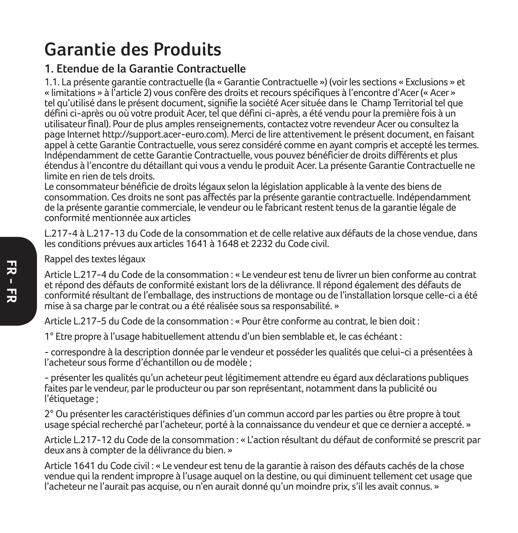## **Garantie des Produits**

#### **1. Etendue de la Garantie Contractuelle**

1.1. La présente garantie contractuelle (la « Garantie Contractuelle ») (voir les sections « Exclusions » et « limitations » à l'article 2) vous confère des droits et recours spécifiques à l'encontre d'Acer (« Acer » tel qu'utilisé dans le présent document, signifie la société Acer située dans le Champ Territorial tel que défini ci-après ou où votre produit Acer, tel que défini ci-après, a été vendu pour la première fois à un utilisateur final). Pour de plus amples renseignements, contactez votre revendeur Acer ou consultez la page Internet http://support.acer-euro.com). Merci de lire attentivement le présent document, en faisant appel à cette Garantie Contractuelle, vous serez considéré comme en ayant compris et accepté les termes. Indépendamment de cette Garantie Contractuelle, vous pouvez bénéficier de droits différents et plus étendus à l'encontre du détaillant qui vous a vendu le produit Acer. La présente Garantie Contractuelle ne limite en rien de tels droits.

Le consommateur bénéficie de droits légaux selon la législation applicable à la vente des biens de consommation. Ces droits ne sont pas affectés par la présente garantie contractuelle. Indépendamment de la présente garantie commerciale, le vendeur ou le fabricant restent tenus de la garantie légale de conformité mentionnée aux articles

L.217-4 à L.217-13 du Code de la consommation et de celle relative aux défauts de la chose vendue, dans les conditions prévues aux articles 1641 à 1648 et 2232 du Code civil.

Rappel des textes légaux

Article L.217-4 du Code de la consommation : « Le vendeur est tenu de livrer un bien conforme au contrat et répond des défauts de conformité existant lors de la délivrance. Il répond également des défauts de conformité résultant de l'emballage, des instructions de montage ou de l'installation lorsque celle-ci a été mise à sa charge par le contrat ou a été réalisée sous sa responsabilité. »

Article L.217-5 du Code de la consommation : « Pour être conforme au contrat, le bien doit :

1° Etre propre à l'usage habituellement attendu d'un bien semblable et, le cas échéant :

- correspondre à la description donnée par le vendeur et posséder les qualités que celui-ci a présentées à l'acheteur sous forme d'échantillon ou de modèle ;

- présenter les qualités qu'un acheteur peut légitimement attendre eu égard aux déclarations publiques faites par le vendeur, par le producteur ou par son représentant, notamment dans la publicité ou l'étiquetage ;

2° Ou présenter les caractéristiques définies d'un commun accord par les parties ou être propre à tout usage spécial recherché par l'acheteur, porté à la connaissance du vendeur et que ce dernier a accepté. »

Article L.217-12 du Code de la consommation : « L'action résultant du défaut de conformité se prescrit par deux ans à compter de la délivrance du bien. »

Article 1641 du Code civil : « Le vendeur est tenu de la garantie à raison des défauts cachés de la chose vendue qui la rendent impropre à l'usage auquel on la destine, ou qui diminuent tellement cet usage que l'acheteur ne l'aurait pas acquise, ou n'en aurait donné qu'un moindre prix, s'il les avait connus. »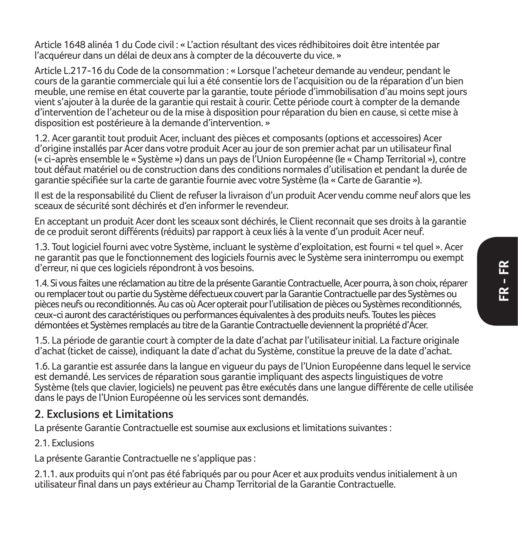Article 1648 alinéa 1 du Code civil : « L'action résultant des vices rédhibitoires doit être intentée par l'acquéreur dans un délai de deux ans à compter de la découverte du vice. »

Article L.217-16 du Code de la consommation : « Lorsque l'acheteur demande au vendeur, pendant le cours de la garantie commerciale qui lui a été consentie lors de l'acquisition ou de la réparation d'un bien meuble, une remise en état couverte par la garantie, toute période d'immobilisation d'au moins sept jours vient s'ajouter à la durée de la garantie qui restait à courir. Cette période court à compter de la demande d'intervention de l'acheteur ou de la mise à disposition pour réparation du bien en cause, si cette mise à disposition est postérieure à la demande d'intervention. »

1.2. Acer garantit tout produit Acer, incluant des pièces et composants (options et accessoires) Acer d'origine installés par Acer dans votre produit Acer au jour de son premier achat par un utilisateur final (« ci-après ensemble le « Système ») dans un pays de l'Union Européenne (le « Champ Territorial »), contre tout défaut matériel ou de construction dans des conditions normales d'utilisation et pendant la durée de garantie spécifiée sur la carte de garantie fournie avec votre Système (la « Carte de Garantie »).

Il est de la responsabilité du Client de refuser la livraison d'un produit Acer vendu comme neuf alors que les sceaux de sécurité sont déchirés et d'en informer le revendeur.

En acceptant un produit Acer dont les sceaux sont déchirés, le Client reconnait que ses droits à la garantie de ce produit seront différents (réduits) par rapport à ceux liés à la vente d'un produit Acer neuf.

1.3. Tout logiciel fourni avec votre Système, incluant le système d'exploitation, est fourni « tel quel ». Acer ne garantit pas que le fonctionnement des logiciels fournis avec le Système sera ininterrompu ou exempt d'erreur, ni que ces logiciels répondront à vos besoins.

1.4. Si vous faites une réclamation au titre de la présente Garantie Contractuelle, Acer pourra, à son choix, réparer ou remplacer tout ou partie du Système défectueux couvert par la Garantie Contractuelle par des Systèmes ou pièces neufs ou reconditionnés. Au cas où Acer opterait pour l'utilisation de pièces ou Systèmes reconditionnés, ceux-ci auront des caractéristiques ou performances équivalentes à des produits neufs. Toutes les pièces démontées et Systèmes remplacés au titre de la Garantie Contractuelle deviennent la propriété d'Acer.

1.5. La période de garantie court à compter de la date d'achat par l'utilisateur initial. La facture originale d'achat (ticket de caisse), indiquant la date d'achat du Système, constitue la preuve de la date d'achat.

1.6. La garantie est assurée dans la langue en vigueur du pays de l'Union Européenne dans lequel le service est demandé. Les services de réparation sous garantie impliquant des aspects linguistiques de votre Système (tels que clavier, logiciels) ne peuvent pas être exécutés dans une langue différente de celle utilisée dans le pays de l'Union Européenne où les services sont demandés.

#### **2. Exclusions et Limitations**

La présente Garantie Contractuelle est soumise aux exclusions et limitations suivantes :

#### 2.1. Exclusions

La présente Garantie Contractuelle ne s'applique pas :

2.1.1. aux produits qui n'ont pas été fabriqués par ou pour Acer et aux produits vendus initialement à un utilisateur final dans un pays extérieur au Champ Territorial de la Garantie Contractuelle.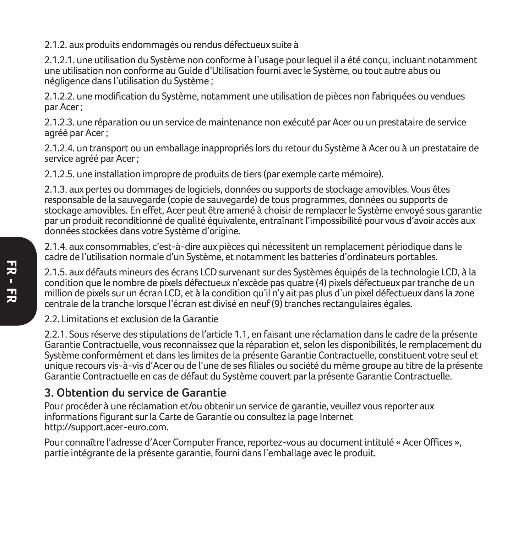2.1.2. aux produits endommagés ou rendus défectueux suite à

2.1.2.1. une utilisation du Système non conforme à l'usage pour lequel il a été conçu, incluant notamment une utilisation non conforme au Guide d'Utilisation fourni avec le Système, ou tout autre abus ou négligence dans l'utilisation du Système ;

2.1.2.2. une modification du Système, notamment une utilisation de pièces non fabriquées ou vendues par Acer ;

2.1.2.3. une réparation ou un service de maintenance non exécuté par Acer ou un prestataire de service agréé par Acer ;

2.1.2.4. un transport ou un emballage inappropriés lors du retour du Système à Acer ou à un prestataire de service agréé par Acer ;

2.1.2.5. une installation impropre de produits de tiers (par exemple carte mémoire).

2.1.3. aux pertes ou dommages de logiciels, données ou supports de stockage amovibles. Vous êtes responsable de la sauvegarde (copie de sauvegarde) de tous programmes, données ou supports de stockage amovibles. En effet, Acer peut être amené à choisir de remplacer le Système envoyé sous garantie par un produit reconditionné de qualité équivalente, entraînant l'impossibilité pour vous d'avoir accès aux données stockées dans votre Système d'origine.

2.1.4. aux consommables, c'est-à-dire aux pièces qui nécessitent un remplacement périodique dans le cadre de l'utilisation normale d'un Système, et notamment les batteries d'ordinateurs portables.

2.1.5. aux défauts mineurs des écrans LCD survenant sur des Systèmes équipés de la technologie LCD, à la condition que le nombre de pixels défectueux n'excède pas quatre (4) pixels défectueux par tranche de un million de pixels sur un écran LCD, et à la condition qu'il n'y ait pas plus d'un pixel défectueux dans la zone centrale de la tranche lorsque l'écran est divisé en neuf (9) tranches rectangulaires égales.

2.2. Limitations et exclusion de la Garantie

2.2.1. Sous réserve des stipulations de l'article 1.1, en faisant une réclamation dans le cadre de la présente Garantie Contractuelle, vous reconnaissez que la réparation et, selon les disponibilités, le remplacement du Système conformément et dans les limites de la présente Garantie Contractuelle, constituent votre seul et unique recours vis-à-vis d'Acer ou de l'une de ses filiales ou société du même groupe au titre de la présente Garantie Contractuelle en cas de défaut du Système couvert par la présente Garantie Contractuelle.

#### **3. Obtention du service de Garantie**

Pour procéder à une réclamation et/ou obtenir un service de garantie, veuillez vous reporter aux informations figurant sur la Carte de Garantie ou consultez la page Internet http://support.acer-euro.com.

Pour connaître l'adresse d'Acer Computer France, reportez-vous au document intitulé « Acer Offices », partie intégrante de la présente garantie, fourni dans l'emballage avec le produit.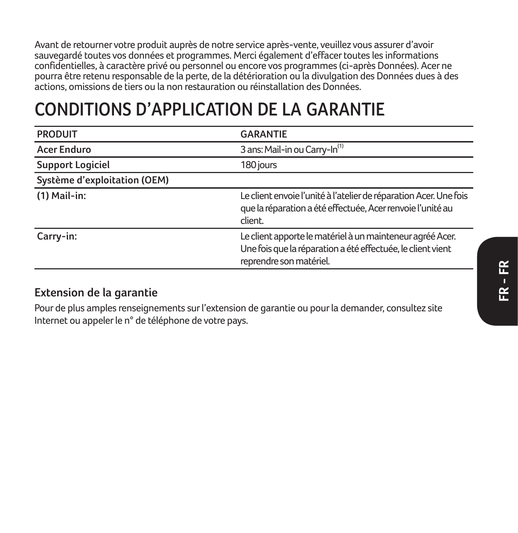Avant de retourner votre produit auprès de notre service après-vente, veuillez vous assurer d'avoir sauvegardé toutes vos données et programmes. Merci également d'effacer toutes les informations confidentielles, à caractère privé ou personnel ou encore vos programmes (ci-après Données). Acer ne pourra être retenu responsable de la perte, de la détérioration ou la divulgation des Données dues à des actions, omissions de tiers ou la non restauration ou réinstallation des Données.

## **CONDITIONS D'APPLICATION DE LA GARANTIE**

| <b>PRODUIT</b>               | <b>GARANTIE</b>                                                                                                                                     |
|------------------------------|-----------------------------------------------------------------------------------------------------------------------------------------------------|
| Acer Enduro                  | 3 ans: Mail-in ou Carry-In <sup>(1)</sup>                                                                                                           |
| <b>Support Logiciel</b>      | 180 jours                                                                                                                                           |
| Système d'exploitation (OEM) |                                                                                                                                                     |
| $(1)$ Mail-in:               | Le client envoie l'unité à l'atelier de réparation Acer. Une fois<br>que la réparation a été effectuée, Acer renvoie l'unité au<br>client.          |
| Carry-in:                    | Le client apporte le matériel à un mainteneur agréé Acer.<br>Une fois que la réparation a été effectuée, le client vient<br>reprendre son matériel. |

#### **Extension de la garantie**

Pour de plus amples renseignements sur l'extension de garantie ou pour la demander, consultez site Internet ou appeler le n° de téléphone de votre pays.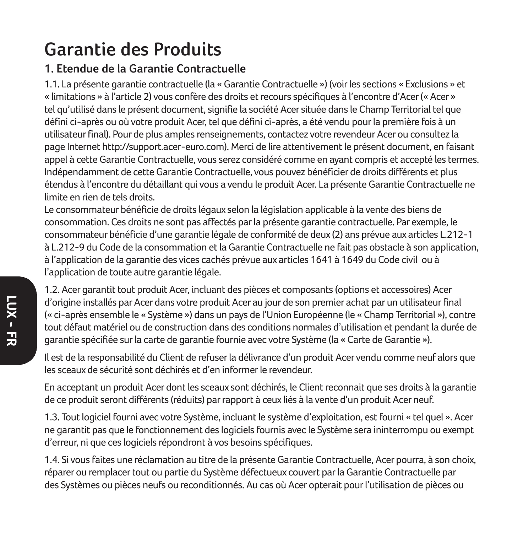## **Garantie des Produits**

#### **1. Etendue de la Garantie Contractuelle**

1.1. La présente garantie contractuelle (la « Garantie Contractuelle ») (voir les sections « Exclusions » et « limitations » à l'article 2) vous confère des droits et recours spécifiques à l'encontre d'Acer (« Acer » tel qu'utilisé dans le présent document, signifie la société Acer située dans le Champ Territorial tel que défini ci-après ou où votre produit Acer, tel que défini ci-après, a été vendu pour la première fois à un utilisateur final). Pour de plus amples renseignements, contactez votre revendeur Acer ou consultez la page Internet http://support.acer-euro.com). Merci de lire attentivement le présent document, en faisant appel à cette Garantie Contractuelle, vous serez considéré comme en ayant compris et accepté les termes. Indépendamment de cette Garantie Contractuelle, vous pouvez bénéficier de droits différents et plus étendus à l'encontre du détaillant qui vous a vendu le produit Acer. La présente Garantie Contractuelle ne limite en rien de tels droits.

Le consommateur bénéficie de droits légaux selon la législation applicable à la vente des biens de consommation. Ces droits ne sont pas affectés par la présente garantie contractuelle. Par exemple, le consommateur bénéficie d'une garantie légale de conformité de deux (2) ans prévue aux articles L.212-1 à L.212-9 du Code de la consommation et la Garantie Contractuelle ne fait pas obstacle à son application, à l'application de la garantie des vices cachés prévue aux articles 1641 à 1649 du Code civil ou à l'application de toute autre garantie légale.

1.2. Acer garantit tout produit Acer, incluant des pièces et composants (options et accessoires) Acer d'origine installés par Acer dans votre produit Acer au jour de son premier achat par un utilisateur final (« ci-après ensemble le « Système ») dans un pays de l'Union Européenne (le « Champ Territorial »), contre tout défaut matériel ou de construction dans des conditions normales d'utilisation et pendant la durée de garantie spécifiée sur la carte de garantie fournie avec votre Système (la « Carte de Garantie »).

Il est de la responsabilité du Client de refuser la délivrance d'un produit Acer vendu comme neuf alors que les sceaux de sécurité sont déchirés et d'en informer le revendeur.

En acceptant un produit Acer dont les sceaux sont déchirés, le Client reconnait que ses droits à la garantie de ce produit seront différents (réduits) par rapport à ceux liés à la vente d'un produit Acer neuf.

1.3. Tout logiciel fourni avec votre Système, incluant le système d'exploitation, est fourni « tel quel ». Acer ne garantit pas que le fonctionnement des logiciels fournis avec le Système sera ininterrompu ou exempt d'erreur, ni que ces logiciels répondront à vos besoins spécifiques.

1.4. Si vous faites une réclamation au titre de la présente Garantie Contractuelle, Acer pourra, à son choix, réparer ou remplacer tout ou partie du Système défectueux couvert par la Garantie Contractuelle par des Systèmes ou pièces neufs ou reconditionnés. Au cas où Acer opterait pour l'utilisation de pièces ou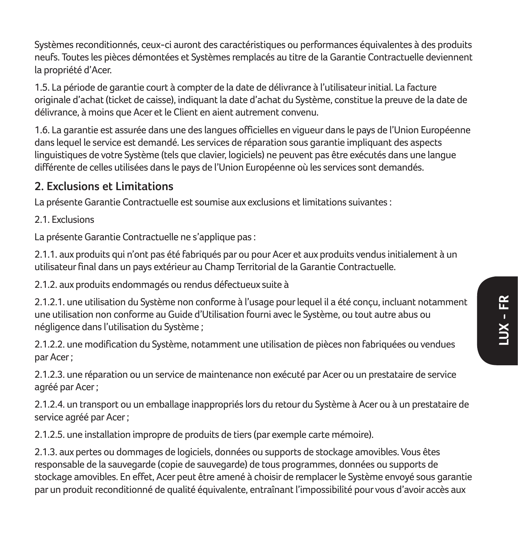Systèmes reconditionnés, ceux-ci auront des caractéristiques ou performances équivalentes à des produits neufs. Toutes les pièces démontées et Systèmes remplacés au titre de la Garantie Contractuelle deviennent la propriété d'Acer.

1.5. La période de garantie court à compter de la date de délivrance à l'utilisateur initial. La facture originale d'achat (ticket de caisse), indiquant la date d'achat du Système, constitue la preuve de la date de délivrance, à moins que Acer et le Client en aient autrement convenu.

1.6. La garantie est assurée dans une des langues officielles en vigueur dans le pays de l'Union Européenne dans lequel le service est demandé. Les services de réparation sous garantie impliquant des aspects linguistiques de votre Système (tels que clavier, logiciels) ne peuvent pas être exécutés dans une langue différente de celles utilisées dans le pays de l'Union Européenne où les services sont demandés.

#### **2. Exclusions et Limitations**

La présente Garantie Contractuelle est soumise aux exclusions et limitations suivantes :

2.1. Evelusions

La présente Garantie Contractuelle ne s'applique pas :

2.1.1. aux produits qui n'ont pas été fabriqués par ou pour Acer et aux produits vendus initialement à un utilisateur final dans un pays extérieur au Champ Territorial de la Garantie Contractuelle.

2.1.2. aux produits endommagés ou rendus défectueux suite à

2.1.2.1. une utilisation du Système non conforme à l'usage pour lequel il a été conçu, incluant notamment une utilisation non conforme au Guide d'Utilisation fourni avec le Système, ou tout autre abus ou négligence dans l'utilisation du Système ;

2.1.2.2. une modification du Système, notamment une utilisation de pièces non fabriquées ou vendues par Acer ;

2.1.2.3. une réparation ou un service de maintenance non exécuté par Acer ou un prestataire de service agréé par Acer ;

2.1.2.4. un transport ou un emballage inappropriés lors du retour du Système à Acer ou à un prestataire de service agréé par Acer ;

2.1.2.5. une installation impropre de produits de tiers (par exemple carte mémoire).

2.1.3. aux pertes ou dommages de logiciels, données ou supports de stockage amovibles. Vous êtes responsable de la sauvegarde (copie de sauvegarde) de tous programmes, données ou supports de stockage amovibles. En effet, Acer peut être amené à choisir de remplacer le Système envoyé sous garantie par un produit reconditionné de qualité équivalente, entraînant l'impossibilité pour vous d'avoir accès aux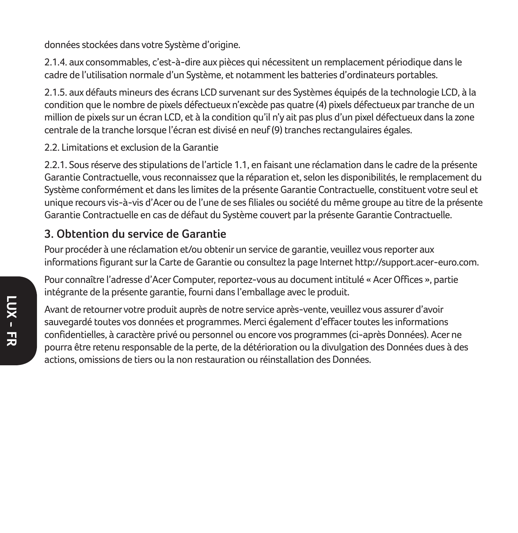données stockées dans votre Système d'origine.

2.1.4. aux consommables, c'est-à-dire aux pièces qui nécessitent un remplacement périodique dans le cadre de l'utilisation normale d'un Système, et notamment les batteries d'ordinateurs portables.

2.1.5. aux défauts mineurs des écrans LCD survenant sur des Systèmes équipés de la technologie LCD, à la condition que le nombre de pixels défectueux n'excède pas quatre (4) pixels défectueux par tranche de un million de pixels sur un écran LCD, et à la condition qu'il n'y ait pas plus d'un pixel défectueux dans la zone centrale de la tranche lorsque l'écran est divisé en neuf (9) tranches rectangulaires égales.

2.2. Limitations et exclusion de la Garantie

2.2.1. Sous réserve des stipulations de l'article 1.1, en faisant une réclamation dans le cadre de la présente Garantie Contractuelle, vous reconnaissez que la réparation et, selon les disponibilités, le remplacement du Système conformément et dans les limites de la présente Garantie Contractuelle, constituent votre seul et unique recours vis-à-vis d'Acer ou de l'une de ses filiales ou société du même groupe au titre de la présente Garantie Contractuelle en cas de défaut du Système couvert par la présente Garantie Contractuelle.

#### **3. Obtention du service de Garantie**

Pour procéder à une réclamation et/ou obtenir un service de garantie, veuillez vous reporter aux informations figurant sur la Carte de Garantie ou consultez la page Internet http://support.acer-euro.com.

Pour connaître l'adresse d'Acer Computer, reportez-vous au document intitulé « Acer Offices », partie intégrante de la présente garantie, fourni dans l'emballage avec le produit.

Avant de retourner votre produit auprès de notre service après-vente, veuillez vous assurer d'avoir sauvegardé toutes vos données et programmes. Merci également d'effacer toutes les informations confidentielles, à caractère privé ou personnel ou encore vos programmes (ci-après Données). Acer ne pourra être retenu responsable de la perte, de la détérioration ou la divulgation des Données dues à des actions, omissions de tiers ou la non restauration ou réinstallation des Données.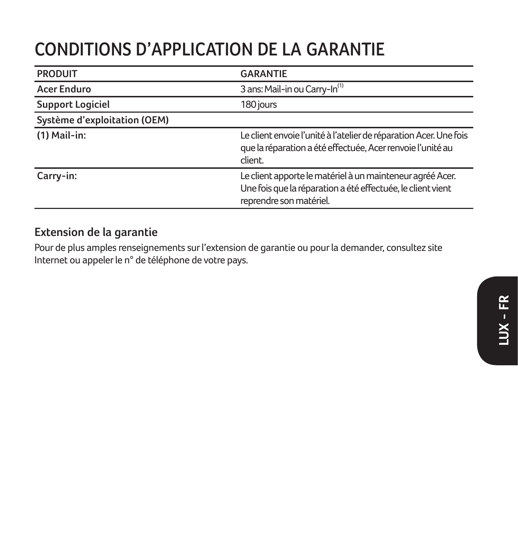## **CONDITIONS D'APPLICATION DE LA GARANTIE**

| <b>PRODUIT</b>               | <b>GARANTIE</b>                                                                                                                                     |
|------------------------------|-----------------------------------------------------------------------------------------------------------------------------------------------------|
| Acer Enduro                  | 3 ans: Mail-in ou Carry-In <sup>(1)</sup>                                                                                                           |
| <b>Support Logiciel</b>      | 180 jours                                                                                                                                           |
| Système d'exploitation (OEM) |                                                                                                                                                     |
| $(1)$ Mail-in:               | Le client envoie l'unité à l'atelier de réparation Acer. Une fois<br>que la réparation a été effectuée, Acer renvoie l'unité au<br>client.          |
| Carry-in:                    | Le client apporte le matériel à un mainteneur agréé Acer.<br>Une fois que la réparation a été effectuée, le client vient<br>reprendre son matériel. |

#### **Extension de la garantie**

Pour de plus amples renseignements sur l'extension de garantie ou pour la demander, consultez site Internet ou appeler le n° de téléphone de votre pays.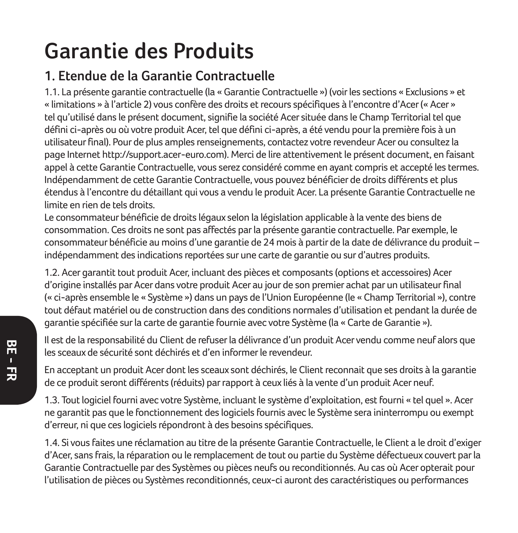# **Garantie des Produits**

## **1. Etendue de la Garantie Contractuelle**

1.1. La présente garantie contractuelle (la « Garantie Contractuelle ») (voir les sections « Exclusions » et « limitations » à l'article 2) vous confère des droits et recours spécifiques à l'encontre d'Acer (« Acer » tel qu'utilisé dans le présent document, signifie la société Acer située dans le Champ Territorial tel que défini ci-après ou où votre produit Acer, tel que défini ci-après, a été vendu pour la première fois à un utilisateur final). Pour de plus amples renseignements, contactez votre revendeur Acer ou consultez la page Internet http://support.acer-euro.com). Merci de lire attentivement le présent document, en faisant appel à cette Garantie Contractuelle, vous serez considéré comme en ayant compris et accepté les termes. Indépendamment de cette Garantie Contractuelle, vous pouvez bénéficier de droits différents et plus étendus à l'encontre du détaillant qui vous a vendu le produit Acer. La présente Garantie Contractuelle ne limite en rien de tels droits.

Le consommateur bénéficie de droits légaux selon la législation applicable à la vente des biens de consommation. Ces droits ne sont pas affectés par la présente garantie contractuelle. Par exemple, le consommateur bénéficie au moins d'une garantie de 24 mois à partir de la date de délivrance du produit – indépendamment des indications reportées sur une carte de garantie ou sur d'autres produits.

1.2. Acer garantit tout produit Acer, incluant des pièces et composants (options et accessoires) Acer d'origine installés par Acer dans votre produit Acer au jour de son premier achat par un utilisateur final (« ci-après ensemble le « Système ») dans un pays de l'Union Européenne (le « Champ Territorial »), contre tout défaut matériel ou de construction dans des conditions normales d'utilisation et pendant la durée de garantie spécifiée sur la carte de garantie fournie avec votre Système (la « Carte de Garantie »).

Il est de la responsabilité du Client de refuser la délivrance d'un produit Acer vendu comme neuf alors que les sceaux de sécurité sont déchirés et d'en informer le revendeur.

En acceptant un produit Acer dont les sceaux sont déchirés, le Client reconnait que ses droits à la garantie de ce produit seront différents (réduits) par rapport à ceux liés à la vente d'un produit Acer neuf.

1.3. Tout logiciel fourni avec votre Système, incluant le système d'exploitation, est fourni « tel quel ». Acer ne garantit pas que le fonctionnement des logiciels fournis avec le Système sera ininterrompu ou exempt d'erreur, ni que ces logiciels répondront à des besoins spécifiques.

1.4. Si vous faites une réclamation au titre de la présente Garantie Contractuelle, le Client a le droit d'exiger d'Acer, sans frais, la réparation ou le remplacement de tout ou partie du Système défectueux couvert par la Garantie Contractuelle par des Systèmes ou pièces neufs ou reconditionnés. Au cas où Acer opterait pour l'utilisation de pièces ou Systèmes reconditionnés, ceux-ci auront des caractéristiques ou performances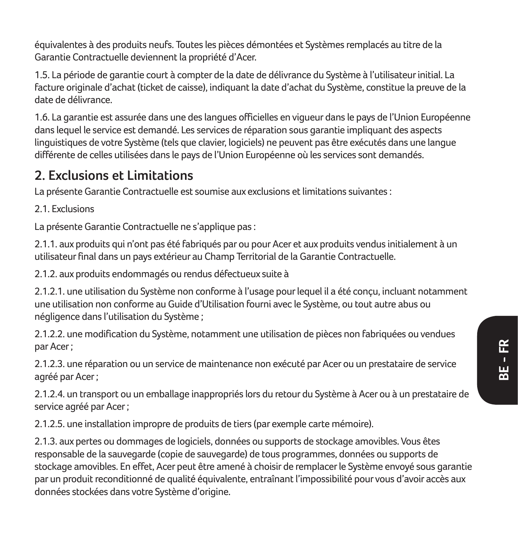équivalentes à des produits neufs. Toutes les pièces démontées et Systèmes remplacés au titre de la Garantie Contractuelle deviennent la propriété d'Acer.

1.5. La période de garantie court à compter de la date de délivrance du Système à l'utilisateur initial. La facture originale d'achat (ticket de caisse), indiquant la date d'achat du Système, constitue la preuve de la date de délivrance.

1.6. La garantie est assurée dans une des langues officielles en vigueur dans le pays de l'Union Européenne dans lequel le service est demandé. Les services de réparation sous garantie impliquant des aspects linguistiques de votre Système (tels que clavier, logiciels) ne peuvent pas être exécutés dans une langue différente de celles utilisées dans le pays de l'Union Européenne où les services sont demandés.

### **2. Exclusions et Limitations**

La présente Garantie Contractuelle est soumise aux exclusions et limitations suivantes :

2.1. Evelusions

La présente Garantie Contractuelle ne s'applique pas :

2.1.1. aux produits qui n'ont pas été fabriqués par ou pour Acer et aux produits vendus initialement à un utilisateur final dans un pays extérieur au Champ Territorial de la Garantie Contractuelle.

2.1.2. aux produits endommagés ou rendus défectueux suite à

2.1.2.1. une utilisation du Système non conforme à l'usage pour lequel il a été conçu, incluant notamment une utilisation non conforme au Guide d'Utilisation fourni avec le Système, ou tout autre abus ou négligence dans l'utilisation du Système ;

2.1.2.2. une modification du Système, notamment une utilisation de pièces non fabriquées ou vendues par Acer ;

2.1.2.3. une réparation ou un service de maintenance non exécuté par Acer ou un prestataire de service agréé par Acer ;

2.1.2.4. un transport ou un emballage inappropriés lors du retour du Système à Acer ou à un prestataire de service agréé par Acer ;

2.1.2.5. une installation impropre de produits de tiers (par exemple carte mémoire).

2.1.3. aux pertes ou dommages de logiciels, données ou supports de stockage amovibles. Vous êtes responsable de la sauvegarde (copie de sauvegarde) de tous programmes, données ou supports de stockage amovibles. En effet, Acer peut être amené à choisir de remplacer le Système envoyé sous garantie par un produit reconditionné de qualité équivalente, entraînant l'impossibilité pour vous d'avoir accès aux données stockées dans votre Système d'origine.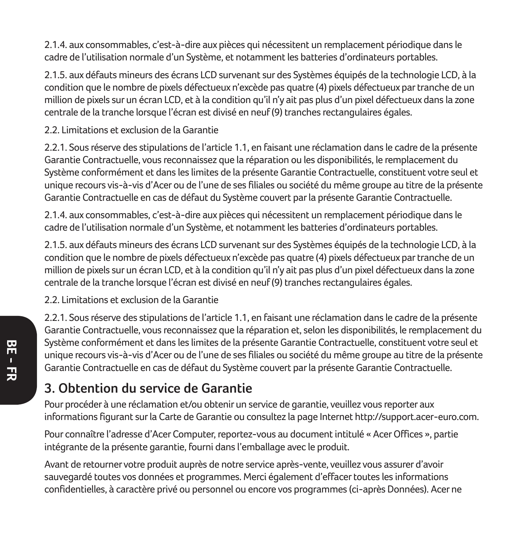2.1.4. aux consommables, c'est-à-dire aux pièces qui nécessitent un remplacement périodique dans le cadre de l'utilisation normale d'un Système, et notamment les batteries d'ordinateurs portables.

2.1.5. aux défauts mineurs des écrans LCD survenant sur des Systèmes équipés de la technologie LCD, à la condition que le nombre de pixels défectueux n'excède pas quatre (4) pixels défectueux par tranche de un million de pixels sur un écran LCD, et à la condition qu'il n'y ait pas plus d'un pixel défectueux dans la zone centrale de la tranche lorsque l'écran est divisé en neuf (9) tranches rectangulaires égales.

2.2. Limitations et exclusion de la Garantie

2.2.1. Sous réserve des stipulations de l'article 1.1, en faisant une réclamation dans le cadre de la présente Garantie Contractuelle, vous reconnaissez que la réparation ou les disponibilités, le remplacement du Système conformément et dans les limites de la présente Garantie Contractuelle, constituent votre seul et unique recours vis-à-vis d'Acer ou de l'une de ses filiales ou société du même groupe au titre de la présente Garantie Contractuelle en cas de défaut du Système couvert par la présente Garantie Contractuelle.

2.1.4. aux consommables, c'est-à-dire aux pièces qui nécessitent un remplacement périodique dans le cadre de l'utilisation normale d'un Système, et notamment les batteries d'ordinateurs portables.

2.1.5. aux défauts mineurs des écrans LCD survenant sur des Systèmes équipés de la technologie LCD, à la condition que le nombre de pixels défectueux n'excède pas quatre (4) pixels défectueux par tranche de un million de pixels sur un écran LCD, et à la condition qu'il n'y ait pas plus d'un pixel défectueux dans la zone centrale de la tranche lorsque l'écran est divisé en neuf (9) tranches rectangulaires égales.

2.2. Limitations et exclusion de la Garantie

2.2.1. Sous réserve des stipulations de l'article 1.1, en faisant une réclamation dans le cadre de la présente Garantie Contractuelle, vous reconnaissez que la réparation et, selon les disponibilités, le remplacement du Système conformément et dans les limites de la présente Garantie Contractuelle, constituent votre seul et unique recours vis-à-vis d'Acer ou de l'une de ses filiales ou société du même groupe au titre de la présente Garantie Contractuelle en cas de défaut du Système couvert par la présente Garantie Contractuelle.

### **3. Obtention du service de Garantie**

Pour procéder à une réclamation et/ou obtenir un service de garantie, veuillez vous reporter aux informations figurant sur la Carte de Garantie ou consultez la page Internet http://support.acer-euro.com.

Pour connaître l'adresse d'Acer Computer, reportez-vous au document intitulé « Acer Offices », partie intégrante de la présente garantie, fourni dans l'emballage avec le produit.

Avant de retourner votre produit auprès de notre service après-vente, veuillez vous assurer d'avoir sauvegardé toutes vos données et programmes. Merci également d'effacer toutes les informations confidentielles, à caractère privé ou personnel ou encore vos programmes (ci-après Données). Acer ne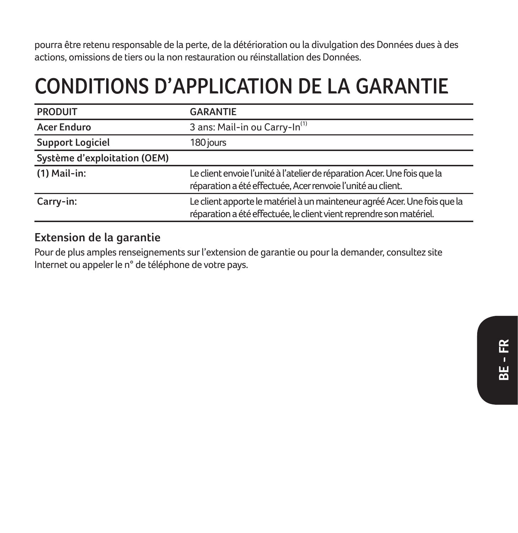pourra être retenu responsable de la perte, de la détérioration ou la divulgation des Données dues à des actions, omissions de tiers ou la non restauration ou réinstallation des Données.

## **CONDITIONS D'APPLICATION DE LA GARANTIE**

| <b>PRODUIT</b>               | <b>GARANTIE</b>                                                                                                                                  |
|------------------------------|--------------------------------------------------------------------------------------------------------------------------------------------------|
| <b>Acer Enduro</b>           | 3 ans: Mail-in ou Carry-In <sup>(1)</sup>                                                                                                        |
| <b>Support Logiciel</b>      | 180 jours                                                                                                                                        |
| Système d'exploitation (OEM) |                                                                                                                                                  |
| $(1)$ Mail-in:               | Le client envoie l'unité à l'atelier de réparation Acer. Une fois que la<br>réparation a été effectuée, Acer renvoie l'unité au client.          |
| Carry-in:                    | Le client apporte le matériel à un mainteneur agréé Acer. Une fois que la<br>réparation a été effectuée, le client vient reprendre son matériel. |

#### **Extension de la garantie**

Pour de plus amples renseignements sur l'extension de garantie ou pour la demander, consultez site Internet ou appeler le n° de téléphone de votre pays.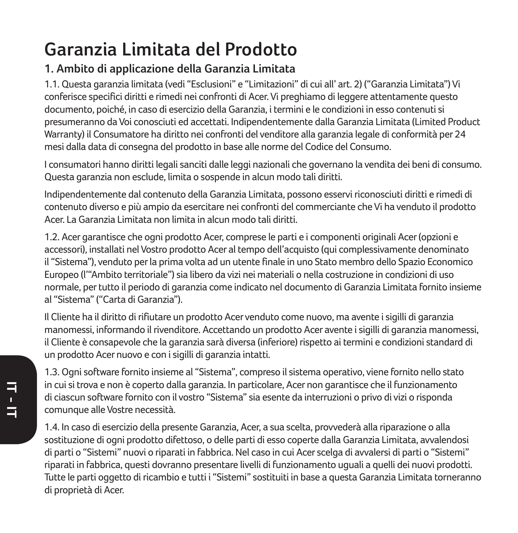## **Garanzia Limitata del Prodotto**

#### **1. Ambito di applicazione della Garanzia Limitata**

1.1. Questa garanzia limitata (vedi "Esclusioni" e "Limitazioni" di cui all' art. 2) ("Garanzia Limitata") Vi conferisce specifici diritti e rimedi nei confronti di Acer. Vi preghiamo di leggere attentamente questo documento, poiché, in caso di esercizio della Garanzia, i termini e le condizioni in esso contenuti si presumeranno da Voi conosciuti ed accettati. Indipendentemente dalla Garanzia Limitata (Limited Product Warranty) il Consumatore ha diritto nei confronti del venditore alla garanzia legale di conformità per 24 mesi dalla data di consegna del prodotto in base alle norme del Codice del Consumo.

I consumatori hanno diritti legali sanciti dalle leggi nazionali che governano la vendita dei beni di consumo. Questa garanzia non esclude, limita o sospende in alcun modo tali diritti.

Indipendentemente dal contenuto della Garanzia Limitata, possono esservi riconosciuti diritti e rimedi di contenuto diverso e più ampio da esercitare nei confronti del commerciante che Vi ha venduto il prodotto Acer. La Garanzia Limitata non limita in alcun modo tali diritti.

1.2. Acer garantisce che ogni prodotto Acer, comprese le parti e i componenti originali Acer (opzioni e accessori), installati nel Vostro prodotto Acer al tempo dell'acquisto (qui complessivamente denominato il "Sistema"), venduto per la prima volta ad un utente finale in uno Stato membro dello Spazio Economico Europeo (l'"Ambito territoriale") sia libero da vizi nei materiali o nella costruzione in condizioni di uso normale, per tutto il periodo di garanzia come indicato nel documento di Garanzia Limitata fornito insieme al "Sistema" ("Carta di Garanzia").

Il Cliente ha il diritto di rifiutare un prodotto Acer venduto come nuovo, ma avente i sigilli di garanzia manomessi, informando il rivenditore. Accettando un prodotto Acer avente i sigilli di garanzia manomessi, il Cliente è consapevole che la garanzia sarà diversa (inferiore) rispetto ai termini e condizioni standard di un prodotto Acer nuovo e con i sigilli di garanzia intatti.

1.3. Ogni software fornito insieme al "Sistema", compreso il sistema operativo, viene fornito nello stato in cui si trova e non è coperto dalla garanzia. In particolare, Acer non garantisce che il funzionamento di ciascun software fornito con il vostro "Sistema" sia esente da interruzioni o privo di vizi o risponda comunque alle Vostre necessità.

1.4. In caso di esercizio della presente Garanzia, Acer, a sua scelta, provvederà alla riparazione o alla sostituzione di ogni prodotto difettoso, o delle parti di esso coperte dalla Garanzia Limitata, avvalendosi di parti o "Sistemi" nuovi o riparati in fabbrica. Nel caso in cui Acer scelga di avvalersi di parti o "Sistemi" riparati in fabbrica, questi dovranno presentare livelli di funzionamento uguali a quelli dei nuovi prodotti. Tutte le parti oggetto di ricambio e tutti i "Sistemi" sostituiti in base a questa Garanzia Limitata torneranno di proprietà di Acer.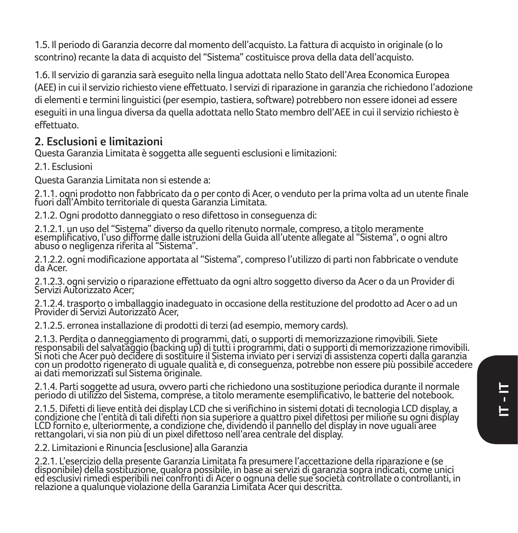1.5. Il periodo di Garanzia decorre dal momento dell'acquisto. La fattura di acquisto in originale (o lo scontrino) recante la data di acquisto del "Sistema" costituisce prova della data dell'acquisto.

1.6. Il servizio di garanzia sarà eseguito nella lingua adottata nello Stato dell'Area Economica Europea (AEE) in cui il servizio richiesto viene effettuato. I servizi di riparazione in garanzia che richiedono l'adozione di elementi e termini linguistici (per esempio, tastiera, software) potrebbero non essere idonei ad essere eseguiti in una lingua diversa da quella adottata nello Stato membro dell'AEE in cui il servizio richiesto è effettuato.

### **2. Esclusioni e limitazioni**

Questa Garanzia Limitata è soggetta alle seguenti esclusioni e limitazioni:

2.1. Esclusioni

Questa Garanzia Limitata non si estende a:

2.1.1. ogni prodotto non fabbricato da o per conto di Acer, o venduto per la prima volta ad un utente finale fuori dall'Ambito territoriale di questa Garanzia Limitata.

2.1.2. Ogni prodotto danneggiato o reso difettoso in conseguenza di:

2.1.2.1. un uso del "Sistema" diverso da quello ritenuto normale, compreso, a titolo meramente esemplificativo, l'uso difforme dalle istruzioni della Guida all'utente allegate al "Sistema", o ogni altro abuso o negligenza riferita al "Sistema".

2.1.2.2. ogni modificazione apportata al "Sistema", compreso l'utilizzo di parti non fabbricate o vendute da Acer.

2.1.2.3. ogni servizio o riparazione effettuato da ogni altro soggetto diverso da Acer o da un Provider di Servizi Autorizzato Acer;

2.1.2.4. trasporto o imballaggio inadeguato in occasione della restituzione del prodotto ad Acer o ad un Provider di Servizi Autorizzato Acer,

2.1.2.5. erronea installazione di prodotti di terzi (ad esempio, memory cards).

2.1.3. Perdita o danneggiamento di programmi, dati, o supporti di memorizzazione rimovibili. Siete<br>responsabili del salvataggio (backing up) di tutti i programmi, dati o supporti di memorizzazione rimovibili.<br>con un prodot ai dati memorizzati sul Sistema originale.

2.1.4. Parti soggette ad usura, ovvero parti che richiedono una sostituzione periodica durante il normale periodo di utilizzo del Sistema, comprese, a titolo meramente esemplificativo, le batterie del notebook.

2.1.5. Difetti di lieve entità dei display LCD che si verifichino in sistemi dotati di tecnologia LCD display, a condizione che l'entità di tali difetti non sia superiore a quattro pixel difettosi per milione su ogni display<br>LCD fornito e, ulteriormente, a condizione che, dividendo il pannello del display in nove uguali aree rettangolari, vi sia non più di un pixel difettoso nell'area centrale del display.

2.2. Limitazioni e Rinuncia [esclusione] alla Garanzia

2.2.1. L'esercizio della presente Garanzia Limitata fa presumere l'accettazione della riparazione e (se disponibile) della sostituzione, qualora possibile, in base ai servizi di garanzia sopra indicati, come unici ed esclusivi rimedi esperibili nei confronti di Acer o ognuna delle sue società controllate o controllanti, in relazione a qualunque violazione della Garanzia Limitata Acer qui descritta.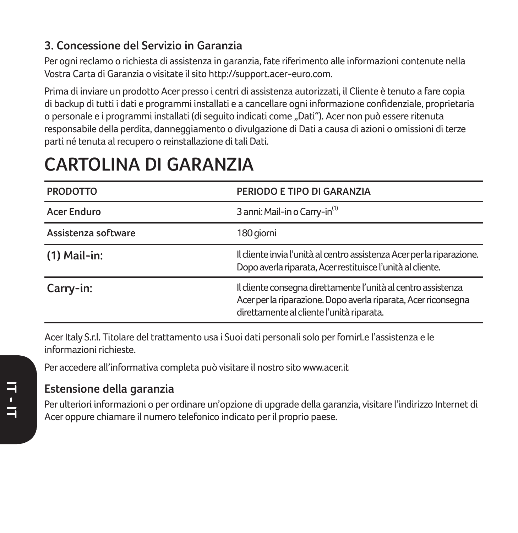### **3. Concessione del Servizio in Garanzia**

Per ogni reclamo o richiesta di assistenza in garanzia, fate riferimento alle informazioni contenute nella Vostra Carta di Garanzia o visitate il sito http://support.acer-euro.com.

Prima di inviare un prodotto Acer presso i centri di assistenza autorizzati, il Cliente è tenuto a fare copia di backup di tutti i dati e programmi installati e a cancellare ogni informazione confidenziale, proprietaria o personale e i programmi installati (di seguito indicati come "Dati"). Acer non può essere ritenuta responsabile della perdita, danneggiamento o divulgazione di Dati a causa di azioni o omissioni di terze parti né tenuta al recupero o reinstallazione di tali Dati.

## **CARTOLINA DI GARANZIA**

| <b>PRODOTTO</b>     | PERIODO E TIPO DI GARANZIA                                                                                                                                                   |
|---------------------|------------------------------------------------------------------------------------------------------------------------------------------------------------------------------|
| <b>Acer Enduro</b>  | 3 anni: Mail-in o Carry-in <sup>(1)</sup>                                                                                                                                    |
| Assistenza software | 180 giorni                                                                                                                                                                   |
| $(1)$ Mail-in:      | Il cliente invia l'unità al centro assistenza Acer per la riparazione.<br>Dopo averla riparata, Acer restituisce l'unità al cliente.                                         |
| Carry-in:           | Il cliente consegna direttamente l'unità al centro assistenza<br>Acer per la riparazione. Dopo averla riparata, Acer riconsegna<br>direttamente al cliente l'unità riparata. |

Acer Italy S.r.l. Titolare del trattamento usa i Suoi dati personali solo per fornirLe l'assistenza e le informazioni richieste.

Per accedere all'informativa completa può visitare il nostro sito www.acer.it

## **Estensione della garanzia**

Per ulteriori informazioni o per ordinare un'opzione di upgrade della garanzia, visitare l'indirizzo Internet di Acer oppure chiamare il numero telefonico indicato per il proprio paese.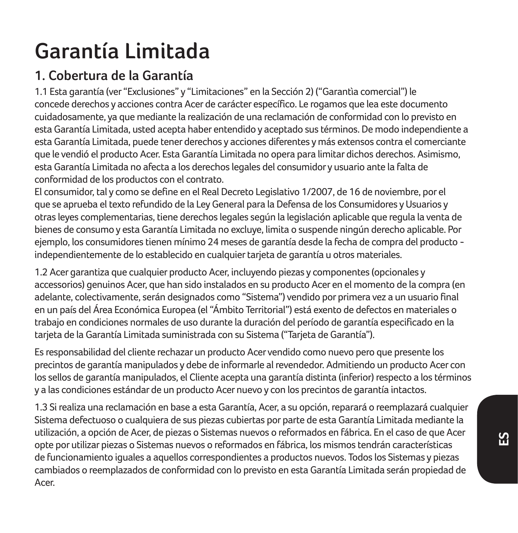# **Garantía Limitada**

## **1. Cobertura de la Garantía**

1.1 Esta garantía (ver "Exclusiones" y "Limitaciones" en la Sección 2) ("Garantìa comercial") le concede derechos y acciones contra Acer de carácter específico. Le rogamos que lea este documento cuidadosamente, ya que mediante la realización de una reclamación de conformidad con lo previsto en esta Garantía Limitada, usted acepta haber entendido y aceptado sus términos. De modo independiente a esta Garantía Limitada, puede tener derechos y acciones diferentes y más extensos contra el comerciante que le vendió el producto Acer. Esta Garantía Limitada no opera para limitar dichos derechos. Asimismo, esta Garantía Limitada no afecta a los derechos legales del consumidor y usuario ante la falta de conformidad de los productos con el contrato.

El consumidor, tal y como se define en el Real Decreto Legislativo 1/2007, de 16 de noviembre, por el que se aprueba el texto refundido de la Ley General para la Defensa de los Consumidores y Usuarios y otras leyes complementarias, tiene derechos legales según la legislación aplicable que regula la venta de bienes de consumo y esta Garantía Limitada no excluye, limita o suspende ningún derecho aplicable. Por ejemplo, los consumidores tienen mínimo 24 meses de garantía desde la fecha de compra del producto independientemente de lo establecido en cualquier tarjeta de garantía u otros materiales.

1.2 Acer garantiza que cualquier producto Acer, incluyendo piezas y componentes (opcionales y accessorios) genuinos Acer, que han sido instalados en su producto Acer en el momento de la compra (en adelante, colectivamente, serán designados como "Sistema") vendido por primera vez a un usuario final en un país del Área Económica Europea (el "Ámbito Territorial") está exento de defectos en materiales o trabajo en condiciones normales de uso durante la duración del período de garantía especificado en la tarjeta de la Garantía Limitada suministrada con su Sistema ("Tarjeta de Garantía").

Es responsabilidad del cliente rechazar un producto Acer vendido como nuevo pero que presente los precintos de garantía manipulados y debe de informarle al revendedor. Admitiendo un producto Acer con los sellos de garantía manipulados, el Cliente acepta una garantía distinta (inferior) respecto a los términos y a las condiciones estándar de un producto Acer nuevo y con los precintos de garantía intactos.

1.3 Si realiza una reclamación en base a esta Garantía, Acer, a su opción, reparará o reemplazará cualquier Sistema defectuoso o cualquiera de sus piezas cubiertas por parte de esta Garantía Limitada mediante la utilización, a opción de Acer, de piezas o Sistemas nuevos o reformados en fábrica. En el caso de que Acer opte por utilizar piezas o Sistemas nuevos o reformados en fábrica, los mismos tendrán características de funcionamiento iguales a aquellos correspondientes a productos nuevos. Todos los Sistemas y piezas cambiados o reemplazados de conformidad con lo previsto en esta Garantía Limitada serán propiedad de Acer.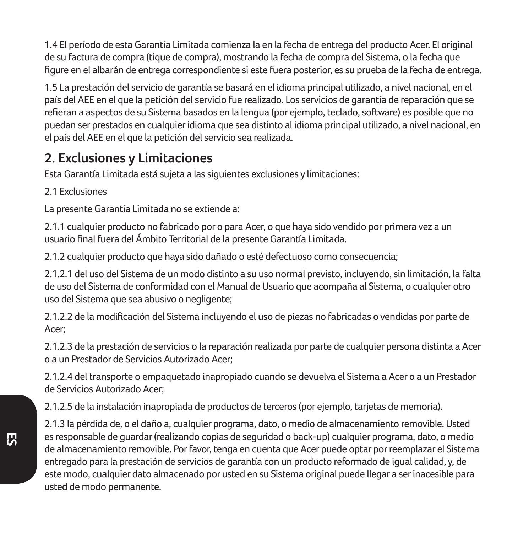1.4 El período de esta Garantía Limitada comienza la en la fecha de entrega del producto Acer. El original de su factura de compra (tique de compra), mostrando la fecha de compra del Sistema, o la fecha que figure en el albarán de entrega correspondiente si este fuera posterior, es su prueba de la fecha de entrega.

1.5 La prestación del servicio de garantía se basará en el idioma principal utilizado, a nivel nacional, en el país del AEE en el que la petición del servicio fue realizado. Los servicios de garantía de reparación que se refieran a aspectos de su Sistema basados en la lengua (por ejemplo, teclado, software) es posible que no puedan ser prestados en cualquier idioma que sea distinto al idioma principal utilizado, a nivel nacional, en el país del AEE en el que la petición del servicio sea realizada.

### **2. Exclusiones y Limitaciones**

Esta Garantía Limitada está sujeta a las siguientes exclusiones y limitaciones:

2.1 Exclusiones

La presente Garantía Limitada no se extiende a:

2.1.1 cualquier producto no fabricado por o para Acer, o que haya sido vendido por primera vez a un usuario final fuera del Ámbito Territorial de la presente Garantía Limitada.

2.1.2 cualquier producto que haya sido dañado o esté defectuoso como consecuencia;

2.1.2.1 del uso del Sistema de un modo distinto a su uso normal previsto, incluyendo, sin limitación, la falta de uso del Sistema de conformidad con el Manual de Usuario que acompaña al Sistema, o cualquier otro uso del Sistema que sea abusivo o negligente;

2.1.2.2 de la modificación del Sistema incluyendo el uso de piezas no fabricadas o vendidas por parte de Acer;

2.1.2.3 de la prestación de servicios o la reparación realizada por parte de cualquier persona distinta a Acer o a un Prestador de Servicios Autorizado Acer;

2.1.2.4 del transporte o empaquetado inapropiado cuando se devuelva el Sistema a Acer o a un Prestador de Servicios Autorizado Acer;

2.1.2.5 de la instalación inapropiada de productos de terceros (por ejemplo, tarjetas de memoria).

2.1.3 la pérdida de, o el daño a, cualquier programa, dato, o medio de almacenamiento removible. Usted es responsable de guardar (realizando copias de seguridad o back-up) cualquier programa, dato, o medio de almacenamiento removible. Por favor, tenga en cuenta que Acer puede optar por reemplazar el Sistema entregado para la prestación de servicios de garantía con un producto reformado de igual calidad, y, de este modo, cualquier dato almacenado por usted en su Sistema original puede llegar a ser inacesible para usted de modo permanente.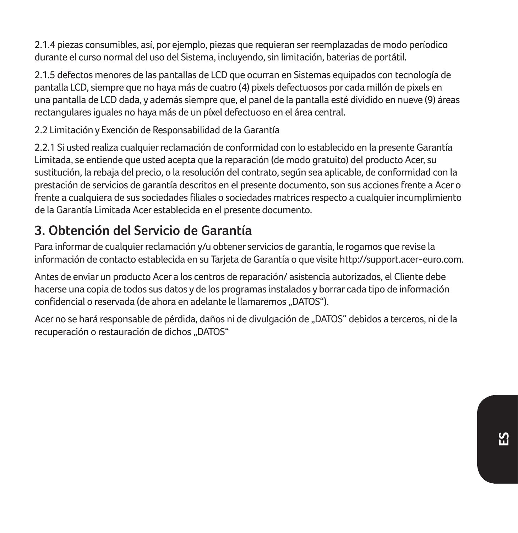2.1.4 piezas consumibles, así, por ejemplo, piezas que requieran ser reemplazadas de modo períodico durante el curso normal del uso del Sistema, incluyendo, sin limitación, baterias de portátil.

2.1.5 defectos menores de las pantallas de LCD que ocurran en Sistemas equipados con tecnología de pantalla LCD, siempre que no haya más de cuatro (4) pixels defectuosos por cada millón de pixels en una pantalla de LCD dada, y además siempre que, el panel de la pantalla esté dividido en nueve (9) áreas rectangulares iguales no haya más de un píxel defectuoso en el área central.

2.2 Limitación y Exención de Responsabilidad de la Garantía

2.2.1 Si usted realiza cualquier reclamación de conformidad con lo establecido en la presente Garantía Limitada, se entiende que usted acepta que la reparación (de modo gratuito) del producto Acer, su sustitución, la rebaja del precio, o la resolución del contrato, según sea aplicable, de conformidad con la prestación de servicios de garantía descritos en el presente documento, son sus acciones frente a Acer o frente a cualquiera de sus sociedades filiales o sociedades matrices respecto a cualquier incumplimiento de la Garantía Limitada Acer establecida en el presente documento.

## **3. Obtención del Servicio de Garantía**

Para informar de cualquier reclamación y/u obtener servicios de garantía, le rogamos que revise la información de contacto establecida en su Tarjeta de Garantía o que visite http://support.acer-euro.com.

Antes de enviar un producto Acer a los centros de reparación/ asistencia autorizados, el Cliente debe hacerse una copia de todos sus datos y de los programas instalados y borrar cada tipo de información confidencial o reservada (de ahora en adelante le llamaremos "DATOS").

Acer no se hará responsable de pérdida, daños ni de divulgación de "DATOS" debidos a terceros, ni de la recuperación o restauración de dichos "DATOS"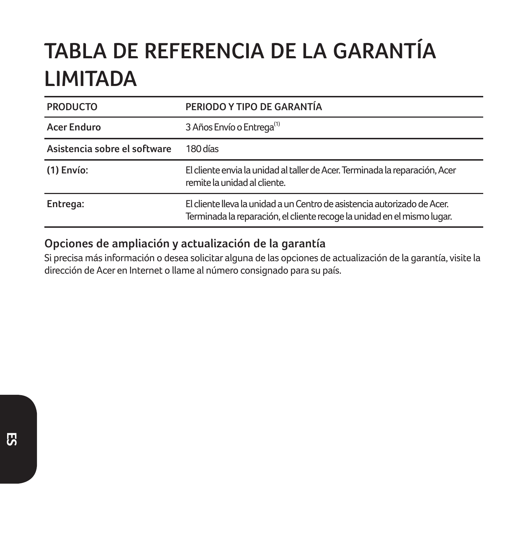# **TABLA DE REFERENCIA DE LA GARANTÍA LIMITADA**

| <b>PRODUCTO</b>              | PERIODO Y TIPO DE GARANTÍA                                                                                                                          |
|------------------------------|-----------------------------------------------------------------------------------------------------------------------------------------------------|
| Acer Enduro                  | 3 Años Envío o Entrega <sup>(1)</sup>                                                                                                               |
| Asistencia sobre el software | 180 días                                                                                                                                            |
| $(1)$ Envío:                 | El cliente envia la unidad al taller de Acer. Terminada la reparación, Acer<br>remite la unidad al cliente.                                         |
| Entrega:                     | El cliente lleva la unidad a un Centro de asistencia autorizado de Acer.<br>Terminada la reparación, el cliente recoge la unidad en el mismo lugar. |

### **Opciones de ampliación y actualización de la garantía**

Si precisa más información o desea solicitar alguna de las opciones de actualización de la garantía, visite la dirección de Acer en Internet o llame al número consignado para su país.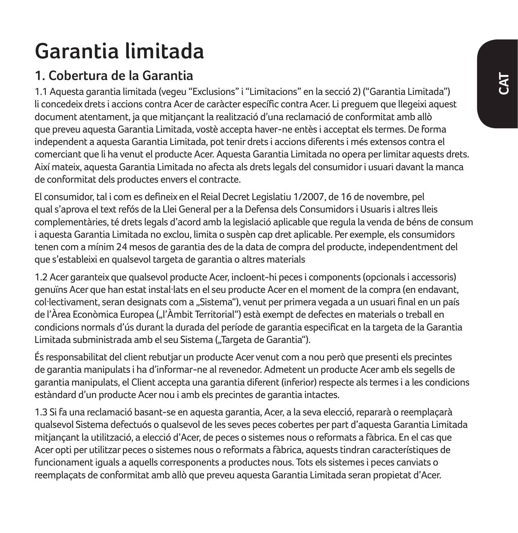# **Garantia limitada**

## **1. Cobertura de la Garantia**

1.1 Aquesta garantia limitada (vegeu "Exclusions" i "Limitacions" en la secció 2) ("Garantia Limitada") li concedeix drets i accions contra Acer de caràcter específic contra Acer. Li preguem que llegeixi aquest document atentament, ja que mitjançant la realització d'una reclamació de conformitat amb allò que preveu aquesta Garantia Limitada, vostè accepta haver-ne entès i acceptat els termes. De forma independent a aquesta Garantia Limitada, pot tenir drets i accions diferents i més extensos contra el comerciant que li ha venut el producte Acer. Aquesta Garantia Limitada no opera per limitar aquests drets. Així mateix, aquesta Garantia Limitada no afecta als drets legals del consumidor i usuari davant la manca de conformitat dels productes envers el contracte.

El consumidor, tal i com es defineix en el Reial Decret Legislatiu 1/2007, de 16 de novembre, pel qual s'aprova el text refós de la Llei General per a la Defensa dels Consumidors i Usuaris i altres lleis complementàries, té drets legals d'acord amb la legislació aplicable que regula la venda de béns de consum i aquesta Garantia Limitada no exclou, limita o suspèn cap dret aplicable. Per exemple, els consumidors tenen com a mínim 24 mesos de garantia des de la data de compra del producte, independentment del que s'estableixi en qualsevol targeta de garantia o altres materials

1.2 Acer garanteix que qualsevol producte Acer, incloent-hi peces i components (opcionals i accessoris) genuïns Acer que han estat instal·lats en el seu producte Acer en el moment de la compra (en endavant, col·lectivament, seran designats com a "Sistema"), venut per primera vegada a un usuari final en un país de l'Àrea Econòmica Europea (... l'Àmbit Territorial") està exempt de defectes en materials o treball en condicions normals d'ús durant la durada del període de garantia especificat en la targeta de la Garantia Limitada subministrada amb el seu Sistema ("Targeta de Garantia").

És responsabilitat del client rebutjar un producte Acer venut com a nou però que presenti els precintes de garantia manipulats i ha d'informar-ne al revenedor. Admetent un producte Acer amb els segells de garantia manipulats, el Client accepta una garantia diferent (inferior) respecte als termes i a les condicions estàndard d'un producte Acer nou i amb els precintes de garantia intactes.

1.3 Si fa una reclamació basant-se en aquesta garantia, Acer, a la seva elecció, repararà o reemplaçarà qualsevol Sistema defectuós o qualsevol de les seves peces cobertes per part d'aquesta Garantia Limitada mitjançant la utilització, a elecció d'Acer, de peces o sistemes nous o reformats a fàbrica. En el cas que Acer opti per utilitzar peces o sistemes nous o reformats a fàbrica, aquests tindran característiques de funcionament iguals a aquells corresponents a productes nous. Tots els sistemes i peces canviats o reemplaçats de conformitat amb allò que preveu aquesta Garantia Limitada seran propietat d'Acer.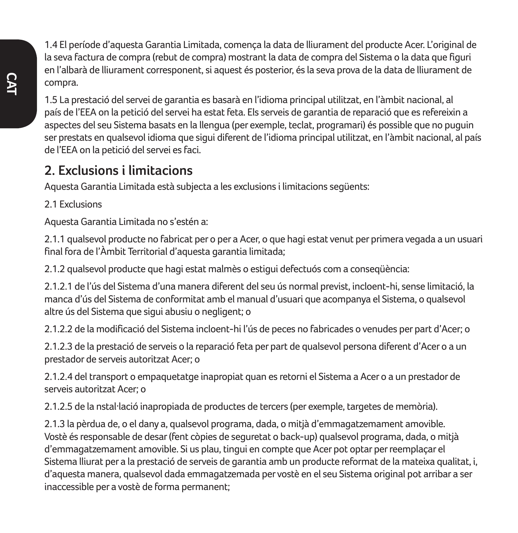1.4 El període d'aquesta Garantia Limitada, comença la data de lliurament del producte Acer. L'original de la seva factura de compra (rebut de compra) mostrant la data de compra del Sistema o la data que figuri en l'albarà de lliurament corresponent, si aquest és posterior, és la seva prova de la data de lliurament de compra.

1.5 La prestació del servei de garantia es basarà en l'idioma principal utilitzat, en l'àmbit nacional, al país de l'EEA on la petició del servei ha estat feta. Els serveis de garantia de reparació que es refereixin a aspectes del seu Sistema basats en la llengua (per exemple, teclat, programari) és possible que no puguin ser prestats en qualsevol idioma que sigui diferent de l'idioma principal utilitzat, en l'àmbit nacional, al país de l'EEA on la petició del servei es faci.

### **2. Exclusions i limitacions**

Aquesta Garantia Limitada està subjecta a les exclusions i limitacions següents:

2.1 Evelusions

Aquesta Garantia Limitada no s'estén a:

2.1.1 qualsevol producte no fabricat per o per a Acer, o que hagi estat venut per primera vegada a un usuari final fora de l'Àmbit Territorial d'aquesta garantia limitada;

2.1.2 qualsevol producte que hagi estat malmès o estigui defectuós com a conseqüència:

2.1.2.1 de l'ús del Sistema d'una manera diferent del seu ús normal previst, incloent-hi, sense limitació, la manca d'ús del Sistema de conformitat amb el manual d'usuari que acompanya el Sistema, o qualsevol altre ús del Sistema que sigui abusiu o negligent; o

2.1.2.2 de la modificació del Sistema incloent-hi l'ús de peces no fabricades o venudes per part d'Acer; o

2.1.2.3 de la prestació de serveis o la reparació feta per part de qualsevol persona diferent d'Acer o a un prestador de serveis autoritzat Acer; o

2.1.2.4 del transport o empaquetatge inapropiat quan es retorni el Sistema a Acer o a un prestador de serveis autoritzat Acer; o

2.1.2.5 de la nstal·lació inapropiada de productes de tercers (per exemple, targetes de memòria).

2.1.3 la pèrdua de, o el dany a, qualsevol programa, dada, o mitjà d'emmagatzemament amovible. Vostè és responsable de desar (fent còpies de seguretat o back-up) qualsevol programa, dada, o mitjà d'emmagatzemament amovible. Si us plau, tingui en compte que Acer pot optar per reemplaçar el Sistema lliurat per a la prestació de serveis de garantia amb un producte reformat de la mateixa qualitat, i, d'aquesta manera, qualsevol dada emmagatzemada per vostè en el seu Sistema original pot arribar a ser inaccessible per a vostè de forma permanent;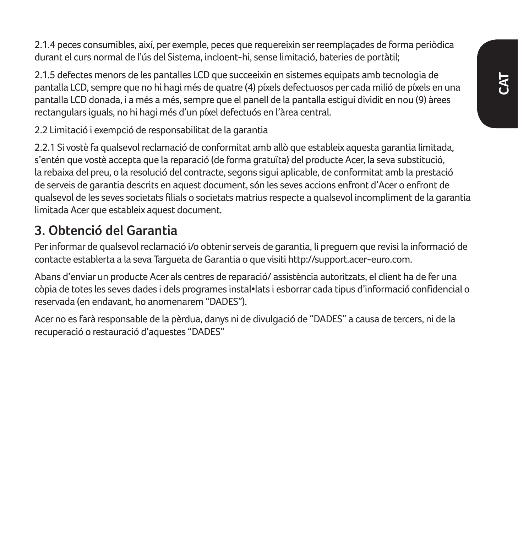2.1.4 peces consumibles, així, per exemple, peces que requereixin ser reemplaçades de forma periòdica durant el curs normal de l'ús del Sistema, incloent-hi, sense limitació, bateries de portàtil;

2.1.5 defectes menors de les pantalles LCD que succeeixin en sistemes equipats amb tecnologia de pantalla LCD, sempre que no hi hagi més de quatre (4) píxels defectuosos per cada milió de píxels en una pantalla LCD donada, i a més a més, sempre que el panell de la pantalla estigui dividit en nou (9) àrees rectangulars iguals, no hi hagi més d'un píxel defectuós en l'àrea central.

2.2 Limitació i exempció de responsabilitat de la garantia

2.2.1 Si vostè fa qualsevol reclamació de conformitat amb allò que estableix aquesta garantia limitada, s'entén que vostè accepta que la reparació (de forma gratuïta) del producte Acer, la seva substitució, la rebaixa del preu, o la resolució del contracte, segons sigui aplicable, de conformitat amb la prestació de serveis de garantia descrits en aquest document, són les seves accions enfront d'Acer o enfront de qualsevol de les seves societats filials o societats matrius respecte a qualsevol incompliment de la garantia limitada Acer que estableix aquest document.

## **3. Obtenció del Garantia**

Per informar de qualsevol reclamació i/o obtenir serveis de garantia, li preguem que revisi la informació de contacte establerta a la seva Targueta de Garantia o que visiti http://support.acer-euro.com.

Abans d'enviar un producte Acer als centres de reparació/ assistència autoritzats, el client ha de fer una còpia de totes les seves dades i dels programes instal•lats i esborrar cada tipus d'informació confidencial o reservada (en endavant, ho anomenarem "DADES").

Acer no es farà responsable de la pèrdua, danys ni de divulgació de "DADES" a causa de tercers, ni de la recuperació o restauració d'aquestes "DADES"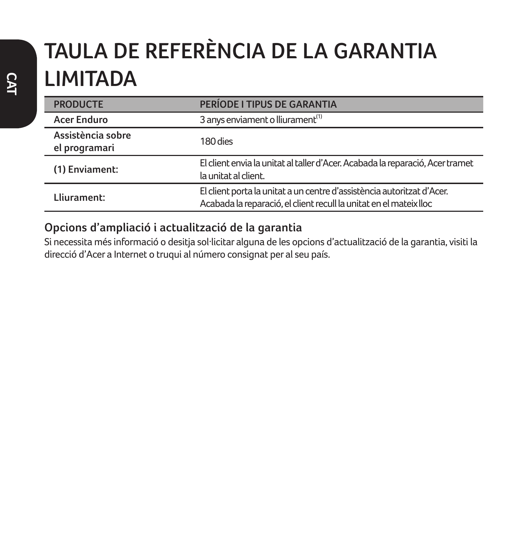# **TAULA DE REFERÈNCIA DE LA GARANTIA LIMITADA**

| <b>PRODUCTE</b>                    | PERÍODE I TIPUS DE GARANTIA                                                                                                                  |
|------------------------------------|----------------------------------------------------------------------------------------------------------------------------------------------|
| <b>Acer Enduro</b>                 | 3 anys enviament o lliurament <sup>(1)</sup>                                                                                                 |
| Assistència sobre<br>el programari | 180 dies                                                                                                                                     |
| (1) Enviament:                     | El client envia la unitat al taller d'Acer. Acabada la reparació, Acer tramet<br>la unitat al client.                                        |
| Lliurament:                        | El client porta la unitat a un centre d'assistència autoritzat d'Acer.<br>Acabada la reparació, el client recull la unitat en el mateix lloc |

### **Opcions d'ampliació i actualització de la garantia**

Si necessita més informació o desitja sol·licitar alguna de les opcions d'actualització de la garantia, visiti la direcció d'Acer a Internet o truqui al número consignat per al seu país.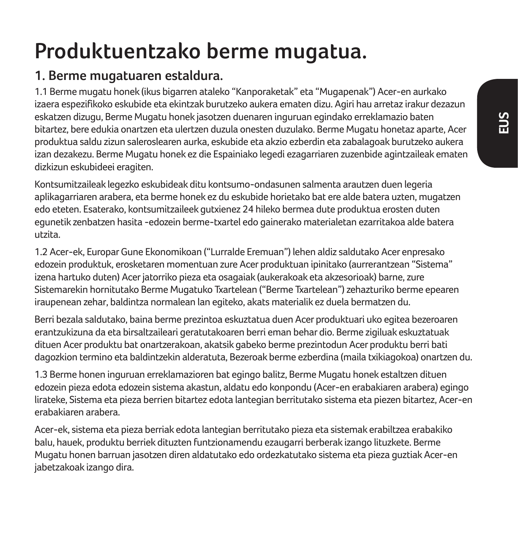## **Produktuentzako berme mugatua.**

## **1. Berme mugatuaren estaldura.**

1.1 Berme mugatu honek (ikus bigarren ataleko "Kanporaketak" eta "Mugapenak") Acer-en aurkako izaera espezifikoko eskubide eta ekintzak burutzeko aukera ematen dizu. Agiri hau arretaz irakur dezazun eskatzen dizugu, Berme Mugatu honek jasotzen duenaren inguruan egindako erreklamazio baten bitartez, bere edukia onartzen eta ulertzen duzula onesten duzulako. Berme Mugatu honetaz aparte, Acer produktua saldu zizun saleroslearen aurka, eskubide eta akzio ezberdin eta zabalagoak burutzeko aukera izan dezakezu. Berme Mugatu honek ez die Espainiako legedi ezagarriaren zuzenbide agintzaileak ematen dizkizun eskubideei eragiten.

Kontsumitzaileak legezko eskubideak ditu kontsumo-ondasunen salmenta arautzen duen legeria aplikagarriaren arabera, eta berme honek ez du eskubide horietako bat ere alde batera uzten, mugatzen edo eteten. Esaterako, kontsumitzaileek gutxienez 24 hileko bermea dute produktua erosten duten egunetik zenbatzen hasita -edozein berme-txartel edo gainerako materialetan ezarritakoa alde batera utzita.

1.2 Acer-ek, Europar Gune Ekonomikoan ("Lurralde Eremuan") lehen aldiz saldutako Acer enpresako edozein produktuk, erosketaren momentuan zure Acer produktuan ipinitako (aurrerantzean "Sistema" izena hartuko duten) Acer jatorriko pieza eta osagaiak (aukerakoak eta akzesorioak) barne, zure Sistemarekin hornitutako Berme Mugatuko Txartelean ("Berme Txartelean") zehazturiko berme epearen iraupenean zehar, baldintza normalean lan egiteko, akats materialik ez duela bermatzen du.

Berri bezala saldutako, baina berme prezintoa eskuztatua duen Acer produktuari uko egitea bezeroaren erantzukizuna da eta birsaltzaileari geratutakoaren berri eman behar dio. Berme zigiluak eskuztatuak dituen Acer produktu bat onartzerakoan, akatsik gabeko berme prezintodun Acer produktu berri bati dagozkion termino eta baldintzekin alderatuta, Bezeroak berme ezberdina (maila txikiagokoa) onartzen du.

1.3 Berme honen inguruan erreklamazioren bat egingo balitz, Berme Mugatu honek estaltzen dituen edozein pieza edota edozein sistema akastun, aldatu edo konpondu (Acer-en erabakiaren arabera) egingo lirateke, Sistema eta pieza berrien bitartez edota lantegian berritutako sistema eta piezen bitartez, Acer-en erabakiaren arabera.

Acer-ek, sistema eta pieza berriak edota lantegian berritutako pieza eta sistemak erabiltzea erabakiko balu, hauek, produktu berriek dituzten funtzionamendu ezaugarri berberak izango lituzkete. Berme Mugatu honen barruan jasotzen diren aldatutako edo ordezkatutako sistema eta pieza guztiak Acer-en jabetzakoak izango dira.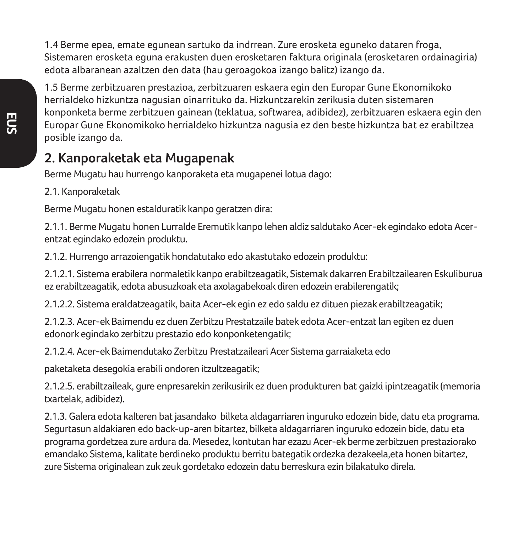1.4 Berme epea, emate egunean sartuko da indrrean. Zure erosketa eguneko dataren froga, Sistemaren erosketa eguna erakusten duen erosketaren faktura originala (erosketaren ordainagiria) edota albaranean azaltzen den data (hau geroagokoa izango balitz) izango da.

1.5 Berme zerbitzuaren prestazioa, zerbitzuaren eskaera egin den Europar Gune Ekonomikoko herrialdeko hizkuntza nagusian oinarrituko da. Hizkuntzarekin zerikusia duten sistemaren konponketa berme zerbitzuen gainean (teklatua, softwarea, adibidez), zerbitzuaren eskaera egin den Europar Gune Ekonomikoko herrialdeko hizkuntza nagusia ez den beste hizkuntza bat ez erabiltzea posible izango da.

### **2. Kanporaketak eta Mugapenak**

Berme Mugatu hau hurrengo kanporaketa eta mugapenei lotua dago:

2.1. Kanporaketak

Berme Mugatu honen estalduratik kanpo geratzen dira:

2.1.1. Berme Mugatu honen Lurralde Eremutik kanpo lehen aldiz saldutako Acer-ek egindako edota Acerentzat egindako edozein produktu.

2.1.2. Hurrengo arrazoiengatik hondatutako edo akastutako edozein produktu:

2.1.2.1. Sistema erabilera normaletik kanpo erabiltzeagatik, Sistemak dakarren Erabiltzailearen Eskuliburua ez erabiltzeagatik, edota abusuzkoak eta axolagabekoak diren edozein erabilerengatik;

2.1.2.2. Sistema eraldatzeagatik, baita Acer-ek egin ez edo saldu ez dituen piezak erabiltzeagatik;

2.1.2.3. Acer-ek Baimendu ez duen Zerbitzu Prestatzaile batek edota Acer-entzat lan egiten ez duen edonork egindako zerbitzu prestazio edo konponketengatik;

2.1.2.4. Acer-ek Baimendutako Zerbitzu Prestatzaileari Acer Sistema garraiaketa edo

paketaketa desegokia erabili ondoren itzultzeagatik;

2.1.2.5. erabiltzaileak, gure enpresarekin zerikusirik ez duen produkturen bat gaizki ipintzeagatik (memoria txartelak, adibidez).

2.1.3. Galera edota kalteren bat jasandako bilketa aldagarriaren inguruko edozein bide, datu eta programa. Segurtasun aldakiaren edo back-up-aren bitartez, bilketa aldagarriaren inguruko edozein bide, datu eta programa gordetzea zure ardura da. Mesedez, kontutan har ezazu Acer-ek berme zerbitzuen prestaziorako emandako Sistema, kalitate berdineko produktu berritu bategatik ordezka dezakeela,eta honen bitartez, zure Sistema originalean zuk zeuk gordetako edozein datu berreskura ezin bilakatuko direla.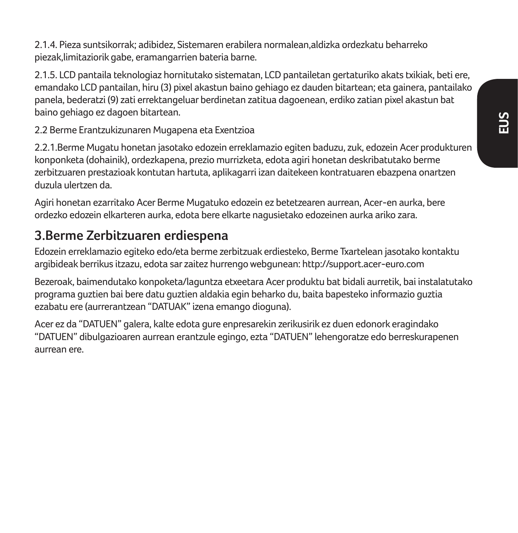2.1.4. Pieza suntsikorrak; adibidez, Sistemaren erabilera normalean,aldizka ordezkatu beharreko piezak,limitaziorik gabe, eramangarrien bateria barne.

2.1.5. LCD pantaila teknologiaz hornitutako sistematan, LCD pantailetan gertaturiko akats txikiak, beti ere, emandako LCD pantailan, hiru (3) pixel akastun baino gehiago ez dauden bitartean; eta gainera, pantailako panela, bederatzi (9) zati errektangeluar berdinetan zatitua dagoenean, erdiko zatian pixel akastun bat baino gehiago ez dagoen bitartean.

2.2 Berme Erantzukizunaren Mugapena eta Exentzioa

2.2.1.Berme Mugatu honetan jasotako edozein erreklamazio egiten baduzu, zuk, edozein Acer produkturen konponketa (dohainik), ordezkapena, prezio murrizketa, edota agiri honetan deskribatutako berme zerbitzuaren prestazioak kontutan hartuta, aplikagarri izan daitekeen kontratuaren ebazpena onartzen duzula ulertzen da.

Agiri honetan ezarritako Acer Berme Mugatuko edozein ez betetzearen aurrean, Acer-en aurka, bere ordezko edozein elkarteren aurka, edota bere elkarte nagusietako edozeinen aurka ariko zara.

### **3.Berme Zerbitzuaren erdiespena**

Edozein erreklamazio egiteko edo/eta berme zerbitzuak erdiesteko, Berme Txartelean jasotako kontaktu argibideak berrikus itzazu, edota sar zaitez hurrengo webgunean: http://support.acer-euro.com

Bezeroak, baimendutako konpoketa/laguntza etxeetara Acer produktu bat bidali aurretik, bai instalatutako programa guztien bai bere datu guztien aldakia egin beharko du, baita bapesteko informazio guztia ezabatu ere (aurrerantzean "DATUAK" izena emango dioguna).

Acer ez da "DATUEN" galera, kalte edota gure enpresarekin zerikusirik ez duen edonork eragindako "DATUEN" dibulgazioaren aurrean erantzule egingo, ezta "DATUEN" lehengoratze edo berreskurapenen aurrean ere.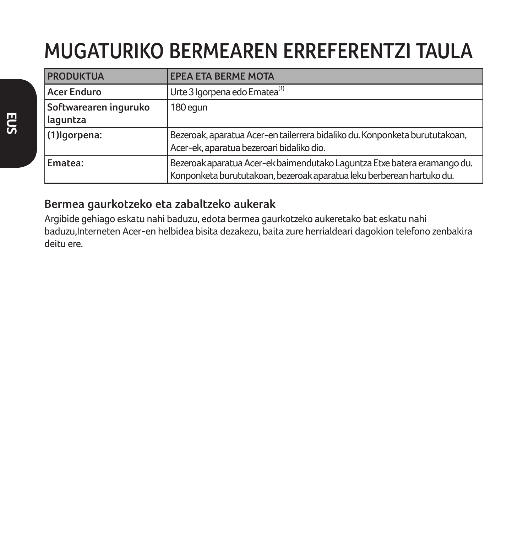# **MUGATURIKO BERMEAREN ERREFERENTZI TAULA**

| <b>PRODUKTUA</b>                  | <b>EPEA ETA BERME MOTA</b>                                                                                                                        |
|-----------------------------------|---------------------------------------------------------------------------------------------------------------------------------------------------|
| Acer Enduro                       | Urte 3 Igorpena edo Ematea <sup>(1)</sup>                                                                                                         |
| Softwarearen inguruko<br>laguntza | 180 equn                                                                                                                                          |
| (1) Igorpena:                     | Bezeroak, aparatua Acer-en tailerrera bidaliko du. Konponketa burututakoan,<br>Acer-ek, aparatua bezeroari bidaliko dio.                          |
| Ematea:                           | Bezeroak aparatua Acer-ek baimendutako Laguntza Etxe batera eramango du.<br>Konponketa burututakoan, bezeroak aparatua leku berberean hartuko du. |

### **Bermea gaurkotzeko eta zabaltzeko aukerak**

Argibide gehiago eskatu nahi baduzu, edota bermea gaurkotzeko aukeretako bat eskatu nahi baduzu,Interneten Acer-en helbidea bisita dezakezu, baita zure herrialdeari dagokion telefono zenbakira deitu ere.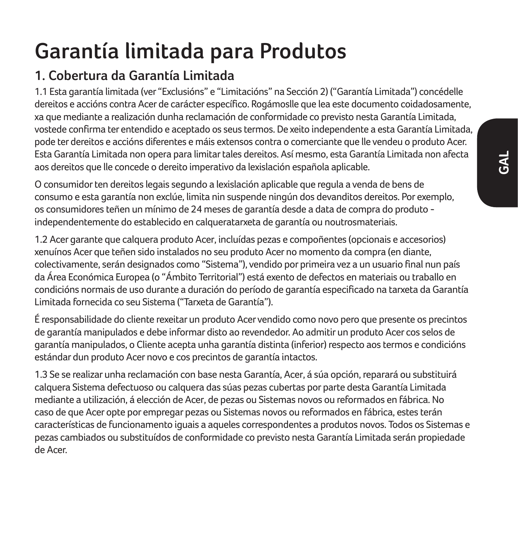# **Garantía limitada para Produtos**

## **1. Cobertura da Garantía Limitada**

1.1 Esta garantía limitada (ver "Exclusións" e "Limitacións" na Sección 2) ("Garantía Limitada") concédelle dereitos e accións contra Acer de carácter específico. Rogámoslle que lea este documento coidadosamente, xa que mediante a realización dunha reclamación de conformidade co previsto nesta Garantía Limitada, vostede confirma ter entendido e aceptado os seus termos. De xeito independente a esta Garantía Limitada, pode ter dereitos e accións diferentes e máis extensos contra o comerciante que lle vendeu o produto Acer. Esta Garantía Limitada non opera para limitar tales dereitos. Así mesmo, esta Garantía Limitada non afecta aos dereitos que lle concede o dereito imperativo da lexislación española aplicable.

O consumidor ten dereitos legais segundo a lexislación aplicable que regula a venda de bens de consumo e esta garantía non exclúe, limita nin suspende ningún dos devanditos dereitos. Por exemplo, os consumidores teñen un mínimo de 24 meses de garantía desde a data de compra do produto independentemente do establecido en calqueratarxeta de garantía ou noutrosmateriais.

1.2 Acer garante que calquera produto Acer, incluídas pezas e compoñentes (opcionais e accesorios) xenuínos Acer que teñen sido instalados no seu produto Acer no momento da compra (en diante, colectivamente, serán designados como "Sistema"), vendido por primeira vez a un usuario final nun país da Área Económica Europea (o "Ámbito Territorial") está exento de defectos en materiais ou traballo en condicións normais de uso durante a duración do período de garantía especificado na tarxeta da Garantía Limitada fornecida co seu Sistema ("Tarxeta de Garantía").

É responsabilidade do cliente rexeitar un produto Acer vendido como novo pero que presente os precintos de garantía manipulados e debe informar disto ao revendedor. Ao admitir un produto Acer cos selos de garantía manipulados, o Cliente acepta unha garantía distinta (inferior) respecto aos termos e condicións estándar dun produto Acer novo e cos precintos de garantía intactos.

1.3 Se se realizar unha reclamación con base nesta Garantía, Acer, á súa opción, reparará ou substituirá calquera Sistema defectuoso ou calquera das súas pezas cubertas por parte desta Garantía Limitada mediante a utilización, á elección de Acer, de pezas ou Sistemas novos ou reformados en fábrica. No caso de que Acer opte por empregar pezas ou Sistemas novos ou reformados en fábrica, estes terán características de funcionamento iguais a aqueles correspondentes a produtos novos. Todos os Sistemas e pezas cambiados ou substituídos de conformidade co previsto nesta Garantía Limitada serán propiedade de Acer.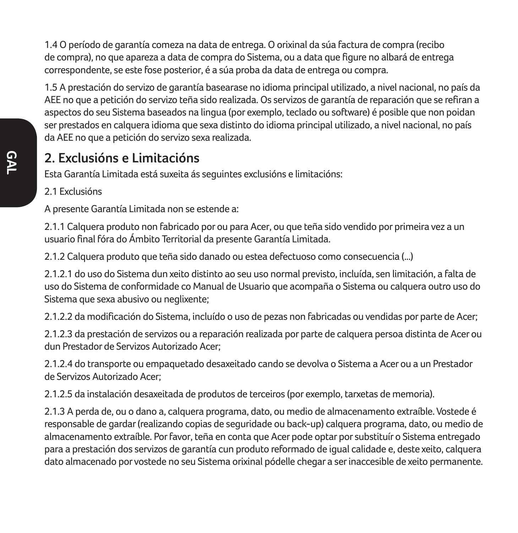1.4 O período de garantía comeza na data de entrega. O orixinal da súa factura de compra (recibo de compra), no que apareza a data de compra do Sistema, ou a data que figure no albará de entrega correspondente, se este fose posterior, é a súa proba da data de entrega ou compra.

1.5 A prestación do servizo de garantía basearase no idioma principal utilizado, a nivel nacional, no país da AEE no que a petición do servizo teña sido realizada. Os servizos de garantía de reparación que se refiran a aspectos do seu Sistema baseados na lingua (por exemplo, teclado ou software) é posible que non poidan ser prestados en calquera idioma que sexa distinto do idioma principal utilizado, a nivel nacional, no país da AEE no que a petición do servizo sexa realizada.

### **2. Exclusións e Limitacións**

Esta Garantía Limitada está suxeita ás seguintes exclusións e limitacións:

#### 2.1 Exclusións

A presente Garantía Limitada non se estende a:

2.1.1 Calquera produto non fabricado por ou para Acer, ou que teña sido vendido por primeira vez a un usuario final fóra do Ámbito Territorial da presente Garantía Limitada.

2.1.2 Calquera produto que teña sido danado ou estea defectuoso como consecuencia (...)

2.1.2.1 do uso do Sistema dun xeito distinto ao seu uso normal previsto, incluída, sen limitación, a falta de uso do Sistema de conformidade co Manual de Usuario que acompaña o Sistema ou calquera outro uso do Sistema que sexa abusivo ou neglixente;

2.1.2.2 da modificación do Sistema, incluído o uso de pezas non fabricadas ou vendidas por parte de Acer;

2.1.2.3 da prestación de servizos ou a reparación realizada por parte de calquera persoa distinta de Acer ou dun Prestador de Servizos Autorizado Acer;

2.1.2.4 do transporte ou empaquetado desaxeitado cando se devolva o Sistema a Acer ou a un Prestador de Servizos Autorizado Acer;

2.1.2.5 da instalación desaxeitada de produtos de terceiros (por exemplo, tarxetas de memoria).

2.1.3 A perda de, ou o dano a, calquera programa, dato, ou medio de almacenamento extraíble. Vostede é responsable de gardar (realizando copias de seguridade ou back-up) calquera programa, dato, ou medio de almacenamento extraíble. Por favor, teña en conta que Acer pode optar por substituír o Sistema entregado para a prestación dos servizos de garantía cun produto reformado de igual calidade e, deste xeito, calquera dato almacenado por vostede no seu Sistema orixinal pódelle chegar a ser inaccesible de xeito permanente.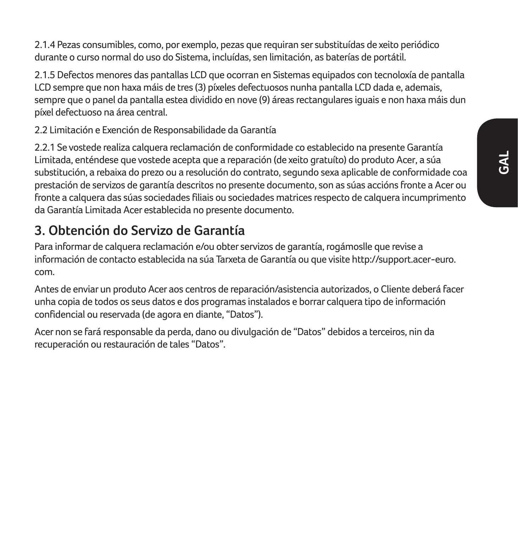2.1.4 Pezas consumibles, como, por exemplo, pezas que requiran ser substituídas de xeito periódico durante o curso normal do uso do Sistema, incluídas, sen limitación, as baterías de portátil.

2.1.5 Defectos menores das pantallas LCD que ocorran en Sistemas equipados con tecnoloxía de pantalla LCD sempre que non haxa máis de tres (3) píxeles defectuosos nunha pantalla LCD dada e, ademais, sempre que o panel da pantalla estea dividido en nove (9) áreas rectangulares iguais e non haxa máis dun píxel defectuoso na área central.

2.2 Limitación e Exención de Responsabilidade da Garantía

2.2.1 Se vostede realiza calquera reclamación de conformidade co establecido na presente Garantía Limitada, enténdese que vostede acepta que a reparación (de xeito gratuíto) do produto Acer, a súa substitución, a rebaixa do prezo ou a resolución do contrato, segundo sexa aplicable de conformidade coa prestación de servizos de garantía descritos no presente documento, son as súas accións fronte a Acer ou fronte a calquera das súas sociedades filiais ou sociedades matrices respecto de calquera incumprimento da Garantía Limitada Acer establecida no presente documento.

## **3. Obtención do Servizo de Garantía**

Para informar de calquera reclamación e/ou obter servizos de garantía, rogámoslle que revise a información de contacto establecida na súa Tarxeta de Garantía ou que visite http://support.acer-euro. com.

Antes de enviar un produto Acer aos centros de reparación/asistencia autorizados, o Cliente deberá facer unha copia de todos os seus datos e dos programas instalados e borrar calquera tipo de información confidencial ou reservada (de agora en diante, "Datos").

Acer non se fará responsable da perda, dano ou divulgación de "Datos" debidos a terceiros, nin da recuperación ou restauración de tales "Datos".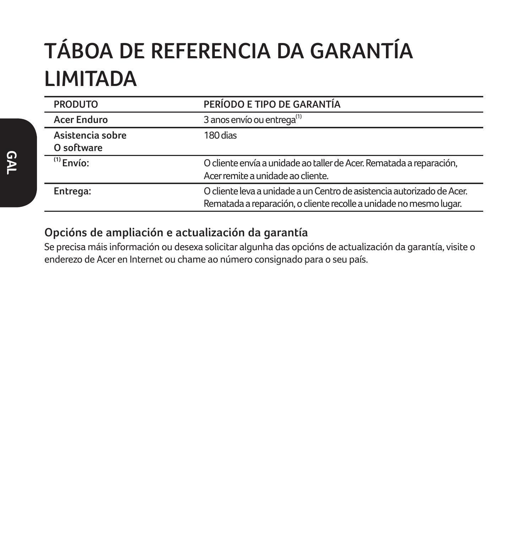# **TÁBOA DE REFERENCIA DA GARANTÍA LIMITADA**

| <b>PRODUTO</b>                 | PERÍODO E TIPO DE GARANTÍA                                                                                                                   |
|--------------------------------|----------------------------------------------------------------------------------------------------------------------------------------------|
| Acer Enduro                    | 3 anos envío ou entrega <sup>(1)</sup>                                                                                                       |
| Asistencia sobre<br>O software | 180 dias                                                                                                                                     |
| $(1)$ Envío:                   | O cliente envía a unidade ao taller de Acer. Rematada a reparación,<br>Acer remite a unidade ao cliente.                                     |
| Entrega:                       | O cliente leva a unidade a un Centro de asistencia autorizado de Acer.<br>Rematada a reparación, o cliente recolle a unidade no mesmo lugar. |

### **Opcións de ampliación e actualización da garantía**

Se precisa máis información ou desexa solicitar algunha das opcións de actualización da garantía, visite o enderezo de Acer en Internet ou chame ao número consignado para o seu país.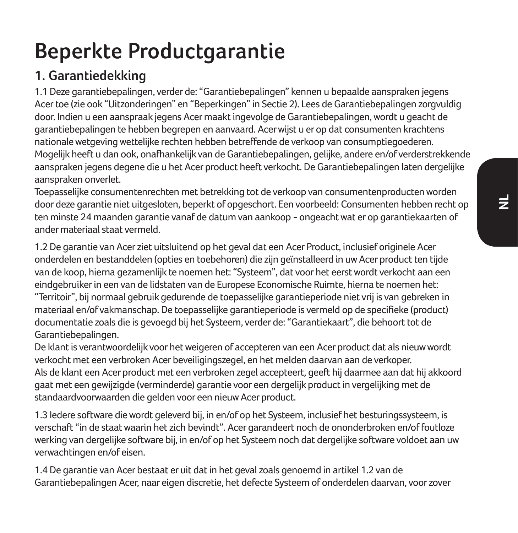# **Beperkte Productgarantie**

## **1. Garantiedekking**

1.1 Deze garantiebepalingen, verder de: "Garantiebepalingen" kennen u bepaalde aanspraken jegens Acer toe (zie ook "Uitzonderingen" en "Beperkingen" in Sectie 2). Lees de Garantiebepalingen zorgvuldig door. Indien u een aanspraak jegens Acer maakt ingevolge de Garantiebepalingen, wordt u geacht de garantiebepalingen te hebben begrepen en aanvaard. Acer wijst u er op dat consumenten krachtens nationale wetgeving wettelijke rechten hebben betreffende de verkoop van consumptiegoederen. Mogelijk heeft u dan ook, onafhankelijk van de Garantiebepalingen, gelijke, andere en/of verderstrekkende aanspraken jegens degene die u het Acer product heeft verkocht. De Garantiebepalingen laten dergelijke aanspraken onverlet.

Toepasselijke consumentenrechten met betrekking tot de verkoop van consumentenproducten worden door deze garantie niet uitgesloten, beperkt of opgeschort. Een voorbeeld: Consumenten hebben recht op ten minste 24 maanden garantie vanaf de datum van aankoop - ongeacht wat er op garantiekaarten of ander materiaal staat vermeld.

1.2 De garantie van Acer ziet uitsluitend op het geval dat een Acer Product, inclusief originele Acer onderdelen en bestanddelen (opties en toebehoren) die zijn geïnstalleerd in uw Acer product ten tijde van de koop, hierna gezamenlijk te noemen het: "Systeem", dat voor het eerst wordt verkocht aan een eindgebruiker in een van de lidstaten van de Europese Economische Ruimte, hierna te noemen het: "Territoir", bij normaal gebruik gedurende de toepasselijke garantieperiode niet vrij is van gebreken in materiaal en/of vakmanschap. De toepasselijke garantieperiode is vermeld op de specifieke (product) documentatie zoals die is gevoegd bij het Systeem, verder de: "Garantiekaart", die behoort tot de Garantiebepalingen.

De klant is verantwoordelijk voor het weigeren of accepteren van een Acer product dat als nieuw wordt verkocht met een verbroken Acer beveiligingszegel, en het melden daarvan aan de verkoper. Als de klant een Acer product met een verbroken zegel accepteert, geeft hij daarmee aan dat hij akkoord gaat met een gewijzigde (verminderde) garantie voor een dergelijk product in vergelijking met de standaardvoorwaarden die gelden voor een nieuw Acer product.

1.3 Iedere software die wordt geleverd bij, in en/of op het Systeem, inclusief het besturingssysteem, is verschaft "in de staat waarin het zich bevindt". Acer garandeert noch de ononderbroken en/of foutloze werking van dergelijke software bij, in en/of op het Systeem noch dat dergelijke software voldoet aan uw verwachtingen en/of eisen.

1.4 De garantie van Acer bestaat er uit dat in het geval zoals genoemd in artikel 1.2 van de Garantiebepalingen Acer, naar eigen discretie, het defecte Systeem of onderdelen daarvan, voor zover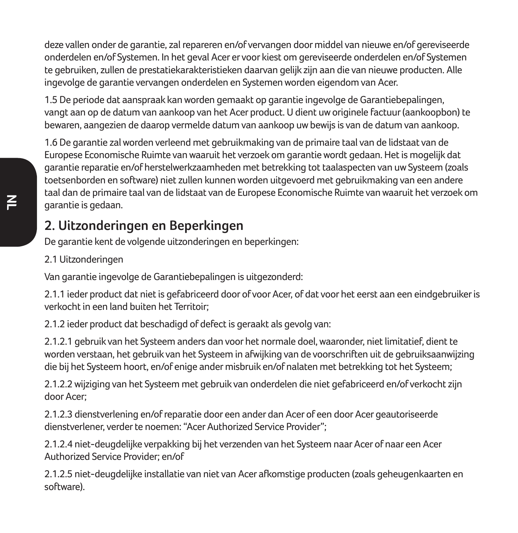deze vallen onder de garantie, zal repareren en/of vervangen door middel van nieuwe en/of gereviseerde onderdelen en/of Systemen. In het geval Acer er voor kiest om gereviseerde onderdelen en/of Systemen te gebruiken, zullen de prestatiekarakteristieken daarvan gelijk zijn aan die van nieuwe producten. Alle ingevolge de garantie vervangen onderdelen en Systemen worden eigendom van Acer.

1.5 De periode dat aanspraak kan worden gemaakt op garantie ingevolge de Garantiebepalingen, vangt aan op de datum van aankoop van het Acer product. U dient uw originele factuur (aankoopbon) te bewaren, aangezien de daarop vermelde datum van aankoop uw bewijs is van de datum van aankoop.

1.6 De garantie zal worden verleend met gebruikmaking van de primaire taal van de lidstaat van de Europese Economische Ruimte van waaruit het verzoek om garantie wordt gedaan. Het is mogelijk dat garantie reparatie en/of herstelwerkzaamheden met betrekking tot taalaspecten van uw Systeem (zoals toetsenborden en software) niet zullen kunnen worden uitgevoerd met gebruikmaking van een andere taal dan de primaire taal van de lidstaat van de Europese Economische Ruimte van waaruit het verzoek om garantie is gedaan.

### **2. Uitzonderingen en Beperkingen**

De garantie kent de volgende uitzonderingen en beperkingen:

2.1 Uitzonderingen

Van garantie ingevolge de Garantiebepalingen is uitgezonderd:

2.1.1 ieder product dat niet is gefabriceerd door of voor Acer, of dat voor het eerst aan een eindgebruiker is verkocht in een land buiten het Territoir;

2.1.2 ieder product dat beschadigd of defect is geraakt als gevolg van:

2.1.2.1 gebruik van het Systeem anders dan voor het normale doel, waaronder, niet limitatief, dient te worden verstaan, het gebruik van het Systeem in afwijking van de voorschriften uit de gebruiksaanwijzing die bij het Systeem hoort, en/of enige ander misbruik en/of nalaten met betrekking tot het Systeem;

2.1.2.2 wijziging van het Systeem met gebruik van onderdelen die niet gefabriceerd en/of verkocht zijn door Acer;

2.1.2.3 dienstverlening en/of reparatie door een ander dan Acer of een door Acer geautoriseerde dienstverlener, verder te noemen: "Acer Authorized Service Provider";

2.1.2.4 niet-deugdelijke verpakking bij het verzenden van het Systeem naar Acer of naar een Acer Authorized Service Provider; en/of

2.1.2.5 niet-deugdelijke installatie van niet van Acer afkomstige producten (zoals geheugenkaarten en software).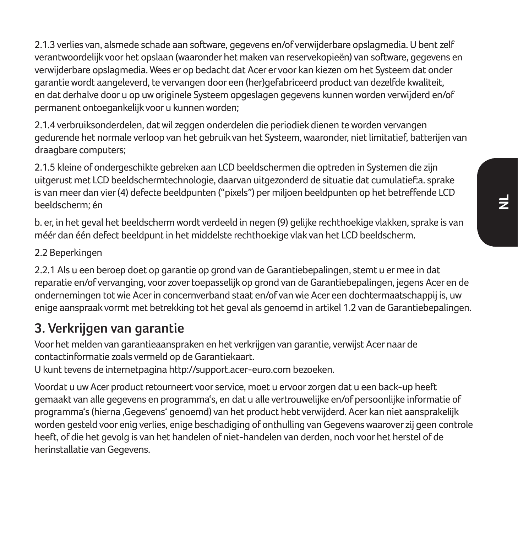2.1.3 verlies van, alsmede schade aan software, gegevens en/of verwijderbare opslagmedia. U bent zelf verantwoordelijk voor het opslaan (waaronder het maken van reservekopieën) van software, gegevens en verwijderbare opslagmedia. Wees er op bedacht dat Acer er voor kan kiezen om het Systeem dat onder garantie wordt aangeleverd, te vervangen door een (her)gefabriceerd product van dezelfde kwaliteit, en dat derhalve door u op uw originele Systeem opgeslagen gegevens kunnen worden verwijderd en/of permanent ontoegankelijk voor u kunnen worden;

2.1.4 verbruiksonderdelen, dat wil zeggen onderdelen die periodiek dienen te worden vervangen gedurende het normale verloop van het gebruik van het Systeem, waaronder, niet limitatief, batterijen van draagbare computers;

2.1.5 kleine of ondergeschikte gebreken aan LCD beeldschermen die optreden in Systemen die zijn uitgerust met LCD beeldschermtechnologie, daarvan uitgezonderd de situatie dat cumulatief:a. sprake is van meer dan vier (4) defecte beeldpunten ("pixels") per miljoen beeldpunten op het betreffende LCD beeldscherm; én

b. er, in het geval het beeldscherm wordt verdeeld in negen (9) gelijke rechthoekige vlakken, sprake is van méér dan één defect beeldpunt in het middelste rechthoekige vlak van het LCD beeldscherm.

### 2.2 Beperkingen

2.2.1 Als u een beroep doet op garantie op grond van de Garantiebepalingen, stemt u er mee in dat reparatie en/of vervanging, voor zover toepasselijk op grond van de Garantiebepalingen, jegens Acer en de ondernemingen tot wie Acer in concernverband staat en/of van wie Acer een dochtermaatschappij is, uw enige aanspraak vormt met betrekking tot het geval als genoemd in artikel 1.2 van de Garantiebepalingen.

### **3. Verkrijgen van garantie**

Voor het melden van garantieaanspraken en het verkrijgen van garantie, verwijst Acer naar de contactinformatie zoals vermeld op de Garantiekaart.

U kunt tevens de internetpagina http://support.acer-euro.com bezoeken.

Voordat u uw Acer product retourneert voor service, moet u ervoor zorgen dat u een back-up heeft gemaakt van alle gegevens en programma's, en dat u alle vertrouwelijke en/of persoonlijke informatie of programma's (hierna 'Gegevens' genoemd) van het product hebt verwijderd. Acer kan niet aansprakelijk worden gesteld voor enig verlies, enige beschadiging of onthulling van Gegevens waarover zij geen controle heeft, of die het gevolg is van het handelen of niet-handelen van derden, noch voor het herstel of de herinstallatie van Gegevens.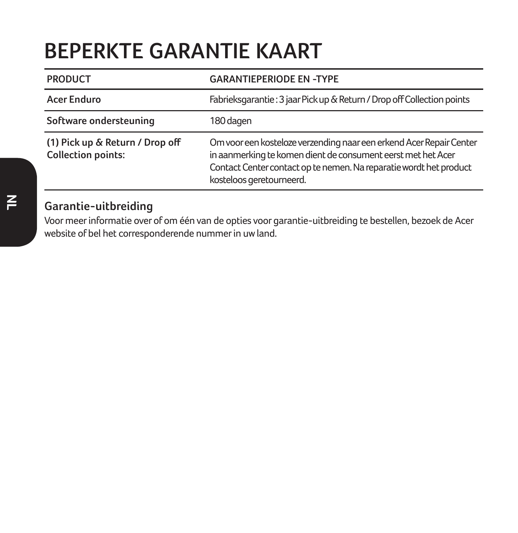## **BEPERKTE GARANTIE KAART**

| <b>PRODUCT</b>                                               | <b>GARANTIEPERIODE EN -TYPE</b>                                                                                                                                                                                                       |
|--------------------------------------------------------------|---------------------------------------------------------------------------------------------------------------------------------------------------------------------------------------------------------------------------------------|
| Acer Enduro                                                  | Fabrieksgarantie: 3 jaar Pick up & Return / Drop off Collection points                                                                                                                                                                |
| Software ondersteuning                                       | 180 dagen                                                                                                                                                                                                                             |
| (1) Pick up & Return / Drop off<br><b>Collection points:</b> | Om voor een kosteloze verzending naar een erkend Acer Repair Center<br>in aanmerking te komen dient de consument eerst met het Acer<br>Contact Center contact op te nemen. Na reparatie wordt het product<br>kosteloos geretourneerd. |

### **Garantie-uitbreiding**

Voor meer informatie over of om één van de opties voor garantie-uitbreiding te bestellen, bezoek de Acer website of bel het corresponderende nummer in uw land.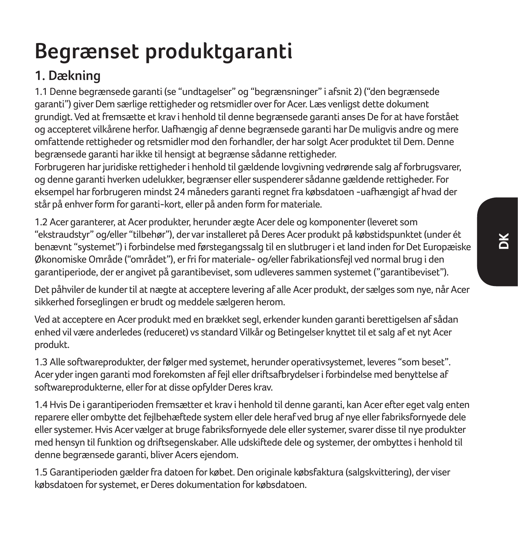# **Begrænset produktgaranti**

## **1. Dækning**

1.1 Denne begrænsede garanti (se "undtagelser" og "begrænsninger" i afsnit 2) ("den begrænsede garanti") giver Dem særlige rettigheder og retsmidler over for Acer. Læs venligst dette dokument grundigt. Ved at fremsætte et krav i henhold til denne begrænsede garanti anses De for at have forstået og accepteret vilkårene herfor. Uafhængig af denne begrænsede garanti har De muligvis andre og mere omfattende rettigheder og retsmidler mod den forhandler, der har solgt Acer produktet til Dem. Denne begrænsede garanti har ikke til hensigt at begrænse sådanne rettigheder.

Forbrugeren har juridiske rettigheder i henhold til gældende lovgivning vedrørende salg af forbrugsvarer, og denne garanti hverken udelukker, begrænser eller suspenderer sådanne gældende rettigheder. For eksempel har forbrugeren mindst 24 måneders garanti regnet fra købsdatoen -uafhængigt af hvad der står på enhver form for garanti-kort, eller på anden form for materiale.

1.2 Acer garanterer, at Acer produkter, herunder ægte Acer dele og komponenter (leveret som "ekstraudstyr" og/eller "tilbehør"), der var installeret på Deres Acer produkt på købstidspunktet (under ét benævnt "systemet") i forbindelse med førstegangssalg til en slutbruger i et land inden for Det Europæiske Økonomiske Område ("området"), er fri for materiale- og/eller fabrikationsfejl ved normal brug i den garantiperiode, der er angivet på garantibeviset, som udleveres sammen systemet ("garantibeviset").

Det påhviler de kunder til at nægte at acceptere levering af alle Acer produkt, der sælges som nye, når Acer sikkerhed forseglingen er brudt og meddele sælgeren herom.

Ved at acceptere en Acer produkt med en brækket segl, erkender kunden garanti berettigelsen af sådan enhed vil være anderledes (reduceret) vs standard Vilkår og Betingelser knyttet til et salg af et nyt Acer produkt.

1.3 Alle softwareprodukter, der følger med systemet, herunder operativsystemet, leveres "som beset". Acer yder ingen garanti mod forekomsten af fejl eller driftsafbrydelser i forbindelse med benyttelse af softwareprodukterne, eller for at disse opfylder Deres krav.

1.4 Hvis De i garantiperioden fremsætter et krav i henhold til denne garanti, kan Acer efter eget valg enten reparere eller ombytte det fejlbehæftede system eller dele heraf ved brug af nye eller fabriksfornyede dele eller systemer. Hvis Acer vælger at bruge fabriksfornyede dele eller systemer, svarer disse til nye produkter med hensyn til funktion og driftsegenskaber. Alle udskiftede dele og systemer, der ombyttes i henhold til denne begrænsede garanti, bliver Acers ejendom.

1.5 Garantiperioden gælder fra datoen for købet. Den originale købsfaktura (salgskvittering), der viser købsdatoen for systemet, er Deres dokumentation for købsdatoen.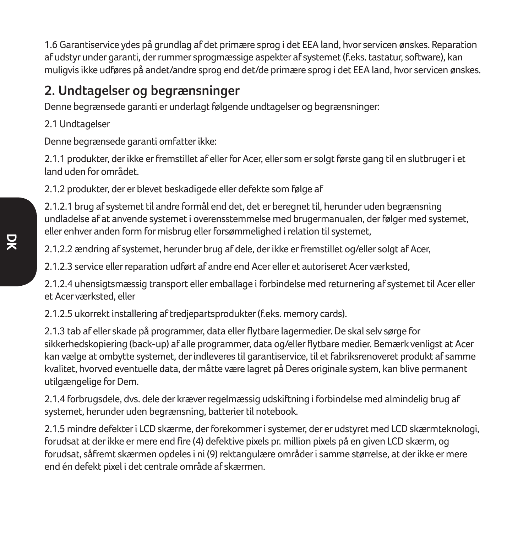1.6 Garantiservice ydes på grundlag af det primære sprog i det EEA land, hvor servicen ønskes. Reparation af udstyr under garanti, der rummer sprogmæssige aspekter af systemet (f.eks. tastatur, software), kan muligvis ikke udføres på andet/andre sprog end det/de primære sprog i det EEA land, hvor servicen ønskes.

### **2. Undtagelser og begrænsninger**

Denne begrænsede garanti er underlagt følgende undtagelser og begrænsninger:

2.1 Undtagelser

Denne begrænsede garanti omfatter ikke:

2.1.1 produkter, der ikke er fremstillet af eller for Acer, eller som er solgt første gang til en slutbruger i et land uden for området.

2.1.2 produkter, der er blevet beskadigede eller defekte som følge af

2.1.2.1 brug af systemet til andre formål end det, det er beregnet til, herunder uden begrænsning undladelse af at anvende systemet i overensstemmelse med brugermanualen, der følger med systemet, eller enhver anden form for misbrug eller forsømmelighed i relation til systemet,

2.1.2.2 ændring af systemet, herunder brug af dele, der ikke er fremstillet og/eller solgt af Acer,

2.1.2.3 service eller reparation udført af andre end Acer eller et autoriseret Acer værksted,

2.1.2.4 uhensigtsmæssig transport eller emballage i forbindelse med returnering af systemet til Acer eller et Acer værksted, eller

2.1.2.5 ukorrekt installering af tredjepartsprodukter (f.eks. memory cards).

2.1.3 tab af eller skade på programmer, data eller flytbare lagermedier. De skal selv sørge for sikkerhedskopiering (back-up) af alle programmer, data og/eller flytbare medier. Bemærk venligst at Acer kan vælge at ombytte systemet, der indleveres til garantiservice, til et fabriksrenoveret produkt af samme kvalitet, hvorved eventuelle data, der måtte være lagret på Deres originale system, kan blive permanent utilgængelige for Dem.

2.1.4 forbrugsdele, dvs. dele der kræver regelmæssig udskiftning i forbindelse med almindelig brug af systemet, herunder uden begrænsning, batterier til notebook.

2.1.5 mindre defekter i LCD skærme, der forekommer i systemer, der er udstyret med LCD skærmteknologi, forudsat at der ikke er mere end fire (4) defektive pixels pr. million pixels på en given LCD skærm, og forudsat, såfremt skærmen opdeles i ni (9) rektangulære områder i samme størrelse, at der ikke er mere end én defekt pixel i det centrale område af skærmen.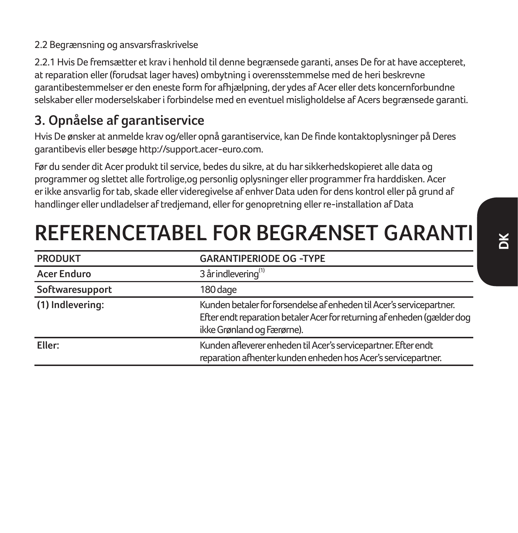#### 2.2 Begrænsning og ansvarsfraskrivelse

2.2.1 Hvis De fremsætter et krav i henhold til denne begrænsede garanti, anses De for at have accepteret, at reparation eller (forudsat lager haves) ombytning i overensstemmelse med de heri beskrevne garantibestemmelser er den eneste form for afhjælpning, der ydes af Acer eller dets koncernforbundne selskaber eller moderselskaber i forbindelse med en eventuel misligholdelse af Acers begrænsede garanti.

### **3. Opnåelse af garantiservice**

Hvis De ønsker at anmelde krav og/eller opnå garantiservice, kan De finde kontaktoplysninger på Deres garantibevis eller besøge http://support.acer-euro.com.

Før du sender dit Acer produkt til service, bedes du sikre, at du har sikkerhedskopieret alle data og programmer og slettet alle fortrolige,og personlig oplysninger eller programmer fra harddisken. Acer er ikke ansvarlig for tab, skade eller videregivelse af enhver Data uden for dens kontrol eller på grund af handlinger eller undladelser af tredjemand, eller for genopretning eller re-installation af Data

## **REFERENCETABEL FOR BEGRÆNSET GARANTI**

| <b>PRODUKT</b>     | <b>GARANTIPERIODE OG -TYPE</b>                                                                                                                                                |
|--------------------|-------------------------------------------------------------------------------------------------------------------------------------------------------------------------------|
| <b>Acer Enduro</b> | 3 år indlevering <sup>(1)</sup>                                                                                                                                               |
| Softwaresupport    | 180 dage                                                                                                                                                                      |
| (1) Indlevering:   | Kunden betaler for forsendelse af enheden til Acer's servicepartner.<br>Efter endt reparation betaler Acer for returning af enheden (gælder dog<br>ikke Grønland og Færørne). |
| Eller:             | Kunden afleverer enheden til Acer's servicepartner. Efter endt<br>reparation afhenter kunden enheden hos Acer's servicepartner.                                               |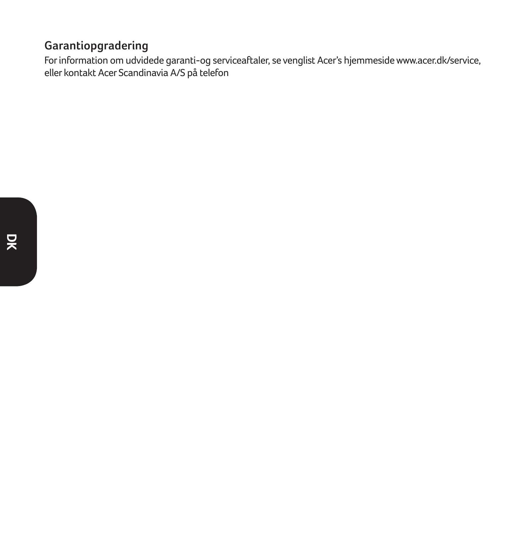### **Garantiopgradering**

For information om udvidede garanti-og serviceaftaler, se venglist Acer's hjemmeside www.acer.dk/service, eller kontakt Acer Scandinavia A/S på telefon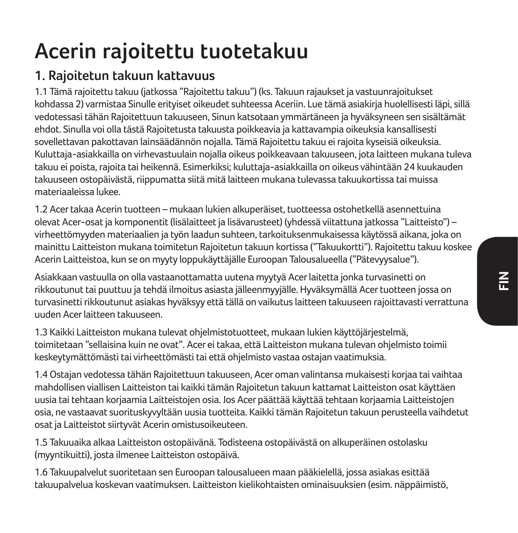# **Acerin rajoitettu tuotetakuu**

## **1. Rajoitetun takuun kattavuus**

1.1 Tämä rajoitettu takuu (jatkossa "Rajoitettu takuu") (ks. Takuun rajaukset ja vastuunrajoitukset kohdassa 2) varmistaa Sinulle erityiset oikeudet suhteessa Aceriin. Lue tämä asiakirja huolellisesti läpi, sillä vedotessasi tähän Rajoitettuun takuuseen, Sinun katsotaan ymmärtäneen ja hyväksyneen sen sisältämät ehdot. Sinulla voi olla tästä Rajoitetusta takuusta poikkeavia ja kattavampia oikeuksia kansallisesti sovellettavan pakottavan lainsäädännön nojalla. Tämä Rajoitettu takuu ei rajoita kyseisiä oikeuksia. Kuluttaja-asiakkailla on virhevastuulain nojalla oikeus poikkeavaan takuuseen, jota laitteen mukana tuleva takuu ei poista, rajoita tai heikennä. Esimerkiksi; kuluttaja-asiakkailla on oikeus vähintään 24 kuukauden takuuseen ostopäivästä, riippumatta siitä mitä laitteen mukana tulevassa takuukortissa tai muissa materiaaleissa lukee.

1.2 Acer takaa Acerin tuotteen – mukaan lukien alkuperäiset, tuotteessa ostohetkellä asennettuina olevat Acer-osat ja komponentit (lisälaitteet ja lisävarusteet) (yhdessä viitattuna jatkossa "Laitteisto") – virheettömyyden materiaalien ja työn laadun suhteen, tarkoituksenmukaisessa käytössä aikana, joka on mainittu Laitteiston mukana toimitetun Rajoitetun takuun kortissa ("Takuukortti"). Rajoitettu takuu koskee Acerin Laitteistoa, kun se on myyty loppukäyttäjälle Euroopan Talousalueella ("Pätevyysalue").

Asiakkaan vastuulla on olla vastaanottamatta uutena myytyä Acer laitetta jonka turvasinetti on rikkoutunut tai puuttuu ja tehdä ilmoitus asiasta jälleenmyyjälle. Hyväksymällä Acer tuotteen jossa on turvasinetti rikkoutunut asiakas hyväksyy että tällä on vaikutus laitteen takuuseen rajoittavasti verrattuna uuden Acer laitteen takuuseen.

1.3 Kaikki Laitteiston mukana tulevat ohjelmistotuotteet, mukaan lukien käyttöjärjestelmä, toimitetaan "sellaisina kuin ne ovat". Acer ei takaa, että Laitteiston mukana tulevan ohjelmisto toimii keskeytymättömästi tai virheettömästi tai että ohjelmisto vastaa ostajan vaatimuksia.

1.4 Ostajan vedotessa tähän Rajoitettuun takuuseen, Acer oman valintansa mukaisesti korjaa tai vaihtaa mahdollisen viallisen Laitteiston tai kaikki tämän Rajoitetun takuun kattamat Laitteiston osat käyttäen uusia tai tehtaan korjaamia Laitteistojen osia. Jos Acer päättää käyttää tehtaan korjaamia Laitteistojen osia, ne vastaavat suorituskyvyltään uusia tuotteita. Kaikki tämän Rajoitetun takuun perusteella vaihdetut osat ja Laitteistot siirtyvät Acerin omistusoikeuteen.

1.5 Takuuaika alkaa Laitteiston ostopäivänä. Todisteena ostopäivästä on alkuperäinen ostolasku (myyntikuitti), josta ilmenee Laitteiston ostopäivä.

1.6 Takuupalvelut suoritetaan sen Euroopan talousalueen maan pääkielellä, jossa asiakas esittää takuupalvelua koskevan vaatimuksen. Laitteiston kielikohtaisten ominaisuuksien (esim. näppäimistö,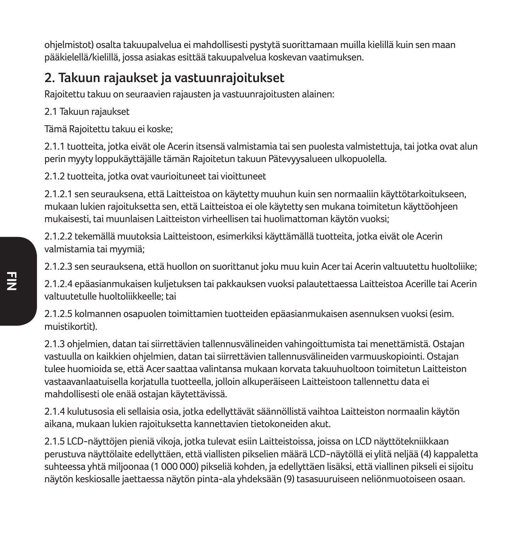ohjelmistot) osalta takuupalvelua ei mahdollisesti pystytä suorittamaan muilla kielillä kuin sen maan pääkielellä/kielillä, jossa asiakas esittää takuupalvelua koskevan vaatimuksen.

## **2. Takuun rajaukset ja vastuunrajoitukset**

Rajoitettu takuu on seuraavien rajausten ja vastuunrajoitusten alainen:

2.1 Takuun rajaukset

Tämä Rajoitettu takuu ei koske;

2.1.1 tuotteita, jotka eivät ole Acerin itsensä valmistamia tai sen puolesta valmistettuja, tai jotka ovat alun perin myyty loppukäyttäjälle tämän Rajoitetun takuun Pätevyysalueen ulkopuolella.

2.1.2 tuotteita, jotka ovat vaurioituneet tai vioittuneet

2.1.2.1 sen seurauksena, että Laitteistoa on käytetty muuhun kuin sen normaaliin käyttötarkoitukseen, mukaan lukien rajoituksetta sen, että Laitteistoa ei ole käytetty sen mukana toimitetun käyttöohjeen mukaisesti, tai muunlaisen Laitteiston virheellisen tai huolimattoman käytön vuoksi;

2.1.2.2 tekemällä muutoksia Laitteistoon, esimerkiksi käyttämällä tuotteita, jotka eivät ole Acerin valmistamia tai myymiä;

2.1.2.3 sen seurauksena, että huollon on suorittanut joku muu kuin Acer tai Acerin valtuutettu huoltoliike;

2.1.2.4 epäasianmukaisen kuljetuksen tai pakkauksen vuoksi palautettaessa Laitteistoa Acerille tai Acerin valtuutetulle huoltoliikkeelle; tai

2.1.2.5 kolmannen osapuolen toimittamien tuotteiden epäasianmukaisen asennuksen vuoksi (esim. muistikortit).

2.1.3 ohjelmien, datan tai siirrettävien tallennusvälineiden vahingoittumista tai menettämistä. Ostajan vastuulla on kaikkien ohjelmien, datan tai siirrettävien tallennusvälineiden varmuuskopiointi. Ostajan tulee huomioida se, että Acer saattaa valintansa mukaan korvata takuuhuoltoon toimitetun Laitteiston vastaavanlaatuisella korjatulla tuotteella, jolloin alkuperäiseen Laitteistoon tallennettu data ei mahdollisesti ole enää ostajan käytettävissä.

2.1.4 kulutusosia eli sellaisia osia, jotka edellyttävät säännöllistä vaihtoa Laitteiston normaalin käytön aikana, mukaan lukien rajoituksetta kannettavien tietokoneiden akut.

2.1.5 LCD-näyttöjen pieniä vikoja, jotka tulevat esiin Laitteistoissa, joissa on LCD näyttötekniikkaan perustuva näyttölaite edellyttäen, että viallisten pikselien määrä LCD-näytöllä ei ylitä neljää (4) kappaletta suhteessa yhtä miljoonaa (1 000 000) pikseliä kohden, ja edellyttäen lisäksi, että viallinen pikseli ei sijoitu näytön keskiosalle jaettaessa näytön pinta-ala yhdeksään (9) tasasuuruiseen neliönmuotoiseen osaan.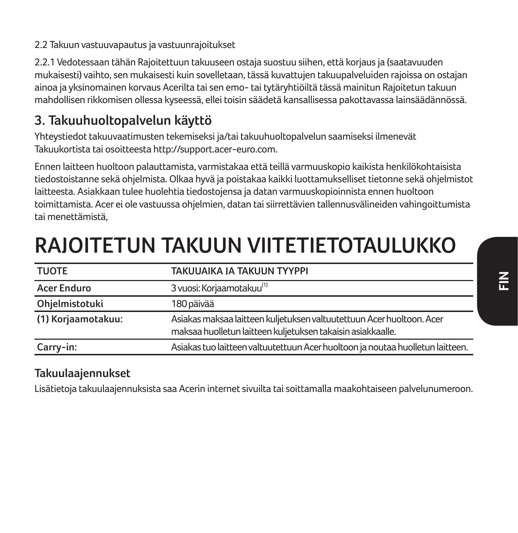2.2.1 Vedotessaan tähän Rajoitettuun takuuseen ostaja suostuu siihen, että korjaus ja (saatavuuden mukaisesti) vaihto, sen mukaisesti kuin sovelletaan, tässä kuvattujen takuupalveluiden rajoissa on ostajan ainoa ja yksinomainen korvaus Acerilta tai sen emo- tai tytäryhtiöiltä tässä mainitun Rajoitetun takuun mahdollisen rikkomisen ollessa kyseessä, ellei toisin säädetä kansallisessa pakottavassa lainsäädännössä.

### **3. Takuuhuoltopalvelun käyttö**

Yhteystiedot takuuvaatimusten tekemiseksi ja/tai takuuhuoltopalvelun saamiseksi ilmenevät Takuukortista tai osoitteesta http://support.acer-euro.com.

Ennen laitteen huoltoon palauttamista, varmistakaa että teillä varmuuskopio kaikista henkilökohtaisista tiedostoistanne sekä ohjelmista. Olkaa hyvä ja poistakaa kaikki luottamukselliset tietonne sekä ohjelmistot laitteesta. Asiakkaan tulee huolehtia tiedostojensa ja datan varmuuskopioinnista ennen huoltoon toimittamista. Acer ei ole vastuussa ohjelmien, datan tai siirrettävien tallennusvälineiden vahingoittumista tai menettämistä,

# **RAJOITETUN TAKUUN VIITETIETOTAULUKKO**

| <b>TUOTE</b>       | TAKUUAIKA JA TAKUUN TYYPPI                                                     |
|--------------------|--------------------------------------------------------------------------------|
| <b>Acer Enduro</b> | 3 vuosi: Korjaamotakuu <sup>(1)</sup>                                          |
| Ohjelmistotuki     | 180 päivää                                                                     |
| (1) Korjaamotakuu: | Asiakas maksaa laitteen kuljetuksen valtuutettuun Acer huoltoon. Acer          |
|                    | maksaa huolletun laitteen kuljetuksen takaisin asiakkaalle.                    |
| Carry-in:          | Asiakas tuo laitteen valtuutettuun Acer huoltoon ja noutaa huolletun laitteen. |

### **Takuulaajennukset**

Lisätietoja takuulaajennuksista saa Acerin internet sivuilta tai soittamalla maakohtaiseen palvelunumeroon.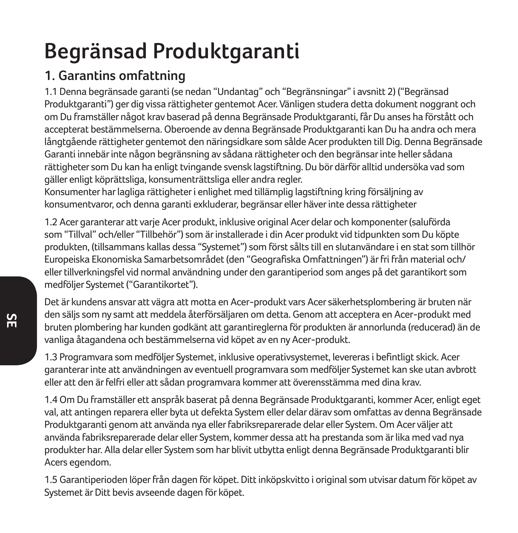# **Begränsad Produktgaranti**

## **1. Garantins omfattning**

1.1 Denna begränsade garanti (se nedan "Undantag" och "Begränsningar" i avsnitt 2) ("Begränsad Produktgaranti") ger dig vissa rättigheter gentemot Acer. Vänligen studera detta dokument noggrant och om Du framställer något krav baserad på denna Begränsade Produktgaranti, får Du anses ha förstått och accepterat bestämmelserna. Oberoende av denna Begränsade Produktgaranti kan Du ha andra och mera långtgående rättigheter gentemot den näringsidkare som sålde Acer produkten till Dig. Denna Begränsade Garanti innebär inte någon begränsning av sådana rättigheter och den begränsar inte heller sådana rättigheter som Du kan ha enligt tvingande svensk lagstiftning. Du bör därför alltid undersöka vad som gäller enligt köprättsliga, konsumenträttsliga eller andra regler.

Konsumenter har lagliga rättigheter i enlighet med tillämplig lagstiftning kring försäljning av konsumentvaror, och denna garanti exkluderar, begränsar eller häver inte dessa rättigheter

1.2 Acer garanterar att varje Acer produkt, inklusive original Acer delar och komponenter (saluförda som "Tillval" och/eller "Tillbehör") som är installerade i din Acer produkt vid tidpunkten som Du köpte produkten, (tillsammans kallas dessa "Systemet") som först sålts till en slutanvändare i en stat som tillhör Europeiska Ekonomiska Samarbetsområdet (den "Geografiska Omfattningen") är fri från material och/ eller tillverkningsfel vid normal användning under den garantiperiod som anges på det garantikort som medföljer Systemet ("Garantikortet").

Det är kundens ansvar att vägra att motta en Acer-produkt vars Acer säkerhetsplombering är bruten när den säljs som ny samt att meddela återförsäljaren om detta. Genom att acceptera en Acer-produkt med bruten plombering har kunden godkänt att garantireglerna för produkten är annorlunda (reducerad) än de vanliga åtagandena och bestämmelserna vid köpet av en ny Acer-produkt.

1.3 Programvara som medföljer Systemet, inklusive operativsystemet, levereras i befintligt skick. Acer garanterar inte att användningen av eventuell programvara som medföljer Systemet kan ske utan avbrott eller att den är felfri eller att sådan programvara kommer att överensstämma med dina krav.

1.4 Om Du framställer ett anspråk baserat på denna Begränsade Produktgaranti, kommer Acer, enligt eget val, att antingen reparera eller byta ut defekta System eller delar därav som omfattas av denna Begränsade Produktgaranti genom att använda nya eller fabriksreparerade delar eller System. Om Acer väljer att använda fabriksreparerade delar eller System, kommer dessa att ha prestanda som är lika med vad nya produkter har. Alla delar eller System som har blivit utbytta enligt denna Begränsade Produktgaranti blir Acers egendom.

1.5 Garantiperioden löper från dagen för köpet. Ditt inköpskvitto i original som utvisar datum för köpet av Systemet är Ditt bevis avseende dagen för köpet.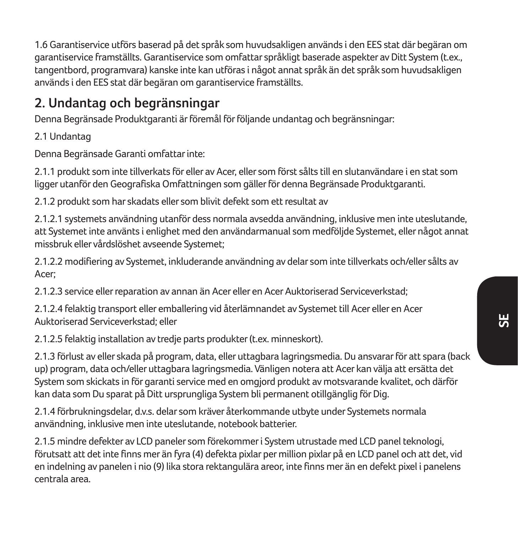1.6 Garantiservice utförs baserad på det språk som huvudsakligen används i den EES stat där begäran om garantiservice framställts. Garantiservice som omfattar språkligt baserade aspekter av Ditt System (t.ex., tangentbord, programvara) kanske inte kan utföras i något annat språk än det språk som huvudsakligen används i den EES stat där begäran om garantiservice framställts.

### **2. Undantag och begränsningar**

Denna Begränsade Produktgaranti är föremål för följande undantag och begränsningar:

2.1 Undantag

Denna Begränsade Garanti omfattar inte:

2.1.1 produkt som inte tillverkats för eller av Acer, eller som först sålts till en slutanvändare i en stat som ligger utanför den Geografiska Omfattningen som gäller för denna Begränsade Produktgaranti.

2.1.2 produkt som har skadats eller som blivit defekt som ett resultat av

2.1.2.1 systemets användning utanför dess normala avsedda användning, inklusive men inte uteslutande, att Systemet inte använts i enlighet med den användarmanual som medföljde Systemet, eller något annat missbruk eller vårdslöshet avseende Systemet;

2.1.2.2 modifiering av Systemet, inkluderande användning av delar som inte tillverkats och/eller sålts av Acer;

2.1.2.3 service eller reparation av annan än Acer eller en Acer Auktoriserad Serviceverkstad;

2.1.2.4 felaktig transport eller emballering vid återlämnandet av Systemet till Acer eller en Acer Auktoriserad Serviceverkstad; eller

2.1.2.5 felaktig installation av tredje parts produkter (t.ex. minneskort).

2.1.3 förlust av eller skada på program, data, eller uttagbara lagringsmedia. Du ansvarar för att spara (back up) program, data och/eller uttagbara lagringsmedia. Vänligen notera att Acer kan välja att ersätta det System som skickats in för garanti service med en omgjord produkt av motsvarande kvalitet, och därför kan data som Du sparat på Ditt ursprungliga System bli permanent otillgänglig för Dig.

2.1.4 förbrukningsdelar, d.v.s. delar som kräver återkommande utbyte under Systemets normala användning, inklusive men inte uteslutande, notebook batterier.

2.1.5 mindre defekter av LCD paneler som förekommer i System utrustade med LCD panel teknologi, förutsatt att det inte finns mer än fyra (4) defekta pixlar per million pixlar på en LCD panel och att det, vid en indelning av panelen i nio (9) lika stora rektangulära areor, inte finns mer än en defekt pixel i panelens centrala area.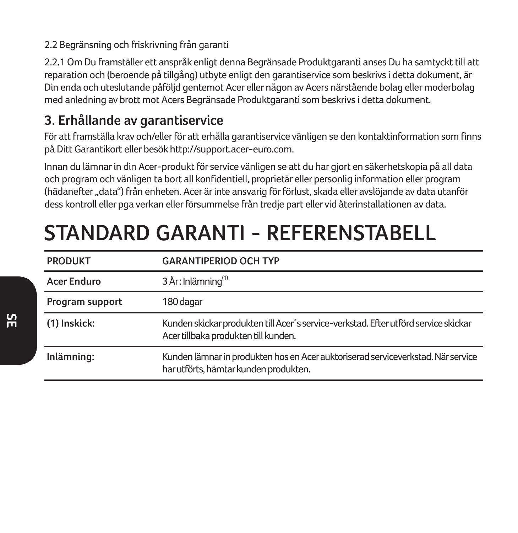### 2.2 Begränsning och friskrivning från garanti

2.2.1 Om Du framställer ett anspråk enligt denna Begränsade Produktgaranti anses Du ha samtyckt till att reparation och (beroende på tillgång) utbyte enligt den garantiservice som beskrivs i detta dokument, är Din enda och uteslutande påföljd gentemot Acer eller någon av Acers närstående bolag eller moderbolag med anledning av brott mot Acers Begränsade Produktgaranti som beskrivs i detta dokument.

### **3. Erhållande av garantiservice**

För att framställa krav och/eller för att erhålla garantiservice vänligen se den kontaktinformation som finns på Ditt Garantikort eller besök http://support.acer-euro.com.

Innan du lämnar in din Acer-produkt för service vänligen se att du har gjort en säkerhetskopia på all data och program och vänligen ta bort all konfidentiell, proprietär eller personlig information eller program (hädanefter "data") från enheten. Acer är inte ansvarig för förlust, skada eller avslöjande av data utanför dess kontroll eller pga verkan eller försummelse från tredje part eller vid återinstallationen av data.

# **STANDARD GARANTI - REFERENSTABELL**

| <b>PRODUKT</b>  | <b>GARANTIPERIOD OCH TYP</b>                                                                                                |
|-----------------|-----------------------------------------------------------------------------------------------------------------------------|
| Acer Enduro     | 3 År: Inlämning <sup>(1)</sup>                                                                                              |
| Program support | 180 dagar                                                                                                                   |
| (1) Inskick:    | Kunden skickar produkten till Acer's service-verkstad. Efter utförd service skickar<br>Acer tillbaka produkten till kunden. |
| Inlämning:      | Kunden lämnar in produkten hos en Acer auktoriserad serviceverkstad. När service<br>har utförts, hämtar kunden produkten.   |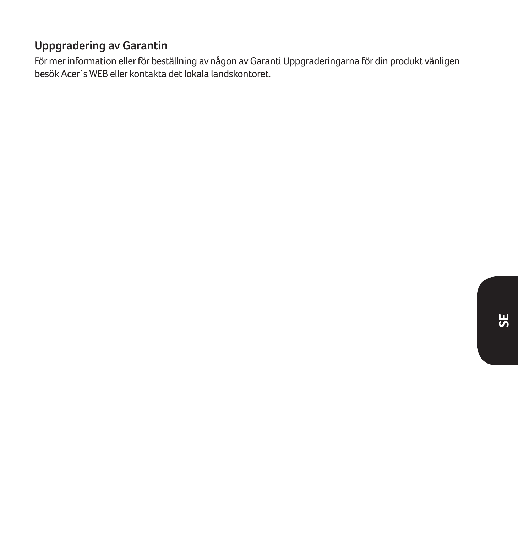### **Uppgradering av Garantin**

För mer information eller för beställning av någon av Garanti Uppgraderingarna för din produkt vänligen besök Acer´s WEB eller kontakta det lokala landskontoret.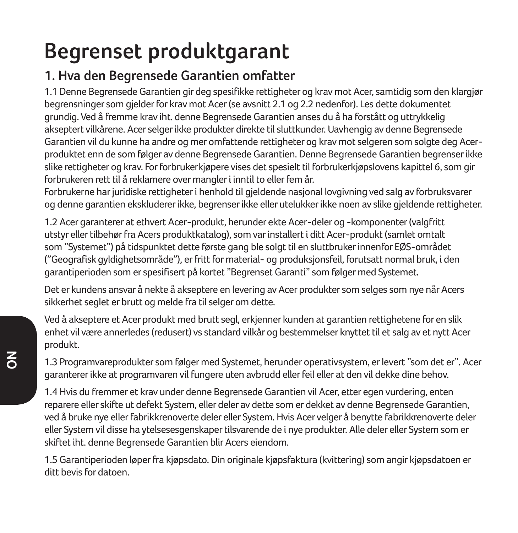# **Begrenset produktgarant**

## **1. Hva den Begrensede Garantien omfatter**

1.1 Denne Begrensede Garantien gir deg spesifikke rettigheter og krav mot Acer, samtidig som den klargjør begrensninger som gjelder for krav mot Acer (se avsnitt 2.1 og 2.2 nedenfor). Les dette dokumentet grundig. Ved å fremme krav iht. denne Begrensede Garantien anses du å ha forstått og uttrykkelig akseptert vilkårene. Acer selger ikke produkter direkte til sluttkunder. Uavhengig av denne Begrensede Garantien vil du kunne ha andre og mer omfattende rettigheter og krav mot selgeren som solgte deg Acerproduktet enn de som følger av denne Begrensede Garantien. Denne Begrensede Garantien begrenser ikke slike rettigheter og krav. For forbrukerkjøpere vises det spesielt til forbrukerkjøpslovens kapittel 6, som gir forbrukeren rett til å reklamere over mangler i inntil to eller fem år.

Forbrukerne har juridiske rettigheter i henhold til gjeldende nasjonal lovgivning ved salg av forbruksvarer og denne garantien ekskluderer ikke, begrenser ikke eller utelukker ikke noen av slike gjeldende rettigheter.

1.2 Acer garanterer at ethvert Acer-produkt, herunder ekte Acer-deler og -komponenter (valgfritt utstyr eller tilbehør fra Acers produktkatalog), som var installert i ditt Acer-produkt (samlet omtalt som "Systemet") på tidspunktet dette første gang ble solgt til en sluttbruker innenfor EØS-området ("Geografisk gyldighetsområde"), er fritt for material- og produksjonsfeil, forutsatt normal bruk, i den garantiperioden som er spesifisert på kortet "Begrenset Garanti" som følger med Systemet.

Det er kundens ansvar å nekte å akseptere en levering av Acer produkter som selges som nye når Acers sikkerhet seglet er brutt og melde fra til selger om dette.

Ved å akseptere et Acer produkt med brutt segl, erkjenner kunden at garantien rettighetene for en slik enhet vil være annerledes (redusert) vs standard vilkår og bestemmelser knyttet til et salg av et nytt Acer produkt.

1.3 Programvareprodukter som følger med Systemet, herunder operativsystem, er levert "som det er". Acer garanterer ikke at programvaren vil fungere uten avbrudd eller feil eller at den vil dekke dine behov.

1.4 Hvis du fremmer et krav under denne Begrensede Garantien vil Acer, etter egen vurdering, enten reparere eller skifte ut defekt System, eller deler av dette som er dekket av denne Begrensede Garantien, ved å bruke nye eller fabrikkrenoverte deler eller System. Hvis Acer velger å benytte fabrikkrenoverte deler eller System vil disse ha ytelsesesgenskaper tilsvarende de i nye produkter. Alle deler eller System som er skiftet iht. denne Begrensede Garantien blir Acers eiendom.

1.5 Garantiperioden løper fra kjøpsdato. Din originale kjøpsfaktura (kvittering) som angir kjøpsdatoen er ditt bevis for datoen.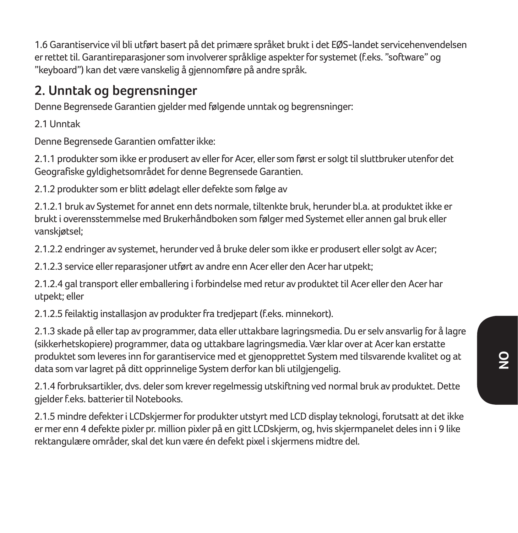1.6 Garantiservice vil bli utført basert på det primære språket brukt i det EØS-landet servicehenvendelsen er rettet til. Garantireparasjoner som involverer språklige aspekter for systemet (f.eks. "software" og "keyboard") kan det være vanskelig å gjennomføre på andre språk.

### **2. Unntak og begrensninger**

Denne Begrensede Garantien gjelder med følgende unntak og begrensninger:

2.1 Unntak

Denne Begrensede Garantien omfatter ikke:

2.1.1 produkter som ikke er produsert av eller for Acer, eller som først er solgt til sluttbruker utenfor det Geografiske gyldighetsområdet for denne Begrensede Garantien.

2.1.2 produkter som er blitt ødelagt eller defekte som følge av

2.1.2.1 bruk av Systemet for annet enn dets normale, tiltenkte bruk, herunder bl.a. at produktet ikke er brukt i overensstemmelse med Brukerhåndboken som følger med Systemet eller annen gal bruk eller vanskjøtsel;

2.1.2.2 endringer av systemet, herunder ved å bruke deler som ikke er produsert eller solgt av Acer;

2.1.2.3 service eller reparasjoner utført av andre enn Acer eller den Acer har utpekt;

2.1.2.4 gal transport eller emballering i forbindelse med retur av produktet til Acer eller den Acer har utpekt; eller

2.1.2.5 feilaktig installasjon av produkter fra tredjepart (f.eks. minnekort).

2.1.3 skade på eller tap av programmer, data eller uttakbare lagringsmedia. Du er selv ansvarlig for å lagre (sikkerhetskopiere) programmer, data og uttakbare lagringsmedia. Vær klar over at Acer kan erstatte produktet som leveres inn for garantiservice med et gjenopprettet System med tilsvarende kvalitet og at data som var lagret på ditt opprinnelige System derfor kan bli utilgjengelig.

2.1.4 forbruksartikler, dvs. deler som krever regelmessig utskiftning ved normal bruk av produktet. Dette gjelder f.eks. batterier til Notebooks.

2.1.5 mindre defekter i LCDskjermer for produkter utstyrt med LCD display teknologi, forutsatt at det ikke er mer enn 4 defekte pixler pr. million pixler på en gitt LCDskjerm, og, hvis skjermpanelet deles inn i 9 like rektangulære områder, skal det kun være én defekt pixel i skjermens midtre del.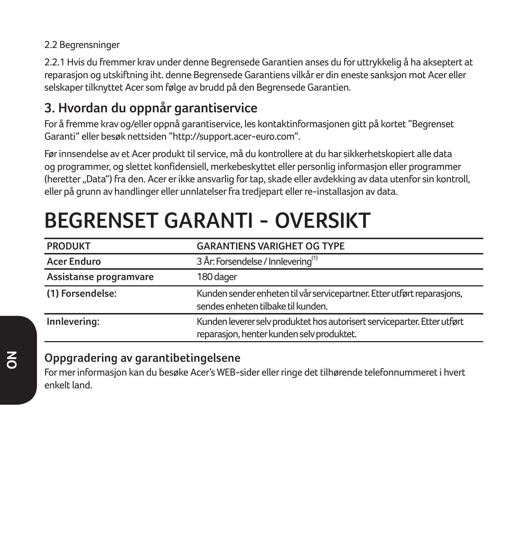#### 2.2 Begrensninger

2.2.1 Hvis du fremmer krav under denne Begrensede Garantien anses du for uttrykkelig å ha akseptert at reparasjon og utskiftning iht. denne Begrensede Garantiens vilkår er din eneste sanksjon mot Acer eller selskaper tilknyttet Acer som følge av brudd på den Begrensede Garantien.

### **3. Hvordan du oppnår garantiservice**

For å fremme krav og/eller oppnå garantiservice, les kontaktinformasjonen gitt på kortet "Begrenset Garanti" eller besøk nettsiden "http://support.acer-euro.com".

Før innsendelse av et Acer produkt til service, må du kontrollere at du har sikkerhetskopiert alle data og programmer, og slettet konfidensiell, merkebeskyttet eller personlig informasjon eller programmer (heretter "Data") fra den. Acer er ikke ansvarlig for tap, skade eller avdekking av data utenfor sin kontroll, eller på grunn av handlinger eller unnlatelser fra tredjepart eller re-installasjon av data.

| <b>PRODUKT</b>         | <b>GARANTIENS VARIGHET OG TYPE</b>                                                                                    |
|------------------------|-----------------------------------------------------------------------------------------------------------------------|
| <b>Acer Enduro</b>     | 3 År: Forsendelse / Innlevering <sup>(1)</sup>                                                                        |
| Assistanse programvare | 180 dager                                                                                                             |
| (1) Forsendelse:       | Kunden sender enheten til vår servicepartner. Etter utført reparasjons,<br>sendes enheten tilbake til kunden.         |
| Innlevering:           | Kunden leverer selv produktet hos autorisert serviceparter. Etter utført<br>reparasjon, henter kunden selv produktet. |

# **BEGRENSET GARANTI - OVERSIKT**

### **Oppgradering av garantibetingelsene**

For mer informasjon kan du besøke Acer's WEB-sider eller ringe det tilhørende telefonnummeret i hvert enkelt land.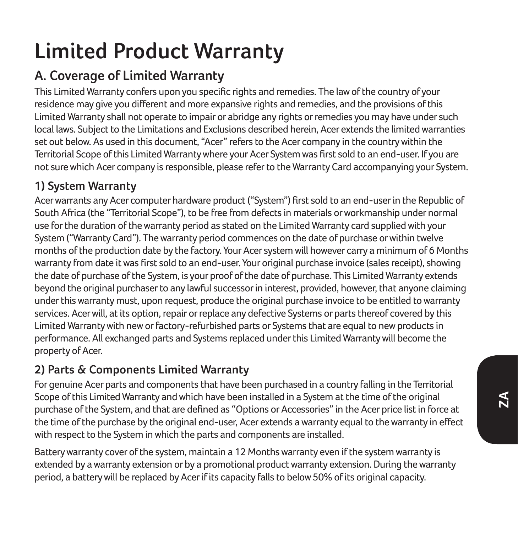# **Limited Product Warranty**

# **A. Coverage of Limited Warranty**

This Limited Warranty confers upon you specific rights and remedies. The law of the country of your residence may give you different and more expansive rights and remedies, and the provisions of this Limited Warranty shall not operate to impair or abridge any rights or remedies you may have under such local laws. Subject to the Limitations and Exclusions described herein, Acer extends the limited warranties set out below. As used in this document, "Acer" refers to the Acer company in the country within the Territorial Scope of this Limited Warranty where your Acer System was first sold to an end-user. If you are not sure which Acer company is responsible, please refer to the Warranty Card accompanying your System.

### **1) System Warranty**

Acer warrants any Acer computer hardware product ("System") first sold to an end-user in the Republic of South Africa (the "Territorial Scope"), to be free from defects in materials or workmanship under normal use for the duration of the warranty period as stated on the Limited Warranty card supplied with your System ("Warranty Card"). The warranty period commences on the date of purchase or within twelve months of the production date by the factory. Your Acer system will however carry a minimum of 6 Months warranty from date it was first sold to an end-user. Your original purchase invoice (sales receipt), showing the date of purchase of the System, is your proof of the date of purchase. This Limited Warranty extends beyond the original purchaser to any lawful successor in interest, provided, however, that anyone claiming under this warranty must, upon request, produce the original purchase invoice to be entitled to warranty services. Acer will, at its option, repair or replace any defective Systems or parts thereof covered by this Limited Warranty with new or factory-refurbished parts or Systems that are equal to new products in performance. All exchanged parts and Systems replaced under this Limited Warranty will become the property of Acer.

### **2) Parts & Components Limited Warranty**

For genuine Acer parts and components that have been purchased in a country falling in the Territorial Scope of this Limited Warranty and which have been installed in a System at the time of the original purchase of the System, and that are defined as "Options or Accessories" in the Acer price list in force at the time of the purchase by the original end-user, Acer extends a warranty equal to the warranty in effect with respect to the System in which the parts and components are installed.

Battery warranty cover of the system, maintain a 12 Months warranty even if the system warranty is extended by a warranty extension or by a promotional product warranty extension. During the warranty period, a battery will be replaced by Acer if its capacity falls to below 50% of its original capacity.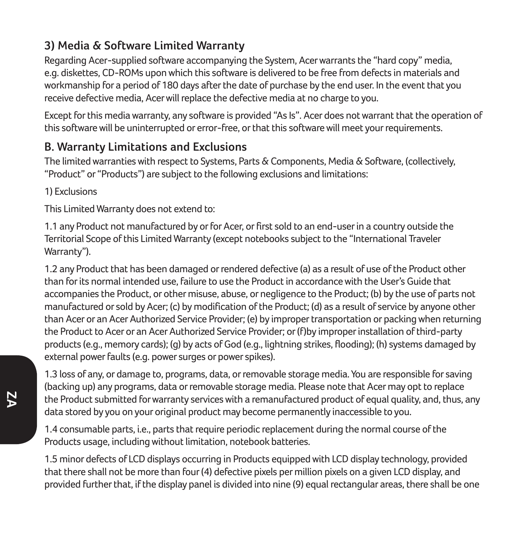### **3) Media & Software Limited Warranty**

Regarding Acer-supplied software accompanying the System, Acer warrants the "hard copy" media, e.g. diskettes, CD-ROMs upon which this software is delivered to be free from defects in materials and workmanship for a period of 180 days after the date of purchase by the end user. In the event that you receive defective media, Acer will replace the defective media at no charge to you.

Except for this media warranty, any software is provided "As Is". Acer does not warrant that the operation of this software will be uninterrupted or error-free, or that this software will meet your requirements.

### **B. Warranty Limitations and Exclusions**

The limited warranties with respect to Systems, Parts & Components, Media & Software, (collectively, "Product" or "Products") are subject to the following exclusions and limitations:

1) Exclusions

This Limited Warranty does not extend to:

1.1 any Product not manufactured by or for Acer, or first sold to an end-user in a country outside the Territorial Scope of this Limited Warranty (except notebooks subject to the "International Traveler Warranty").

1.2 any Product that has been damaged or rendered defective (a) as a result of use of the Product other than for its normal intended use, failure to use the Product in accordance with the User's Guide that accompanies the Product, or other misuse, abuse, or negligence to the Product; (b) by the use of parts not manufactured or sold by Acer; (c) by modification of the Product; (d) as a result of service by anyone other than Acer or an Acer Authorized Service Provider; (e) by improper transportation or packing when returning the Product to Acer or an Acer Authorized Service Provider; or (f)by improper installation of third-party products (e.g., memory cards); (g) by acts of God (e.g., lightning strikes, flooding); (h) systems damaged by external power faults (e.g. power surges or power spikes).

1.3 loss of any, or damage to, programs, data, or removable storage media. You are responsible for saving (backing up) any programs, data or removable storage media. Please note that Acer may opt to replace the Product submitted for warranty services with a remanufactured product of equal quality, and, thus, any data stored by you on your original product may become permanently inaccessible to you.

1.4 consumable parts, i.e., parts that require periodic replacement during the normal course of the Products usage, including without limitation, notebook batteries.

1.5 minor defects of LCD displays occurring in Products equipped with LCD display technology, provided that there shall not be more than four (4) defective pixels per million pixels on a given LCD display, and provided further that, if the display panel is divided into nine (9) equal rectangular areas, there shall be one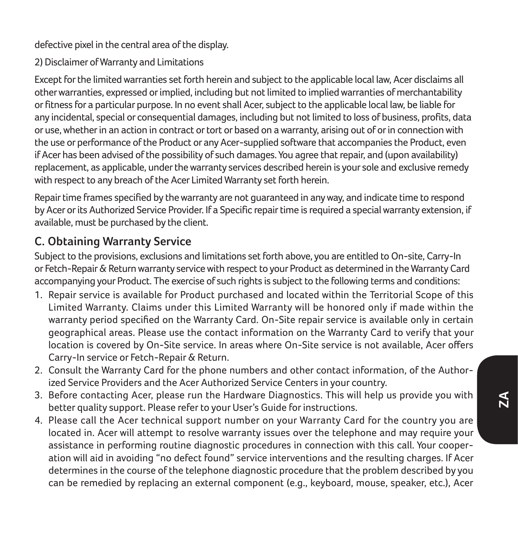defective pixel in the central area of the display.

2) Disclaimer of Warranty and Limitations

Except for the limited warranties set forth herein and subject to the applicable local law, Acer disclaims all other warranties, expressed or implied, including but not limited to implied warranties of merchantability or fitness for a particular purpose. In no event shall Acer, subject to the applicable local law, be liable for any incidental, special or consequential damages, including but not limited to loss of business, profits, data or use, whether in an action in contract or tort or based on a warranty, arising out of or in connection with the use or performance of the Product or any Acer-supplied software that accompanies the Product, even if Acer has been advised of the possibility of such damages. You agree that repair, and (upon availability) replacement, as applicable, under the warranty services described herein is your sole and exclusive remedy with respect to any breach of the Acer Limited Warranty set forth herein.

Repair time frames specified by the warranty are not guaranteed in any way, and indicate time to respond by Acer or its Authorized Service Provider. If a Specific repair time is required a special warranty extension, if available, must be purchased by the client.

### **C. Obtaining Warranty Service**

Subject to the provisions, exclusions and limitations set forth above, you are entitled to On-site, Carry-In or Fetch-Repair & Return warranty service with respect to your Product as determined in the Warranty Card accompanying your Product. The exercise of such rights is subject to the following terms and conditions:

- 1. Repair service is available for Product purchased and located within the Territorial Scope of this Limited Warranty. Claims under this Limited Warranty will be honored only if made within the warranty period specified on the Warranty Card. On-Site repair service is available only in certain geographical areas. Please use the contact information on the Warranty Card to verify that your location is covered by On-Site service. In areas where On-Site service is not available, Acer offers Carry-In service or Fetch-Repair & Return.
- 2. Consult the Warranty Card for the phone numbers and other contact information, of the Authorized Service Providers and the Acer Authorized Service Centers in your country.
- 3. Before contacting Acer, please run the Hardware Diagnostics. This will help us provide you with better quality support. Please refer to your User's Guide for instructions.
- 4. Please call the Acer technical support number on your Warranty Card for the country you are located in. Acer will attempt to resolve warranty issues over the telephone and may require your assistance in performing routine diagnostic procedures in connection with this call. Your cooperation will aid in avoiding "no defect found" service interventions and the resulting charges. If Acer determines in the course of the telephone diagnostic procedure that the problem described by you can be remedied by replacing an external component (e.g., keyboard, mouse, speaker, etc.), Acer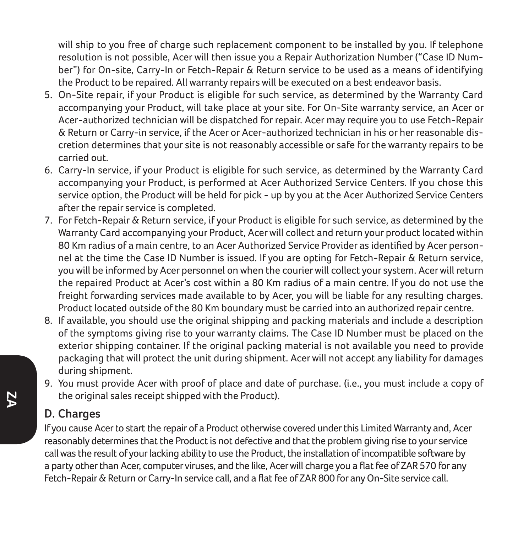will ship to you free of charge such replacement component to be installed by you. If telephone resolution is not possible, Acer will then issue you a Repair Authorization Number ("Case ID Number") for On-site, Carry-In or Fetch-Repair & Return service to be used as a means of identifying the Product to be repaired. All warranty repairs will be executed on a best endeavor basis.

- 5. On-Site repair, if your Product is eligible for such service, as determined by the Warranty Card accompanying your Product, will take place at your site. For On-Site warranty service, an Acer or Acer-authorized technician will be dispatched for repair. Acer may require you to use Fetch-Repair & Return or Carry-in service, if the Acer or Acer-authorized technician in his or her reasonable discretion determines that your site is not reasonably accessible or safe for the warranty repairs to be carried out.
- 6. Carry-In service, if your Product is eligible for such service, as determined by the Warranty Card accompanying your Product, is performed at Acer Authorized Service Centers. If you chose this service option, the Product will be held for pick - up by you at the Acer Authorized Service Centers after the repair service is completed.
- 7. For Fetch-Repair & Return service, if your Product is eligible for such service, as determined by the Warranty Card accompanying your Product, Acer will collect and return your product located within 80 Km radius of a main centre, to an Acer Authorized Service Provider as identified by Acer personnel at the time the Case ID Number is issued. If you are opting for Fetch-Repair & Return service, you will be informed by Acer personnel on when the courier will collect your system. Acer will return the repaired Product at Acer's cost within a 80 Km radius of a main centre. If you do not use the freight forwarding services made available to by Acer, you will be liable for any resulting charges. Product located outside of the 80 Km boundary must be carried into an authorized repair centre.
- 8. If available, you should use the original shipping and packing materials and include a description of the symptoms giving rise to your warranty claims. The Case ID Number must be placed on the exterior shipping container. If the original packing material is not available you need to provide packaging that will protect the unit during shipment. Acer will not accept any liability for damages during shipment.
- 9. You must provide Acer with proof of place and date of purchase. (i.e., you must include a copy of the original sales receipt shipped with the Product).

#### **D. Charges**

If you cause Acer to start the repair of a Product otherwise covered under this Limited Warranty and, Acer reasonably determines that the Product is not defective and that the problem giving rise to your service call was the result of your lacking ability to use the Product, the installation of incompatible software by a party other than Acer, computer viruses, and the like, Acer will charge you a flat fee of ZAR 570 for any Fetch-Repair & Return or Carry-In service call, and a flat fee of ZAR 800 for any On-Site service call.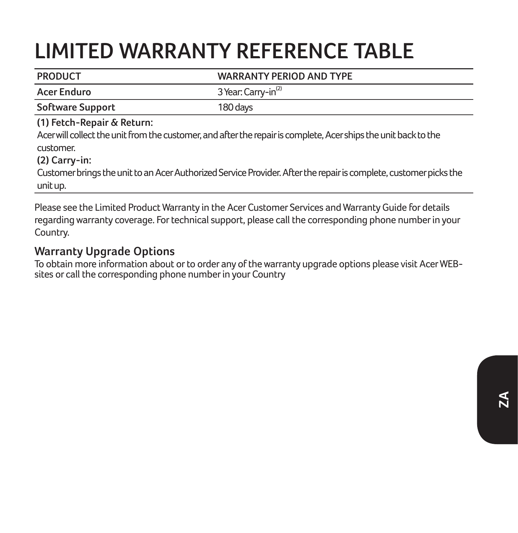# **LIMITED WARRANTY REFERENCE TABLE**

| <b>Acer Enduro</b><br>Software Support<br>180 days                                                                                                                                                                                                                                                             | 3 Year: Carry-in <sup>(2)</sup> |
|----------------------------------------------------------------------------------------------------------------------------------------------------------------------------------------------------------------------------------------------------------------------------------------------------------------|---------------------------------|
|                                                                                                                                                                                                                                                                                                                |                                 |
|                                                                                                                                                                                                                                                                                                                |                                 |
| (1) Fetch-Repair & Return:<br>Acer will collect the unit from the customer, and after the repair is complete, Acer ships the unit back to the<br>customer.<br>$(2)$ Carry-in:<br>Customer brings the unit to an Acer Authorized Service Provider. After the repair is complete, customer picks the<br>unit up. |                                 |

Please see the Limited Product Warranty in the Acer Customer Services and Warranty Guide for details regarding warranty coverage. For technical support, please call the corresponding phone number in your Country.

#### **Warranty Upgrade Options**

To obtain more information about or to order any of the warranty upgrade options please visit Acer WEBsites or call the corresponding phone number in your Country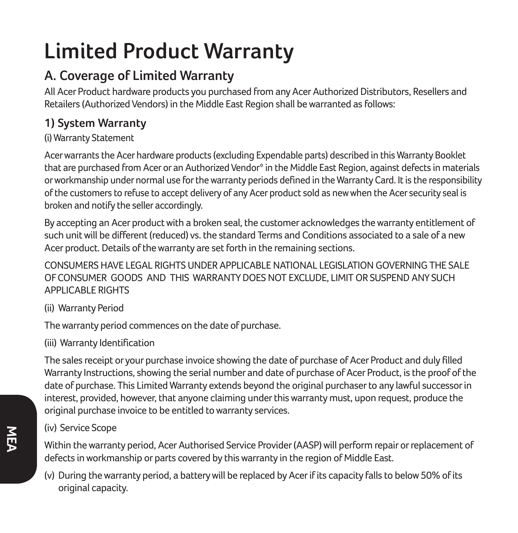# **Limited Product Warranty**

# **A. Coverage of Limited Warranty**

All Acer Product hardware products you purchased from any Acer Authorized Distributors, Resellers and Retailers (Authorized Vendors) in the Middle East Region shall be warranted as follows:

### **1) System Warranty**

#### (i) Warranty Statement

Acer warrants the Acer hardware products (excluding Expendable parts) described in this Warranty Booklet that are purchased from Acer or an Authorized Vendor\* in the Middle East Region, against defects in materials or workmanship under normal use for the warranty periods defined in the Warranty Card. It is the responsibility of the customers to refuse to accept delivery of any Acer product sold as new when the Acer security seal is broken and notify the seller accordingly.

By accepting an Acer product with a broken seal, the customer acknowledges the warranty entitlement of such unit will be different (reduced) vs. the standard Terms and Conditions associated to a sale of a new Acer product. Details of the warranty are set forth in the remaining sections.

CONSUMERS HAVE LEGAL RIGHTS UNDER APPLICABLE NATIONAL LEGISLATION GOVERNING THE SALE OF CONSUMER GOODS AND THIS WARRANTY DOES NOT EXCLUDE, LIMIT OR SUSPEND ANY SUCH APPLICABLE RIGHTS

(ii) Warranty Period

The warranty period commences on the date of purchase.

(iii) Warranty Identification

The sales receipt or your purchase invoice showing the date of purchase of Acer Product and duly filled Warranty Instructions, showing the serial number and date of purchase of Acer Product, is the proof of the date of purchase. This Limited Warranty extends beyond the original purchaser to any lawful successor in interest, provided, however, that anyone claiming under this warranty must, upon request, produce the original purchase invoice to be entitled to warranty services.

(iv) Service Scope

Within the warranty period, Acer Authorised Service Provider (AASP) will perform repair or replacement of defects in workmanship or parts covered by this warranty in the region of Middle East.

(v) During the warranty period, a battery will be replaced by Acer if its capacity falls to below 50% of its original capacity.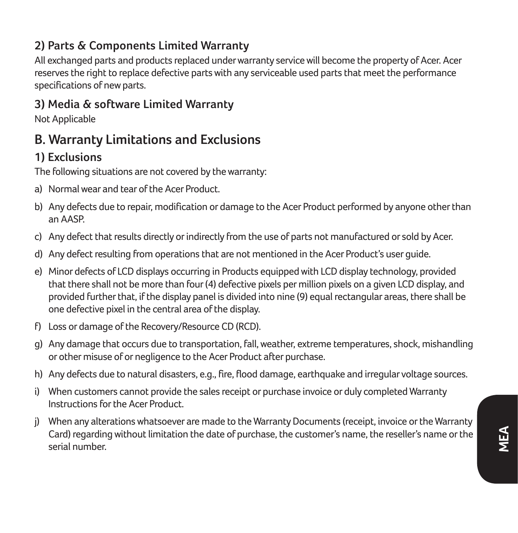### **2) Parts & Components Limited Warranty**

All exchanged parts and products replaced under warranty service will become the property of Acer. Acer reserves the right to replace defective parts with any serviceable used parts that meet the performance specifications of new parts.

#### **3) Media & software Limited Warranty**

Not Applicable

### **B. Warranty Limitations and Exclusions**

### **1) Exclusions**

The following situations are not covered by the warranty:

- a) Normal wear and tear of the Acer Product.
- b) Any defects due to repair, modification or damage to the Acer Product performed by anyone other than an AASP.
- c) Any defect that results directly or indirectly from the use of parts not manufactured or sold by Acer.
- d) Any defect resulting from operations that are not mentioned in the Acer Product's user guide.
- e) Minor defects of LCD displays occurring in Products equipped with LCD display technology, provided that there shall not be more than four (4) defective pixels per million pixels on a given LCD display, and provided further that, if the display panel is divided into nine (9) equal rectangular areas, there shall be one defective pixel in the central area of the display.
- f) Loss or damage of the Recovery/Resource CD (RCD).
- g) Any damage that occurs due to transportation, fall, weather, extreme temperatures, shock, mishandling or other misuse of or negligence to the Acer Product after purchase.
- h) Any defects due to natural disasters, e.g., fire, flood damage, earthquake and irregular voltage sources.
- i) When customers cannot provide the sales receipt or purchase invoice or duly completed Warranty Instructions for the Acer Product.
- j) When any alterations whatsoever are made to the Warranty Documents (receipt, invoice or the Warranty Card) regarding without limitation the date of purchase, the customer's name, the reseller's name or the serial number.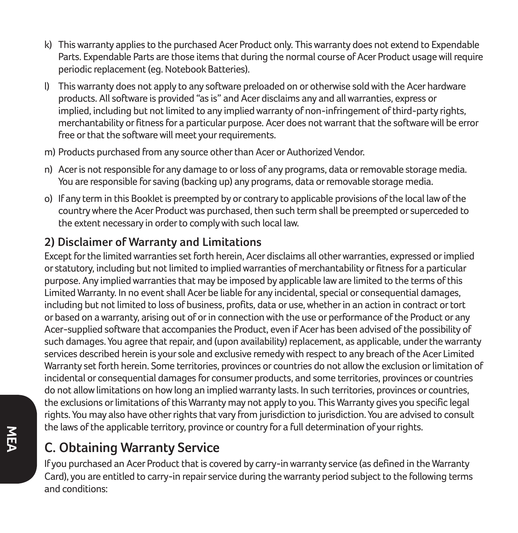- k) This warranty applies to the purchased Acer Product only. This warranty does not extend to Expendable Parts. Expendable Parts are those items that during the normal course of Acer Product usage will require periodic replacement (eg. Notebook Batteries).
- l) This warranty does not apply to any software preloaded on or otherwise sold with the Acer hardware products. All software is provided "as is" and Acer disclaims any and all warranties, express or implied, including but not limited to any implied warranty of non-infringement of third-party rights, merchantability or fitness for a particular purpose. Acer does not warrant that the software will be error free or that the software will meet your requirements.
- m) Products purchased from any source other than Acer or Authorized Vendor.
- n) Acer is not responsible for any damage to or loss of any programs, data or removable storage media. You are responsible for saving (backing up) any programs, data or removable storage media.
- o) If any term in this Booklet is preempted by or contrary to applicable provisions of the local law of the country where the Acer Product was purchased, then such term shall be preempted or superceded to the extent necessary in order to comply with such local law.

#### **2) Disclaimer of Warranty and Limitations**

Except for the limited warranties set forth herein, Acer disclaims all other warranties, expressed or implied or statutory, including but not limited to implied warranties of merchantability or fitness for a particular purpose. Any implied warranties that may be imposed by applicable law are limited to the terms of this Limited Warranty. In no event shall Acer be liable for any incidental, special or consequential damages, including but not limited to loss of business, profits, data or use, whether in an action in contract or tort or based on a warranty, arising out of or in connection with the use or performance of the Product or any Acer-supplied software that accompanies the Product, even if Acer has been advised of the possibility of such damages. You agree that repair, and (upon availability) replacement, as applicable, under the warranty services described herein is your sole and exclusive remedy with respect to any breach of the Acer Limited Warranty set forth herein. Some territories, provinces or countries do not allow the exclusion or limitation of incidental or consequential damages for consumer products, and some territories, provinces or countries do not allow limitations on how long an implied warranty lasts. In such territories, provinces or countries, the exclusions or limitations of this Warranty may not apply to you. This Warranty gives you specific legal rights. You may also have other rights that vary from jurisdiction to jurisdiction. You are advised to consult the laws of the applicable territory, province or country for a full determination of your rights.

## **C. Obtaining Warranty Service**

If you purchased an Acer Product that is covered by carry-in warranty service (as defined in the Warranty Card), you are entitled to carry-in repair service during the warranty period subject to the following terms and conditions: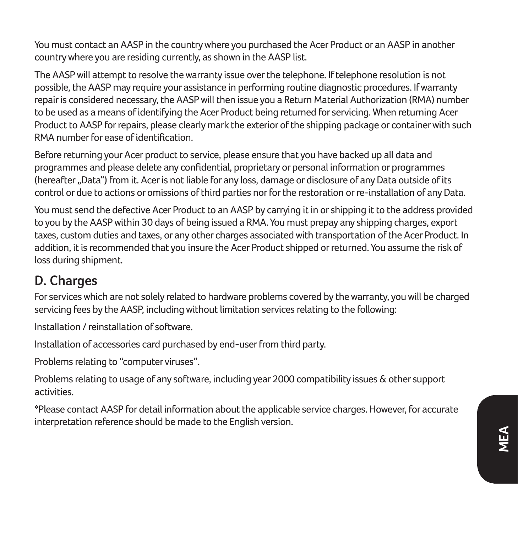You must contact an AASP in the country where you purchased the Acer Product or an AASP in another country where you are residing currently, as shown in the AASP list.

The AASP will attempt to resolve the warranty issue over the telephone. If telephone resolution is not possible, the AASP may require your assistance in performing routine diagnostic procedures. If warranty repair is considered necessary, the AASP will then issue you a Return Material Authorization (RMA) number to be used as a means of identifying the Acer Product being returned for servicing. When returning Acer Product to AASP for repairs, please clearly mark the exterior of the shipping package or container with such RMA number for ease of identification.

Before returning your Acer product to service, please ensure that you have backed up all data and programmes and please delete any confidential, proprietary or personal information or programmes (hereafter "Data") from it. Acer is not liable for any loss, damage or disclosure of any Data outside of its control or due to actions or omissions of third parties nor for the restoration or re-installation of any Data.

You must send the defective Acer Product to an AASP by carrying it in or shipping it to the address provided to you by the AASP within 30 days of being issued a RMA. You must prepay any shipping charges, export taxes, custom duties and taxes, or any other charges associated with transportation of the Acer Product. In addition, it is recommended that you insure the Acer Product shipped or returned. You assume the risk of loss during shipment.

### **D. Charges**

For services which are not solely related to hardware problems covered by the warranty, you will be charged servicing fees by the AASP, including without limitation services relating to the following:

Installation / reinstallation of software.

Installation of accessories card purchased by end-user from third party.

Problems relating to "computer viruses".

Problems relating to usage of any software, including year 2000 compatibility issues & other support activities.

\*Please contact AASP for detail information about the applicable service charges. However, for accurate interpretation reference should be made to the English version.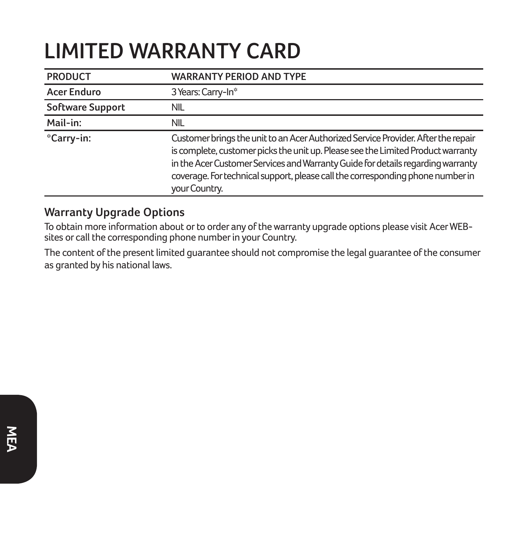# **LIMITED WARRANTY CARD**

| <b>PRODUCT</b>     | <b>WARRANTY PERIOD AND TYPE</b>                                                                                                                                                                                                                                                                                                                             |
|--------------------|-------------------------------------------------------------------------------------------------------------------------------------------------------------------------------------------------------------------------------------------------------------------------------------------------------------------------------------------------------------|
| <b>Acer Enduro</b> | 3 Years: Carry-In*                                                                                                                                                                                                                                                                                                                                          |
| Software Support   | NIL.                                                                                                                                                                                                                                                                                                                                                        |
| Mail-in:           | NIL.                                                                                                                                                                                                                                                                                                                                                        |
| *Carry-in:         | Customer brings the unit to an Acer Authorized Service Provider. After the repair<br>is complete, customer picks the unit up. Please see the Limited Product warranty<br>in the Acer Customer Services and Warranty Guide for details regarding warranty<br>coverage. For technical support, please call the corresponding phone number in<br>your Country. |

#### **Warranty Upgrade Options**

To obtain more information about or to order any of the warranty upgrade options please visit Acer WEB-sites or call the corresponding phone number in your Country.

The content of the present limited guarantee should not compromise the legal guarantee of the consumer as granted by his national laws.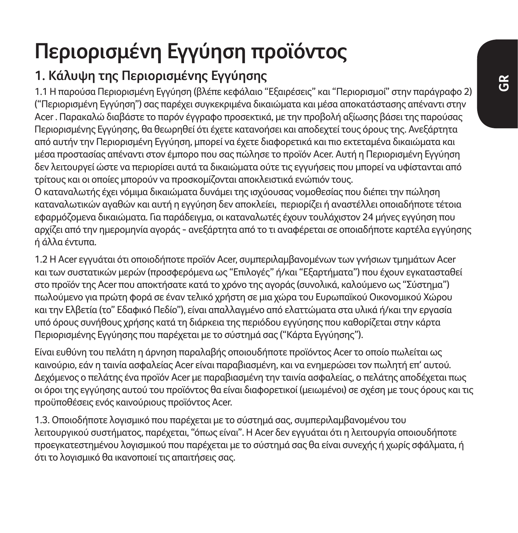# **Περιορισμένη Εγγύηση προϊόντος**

# **1. Κάλυψη της Περιορισμένης Εγγύησης**

1.1 Η παρούσα Περιορισμένη Εγγύηση (βλέπε κεφάλαιο "Εξαιρέσεις" και "Περιορισμοί" στην παράγραφο 2) ("Περιορισμένη Εγγύηση") σας παρέχει συγκεκριμένα δικαιώματα και μέσα αποκατάστασης απέναντι στην Acer . Παρακαλώ διαβάστε το παρόν έγγραφο προσεκτικά, με την προβολή αξίωσης βάσει της παρούσας Περιορισμένης Εγγύησης, θα θεωρηθεί ότι έχετε κατανοήσει και αποδεχτεί τους όρους της. Ανεξάρτητα από αυτήν την Περιορισμένη Εγγύηση, μπορεί να έχετε διαφορετικά και πιο εκτεταμένα δικαιώματα και μέσα προστασίας απέναντι στον έμπορο που σας πώλησε το προϊόν Acer. Αυτή η Περιορισμένη Εγγύηση δεν λειτουργεί ώστε να περιορίσει αυτά τα δικαιώματα ούτε τις εγγυήσεις που μπορεί να υφίστανται από τρίτους και οι οποίες μπορούν να προσκομίζονται αποκλειστικά ενώπιόν τους.

Ο καταναλωτής έχει νόμιμα δικαιώματα δυνάμει της ισχύουσας νομοθεσίας που διέπει την πώληση καταναλωτικών αγαθών και αυτή η εγγύηση δεν αποκλείει, περιορίζει ή αναστέλλει οποιαδήποτε τέτοια εφαρμόζομενα δικαιώματα. Για παράδειγμα, οι καταναλωτές έχουν τουλάχιστον 24 μήνες εγγύηση που αρχίζει από την ημερομηνία αγοράς - ανεξάρτητα από το τι αναφέρεται σε οποιαδήποτε καρτέλα εγγύησης ή άλλα έντυπα.

1.2 Η Acer εγγυάται ότι οποιοδήποτε προϊόν Acer, συμπεριλαμβανομένων των γνήσιων τμημάτων Acer και των συστατικών μερών (προσφερόμενα ως "Επιλογές" ή/και "Εξαρτήματα") που έχουν εγκατασταθεί στο προϊόν της Acer που αποκτήσατε κατά το χρόνο της αγοράς (συνολικά, καλούμενο ως "Σύστημα") πωλούμενο για πρώτη φορά σε έναν τελικό χρήστη σε μια χώρα του Ευρωπαϊκού Οικονομικού Χώρου και την Ελβετία (το" Εδαφικό Πεδίο"), είναι απαλλαγμένο από ελαττώματα στα υλικά ή/και την εργασία υπό όρους συνήθους χρήσης κατά τη διάρκεια της περιόδου εγγύησης που καθορίζεται στην κάρτα Περιορισμένης Εγγύησης που παρέχεται με το σύστημά σας ("Κάρτα Εγγύησης").

Είναι ευθύνη του πελάτη η άρνηση παραλαβής οποιουδήποτε προϊόντος Acer το οποίο πωλείται ως καινούριο, εάν η ταινία ασφαλείας Acer είναι παραβιασμένη, και να ενημερώσει τον πωλητή επ' αυτού. Δεχόμενος ο πελάτης ένα προϊόν Acer με παραβιασμένη την ταινία ασφαλείας, ο πελάτης αποδέχεται πως οι όροι της εγγύησης αυτού του προϊόντος θα είναι διαφορετικοί (μειωμένοι) σε σχέση με τους όρους και τις προϋποθέσεις ενός καινούριους προϊόντος Acer.

1.3. Οποιοδήποτε λογισμικό που παρέχεται με το σύστημά σας, συμπεριλαμβανομένου του λειτουργικού συστήματος, παρέχεται, "όπως είναι". Η Acer δεν εγγυάται ότι η λειτουργία οποιουδήποτε προεγκατεστημένου λογισμικού που παρέχεται με το σύστημά σας θα είναι συνεχής ή χωρίς σφάλματα, ή ότι το λογισμικό θα ικανοποιεί τις απαιτήσεις σας.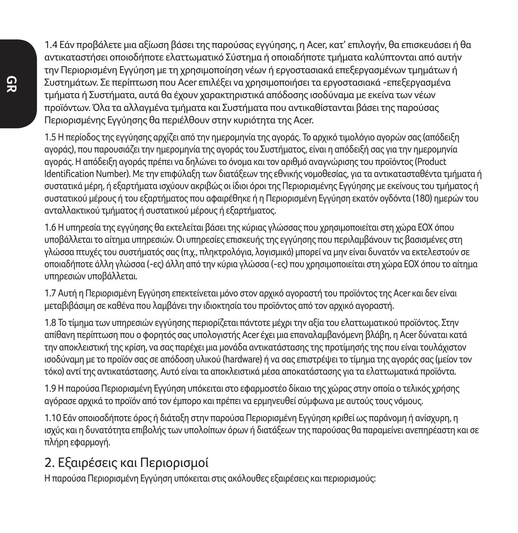1.4 Εάν προβάλετε μια αξίωση βάσει της παρούσας εγγύησης, η Acer, κατ' επιλογήν, θα επισκευάσει ή θα αντικαταστήσει οποιοδήποτε ελαττωματικό Σύστημα ή οποιαδήποτε τμήματα καλύπτονται από αυτήν την Περιορισμένη Εγγύηση με τη χρησιμοποίηση νέων ή εργοστασιακά επεξεργασμένων τμημάτων ή Συστημάτων. Σε περίπτωση που Acer επιλέξει να χρησιμοποιήσει τα εργοστασιακά -επεξεργασμένα τμήματα ή Συστήματα, αυτά θα έχουν χαρακτηριστικά απόδοσης ισοδύναμα με εκείνα των νέων προϊόντων. Όλα τα αλλαγμένα τμήματα και Συστήματα που αντικαθίστανται βάσει της παρούσας Περιορισμένης Εγγύησης θα περιέλθουν στην κυριότητα της Acer.

1.5 Η περίοδος της εγγύησης αρχίζει από την ημερομηνία της αγοράς. Το αρχικό τιμολόγιο αγορών σας (απόδειξη αγοράς), που παρουσιάζει την ημερομηνία της αγοράς του Συστήματος, είναι η απόδειξή σας για την ημερομηνία αγοράς. Η απόδειξη αγοράς πρέπει να δηλώνει το όνομα και τον αριθμό αναγνώρισης του προϊόντος (Product Identification Number). Με την επιφύλαξη των διατάξεων της εθνικής νομοθεσίας, για τα αντικατασταθέντα τμήματα ή συστατικά μέρη, ή εξαρτήματα ισχύουν ακριβώς οι ίδιοι όροι της Περιορισμένης Εγγύησης με εκείνους του τμήματος ή συστατικού μέρους ή του εξαρτήματος που αφαιρέθηκε ή η Περιορισμένη Εγγύηση εκατόν ογδόντα (180) ημερών του ανταλλακτικού τμήματος ή συστατικού μέρους ή εξαρτήματος.

1.6 Η υπηρεσία της εγγύησης θα εκτελείται βάσει της κύριας γλώσσας που χρησιμοποιείται στη χώρα ΕΟΧ όπου υποβάλλεται το αίτημα υπηρεσιών. Οι υπηρεσίες επισκευής της εγγύησης που περιλαμβάνουν τις βασισμένες στη γλώσσα πτυχές του συστήματός σας (π.χ., πληκτρολόγια, λογισμικό) μπορεί να μην είναι δυνατόν να εκτελεστούν σε οποιαδήποτε άλλη γλώσσα (-ες) άλλη από την κύρια γλώσσα (-ες) που χρησιμοποιείται στη χώρα ΕΟΧ όπου το αίτημα υπηρεσιών υποβάλλεται.

1.7 Αυτή η Περιορισμένη Εγγύηση επεκτείνεται μόνο στον αρχικό αγοραστή του προϊόντος της Acer και δεν είναι μεταβιβάσιμη σε καθένα που λαμβάνει την ιδιοκτησία του προϊόντος από τον αρχικό αγοραστή.

1.8 Το τίμημα των υπηρεσιών εγγύησης περιορίζεται πάντοτε μέχρι την αξία του ελαττωματικού προϊόντος. Στην απίθανη περίπτωση που ο φορητός σας υπολογιστής Acer έχει μια επαναλαμβανόμενη βλάβη, η Acer δύναται κατά την αποκλειστική της κρίση, να σας παρέχει μια μονάδα αντικατάστασης της προτίμησής της που είναι τουλάχιστον ισοδύναμη με το προϊόν σας σε απόδοση υλικού (hardware) ή να σας επιστρέψει το τίμημα της αγοράς σας (μείον τον τόκο) αντί της αντικατάστασης. Αυτό είναι τα αποκλειστικά μέσα αποκατάστασης για τα ελαττωματικά προϊόντα.

1.9 Η παρούσα Περιορισμένη Εγγύηση υπόκειται στο εφαρμοστέο δίκαιο της χώρας στην οποία ο τελικός χρήσης αγόρασε αρχικά το προϊόν από τον έμπορο και πρέπει να ερμηνευθεί σύμφωνα με αυτούς τους νόμους.

1.10 Εάν οποιοσδήποτε όρος ή διάταξη στην παρούσα Περιορισμένη Εγγύηση κριθεί ως παράνομη ή ανίσχυρη, η ισχύς και η δυνατότητα επιβολής των υπολοίπων όρων ή διατάξεων της παρούσας θα παραμείνει ανεπηρέαστη και σε πλήρη εφαρμογή.

## 2. Εξαιρέσεις και Περιορισμοί

Η παρούσα Περιορισμένη Εγγύηση υπόκειται στις ακόλουθες εξαιρέσεις και περιορισμούς: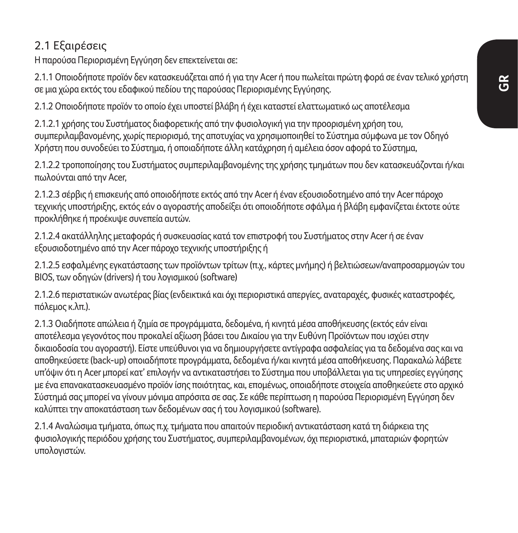#### 2.1 Εξαιρέσεις

Η παρούσα Περιορισμένη Εγγύηση δεν επεκτείνεται σε:

2.1.1 Οποιοδήποτε προϊόν δεν κατασκευάζεται από ή για την Acer ή που πωλείται πρώτη φορά σε έναν τελικό χρήστη σε μια χώρα εκτός του εδαφικού πεδίου της παρούσας Περιορισμένης Εγγύησης.

2.1.2 Οποιοδήποτε προϊόν το οποίο έχει υποστεί βλάβη ή έχει καταστεί ελαττωματικό ως αποτέλεσμα

2.1.2.1 χρήσης του Συστήματος διαφορετικής από την φυσιολογική για την προορισμένη χρήση του, συμπεριλαμβανομένης, χωρίς περιορισμό, της αποτυχίας να χρησιμοποιηθεί το Σύστημα σύμφωνα με τον Οδηγό Χρήστη που συνοδεύει το Σύστημα, ή οποιαδήποτε άλλη κατάχρηση ή αμέλεια όσον αφορά το Σύστημα,

2.1.2.2 τροποποίησης του Συστήματος συμπεριλαμβανομένης της χρήσης τμημάτων που δεν κατασκευάζονται ή/και πωλούνται από την Acer,

2.1.2.3 σέρβις ή επισκευής από οποιοδήποτε εκτός από την Acer ή έναν εξουσιοδοτημένο από την Acer πάροχο τεχνικής υποστήριξης, εκτός εάν ο αγοραστής αποδείξει ότι οποιοδήποτε σφάλμα ή βλάβη εμφανίζεται έκτοτε ούτε προκλήθηκε ή προέκυψε συνεπεία αυτών.

2.1.2.4 ακατάλληλης μεταφοράς ή συσκευασίας κατά τον επιστροφή του Συστήματος στην Acer ή σε έναν εξουσιοδοτημένο από την Acer πάροχο τεχνικής υποστήριξης ή

2.1.2.5 εσφαλμένης εγκατάστασης των προϊόντων τρίτων (π.χ., κάρτες μνήμης) ή βελτιώσεων/αναπροσαρμογών του ΒΙΟS, των οδηγών (drivers) ή του λογισμικού (software)

2.1.2.6 περιστατικών ανωτέρας βίας (ενδεικτικά και όχι περιοριστικά απεργίες, αναταραχές, φυσικές καταστροφές, πόλεμος κ.λπ.).

2.1.3 Οιαδήποτε απώλεια ή ζημία σε προγράμματα, δεδομένα, ή κινητά μέσα αποθήκευσης (εκτός εάν είναι αποτέλεσμα γεγονότος που προκαλεί αξίωση βάσει του Δικαίου για την Ευθύνη Προϊόντων που ισχύει στην δικαιοδοσία του αγοραστή). Είστε υπεύθυνοι για να δημιουργήσετε αντίγραφα ασφαλείας για τα δεδομένα σας και να αποθηκεύσετε (back-up) οποιαδήποτε προγράμματα, δεδομένα ή/και κινητά μέσα αποθήκευσης. Παρακαλώ λάβετε υπ'όψιν ότι η Acer μπορεί κατ' επιλογήν να αντικαταστήσει το Σύστημα που υποβάλλεται για τις υπηρεσίες εγγύησης με ένα επανακατασκευασμένο προϊόν ίσης ποιότητας, και, επομένως, οποιαδήποτε στοιχεία αποθηκεύετε στο αρχικό Σύστημά σας μπορεί να γίνουν μόνιμα απρόσιτα σε σας. Σε κάθε περίπτωση η παρούσα Περιορισμένη Εγγύηση δεν καλύπτει την αποκατάσταση των δεδομένων σας ή του λογισμικού (software).

2.1.4 Αναλώσιμα τμήματα, όπως π.χ. τμήματα που απαιτούν περιοδική αντικατάσταση κατά τη διάρκεια της φυσιολογικής περιόδου χρήσης του Συστήματος, συμπεριλαμβανομένων, όχι περιοριστικά, μπαταριών φορητών υπολογιστών.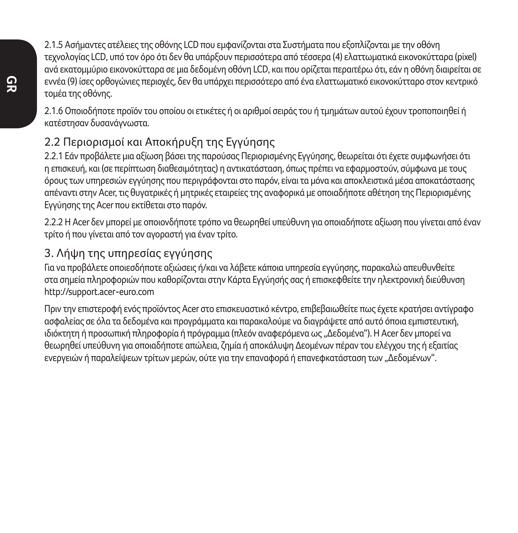2.1.5 Ασήμαντες ατέλειες της οθόνης LCD που εμφανίζονται στα Συστήματα που εξοπλίζονται με την οθόνη τεχνολογίας LCD, υπό τον όρο ότι δεν θα υπάρξουν περισσότερα από τέσσερα (4) ελαττωματικά εικονοκύτταρα (pixel) ανά εκατομμύριο εικονοκύτταρα σε μια δεδομένη οθόνη LCD, και που ορίζεται περαιτέρω ότι, εάν η οθόνη διαιρείται σε εννέα (9) ίσες ορθογώνιες περιοχές, δεν θα υπάρχει περισσότερο από ένα ελαττωματικό εικονοκύτταρο στον κεντρικό τομέα της οθόνης.

2.1.6 Οποιοδήποτε προϊόν του οποίου οι ετικέτες ή οι αριθμοί σειράς του ή τμημάτων αυτού έχουν τροποποιηθεί ή κατέστησαν δυσανάγνωστα.

### 2.2 Περιορισμοί και Αποκήρυξη της Εγγύησης

2.2.1 Εάν προβάλετε μια αξίωση βάσει της παρούσας Περιορισμένης Εγγύησης, θεωρείται ότι έχετε συμφωνήσει ότι η επισκευή, και (σε περίπτωση διαθεσιμότητας) η αντικατάσταση, όπως πρέπει να εφαρμοστούν, σύμφωνα με τους όρους των υπηρεσιών εγγύησης που περιγράφονται στο παρόν, είναι τα μόνα και αποκλειστικά μέσα αποκατάστασης απέναντι στην Acer, τις θυγατρικές ή μητρικές εταιρείες της αναφορικά με οποιαδήποτε αθέτηση της Περιορισμένης Εγγύησης της Acer που εκτίθεται στο παρόν.

2.2.2 Η Acer δεν μπορεί με οποιονδήποτε τρόπο να θεωρηθεί υπεύθυνη για οποιαδήποτε αξίωση που γίνεται από έναν τρίτο ή που γίνεται από τον αγοραστή για έναν τρίτο.

#### 3. Λήψη της υπηρεσίας εγγύησης

Για να προβάλετε οποιεσδήποτε αξιώσεις ή/και να λάβετε κάποια υπηρεσία εγγύησης, παρακαλώ απευθυνθείτε στα σημεία πληροφοριών που καθορίζονται στην Κάρτα Εγγύησής σας ή επισκεφθείτε την ηλεκτρονική διεύθυνση http://support.acer-euro.com

Πριν την επιστεροφή ενός προϊόντος Acer στο επισκευαστικό κέντρο, επιβεβαιωθείτε πως έχετε κρατήσει αντίγραφο ασφαλείας σε όλα τα δεδομένα και προγράμματα και παρακαλούμε να διαγράψετε από αυτό όποια εμπιστευτική, ιδιόκτητη ή προσωπική πληροφορία ή πρόγραμμα (πλεόν αναφερόμενα ως "Δεδομένα"). Η Acer δεν μπορεί να θεωρηθεί υπεύθυνη για οποιαδήποτε απώλεια, ζημία ή αποκάλυψη Δεομένων πέραν του ελέγχου της ή εξαιτίας ενεργειών ή παραλείψεων τρίτων μερών, ούτε για την επαναφορά ή επανεφκατάσταση των "Δεδομένων".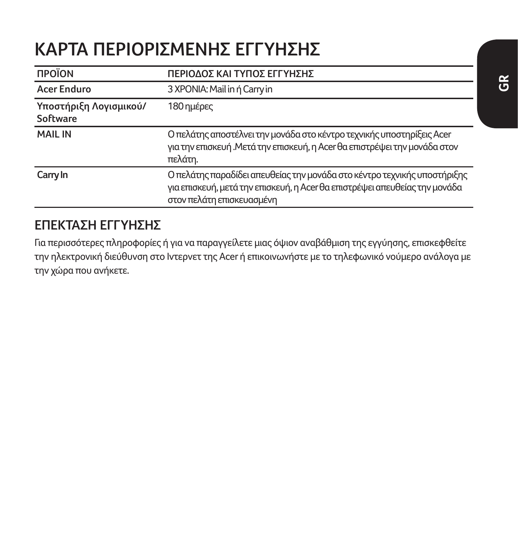# **KAΡΤΑ ΠΕΡΙΟΡΙΣΜΕΝΗΣ ΕΓΓΥΗΣΗΣ**

| <b><i><u>ΠΡΟΪΟΝ</u></i></b>        | ΠΕΡΙΟΔΟΣ ΚΑΙ ΤΥΠΟΣ ΕΓΓΥΗΣΗΣ                                                                                                                                                         |
|------------------------------------|-------------------------------------------------------------------------------------------------------------------------------------------------------------------------------------|
| Acer Enduro                        | 3 XPONIA: Mail in ή Carry in                                                                                                                                                        |
| Υποστήριξη Λογισμικού/<br>Software | 180 ημέρες                                                                                                                                                                          |
| <b>MAIL IN</b>                     | Ο πελάτης αποστέλνει την μονάδα στο κέντρο τεχνικής υποστηρίξεις Acer<br>για την επισκευή. Μετά την επισκευή, η Acer θα επιστρέψει την μονάδα στον<br>πελάτη.                       |
| Carry In                           | Ο πελάτης παραδίδει απευθείας την μονάδα στο κέντρο τεχνικής υποστήριξης<br>για επισκευή, μετά την επισκευή, η Acer θα επιστρέψει απευθείας την μονάδα<br>στον πελάτη επισκευασμένη |

### **ΕΠΕΚΤΑΣΗ ΕΓΓΥΗΣΗΣ**

Για περισσότερες πληροφορίες ή για να παραγγείλετε μιας όψιον αναβάθμιση της εγγύησης, επισκεφθείτε την ηλεκτρονική διεύθυνση στο Ιντερνετ της Acer ή επικοινωνήστε με το τηλεφωνικό νούμερο ανάλογα με την χώρα που ανήκετε.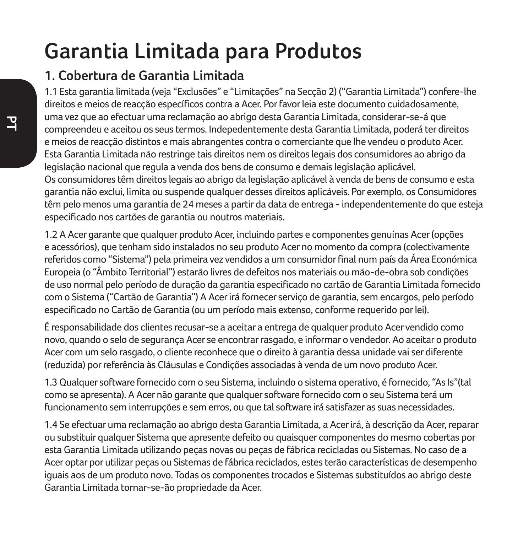# **Garantia Limitada para Produtos**

### **1. Cobertura de Garantia Limitada**

1.1 Esta garantia limitada (veja "Exclusões" e "Limitações" na Secção 2) ("Garantia Limitada") confere-lhe direitos e meios de reacção específicos contra a Acer. Por favor leia este documento cuidadosamente, uma vez que ao efectuar uma reclamação ao abrigo desta Garantia Limitada, considerar-se-á que compreendeu e aceitou os seus termos. Indepedentemente desta Garantia Limitada, poderá ter direitos e meios de reacção distintos e mais abrangentes contra o comerciante que lhe vendeu o produto Acer. Esta Garantia Limitada não restringe tais direitos nem os direitos legais dos consumidores ao abrigo da legislação nacional que regula a venda dos bens de consumo e demais legislação aplicável. Os consumidores têm direitos legais ao abrigo da legislação aplicável à venda de bens de consumo e esta garantia não exclui, limita ou suspende qualquer desses direitos aplicáveis. Por exemplo, os Consumidores têm pelo menos uma garantia de 24 meses a partir da data de entrega - independentemente do que esteja especificado nos cartões de garantia ou noutros materiais.

1.2 A Acer garante que qualquer produto Acer, incluindo partes e componentes genuínas Acer (opções e acessórios), que tenham sido instalados no seu produto Acer no momento da compra (colectivamente referidos como "Sistema") pela primeira vez vendidos a um consumidor final num país da Área Económica Europeia (o "Âmbito Territorial") estarão livres de defeitos nos materiais ou mão-de-obra sob condições de uso normal pelo período de duração da garantia especificado no cartão de Garantia Limitada fornecido com o Sistema ("Cartão de Garantia") A Acer irá fornecer serviço de garantia, sem encargos, pelo período especificado no Cartão de Garantia (ou um período mais extenso, conforme requerido por lei).

É responsabilidade dos clientes recusar-se a aceitar a entrega de qualquer produto Acer vendido como novo, quando o selo de segurança Acer se encontrar rasgado, e informar o vendedor. Ao aceitar o produto Acer com um selo rasgado, o cliente reconhece que o direito à garantia dessa unidade vai ser diferente (reduzida) por referência às Cláusulas e Condições associadas à venda de um novo produto Acer.

1.3 Qualquer software fornecido com o seu Sistema, incluindo o sistema operativo, é fornecido, "As Is"(tal como se apresenta). A Acer não garante que qualquer software fornecido com o seu Sistema terá um funcionamento sem interrupções e sem erros, ou que tal software irá satisfazer as suas necessidades.

1.4 Se efectuar uma reclamação ao abrigo desta Garantia Limitada, a Acer irá, à descrição da Acer, reparar ou substituir qualquer Sistema que apresente defeito ou quaisquer componentes do mesmo cobertas por esta Garantia Limitada utilizando peças novas ou peças de fábrica recicladas ou Sistemas. No caso de a Acer optar por utilizar peças ou Sistemas de fábrica reciclados, estes terão características de desempenho iguais aos de um produto novo. Todas os componentes trocados e Sistemas substituídos ao abrigo deste Garantia Limitada tornar-se-ão propriedade da Acer.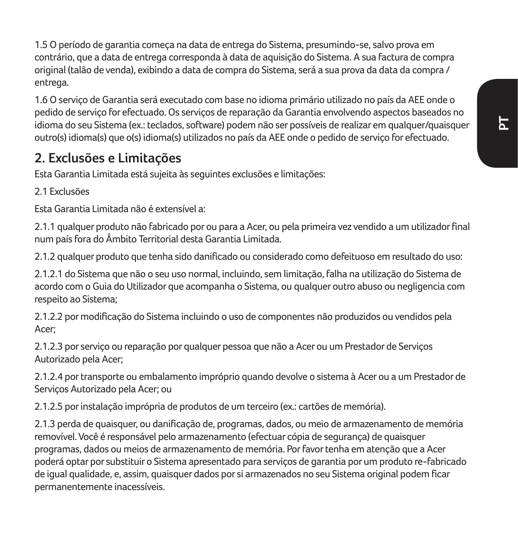1.5 O período de garantia começa na data de entrega do Sistema, presumindo-se, salvo prova em contrário, que a data de entrega corresponda à data de aquisição do Sistema. A sua factura de compra original (talão de venda), exibindo a data de compra do Sistema, será a sua prova da data da compra / entrega.

1.6 O serviço de Garantia será executado com base no idioma primário utilizado no país da AEE onde o pedido de serviço for efectuado. Os serviços de reparação da Garantia envolvendo aspectos baseados no idioma do seu Sistema (ex.: teclados, software) podem não ser possíveis de realizar em qualquer/quaisquer outro(s) idioma(s) que o(s) idioma(s) utilizados no país da AEE onde o pedido de serviço for efectuado.

### **2. Exclusões e Limitações**

Esta Garantia Limitada está sujeita às seguintes exclusões e limitações:

2.1 Exclusões

Esta Garantia Limitada não é extensível a:

2.1.1 qualquer produto não fabricado por ou para a Acer, ou pela primeira vez vendido a um utilizador final num país fora do Âmbito Territorial desta Garantia Limitada.

2.1.2 qualquer produto que tenha sido danificado ou considerado como defeituoso em resultado do uso:

2.1.2.1 do Sistema que não o seu uso normal, incluindo, sem limitação, falha na utilização do Sistema de acordo com o Guia do Utilizador que acompanha o Sistema, ou qualquer outro abuso ou negligencia com respeito ao Sistema;

2.1.2.2 por modificação do Sistema incluindo o uso de componentes não produzidos ou vendidos pela Acer;

2.1.2.3 por serviço ou reparação por qualquer pessoa que não a Acer ou um Prestador de Serviços Autorizado pela Acer;

2.1.2.4 por transporte ou embalamento impróprio quando devolve o sistema à Acer ou a um Prestador de Serviços Autorizado pela Acer; ou

2.1.2.5 por instalação imprópria de produtos de um terceiro (ex.: cartões de memória).

2.1.3 perda de quaisquer, ou danificação de, programas, dados, ou meio de armazenamento de memória removível. Você é responsável pelo armazenamento (efectuar cópia de segurança) de quaisquer programas, dados ou meios de armazenamento de memória. Por favor tenha em atenção que a Acer poderá optar por substituir o Sistema apresentado para serviços de garantia por um produto re-fabricado de igual qualidade, e, assim, quaisquer dados por si armazenados no seu Sistema original podem ficar permanentemente inacessíveis.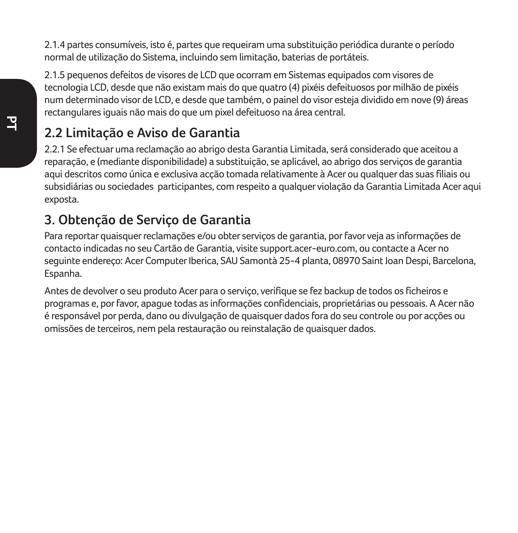2.1.4 partes consumíveis, isto é, partes que requeiram uma substituição periódica durante o período normal de utilização do Sistema, incluindo sem limitação, baterias de portáteis.

2.1.5 pequenos defeitos de visores de LCD que ocorram em Sistemas equipados com visores de tecnologia LCD, desde que não existam mais do que quatro (4) pixéis defeituosos por milhão de pixéis num determinado visor de LCD, e desde que também, o painel do visor esteja dividido em nove (9) áreas rectangulares iguais não mais do que um pixel defeituoso na área central.

### **2.2 Limitação e Aviso de Garantia**

2.2.1 Se efectuar uma reclamação ao abrigo desta Garantia Limitada, será considerado que aceitou a reparação, e (mediante disponibilidade) a substituição, se aplicável, ao abrigo dos serviços de garantia aqui descritos como única e exclusiva acção tomada relativamente à Acer ou qualquer das suas filiais ou subsidiárias ou sociedades participantes, com respeito a qualquer violação da Garantia Limitada Acer aqui exposta

### **3. Obtenção de Serviço de Garantia**

Para reportar quaisquer reclamações e/ou obter serviços de garantia, por favor veja as informações de contacto indicadas no seu Cartão de Garantia, visite support.acer-euro.com, ou contacte a Acer no seguinte endereço: Acer Computer Iberica, SAU Samontà 25-4 planta, 08970 Saint Joan Despi, Barcelona, Espanha.

Antes de devolver o seu produto Acer para o serviço, verifique se fez backup de todos os ficheiros e programas e, por favor, apague todas as informações confidenciais, proprietárias ou pessoais. A Acer não é responsável por perda, dano ou divulgação de quaisquer dados fora do seu controle ou por acções ou omissões de terceiros, nem pela restauração ou reinstalação de quaisquer dados.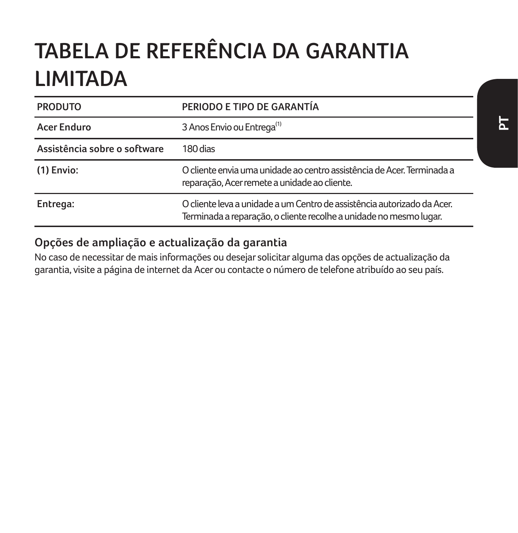# **TABELA DE REFERÊNCIA DA GARANTIA LIMITADA**

| <b>PRODUTO</b>               | PERIODO E TIPO DE GARANTÍA                                                                                                                    |
|------------------------------|-----------------------------------------------------------------------------------------------------------------------------------------------|
| Acer Enduro                  | 3 Anos Envio ou Entrega <sup>(1)</sup>                                                                                                        |
| Assistência sobre o software | 180 dias                                                                                                                                      |
| $(1)$ Envio:                 | O cliente envia uma unidade ao centro assistência de Acer. Terminada a<br>reparação, Acer remete a unidade ao cliente.                        |
| Entrega:                     | O cliente leva a unidade a um Centro de assistência autorizado da Acer.<br>Terminada a reparação, o cliente recolhe a unidade no mesmo lugar. |

### **Opções de ampliação e actualização da garantia**

No caso de necessitar de mais informações ou desejar solicitar alguma das opções de actualização da garantia, visite a página de internet da Acer ou contacte o número de telefone atribuído ao seu país.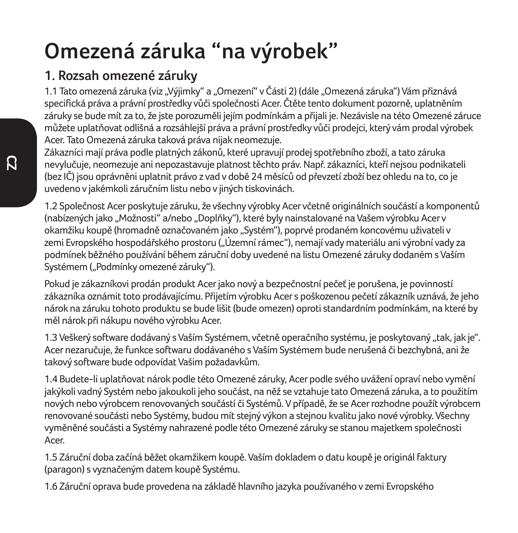# **Omezená záruka "na výrobek"**

## **1. Rozsah omezené záruky**

1.1 Tato omezená záruka (viz "Výjimky" a "Omezení" v Části 2) (dále "Omezená záruka") Vám přiznává specifická práva a právní prostředky vůči společnosti Acer. Čtěte tento dokument pozorně, uplatněním záruky se bude mít za to, že jste porozuměli jejím podmínkám a přijali je. Nezávisle na této Omezené záruce můžete uplatňovat odlišná a rozsáhlejší práva a právní prostředky vůči prodejci, který vám prodal výrobek Acer. Tato Omezená záruka taková práva nijak neomezuje.

Zákazníci mají práva podle platných zákonů, které upravují prodej spotřebního zboží, a tato záruka nevylučuje, neomezuje ani nepozastavuje platnost těchto práv. Např. zákazníci, kteří nejsou podnikateli (bez IČ) jsou oprávněni uplatnit právo z vad v době 24 měsíců od převzetí zboží bez ohledu na to, co je uvedeno v jakémkoli záručním listu nebo v jiných tiskovinách.

1.2 Společnost Acer poskytuje záruku, že všechny výrobky Acer včetně originálních součástí a komponentů (nabízených jako "Možnosti" a/nebo "Doplňky"), které byly nainstalované na Vašem výrobku Acer v okamžiku koupě (hromadně označovaném jako "Systém"), poprvé prodaném koncovému uživateli v zemi Evropského hospodářského prostoru ("Územní rámec"), nemají vady materiálu ani výrobní vady za podmínek běžného používání během záruční doby uvedené na listu Omezené záruky dodaném s Vaším Systémem ("Podmínky omezené záruky").

Pokud je zákazníkovi prodán produkt Acer jako nový a bezpečnostní pečeť je porušena, je povinností zákazníka oznámit toto prodávajícímu. Přijetím výrobku Acer s poškozenou pečetí zákazník uznává, že jeho nárok na záruku tohoto produktu se bude lišit (bude omezen) oproti standardním podmínkám, na které by měl nárok při nákupu nového výrobku Acer.

1.3 Veškerý software dodávaný s Vaším Systémem, včetně operačního systému, je poskytovaný "tak, jak je". Acer nezaručuje, že funkce softwaru dodávaného s Vaším Systémem bude nerušená či bezchybná, ani že takový software bude odpovídat Vašim požadavkům.

1.4 Budete-li uplatňovat nárok podle této Omezené záruky, Acer podle svého uvážení opraví nebo vymění jakýkoli vadný Systém nebo jakoukoli jeho součást, na něž se vztahuje tato Omezená záruka, a to použitím nových nebo výrobcem renovovaných součástí či Systémů. V případě, že se Acer rozhodne použít výrobcem renovované součásti nebo Systémy, budou mít stejný výkon a stejnou kvalitu jako nové výrobky. Všechny vyměněné součásti a Systémy nahrazené podle této Omezené záruky se stanou majetkem společnosti Acer.

1.5 Záruční doba začíná běžet okamžikem koupě. Vaším dokladem o datu koupě je originál faktury (paragon) s vyznačeným datem koupě Systému.

1.6 Záruční oprava bude provedena na základě hlavního jazyka používaného v zemi Evropského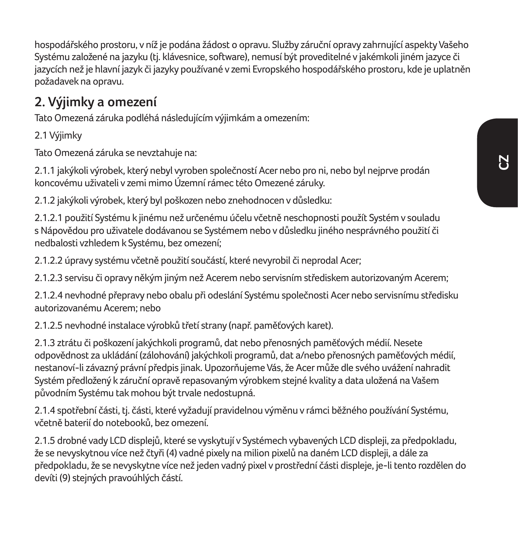hospodářského prostoru, v níž je podána žádost o opravu. Služby záruční opravy zahrnující aspekty Vašeho Systému založené na jazyku (tj. klávesnice, software), nemusí být proveditelné v jakémkoli jiném jazyce či jazycích než je hlavní jazyk či jazyky používané v zemi Evropského hospodářského prostoru, kde je uplatněn požadavek na opravu.

### **2. Výjimky a omezení**

Tato Omezená záruka podléhá následujícím výjimkám a omezením:

2.1 Výjimky

Tato Omezená záruka se nevztahuje na:

2.1.1 jakýkoli výrobek, který nebyl vyroben společností Acer nebo pro ni, nebo byl nejprve prodán koncovému uživateli v zemi mimo Územní rámec této Omezené záruky.

2.1.2 jakýkoli výrobek, který byl poškozen nebo znehodnocen v důsledku:

2.1.2.1 použití Systému k jinému než určenému účelu včetně neschopnosti použít Systém v souladu s Nápovědou pro uživatele dodávanou se Systémem nebo v důsledku jiného nesprávného použití či nedbalosti vzhledem k Systému, bez omezení;

2.1.2.2 úpravy systému včetně použití součástí, které nevyrobil či neprodal Acer;

2.1.2.3 servisu či opravy někým jiným než Acerem nebo servisním střediskem autorizovaným Acerem;

2.1.2.4 nevhodné přepravy nebo obalu při odeslání Systému společnosti Acer nebo servisnímu středisku autorizovanému Acerem; nebo

2.1.2.5 nevhodné instalace výrobků třetí strany (např. paměťových karet).

2.1.3 ztrátu či poškození jakýchkoli programů, dat nebo přenosných paměťových médií. Nesete odpovědnost za ukládání (zálohování) jakýchkoli programů, dat a/nebo přenosných paměťových médií, nestanoví-li závazný právní předpis jinak. Upozorňujeme Vás, že Acer může dle svého uvážení nahradit Systém předložený k záruční opravě repasovaným výrobkem stejné kvality a data uložená na Vašem původním Systému tak mohou být trvale nedostupná.

2.1.4 spotřební části, tj. části, které vyžadují pravidelnou výměnu v rámci běžného používání Systému, včetně baterií do notebooků, bez omezení.

2.1.5 drobné vady LCD displejů, které se vyskytují v Systémech vybavených LCD displeji, za předpokladu, že se nevyskytnou více než čtyři (4) vadné pixely na milion pixelů na daném LCD displeji, a dále za předpokladu, že se nevyskytne více než jeden vadný pixel v prostřední části displeje, je-li tento rozdělen do devíti (9) stejných pravoúhlých částí.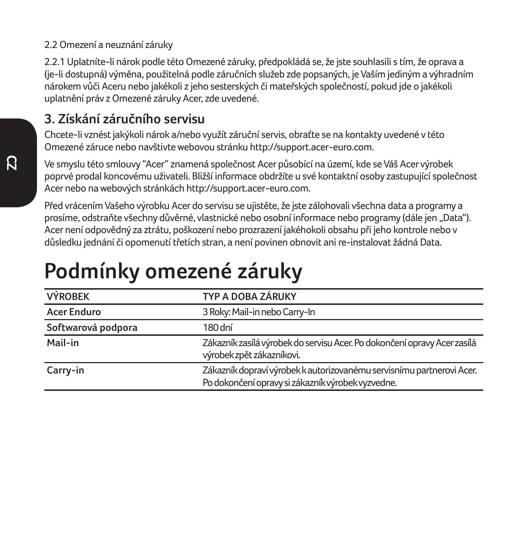#### 2.2 Omezení a neuznání záruky

2.2.1 Uplatníte-li nárok podle této Omezené záruky, předpokládá se, že jste souhlasili s tím, že oprava a (je-li dostupná) výměna, použitelná podle záručních služeb zde popsaných, je Vaším jediným a výhradním nárokem vůči Aceru nebo jakékoli z jeho sesterských či mateřských společností, pokud jde o jakékoli uplatnění práv z Omezené záruky Acer, zde uvedené.

### **3. Získání záručního servisu**

Chcete-li vznést jakýkoli nárok a/nebo využít záruční servis, obraťte se na kontakty uvedené v této Omezené záruce nebo navštivte webovou stránku http://support.acer-euro.com.

Ve smyslu této smlouvy "Acer" znamená společnost Acer působící na území, kde se Váš Acer výrobek poprvé prodal koncovému uživateli. Bližší informace obdržíte u své kontaktní osoby zastupující společnost Acer nebo na webových stránkách http://support.acer-euro.com.

Před vrácením Vašeho výrobku Acer do servisu se ujistěte, že jste zálohovali všechna data a programy a prosíme, odstraňte všechny důvěrné, vlastnické nebo osobní informace nebo programy (dále jen "Data"). Acer není odpovědný za ztrátu, poškození nebo prozrazení jakéhokoli obsahu při jeho kontrole nebo v důsledku jednání či opomenutí třetích stran, a není povinen obnovit ani re-instalovat žádná Data.

# **Podmínky omezené záruky**

| <b>VÝROBEK</b>     | TYP A DOBA ZÁRUKY                                                                                                          |
|--------------------|----------------------------------------------------------------------------------------------------------------------------|
| <b>Acer Enduro</b> | 3 Roky: Mail-in nebo Carry-In                                                                                              |
| Softwarová podpora | 180 dní                                                                                                                    |
| Mail-in            | Zákazník zasílá výrobek do servisu Acer. Po dokončení opravy Acer zasílá<br>výrobek zpět zákazníkovi.                      |
| Carry-in           | Zákazník dopraví výrobek k autorizovanému servisnímu partnerovi Acer.<br>Po dokončení opravy si zákazník výrobek vyzvedne. |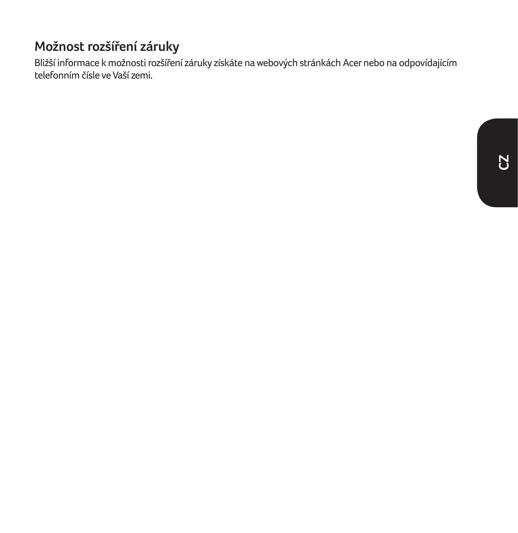### **Možnost rozšíření záruky**

Bližší informace k možnosti rozšíření záruky získáte na webových stránkách Acer nebo na odpovídajícím telefonním čísle ve Vaší zemi.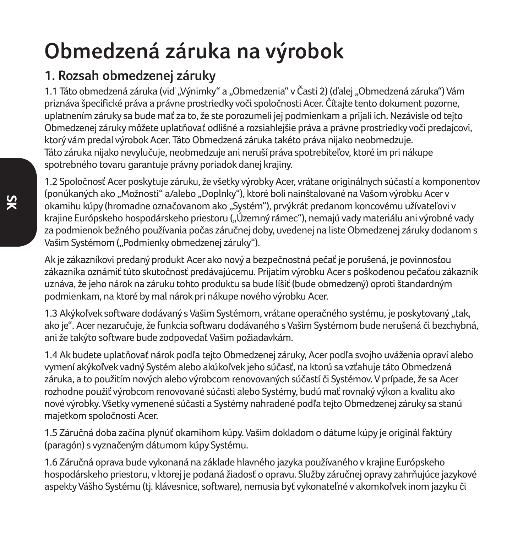# **Obmedzená záruka na výrobok**

## **1. Rozsah obmedzenej záruky**

1.1 Táto obmedzená záruka (viď "Výnimky" a "Obmedzenia" v Časti 2) (ďalej "Obmedzená záruka") Vám priznáva špecifické práva a právne prostriedky voči spoločnosti Acer. Čítajte tento dokument pozorne, uplatnením záruky sa bude mať za to, že ste porozumeli jej podmienkam a prijali ich. Nezávisle od tejto Obmedzenej záruky môžete uplatňovať odlišné a rozsiahlejšie práva a právne prostriedky voči predajcovi, ktorý vám predal výrobok Acer. Táto Obmedzená záruka takéto práva nijako neobmedzuje. Táto záruka nijako nevylučuje, neobmedzuje ani neruší práva spotrebiteľov, ktoré im pri nákupe spotrebného tovaru garantuje právny poriadok danej krajiny.

1.2 Spoločnosť Acer poskytuje záruku, že všetky výrobky Acer, vrátane originálnych súčastí a komponentov (ponúkaných ako "Možnosti" a/alebo "Doplnky"), ktoré boli nainštalované na Vašom výrobku Acer v okamihu kúpy (hromadne označovanom ako "Systém"), prvýkrát predanom koncovému užívateľovi v krajine Európskeho hospodárskeho priestoru ("Územný rámec"), nemajú vady materiálu ani výrobné vady za podmienok bežného používania počas záručnej doby, uvedenej na liste Obmedzenej záruky dodanom s Vašim Systémom ("Podmienky obmedzenej záruky").

Ak je zákazníkovi predaný produkt Acer ako nový a bezpečnostná pečať je porušená, je povinnosťou zákazníka oznámiť túto skutočnosť predávajúcemu. Prijatím výrobku Acer s poškodenou pečaťou zákazník uznáva, že jeho nárok na záruku tohto produktu sa bude líšiť (bude obmedzený) oproti štandardným podmienkam, na ktoré by mal nárok pri nákupe nového výrobku Acer.

1.3 Akýkoľvek software dodávaný s Vašim Systémom, vrátane operačného systému, je poskytovaný "tak, ako je". Acer nezaručuje, že funkcia softwaru dodávaného s Vašim Systémom bude nerušená či bezchybná, ani že takýto software bude zodpovedať Vašim požiadavkám.

1.4 Ak budete uplatňovať nárok podľa tejto Obmedzenej záruky, Acer podľa svojho uváženia opraví alebo vymení akýkoľvek vadný Systém alebo akúkoľvek jeho súčasť, na ktorú sa vzťahuje táto Obmedzená záruka, a to použitím nových alebo výrobcom renovovaných súčastí či Systémov. V prípade, že sa Acer rozhodne použiť výrobcom renovované súčasti alebo Systémy, budú mať rovnaký výkon a kvalitu ako nové výrobky. Všetky vymenené súčasti a Systémy nahradené podľa tejto Obmedzenej záruky sa stanú majetkom spoločnosti Acer.

1.5 Záručná doba začína plynúť okamihom kúpy. Vašim dokladom o dátume kúpy je originál faktúry (paragón) s vyznačeným dátumom kúpy Systému.

1.6 Záručná oprava bude vykonaná na základe hlavného jazyka používaného v krajine Európskeho hospodárskeho priestoru, v ktorej je podaná žiadosť o opravu. Služby záručnej opravy zahrňujúce jazykové aspekty Vášho Systému (tj. klávesnice, software), nemusia byť vykonateľné v akomkoľvek inom jazyku či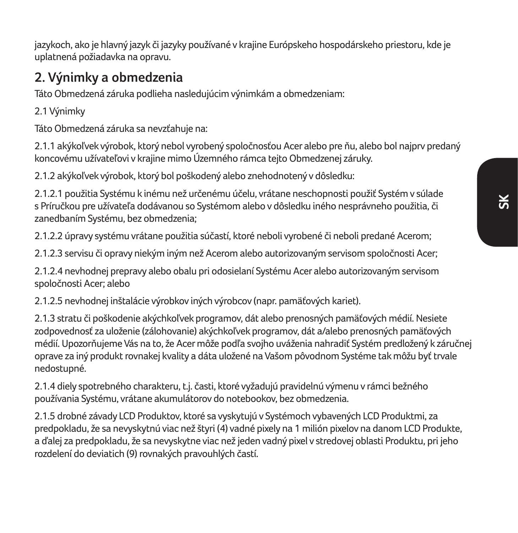**SK**

jazykoch, ako je hlavný jazyk či jazyky používané v krajine Európskeho hospodárskeho priestoru, kde je uplatnená požiadavka na opravu.

### **2. Výnimky a obmedzenia**

Táto Obmedzená záruka podlieha nasledujúcim výnimkám a obmedzeniam:

2.1 Výnimky

Táto Obmedzená záruka sa nevzťahuje na:

2.1.1 akýkoľvek výrobok, ktorý nebol vyrobený spoločnosťou Acer alebo pre ňu, alebo bol najprv predaný koncovému užívateľovi v krajine mimo Územného rámca tejto Obmedzenej záruky.

2.1.2 akýkoľvek výrobok, ktorý bol poškodený alebo znehodnotený v dôsledku:

2.1.2.1 použitia Systému k inému než určenému účelu, vrátane neschopnosti použiť Systém v súlade s Príručkou pre užívateľa dodávanou so Systémom alebo v dôsledku iného nesprávneho použitia, či zanedbaním Systému, bez obmedzenia;

2.1.2.2 úpravy systému vrátane použitia súčastí, ktoré neboli vyrobené či neboli predané Acerom;

2.1.2.3 servisu či opravy niekým iným než Acerom alebo autorizovaným servisom spoločnosti Acer;

2.1.2.4 nevhodnej prepravy alebo obalu pri odosielaní Systému Acer alebo autorizovaným servisom spoločnosti Acer; alebo

2.1.2.5 nevhodnej inštalácie výrobkov iných výrobcov (napr. pamäťových kariet).

2.1.3 stratu či poškodenie akýchkoľvek programov, dát alebo prenosných pamäťových médií. Nesiete zodpovednosť za uloženie (zálohovanie) akýchkoľvek programov, dát a/alebo prenosných pamäťových médií. Upozorňujeme Vás na to, že Acer môže podľa svojho uváženia nahradiť Systém predložený k záručnej oprave za iný produkt rovnakej kvality a dáta uložené na Vašom pôvodnom Systéme tak môžu byť trvale nedostupné.

2.1.4 diely spotrebného charakteru, t.j. časti, ktoré vyžadujú pravidelnú výmenu v rámci bežného používania Systému, vrátane akumulátorov do notebookov, bez obmedzenia.

2.1.5 drobné závady LCD Produktov, ktoré sa vyskytujú v Systémoch vybavených LCD Produktmi, za predpokladu, že sa nevyskytnú viac než štyri (4) vadné pixely na 1 milión pixelov na danom LCD Produkte, a ďalej za predpokladu, že sa nevyskytne viac než jeden vadný pixel v stredovej oblasti Produktu, pri jeho rozdelení do deviatich (9) rovnakých pravouhlých častí.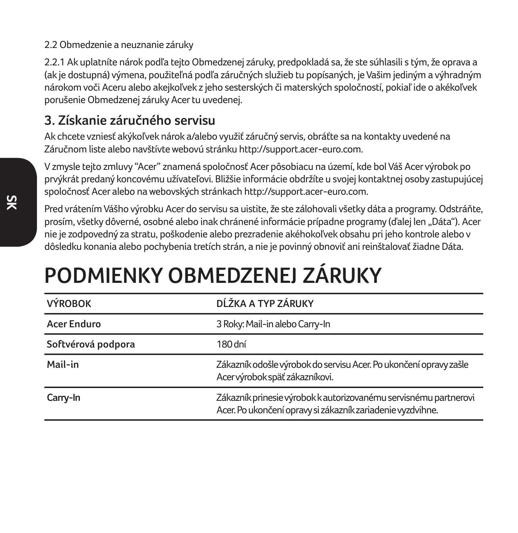#### 2.2 Obmedzenie a neuznanie záruky

2.2.1 Ak uplatníte nárok podľa tejto Obmedzenej záruky, predpokladá sa, že ste súhlasili s tým, že oprava a (ak je dostupná) výmena, použiteľná podľa záručných služieb tu popísaných, je Vašim jediným a výhradným nárokom voči Aceru alebo akejkoľvek z jeho sesterských či materských spoločností, pokiaľ ide o akékoľvek porušenie Obmedzenej záruky Acer tu uvedenej.

### **3. Získanie záručného servisu**

Ak chcete vzniesť akýkoľvek nárok a/alebo využiť záručný servis, obráťte sa na kontakty uvedené na Záručnom liste alebo navštívte webovú stránku http://support.acer-euro.com.

V zmysle tejto zmluvy "Acer" znamená spoločnosť Acer pôsobiacu na území, kde bol Váš Acer výrobok po prvýkrát predaný koncovému užívateľovi. Bližšie informácie obdržíte u svojej kontaktnej osoby zastupujúcej spoločnosť Acer alebo na webovských stránkach http://support.acer-euro.com.

Pred vrátením Vášho výrobku Acer do servisu sa uistite, že ste zálohovali všetky dáta a programy. Odstráňte, prosím, všetky dôverné, osobné alebo inak chránené informácie prípadne programy (ďalej len "Dáta"). Acer nie je zodpovedný za stratu, poškodenie alebo prezradenie akéhokoľvek obsahu pri jeho kontrole alebo v dôsledku konania alebo pochybenia tretích strán, a nie je povinný obnoviť ani reinštalovať žiadne Dáta.

# **PODMIENKY OBMEDZENEJ ZÁRUKY**

| <b>VÝROBOK</b>     | DĹŽKA A TYP ZÁRUKY                                                                                                             |
|--------------------|--------------------------------------------------------------------------------------------------------------------------------|
| Acer Enduro        | 3 Roky: Mail-in alebo Carry-In                                                                                                 |
| Softvérová podpora | 180 dní                                                                                                                        |
| Mail-in            | Zákazník odošle výrobok do servisu Acer. Po ukončení opravy zašle<br>Acer výrobok späť zákazníkovi.                            |
| Carry-In           | Zákazník prinesie výrobok k autorizovanému servisnému partnerovi<br>Acer. Po ukončení opravy si zákazník zariadenie vyzdvihne. |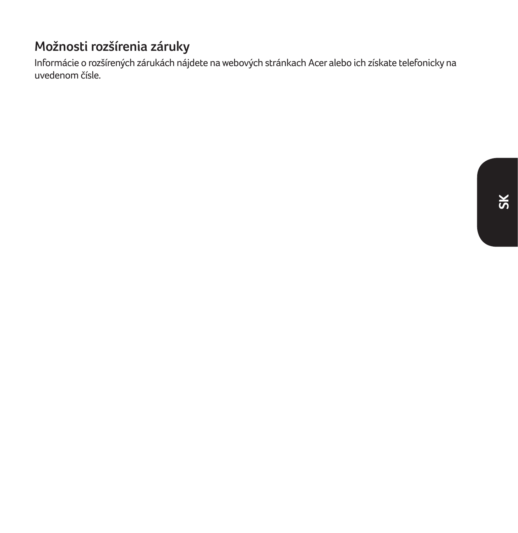### **Možnosti rozšírenia záruky**

Informácie o rozšírených zárukách nájdete na webových stránkach Acer alebo ich získate telefonicky na uvedenom čísle.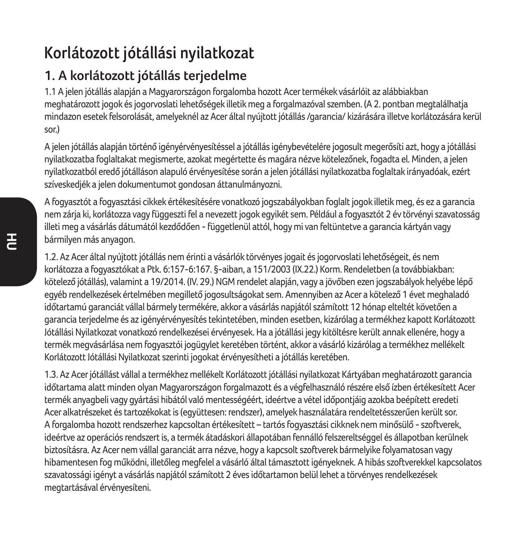# **Korlátozott jótállási nyilatkozat**

# **1. A korlátozott jótállás terjedelme**

1.1 A jelen jótállás alapján a Magyarországon forgalomba hozott Acer termékek vásárlóit az alábbiakban meghatározott jogok és jogorvoslati lehetőségek illetik meg a forgalmazóval szemben. (A 2. pontban megtalálhatja mindazon esetek felsorolását, amelyeknél az Acer által nyújtott jótállás /garancia/ kizárására illetve korlátozására kerül sor)

A jelen jótállás alapján történő igényérvényesítéssel a jótállás igénybevételére jogosult megerősíti azt, hogy a jótállási nyilatkozatba foglaltakat megismerte, azokat megértette és magára nézve kötelezőnek, fogadta el. Minden, a jelen nyilatkozatból eredő jótálláson alapuló érvényesítése során a jelen jótállási nyilatkozatba foglaltak irányadóak, ezért szíveskedjék a jelen dokumentumot gondosan áttanulmányozni.

A fogyasztót a fogyasztási cikkek értékesítésére vonatkozó jogszabályokban foglalt jogok illetik meg, és ez a garancia nem zárja ki, korlátozza vagy függeszti fel a nevezett jogok egyikét sem. Például a fogyasztót 2 év törvényi szavatosság illeti meg a vásárlás dátumától kezdődően - függetlenül attól, hogy mi van feltüntetve a garancia kártyán vagy bármilyen más anyagon.

1.2. Az Acer által nyújtott jótállás nem érinti a vásárlók törvényes jogait és jogorvoslati lehetőségeit, és nem korlátozza a fogyasztókat a Ptk. 6:157-6:167. §-aiban, a 151/2003 (IX.22.) Korm. Rendeletben (a továbbiakban: kötelező jótállás), valamint a 19/2014. (IV. 29.) NGM rendelet alapján, vagy a jövőben ezen jogszabályok helyébe lépő egyéb rendelkezések értelmében megillető jogosultságokat sem. Amennyiben az Acer a kötelező 1 évet meghaladó időtartamú garanciát vállal bármely termékére, akkor a vásárlás napjától számított 12 hónap elteltét követően a garancia terjedelme és az igényérvényesítés tekintetében, minden esetben, kizárólag a termékhez kapott Korlátozott Jótállási Nyilatkozat vonatkozó rendelkezései érvényesek. Ha a jótállási jegy kitöltésre került annak ellenére, hogy a termék megvásárlása nem fogyasztói jogügylet keretében történt, akkor a vásárló kizárólag a termékhez mellékelt Korlátozott Jótállási Nyilatkozat szerinti jogokat érvényesítheti a jótállás keretében.

1.3. Az Acer jótállást vállal a termékhez mellékelt Korlátozott jótállási nyilatkozat Kártyában meghatározott garancia időtartama alatt minden olyan Magyarországon forgalmazott és a végfelhasználó részére első ízben értékesített Acer termék anyagbeli vagy gyártási hibától való mentességéért, ideértve a vétel időpontjáig azokba beépített eredeti Acer alkatrészeket és tartozékokat is (együttesen: rendszer), amelyek használatára rendeltetésszerűen került sor. A forgalomba hozott rendszerhez kapcsoltan értékesített – tartós fogyasztási cikknek nem minősülő - szoftverek, ideértve az operációs rendszert is, a termék átadáskori állapotában fennálló felszereltséggel és állapotban kerülnek biztosításra. Az Acer nem vállal garanciát arra nézve, hogy a kapcsolt szoftverek bármelyike folyamatosan vagy hibamentesen fog működni, illetőleg megfelel a vásárló által támasztott igényeknek. A hibás szoftverekkel kapcsolatos szavatossági igényt a vásárlás napjától számított 2 éves időtartamon belül lehet a törvényes rendelkezések megtartásával érvényesíteni.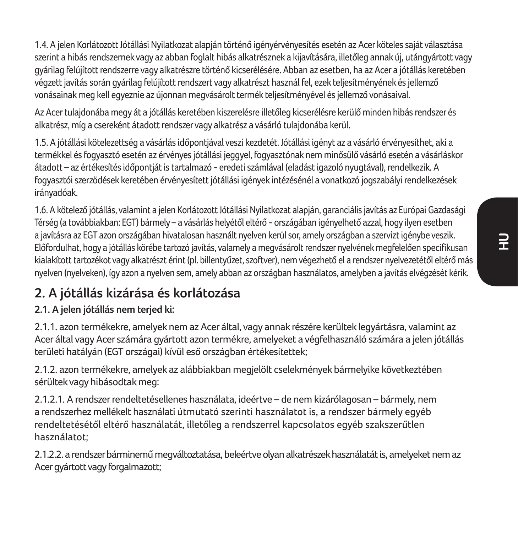1.4. A jelen Korlátozott Jótállási Nyilatkozat alapján történő igényérvényesítés esetén az Acer köteles saját választása szerint a hibás rendszernek vagy az abban foglalt hibás alkatrésznek a kijavítására, illetőleg annak új, utángyártott vagy gyárilag felújított rendszerre vagy alkatrészre történő kicserélésére. Abban az esetben, ha az Acer a jótállás keretében végzett javítás során gyárilag felújított rendszert vagy alkatrészt használ fel, ezek teljesítményének és jellemző vonásainak meg kell egyeznie az újonnan megvásárolt termék teljesítményével és jellemző vonásaival.

Az Acer tulajdonába megy át a jótállás keretében kiszerelésre illetőleg kicserélésre kerülő minden hibás rendszer és alkatrész, míg a csereként átadott rendszer vagy alkatrész a vásárló tulajdonába kerül.

1.5. A jótállási kötelezettség a vásárlás időpontjával veszi kezdetét. Jótállási igényt az a vásárló érvényesíthet, aki a termékkel és fogyasztó esetén az érvényes jótállási jeggyel, fogyasztónak nem minősülő vásárló esetén a vásárláskor átadott – az értékesítés időpontját is tartalmazó - eredeti számlával (eladást igazoló nyugtával), rendelkezik. A fogyasztói szerzödések keretében érvényesített jótállási igények intézésénél a vonatkozó jogszabályi rendelkezések irányadóak.

1.6. A kötelező jótállás, valamint a jelen Korlátozott Jótállási Nyilatkozat alapján, garanciális javítás az Európai Gazdasági Térség (a továbbiakban: EGT) bármely – a vásárlás helyétől eltérő - országában igényelhető azzal, hogy ilyen esetben a javításra az EGT azon országában hivatalosan használt nyelven kerül sor, amely országban a szervizt igénybe veszik. Előfordulhat, hogy a jótállás körébe tartozó javítás, valamely a megvásárolt rendszer nyelvének megfelelően specifikusan kialakított tartozékot vagy alkatrészt érint (pl. billentyűzet, szoftver), nem végezhető el a rendszer nyelvezetétől eltérő más nyelven (nyelveken), így azon a nyelven sem, amely abban az országban használatos, amelyben a javítás elvégzését kérik.

# **2. A jótállás kizárása és korlátozása**

#### **2.1. A jelen jótállás nem terjed ki:**

2.1.1. azon termékekre, amelyek nem az Acer által, vagy annak részére kerültek legyártásra, valamint az Acer által vagy Acer számára gyártott azon termékre, amelyeket a végfelhasználó számára a jelen jótállás területi hatályán (EGT országai) kívül eső országban értékesítettek;

2.1.2. azon termékekre, amelyek az alábbiakban megjelölt cselekmények bármelyike következtében sérültek vagy hibásodtak meg:

2.1.2.1. A rendszer rendeltetésellenes használata, ideértve – de nem kizárólagosan – bármely, nem a rendszerhez mellékelt használati útmutató szerinti használatot is, a rendszer bármely egyéb rendeltetésétől eltérő használatát, illetőleg a rendszerrel kapcsolatos egyéb szakszerűtlen használatot;

2.1.2.2. a rendszer bárminemű megváltoztatása, beleértve olyan alkatrészek használatát is, amelyeket nem az Acer gyártott vagy forgalmazott;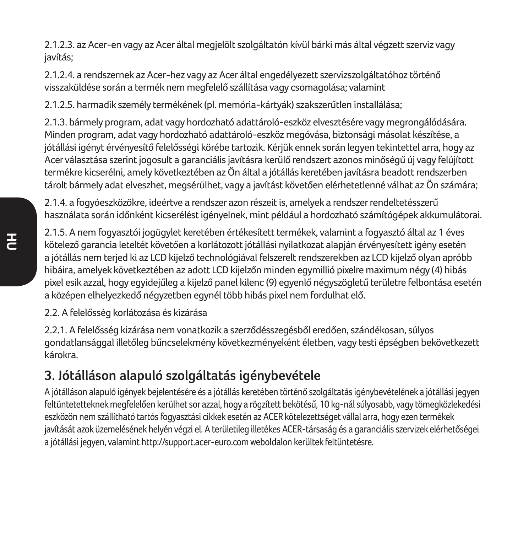2.1.2.3. az Acer-en vagy az Acer által megjelölt szolgáltatón kívül bárki más által végzett szerviz vagy javítás;

2.1.2.4. a rendszernek az Acer-hez vagy az Acer által engedélyezett szervizszolgáltatóhoz történő visszaküldése során a termék nem megfelelő szállítása vagy csomagolása; valamint

2.1.2.5. harmadik személy termékének (pl. memória-kártyák) szakszerűtlen installálása;

2.1.3. bármely program, adat vagy hordozható adattároló-eszköz elvesztésére vagy megrongálódására. Minden program, adat vagy hordozható adattároló-eszköz megóvása, biztonsági másolat készítése, a jótállási igényt érvényesítő felelősségi körébe tartozik. Kérjük ennek során legyen tekintettel arra, hogy az Acer választása szerint jogosult a garanciális javításra kerülő rendszert azonos minőségű új vagy felújított termékre kicserélni, amely következtében az Ön által a jótállás keretében javításra beadott rendszerben tárolt bármely adat elveszhet, megsérülhet, vagy a javítást követően elérhetetlenné válhat az Ön számára;

2.1.4. a fogyóeszközökre, ideértve a rendszer azon részeit is, amelyek a rendszer rendeltetésszerű használata során időnként kicserélést igényelnek, mint például a hordozható számítógépek akkumulátorai.

2.1.5. A nem fogyasztói jogügylet keretében értékesített termékek, valamint a fogyasztó által az 1 éves kötelező garancia leteltét követően a korlátozott jótállási nyilatkozat alapján érvényesített igény esetén a jótállás nem terjed ki az LCD kijelző technológiával felszerelt rendszerekben az LCD kijelző olyan apróbb hibáira, amelyek következtében az adott LCD kijelzőn minden egymillió pixelre maximum négy (4) hibás pixel esik azzal, hogy egyidejűleg a kijelző panel kilenc (9) egyenlő négyszögletű területre felbontása esetén a középen elhelyezkedő négyzetben egynél több hibás pixel nem fordulhat elő.

2.2. A felelősség korlátozása és kizárása

2.2.1. A felelősség kizárása nem vonatkozik a szerződésszegésből eredően, szándékosan, súlyos gondatlansággal illetőleg bűncselekmény következményeként életben, vagy testi épségben bekövetkezett károkra.

### **3. Jótálláson alapuló szolgáltatás igénybevétele**

A jótálláson alapuló igények bejelentésére és a jótállás keretében történő szolgáltatás igénybevételének a jótállási jegyen feltüntetetteknek megfelelően kerülhet sor azzal, hogy a rögzített bekötésű, 10 kg-nál súlyosabb, vagy tömegközlekedési eszközön nem szállítható tartós fogyasztási cikkek esetén az ACER kötelezettséget vállal arra, hogy ezen termékek javítását azok üzemelésének helyén végzi el. A területileg illetékes ACER-társaság és a garanciális szervizek elérhetőségei a jótállási jegyen, valamint http://support.acer-euro.com weboldalon kerültek feltüntetésre.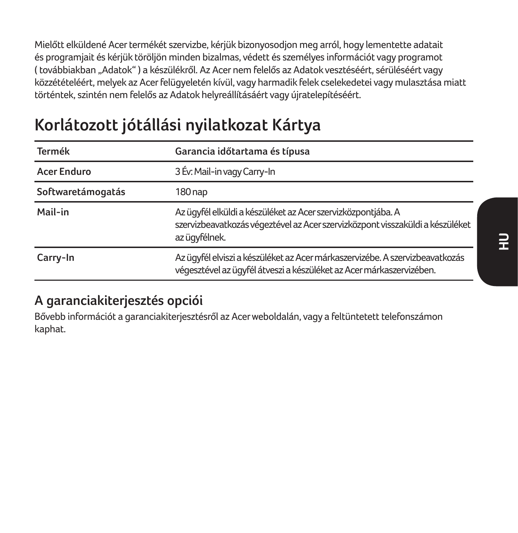Mielőtt elküldené Acer termékét szervizbe, kérjük bizonyosodjon meg arról, hogy lementette adatait és programjait és kérjük töröljön minden bizalmas, védett és személyes információt vagy programot ( továbbiakban "Adatok" ) a készülékről. Az Acer nem felelős az Adatok vesztéséért, sérüléséért vagy közzétételéért, melyek az Acer felügyeletén kívül, vagy harmadik felek cselekedetei vagy mulasztása miatt történtek, szintén nem felelős az Adatok helyreállításáért vagy újratelepítéséért.

# **Korlátozott jótállási nyilatkozat Kártya**

| Termék            | Garancia időtartama és típusa                                                                                                                                  |
|-------------------|----------------------------------------------------------------------------------------------------------------------------------------------------------------|
| Acer Enduro       | 3 Év: Mail-in vagy Carry-In                                                                                                                                    |
| Softwaretámogatás | 180 nap                                                                                                                                                        |
| Mail-in           | Az ügyfél elküldi a készüléket az Acer szervizközpontjába. A<br>szervizbeavatkozás végeztével az Acer szervizközpont visszaküldi a készüléket<br>az ügyfélnek. |
| Carry-In          | Az ügyfél elviszi a készüléket az Acer márkaszervizébe. A szervizbeavatkozás<br>végesztével az ügyfél átveszi a készüléket az Acer márkaszervizében.           |

### **A garanciakiterjesztés opciói**

Bővebb információt a garanciakiterjesztésről az Acer weboldalán, vagy a feltüntetett telefonszámon kaphat.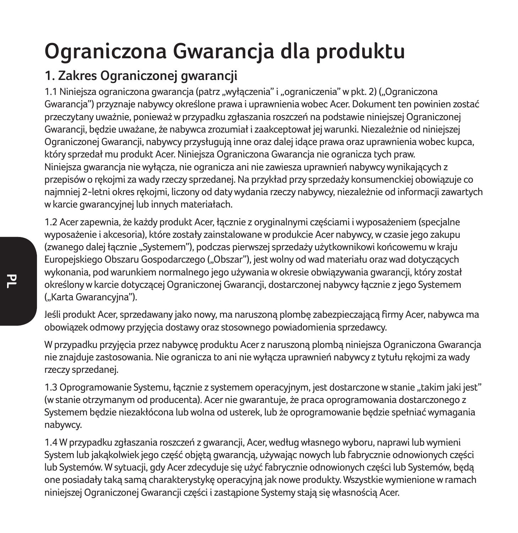# **Ograniczona Gwarancja dla produktu**

# **1. Zakres Ograniczonej gwarancji**

1.1 Niniejsza ograniczona gwarancja (patrz "wyłączenia" i "ograniczenia" w pkt. 2) ("Ograniczona Gwarancja") przyznaje nabywcy określone prawa i uprawnienia wobec Acer. Dokument ten powinien zostać przeczytany uważnie, ponieważ w przypadku zgłaszania roszczeń na podstawie niniejszej Ograniczonej Gwarancji, będzie uważane, że nabywca zrozumiał i zaakceptował jej warunki. Niezależnie od niniejszej Ograniczonej Gwarancji, nabywcy przysługują inne oraz dalej idące prawa oraz uprawnienia wobec kupca, który sprzedał mu produkt Acer. Niniejsza Ograniczona Gwarancja nie ogranicza tych praw. Niniejsza gwarancja nie wyłącza, nie ogranicza ani nie zawiesza uprawnień nabywcy wynikających z przepisów o rękojmi za wady rzeczy sprzedanej. Na przykład przy sprzedaży konsumenckiej obowiązuje co najmniej 2-letni okres rękojmi, liczony od daty wydania rzeczy nabywcy, niezależnie od informacji zawartych w karcie gwarancyjnej lub innych materiałach.

1.2 Acer zapewnia, że każdy produkt Acer, łącznie z oryginalnymi częściami i wyposażeniem (specjalne wyposażenie i akcesoria), które zostały zainstalowane w produkcie Acer nabywcy, w czasie jego zakupu (zwanego dalej łącznie "Systemem"), podczas pierwszej sprzedaży użytkownikowi końcowemu w kraju Europejskiego Obszaru Gospodarczego ("Obszar"), jest wolny od wad materiału oraz wad dotyczących wykonania, pod warunkiem normalnego jego używania w okresie obwiązywania gwarancji, który został określony w karcie dotyczącej Ograniczonej Gwarancji, dostarczonej nabywcy łącznie z jego Systemem ("Karta Gwarancyjna").

Jeśli produkt Acer, sprzedawany jako nowy, ma naruszoną plombę zabezpieczającą firmy Acer, nabywca ma obowiązek odmowy przyjęcia dostawy oraz stosownego powiadomienia sprzedawcy.

W przypadku przyjęcia przez nabywcę produktu Acer z naruszoną plombą niniejsza Ograniczona Gwarancja nie znajduje zastosowania. Nie ogranicza to ani nie wyłącza uprawnień nabywcy z tytułu rękojmi za wady rzeczy sprzedanej.

1.3 Oprogramowanie Systemu, łącznie z systemem operacyjnym, jest dostarczone w stanie "takim jaki jest" (w stanie otrzymanym od producenta). Acer nie gwarantuje, że praca oprogramowania dostarczonego z Systemem będzie niezakłócona lub wolna od usterek, lub że oprogramowanie będzie spełniać wymagania nabywcy.

1.4 W przypadku zgłaszania roszczeń z gwarancji, Acer, według własnego wyboru, naprawi lub wymieni System lub jakąkolwiek jego część objętą gwarancją, używając nowych lub fabrycznie odnowionych części lub Systemów. W sytuacji, gdy Acer zdecyduje się użyć fabrycznie odnowionych części lub Systemów, będą one posiadały taką samą charakterystykę operacyjną jak nowe produkty. Wszystkie wymienione w ramach niniejszej Ograniczonej Gwarancji części i zastąpione Systemy stają się własnością Acer.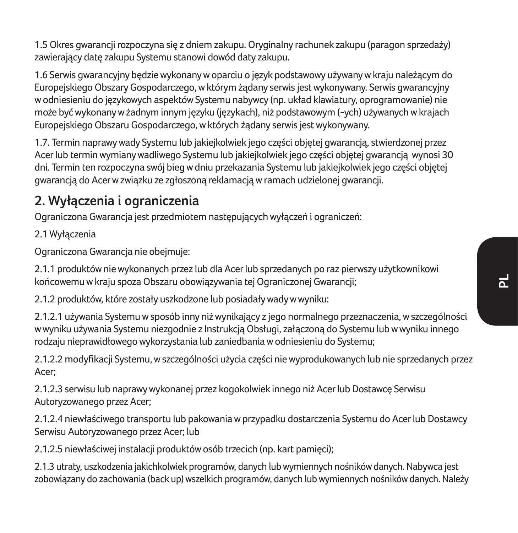1.5 Okres gwarancji rozpoczyna się z dniem zakupu. Oryginalny rachunek zakupu (paragon sprzedaży) zawierający datę zakupu Systemu stanowi dowód daty zakupu.

1.6 Serwis gwarancyjny będzie wykonany w oparciu o język podstawowy używany w kraju należącym do Europejskiego Obszary Gospodarczego, w którym żądany serwis jest wykonywany. Serwis gwarancyjny w odniesieniu do językowych aspektów Systemu nabywcy (np. układ klawiatury, oprogramowanie) nie może być wykonany w żadnym innym języku (językach), niż podstawowym (-ych) używanych w krajach Europejskiego Obszaru Gospodarczego, w których żądany serwis jest wykonywany.

1.7. Termin naprawy wady Systemu lub jakiejkolwiek jego części objętej gwarancją, stwierdzonej przez Acer lub termin wymiany wadliwego Systemu lub jakiejkolwiek jego części objętej gwarancją wynosi 30 dni. Termin ten rozpoczyna swój bieg w dniu przekazania Systemu lub jakiejkolwiek jego części objętej gwarancją do Acer w związku ze zgłoszoną reklamacją w ramach udzielonej gwarancji.

### **2. Wyłączenia i ograniczenia**

Ograniczona Gwarancja jest przedmiotem następujących wyłączeń i ograniczeń:

2.1 Wyłączenia

Ograniczona Gwarancja nie obejmuje:

2.1.1 produktów nie wykonanych przez lub dla Acer lub sprzedanych po raz pierwszy użytkownikowi końcowemu w kraju spoza Obszaru obowiązywania tej Ograniczonej Gwarancji;

2.1.2 produktów, które zostały uszkodzone lub posiadały wady w wyniku:

2.1.2.1 używania Systemu w sposób inny niż wynikający z jego normalnego przeznaczenia, w szczególności w wyniku używania Systemu niezgodnie z Instrukcją Obsługi, załączoną do Systemu lub w wyniku innego rodzaju nieprawidłowego wykorzystania lub zaniedbania w odniesieniu do Systemu;

2.1.2.2 modyfikacji Systemu, w szczególności użycia części nie wyprodukowanych lub nie sprzedanych przez Acer;

2.1.2.3 serwisu lub naprawy wykonanej przez kogokolwiek innego niż Acer lub Dostawcę Serwisu Autoryzowanego przez Acer;

2.1.2.4 niewłaściwego transportu lub pakowania w przypadku dostarczenia Systemu do Acer lub Dostawcy Serwisu Autoryzowanego przez Acer; lub

2.1.2.5 niewłaściwej instalacji produktów osób trzecich (np. kart pamięci);

2.1.3 utraty, uszkodzenia jakichkolwiek programów, danych lub wymiennych nośników danych. Nabywca jest zobowiązany do zachowania (back up) wszelkich programów, danych lub wymiennych nośników danych. Należy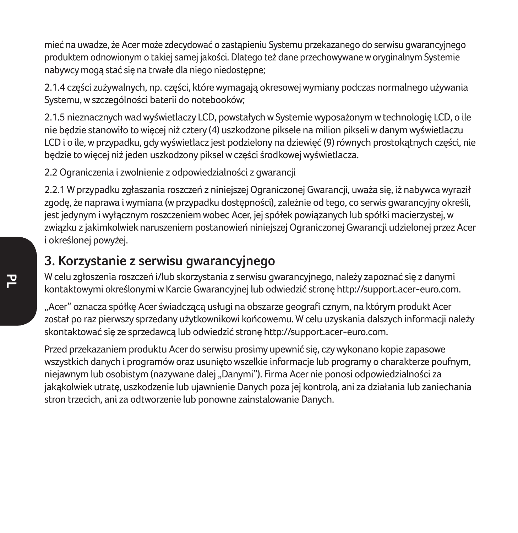mieć na uwadze, że Acer może zdecydować o zastąpieniu Systemu przekazanego do serwisu gwarancyjnego produktem odnowionym o takiej samej jakości. Dlatego też dane przechowywane w oryginalnym Systemie nabywcy mogą stać się na trwałe dla niego niedostępne;

2.1.4 części zużywalnych, np. części, które wymagają okresowej wymiany podczas normalnego używania Systemu, w szczególności baterii do notebooków;

2.1.5 nieznacznych wad wyświetlaczy LCD, powstałych w Systemie wyposażonym w technologię LCD, o ile nie będzie stanowiło to więcej niż cztery (4) uszkodzone piksele na milion pikseli w danym wyświetlaczu LCD i o ile, w przypadku, gdy wyświetlacz jest podzielony na dziewięć (9) równych prostokątnych części, nie będzie to więcej niż jeden uszkodzony piksel w części środkowej wyświetlacza.

2.2 Ograniczenia i zwolnienie z odpowiedzialności z gwarancji

2.2.1 W przypadku zgłaszania roszczeń z niniejszej Ograniczonej Gwarancji, uważa się, iż nabywca wyraził zgodę, że naprawa i wymiana (w przypadku dostępności), zależnie od tego, co serwis gwarancyjny określi, jest jedynym i wyłącznym roszczeniem wobec Acer, jej spółek powiązanych lub spółki macierzystej, w związku z jakimkolwiek naruszeniem postanowień niniejszej Ograniczonej Gwarancji udzielonej przez Acer i określonej powyżej.

### **3. Korzystanie z serwisu gwarancyjnego**

W celu zgłoszenia roszczeń i/lub skorzystania z serwisu gwarancyjnego, należy zapoznać się z danymi kontaktowymi określonymi w Karcie Gwarancyjnej lub odwiedzić stronę http://support.acer-euro.com.

"Acer" oznacza spółkę Acer świadczącą usługi na obszarze geografi cznym, na którym produkt Acer został po raz pierwszy sprzedany użytkownikowi końcowemu. W celu uzyskania dalszych informacji należy skontaktować się ze sprzedawcą lub odwiedzić stronę http://support.acer-euro.com.

Przed przekazaniem produktu Acer do serwisu prosimy upewnić się, czy wykonano kopie zapasowe wszystkich danych i programów oraz usunięto wszelkie informacje lub programy o charakterze poufnym, niejawnym lub osobistym (nazywane dalej "Danymi"). Firma Acer nie ponosi odpowiedzialności za jakąkolwiek utratę, uszkodzenie lub ujawnienie Danych poza jej kontrolą, ani za działania lub zaniechania stron trzecich, ani za odtworzenie lub ponowne zainstalowanie Danych.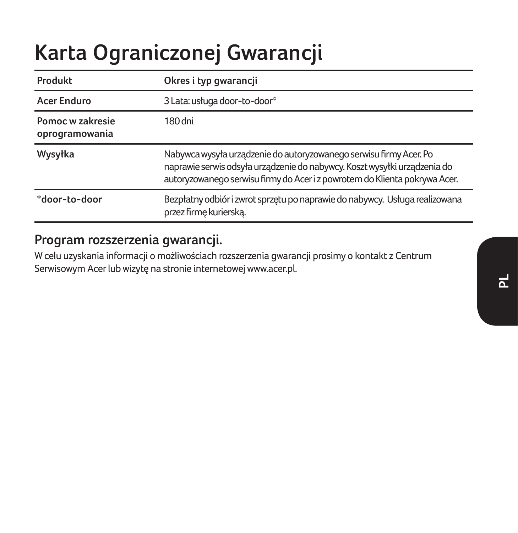# **Karta Ograniczonej Gwarancji**

| Produkt                            | Okres i typ gwarancji                                                                                                                                                                                                         |
|------------------------------------|-------------------------------------------------------------------------------------------------------------------------------------------------------------------------------------------------------------------------------|
| Acer Enduro                        | 3 Lata: usługa door-to-door*                                                                                                                                                                                                  |
| Pomoc w zakresie<br>oprogramowania | 180 dni                                                                                                                                                                                                                       |
| Wysyłka                            | Nabywca wysyła urządzenie do autoryzowanego serwisu firmy Acer. Po<br>naprawie serwis odsyła urządzenie do nabywcy. Koszt wysyłki urządzenia do<br>autoryzowanego serwisu firmy do Acer i z powrotem do Klienta pokrywa Acer. |
| *door-to-door                      | Bezpłatny odbiór i zwrot sprzętu po naprawie do nabywcy. Usługa realizowana<br>przez firmę kurierską.                                                                                                                         |

### **Program rozszerzenia gwarancji.**

W celu uzyskania informacji o możliwościach rozszerzenia gwarancji prosimy o kontakt z Centrum Serwisowym Acer lub wizytę na stronie internetowej www.acer.pl.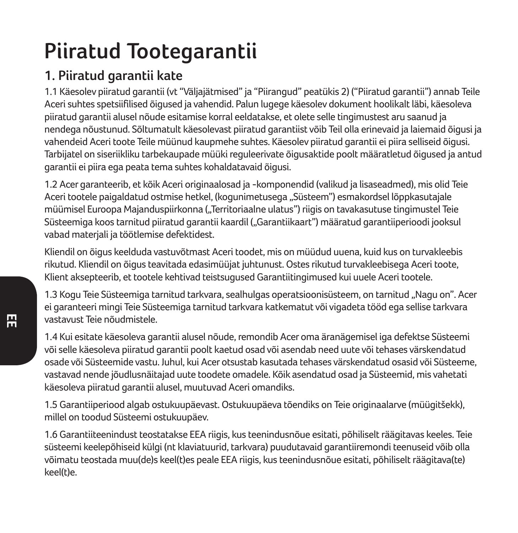# **Piiratud Tootegarantii**

## **1. Piiratud garantii kate**

1.1 Käesolev piiratud garantii (vt "Väljajätmised" ja "Piirangud" peatükis 2) ("Piiratud garantii") annab Teile Aceri suhtes spetsiifilised õigused ja vahendid. Palun lugege käesolev dokument hoolikalt läbi, käesoleva piiratud garantii alusel nõude esitamise korral eeldatakse, et olete selle tingimustest aru saanud ja nendega nõustunud. Sõltumatult käesolevast piiratud garantiist võib Teil olla erinevaid ja laiemaid õigusi ja vahendeid Aceri toote Teile müünud kaupmehe suhtes. Käesolev piiratud garantii ei piira selliseid õigusi. Tarbijatel on siseriikliku tarbekaupade müüki reguleerivate õigusaktide poolt määratletud õigused ja antud garantii ei piira ega peata tema suhtes kohaldatavaid õigusi.

1.2 Acer garanteerib, et kõik Aceri originaalosad ja -komponendid (valikud ja lisaseadmed), mis olid Teie Aceri tootele paigaldatud ostmise hetkel, (kogunimetusega "Süsteem") esmakordsel lõppkasutajale müümisel Euroopa Majanduspiirkonna ("Territoriaalne ulatus") riigis on tavakasutuse tingimustel Teie Süsteemiga koos tarnitud piiratud garantii kaardil ("Garantiikaart") määratud garantiiperioodi jooksul vabad materjali ja töötlemise defektidest.

Kliendil on õigus keelduda vastuvõtmast Aceri toodet, mis on müüdud uuena, kuid kus on turvakleebis rikutud. Kliendil on õigus teavitada edasimüüjat juhtunust. Ostes rikutud turvakleebisega Aceri toote, Klient aksepteerib, et tootele kehtivad teistsugused Garantiitingimused kui uuele Aceri tootele.

1.3 Kogu Teie Süsteemiga tarnitud tarkvara, sealhulgas operatsioonisüsteem, on tarnitud "Nagu on". Acer ei garanteeri mingi Teie Süsteemiga tarnitud tarkvara katkematut või vigadeta tööd ega sellise tarkvara vastavust Teie nõudmistele.

1.4 Kui esitate käesoleva garantii alusel nõude, remondib Acer oma äranägemisel iga defektse Süsteemi või selle käesoleva piiratud garantii poolt kaetud osad või asendab need uute või tehases värskendatud osade või Süsteemide vastu. Juhul, kui Acer otsustab kasutada tehases värskendatud osasid või Süsteeme, vastavad nende jõudlusnäitajad uute toodete omadele. Kõik asendatud osad ja Süsteemid, mis vahetati käesoleva piiratud garantii alusel, muutuvad Aceri omandiks.

1.5 Garantiiperiood algab ostukuupäevast. Ostukuupäeva tõendiks on Teie originaalarve (müügitšekk), millel on toodud Süsteemi ostukuupäev.

1.6 Garantiiteenindust teostatakse EEA riigis, kus teenindusnõue esitati, põhiliselt räägitavas keeles. Teie süsteemi keelepõhiseid külgi (nt klaviatuurid, tarkvara) puudutavaid garantiiremondi teenuseid võib olla võimatu teostada muu(de)s keel(t)es peale EEA riigis, kus teenindusnõue esitati, põhiliselt räägitava(te) keel(t)e.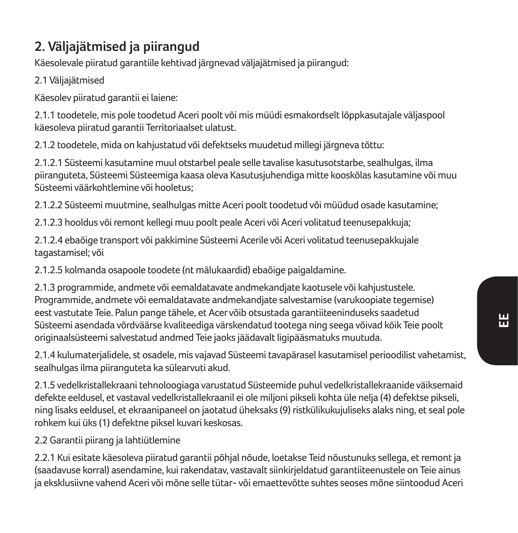## **2. Väljajätmised ja piirangud**

Käesolevale piiratud garantiile kehtivad järgnevad väljajätmised ja piirangud:

2.1 Väljajätmised

Käesolev piiratud garantii ei laiene:

2.1.1 toodetele, mis pole toodetud Aceri poolt või mis müüdi esmakordselt lõppkasutajale väljaspool käesoleva piiratud garantii Territoriaalset ulatust.

2.1.2 toodetele, mida on kahjustatud või defektseks muudetud millegi järgneva tõttu:

2.1.2.1 Süsteemi kasutamine muul otstarbel peale selle tavalise kasutusotstarbe, sealhulgas, ilma piiranguteta, Süsteemi Süsteemiga kaasa oleva Kasutusjuhendiga mitte kooskõlas kasutamine või muu Süsteemi väärkohtlemine või hooletus;

2.1.2.2 Süsteemi muutmine, sealhulgas mitte Aceri poolt toodetud või müüdud osade kasutamine;

2.1.2.3 hooldus või remont kellegi muu poolt peale Aceri või Aceri volitatud teenusepakkuja;

2.1.2.4 ebaõige transport või pakkimine Süsteemi Acerile või Aceri volitatud teenusepakkujale tagastamisel; või

2.1.2.5 kolmanda osapoole toodete (nt mälukaardid) ebaõige paigaldamine.

2.1.3 programmide, andmete või eemaldatavate andmekandjate kaotusele või kahjustustele. Programmide, andmete või eemaldatavate andmekandjate salvestamise (varukoopiate tegemise) eest vastutate Teie. Palun pange tähele, et Acer võib otsustada garantiiteeninduseks saadetud Süsteemi asendada võrdväärse kvaliteediga värskendatud tootega ning seega võivad kõik Teie poolt originaalsüsteemi salvestatud andmed Teie jaoks jäädavalt ligipääsmatuks muutuda.

2.1.4 kulumaterjalidele, st osadele, mis vajavad Süsteemi tavapärasel kasutamisel perioodilist vahetamist, sealhulgas ilma piiranguteta ka sülearvuti akud.

2.1.5 vedelkristallekraani tehnoloogiaga varustatud Süsteemide puhul vedelkristallekraanide väiksemaid defekte eeldusel, et vastaval vedelkristallekraanil ei ole miljoni pikseli kohta üle nelja (4) defektse pikseli, ning lisaks eeldusel, et ekraanipaneel on jaotatud üheksaks (9) ristkülikukujuliseks alaks ning, et seal pole rohkem kui üks (1) defektne piksel kuvari keskosas.

2.2 Garantii piirang ja lahtiütlemine

2.2.1 Kui esitate käesoleva piiratud garantii põhjal nõude, loetakse Teid nõustunuks sellega, et remont ja (saadavuse korral) asendamine, kui rakendatav, vastavalt siinkirjeldatud garantiiteenustele on Teie ainus ja eksklusiivne vahend Aceri või mõne selle tütar- või emaettevõtte suhtes seoses mõne siintoodud Aceri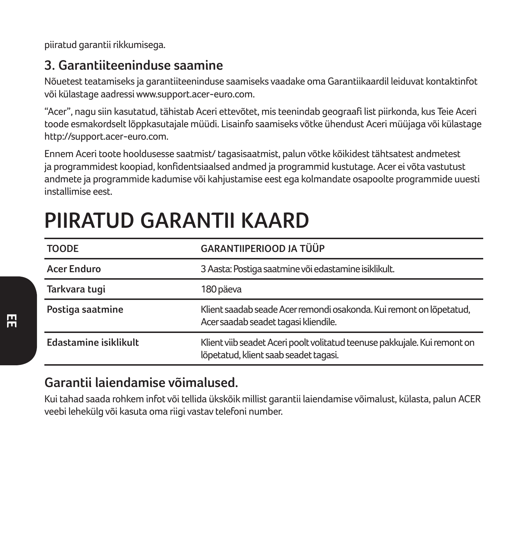piiratud garantii rikkumisega.

### **3. Garantiiteeninduse saamine**

Nõuetest teatamiseks ja garantiiteeninduse saamiseks vaadake oma Garantiikaardil leiduvat kontaktinfot või külastage aadressi www.support.acer-euro.com.

"Acer", nagu siin kasutatud, tähistab Aceri ettevõtet, mis teenindab geograafi list piirkonda, kus Teie Aceri toode esmakordselt lõppkasutajale müüdi. Lisainfo saamiseks võtke ühendust Aceri müüjaga või külastage http://support.acer-euro.com.

Ennem Aceri toote hooldusesse saatmist/ tagasisaatmist, palun võtke kõikidest tähtsatest andmetest ja programmidest koopiad, konfidentsiaalsed andmed ja programmid kustutage. Acer ei võta vastutust andmete ja programmide kadumise või kahjustamise eest ega kolmandate osapoolte programmide uuesti installimise eest.

| <b>TOODE</b>          | <b>GARANTIIPERIOOD JA TÜÜP</b>                                                                                     |  |
|-----------------------|--------------------------------------------------------------------------------------------------------------------|--|
| <b>Acer Enduro</b>    | 3 Aasta: Postiga saatmine või edastamine isiklikult.                                                               |  |
| Tarkvara tugi         | 180 päeva                                                                                                          |  |
| Postiga saatmine      | Klient saadab seade Acer remondi osakonda. Kui remont on lõpetatud,<br>Acer saadab seadet tagasi kliendile.        |  |
| Edastamine isiklikult | Klient viib seadet Aceri poolt volitatud teenuse pakkujale. Kui remont on<br>lõpetatud, klient saab seadet tagasi. |  |

## **PIIRATUD GARANTII KAARD**

## **Garantii laiendamise võimalused.**

Kui tahad saada rohkem infot või tellida ükskõik millist garantii laiendamise võimalust, külasta, palun ACER veebi lehekülg või kasuta oma riigi vastav telefoni number.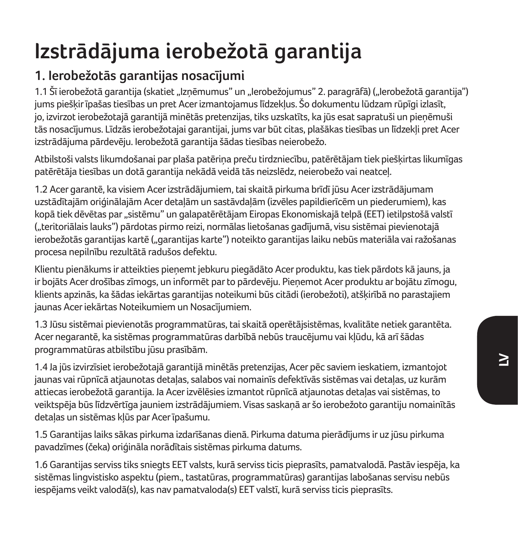## **Izstrādājuma ierobežotā garantija**

## **1. Ierobežotās garantijas nosacījumi**

1.1 Šī ierobežotā garantija (skatiet "Izņēmumus" un "Ierobežojumus" 2. paragrāfā) ("Ierobežotā garantija") jums piešķir īpašas tiesības un pret Acer izmantojamus līdzekļus. Šo dokumentu lūdzam rūpīgi izlasīt, jo, izvirzot ierobežotajā garantijā minētās pretenzijas, tiks uzskatīts, ka jūs esat sapratuši un pieņēmuši tās nosacījumus. Līdzās ierobežotajai garantijai, jums var būt citas, plašākas tiesības un līdzekļi pret Acer izstrādājuma pārdevēju. Ierobežotā garantija šādas tiesības neierobežo.

Atbilstoši valsts likumdošanai par plaša patēriņa preču tirdzniecību, patērētājam tiek piešķirtas likumīgas patērētāja tiesības un dotā garantija nekādā veidā tās neizslēdz, neierobežo vai neatceļ.

1.2 Acer garantē, ka visiem Acer izstrādājumiem, tai skaitā pirkuma brīdī jūsu Acer izstrādājumam uzstādītajām oriģinālajām Acer detaļām un sastāvdaļām (izvēles papildierīcēm un piederumiem), kas kopā tiek dēvētas par "sistēmu" un galapatērētājam Eiropas Ekonomiskajā telpā (EET) ietilpstošā valstī ("teritoriālais lauks") pārdotas pirmo reizi, normālas lietošanas gadījumā, visu sistēmai pievienotajā ierobežotās garantijas kartē ("garantijas karte") noteikto garantijas laiku nebūs materiāla vai ražošanas procesa nepilnību rezultātā radušos defektu.

Klientu pienākums ir atteikties pieņemt jebkuru piegādāto Acer produktu, kas tiek pārdots kā jauns, ja ir bojāts Acer drošības zīmogs, un informēt par to pārdevēju. Pieņemot Acer produktu ar bojātu zīmogu, klients apzinās, ka šādas iekārtas garantijas noteikumi būs citādi (ierobežoti), atšķirībā no parastajiem jaunas Acer iekārtas Noteikumiem un Nosacījumiem.

1.3 Jūsu sistēmai pievienotās programmatūras, tai skaitā operētājsistēmas, kvalitāte netiek garantēta. Acer negarantē, ka sistēmas programmatūras darbībā nebūs traucējumu vai kļūdu, kā arī šādas programmatūras atbilstību jūsu prasībām.

1.4 Ja jūs izvirzīsiet ierobežotajā garantijā minētās pretenzijas, Acer pēc saviem ieskatiem, izmantojot jaunas vai rūpnīcā atjaunotas detaļas, salabos vai nomainīs defektīvās sistēmas vai detaļas, uz kurām attiecas ierobežotā garantija. Ja Acer izvēlēsies izmantot rūpnīcā atjaunotas detaļas vai sistēmas, to veiktspēja būs līdzvērtīga jauniem izstrādājumiem. Visas saskaņā ar šo ierobežoto garantiju nomainītās detaļas un sistēmas kļūs par Acer īpašumu.

1.5 Garantijas laiks sākas pirkuma izdarīšanas dienā. Pirkuma datuma pierādījums ir uz jūsu pirkuma pavadzīmes (čeka) oriģināla norādītais sistēmas pirkuma datums.

1.6 Garantijas serviss tiks sniegts EET valsts, kurā serviss ticis pieprasīts, pamatvalodā. Pastāv iespēja, ka sistēmas lingvistisko aspektu (piem., tastatūras, programmatūras) garantijas labošanas servisu nebūs iespējams veikt valodā(s), kas nav pamatvaloda(s) EET valstī, kurā serviss ticis pieprasīts.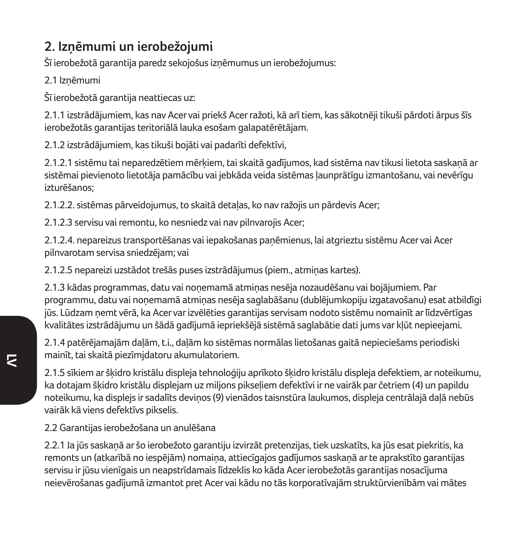## **2. Izņēmumi un ierobežojumi**

Šī ierobežotā garantija paredz sekojošus izņēmumus un ierobežojumus:

2.1 Izņēmumi

Šī ierobežotā garantija neattiecas uz:

2.1.1 izstrādājumiem, kas nav Acer vai priekš Acer ražoti, kā arī tiem, kas sākotnēji tikuši pārdoti ārpus šīs ierobežotās garantijas teritoriālā lauka esošam galapatērētājam.

2.1.2 izstrādājumiem, kas tikuši bojāti vai padarīti defektīvi,

2.1.2.1 sistēmu tai neparedzētiem mērķiem, tai skaitā gadījumos, kad sistēma nav tikusi lietota saskaņā ar sistēmai pievienoto lietotāja pamācību vai jebkāda veida sistēmas ļaunprātīgu izmantošanu, vai nevērīgu izturēšanos;

2.1.2.2. sistēmas pārveidojumus, to skaitā detaļas, ko nav ražojis un pārdevis Acer;

2.1.2.3 servisu vai remontu, ko nesniedz vai nav pilnvarojis Acer;

2.1.2.4. nepareizus transportēšanas vai iepakošanas paņēmienus, lai atgrieztu sistēmu Acer vai Acer pilnvarotam servisa sniedzējam; vai

2.1.2.5 nepareizi uzstādot trešās puses izstrādājumus (piem., atmiņas kartes).

2.1.3 kādas programmas, datu vai noņemamā atmiņas nesēja nozaudēšanu vai bojājumiem. Par programmu, datu vai noņemamā atmiņas nesēja saglabāšanu (dublējumkopiju izgatavošanu) esat atbildīgi jūs. Lūdzam ņemt vērā, ka Acer var izvēlēties garantijas servisam nodoto sistēmu nomainīt ar līdzvērtīgas kvalitātes izstrādājumu un šādā gadījumā iepriekšējā sistēmā saglabātie dati jums var kļūt nepieejami.

2.1.4 patērējamajām daļām, t.i., daļām ko sistēmas normālas lietošanas gaitā nepieciešams periodiski mainīt, tai skaitā piezīmjdatoru akumulatoriem.

2.1.5 sīkiem ar šķidro kristālu displeja tehnoloģiju aprīkoto šķidro kristālu displeja defektiem, ar noteikumu, ka dotajam šķidro kristālu displejam uz miljons pikseļiem defektīvi ir ne vairāk par četriem (4) un papildu noteikumu, ka displejs ir sadalīts deviņos (9) vienādos taisnstūra laukumos, displeja centrālajā daļā nebūs vairāk kā viens defektīvs pikselis.

2.2 Garantijas ierobežošana un anulēšana

2.2.1 Ja jūs saskaņā ar šo ierobežoto garantiju izvirzāt pretenzijas, tiek uzskatīts, ka jūs esat piekritis, ka remonts un (atkarībā no iespējām) nomaiņa, attiecīgajos gadījumos saskaņā ar te aprakstīto garantijas servisu ir jūsu vienīgais un neapstrīdamais līdzeklis ko kāda Acer ierobežotās garantijas nosacījuma neievērošanas gadījumā izmantot pret Acer vai kādu no tās korporatīvajām struktūrvienībām vai mātes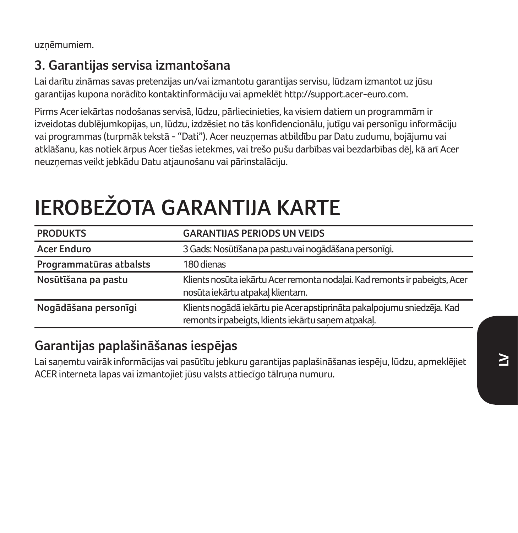uzņēmumiem.

## **3. Garantijas servisa izmantošana**

Lai darītu zināmas savas pretenzijas un/vai izmantotu garantijas servisu, lūdzam izmantot uz jūsu garantijas kupona norādīto kontaktinformāciju vai apmeklēt http://support.acer-euro.com.

Pirms Acer iekārtas nodošanas servisā, lūdzu, pārliecinieties, ka visiem datiem un programmām ir izveidotas dublējumkopijas, un, lūdzu, izdzēsiet no tās konfidencionālu, jutīgu vai personīgu informāciju vai programmas (turpmāk tekstā - "Dati"). Acer neuzņemas atbildību par Datu zudumu, bojājumu vai atklāšanu, kas notiek ārpus Acer tiešas ietekmes, vai trešo pušu darbības vai bezdarbības dēļ, kā arī Acer neuzņemas veikt jebkādu Datu atjaunošanu vai pārinstalāciju.

# **IEROBEŽOTA GARANTIJA KARTE**

| <b>PRODUKTS</b>         | <b>GARANTIJAS PERIODS UN VEIDS</b>                                                                                             |  |
|-------------------------|--------------------------------------------------------------------------------------------------------------------------------|--|
| <b>Acer Enduro</b>      | 3 Gads: Nosūtīšana pa pastu vai nogādāšana personīgi.                                                                          |  |
| Programmatūras atbalsts | 180 dienas                                                                                                                     |  |
| Nosūtīšana pa pastu     | Klients nosūta iekārtu Acer remonta nodalai. Kad remonts ir pabeigts, Acer<br>nosūta iekārtu atpakal klientam.                 |  |
| Nogādāšana personīgi    | Klients nogādā iekārtu pie Acer apstiprināta pakalpojumu sniedzēja. Kad<br>remonts ir pabeigts, klients iekārtu sanem atpakal. |  |

### **Garantijas paplašināšanas iespējas**

Lai saņemtu vairāk informācijas vai pasūtītu jebkuru garantijas paplašināšanas iespēju, lūdzu, apmeklējiet ACER interneta lapas vai izmantojiet jūsu valsts attiecīgo tālruņa numuru.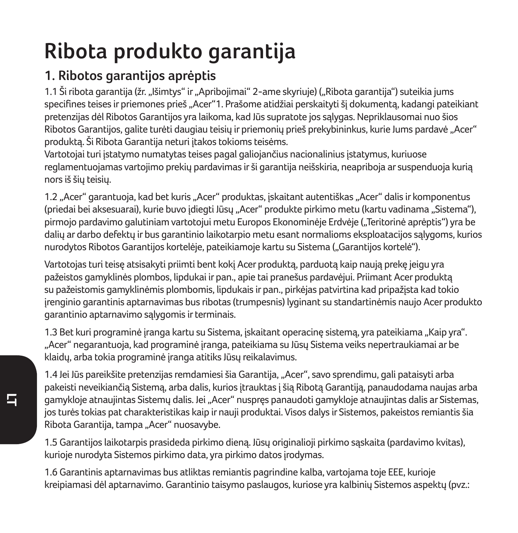## **Ribota produkto garantija**

## **1. Ribotos garantijos aprėptis**

1.1 Ši ribota garantija (žr. "Išimtys" ir "Apribojimai" 2-ame skyriuje) ("Ribota garantija") suteikia jums specifines teises ir priemones prieš "Acer"1. Prašome atidžiai perskaityti šį dokumentą, kadangi pateikiant pretenzijas dėl Ribotos Garantijos yra laikoma, kad Jūs supratote jos sąlygas. Nepriklausomai nuo šios Ribotos Garantijos, galite turėti daugiau teisių ir priemonių prieš prekybininkus, kurie Jums pardavė "Acer" produktą. Ši Ribota Garantija neturi įtakos tokioms teisėms.

Vartotojai turi įstatymo numatytas teises pagal galiojančius nacionalinius įstatymus, kuriuose reglamentuojamas vartojimo prekių pardavimas ir ši garantija neišskiria, neapriboja ar suspenduoja kurią nors iš šių teisių.

1.2 "Acer" garantuoja, kad bet kuris "Acer" produktas, įskaitant autentiškas "Acer" dalis ir komponentus (priedai bei aksesuarai), kurie buvo įdiegti Jūsų "Acer" produkte pirkimo metu (kartu vadinama "Sistema"), pirmojo pardavimo galutiniam vartotojui metu Europos Ekonominėje Erdvėje ("Teritorinė aprėptis") yra be dalių ar darbo defektų ir bus garantinio laikotarpio metu esant normalioms eksploatacijos sąlygoms, kurios nurodytos Ribotos Garantijos kortelėje, pateikiamoje kartu su Sistema ("Garantijos kortelė").

Vartotojas turi teisę atsisakyti priimti bent kokį Acer produktą, parduotą kaip naują prekę jeigu yra pažeistos gamyklinės plombos, lipdukai ir pan., apie tai pranešus pardavėjui. Priimant Acer produktą su pažeistomis gamyklinėmis plombomis, lipdukais ir pan., pirkėjas patvirtina kad pripažįsta kad tokio įrenginio garantinis aptarnavimas bus ribotas (trumpesnis) lyginant su standartinėmis naujo Acer produkto garantinio aptarnavimo sąlygomis ir terminais.

1.3 Bet kuri programinė įranga kartu su Sistema, įskaitant operacinę sistemą, yra pateikiama "Kaip yra". "Acer" negarantuoja, kad programinė įranga, pateikiama su Jūsų Sistema veiks nepertraukiamai ar be klaidų, arba tokia programinė įranga atitiks Jūsų reikalavimus.

1.4 Jei Jūs pareikšite pretenzijas remdamiesi šia Garantija, "Acer", savo sprendimu, gali pataisyti arba pakeisti neveikiančią Sistemą, arba dalis, kurios įtrauktas į šią Ribotą Garantiją, panaudodama naujas arba gamykloje atnaujintas Sistemų dalis. Jei "Acer" nuspręs panaudoti gamykloje atnaujintas dalis ar Sistemas, jos turės tokias pat charakteristikas kaip ir nauji produktai. Visos dalys ir Sistemos, pakeistos remiantis šia Ribota Garantija, tampa "Acer" nuosavybe.

1.5 Garantijos laikotarpis prasideda pirkimo dieną. Jūsų originalioji pirkimo sąskaita (pardavimo kvitas), kurioje nurodyta Sistemos pirkimo data, yra pirkimo datos įrodymas.

1.6 Garantinis aptarnavimas bus atliktas remiantis pagrindine kalba, vartojama toje EEE, kurioje kreipiamasi dėl aptarnavimo. Garantinio taisymo paslaugos, kuriose yra kalbinių Sistemos aspektų (pvz.: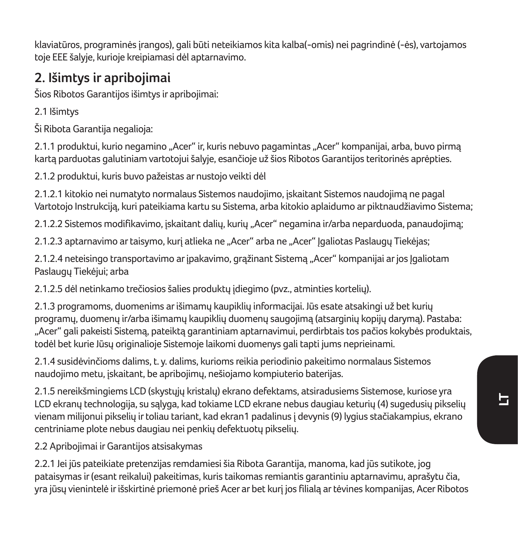klaviatūros, programinės įrangos), gali būti neteikiamos kita kalba(-omis) nei pagrindinė (-ės), vartojamos toje EEE šalyje, kurioje kreipiamasi dėl aptarnavimo.

## **2. Išimtys ir apribojimai**

Šios Ribotos Garantijos išimtys ir apribojimai:

2.1 Išimtys

Ši Ribota Garantija negalioja:

2.1.1 produktui, kurio negamino "Acer" ir, kuris nebuvo pagamintas "Acer" kompanijai, arba, buvo pirmą kartą parduotas galutiniam vartotojui šalyje, esančioje už šios Ribotos Garantijos teritorinės aprėpties.

2.1.2 produktui, kuris buvo pažeistas ar nustojo veikti dėl

2.1.2.1 kitokio nei numatyto normalaus Sistemos naudojimo, įskaitant Sistemos naudojimą ne pagal Vartotojo Instrukciją, kuri pateikiama kartu su Sistema, arba kitokio aplaidumo ar piktnaudžiavimo Sistema;

2.1.2.2 Sistemos modifikavimo, įskaitant dalių, kurių "Acer" negamina ir/arba neparduoda, panaudojimą;

2.1.2.3 aptarnavimo ar taisymo, kurį atlieka ne "Acer" arba ne "Acer" lgaliotas Paslaugų Tiekėjas;

2.1.2.4 neteisingo transportavimo ar įpakavimo, grąžinant Sistemą "Acer" kompanijai ar jos Jgaliotam Paslaugų Tiekėjui; arba

2.1.2.5 dėl netinkamo trečiosios šalies produktų įdiegimo (pvz., atminties kortelių).

2.1.3 programoms, duomenims ar išimamų kaupiklių informacijai. Jūs esate atsakingi už bet kurių programų, duomenų ir/arba išimamų kaupiklių duomenų saugojimą (atsarginių kopijų darymą). Pastaba: "Acer" gali pakeisti Sistemą, pateiktą garantiniam aptarnavimui, perdirbtais tos pačios kokybės produktais, todėl bet kurie Jūsų originalioje Sistemoje laikomi duomenys gali tapti jums neprieinami.

2.1.4 susidėvinčioms dalims, t. y. dalims, kurioms reikia periodinio pakeitimo normalaus Sistemos naudojimo metu, įskaitant, be apribojimų, nešiojamo kompiuterio baterijas.

2.1.5 nereikšmingiems LCD (skystųjų kristalų) ekrano defektams, atsiradusiems Sistemose, kuriose yra LCD ekranų technologija, su sąlyga, kad tokiame LCD ekrane nebus daugiau keturių (4) sugedusių pikselių vienam milijonui pikselių ir toliau tariant, kad ekran1 padalinus į devynis (9) lygius stačiakampius, ekrano centriniame plote nebus daugiau nei penkių defektuotų pikselių.

2.2 Apribojimai ir Garantijos atsisakymas

2.2.1 Jei jūs pateikiate pretenzijas remdamiesi šia Ribota Garantija, manoma, kad jūs sutikote, jog pataisymas ir (esant reikalui) pakeitimas, kuris taikomas remiantis garantiniu aptarnavimu, aprašytu čia, yra jūsų vienintelė ir išskirtinė priemonė prieš Acer ar bet kurį jos filialą ar tėvines kompanijas, Acer Ribotos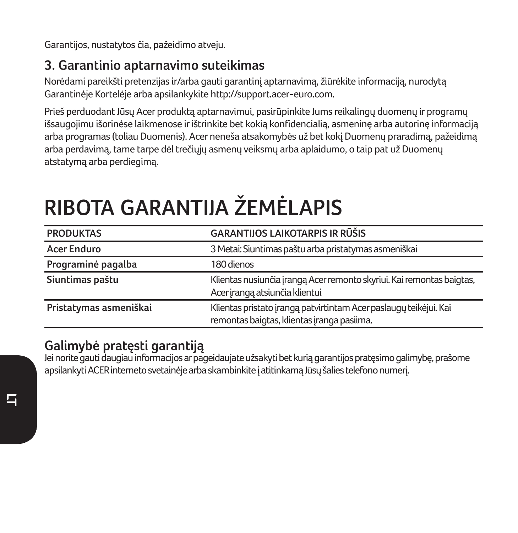Garantijos, nustatytos čia, pažeidimo atveju.

### **3. Garantinio aptarnavimo suteikimas**

Norėdami pareikšti pretenzijas ir/arba gauti garantinį aptarnavimą, žiūrėkite informaciją, nurodytą Garantinėje Kortelėje arba apsilankykite http://support.acer-euro.com.

Prieš perduodant Jūsų Acer produktą aptarnavimui, pasirūpinkite Jums reikalingų duomenų ir programų išsaugojimu išorinėse laikmenose ir ištrinkite bet kokią konfidencialią, asmeninę arba autorinę informaciją arba programas (toliau Duomenis). Acer neneša atsakomybės už bet kokį Duomenų praradimą, pažeidimą arba perdavimą, tame tarpe dėl trečiųjų asmenų veiksmų arba aplaidumo, o taip pat už Duomenų atstatymą arba perdiegimą.

| <b>PRODUKTAS</b>       | GARANTIJOS LAIKOTARPIS IR RŪŠIS                                                                                 |  |
|------------------------|-----------------------------------------------------------------------------------------------------------------|--|
| <b>Acer Enduro</b>     | 3 Metai: Siuntimas paštu arba pristatymas asmeniškai                                                            |  |
| Programinė pagalba     | 180 dienos                                                                                                      |  |
| Siuntimas paštu        | Klientas nusiunčia įrangą Acer remonto skyriui. Kai remontas baigtas,<br>Acer iranga atsiunčia klientui         |  |
| Pristatymas asmeniškai | Klientas pristato įrangą patvirtintam Acer paslaugų teikėjui. Kai<br>remontas baigtas, klientas įranga pasiima. |  |

# **RIBOTA GARANTIJA ŽEMĖLAPIS**

### **Galimybė pratęsti garantiją**

Jei norite gauti daugiau informacijos ar pageidaujate užsakyti bet kurią garantijos pratęsimo galimybę, prašome apsilankyti ACER interneto svetainėje arba skambinkite į atitinkamą Jūsų šalies telefono numerį.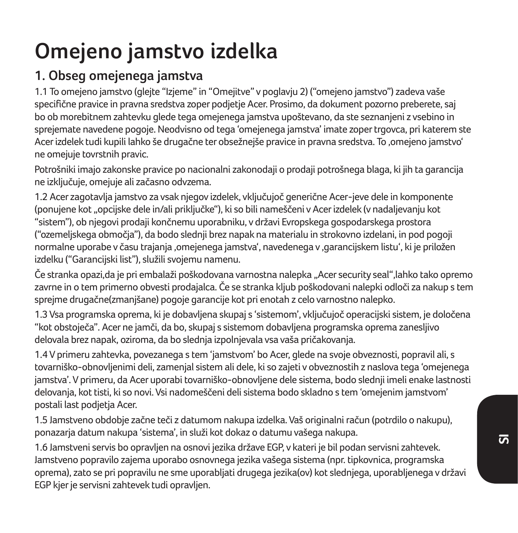## **Omejeno jamstvo izdelka**

## **1. Obseg omejenega jamstva**

1.1 To omejeno jamstvo (glejte "Izjeme" in "Omejitve" v poglavju 2) ("omejeno jamstvo") zadeva vaše specifične pravice in pravna sredstva zoper podjetje Acer. Prosimo, da dokument pozorno preberete, saj bo ob morebitnem zahtevku glede tega omejenega jamstva upoštevano, da ste seznanjeni z vsebino in sprejemate navedene pogoje. Neodvisno od tega 'omejenega jamstva' imate zoper trgovca, pri katerem ste Acer izdelek tudi kupili lahko še drugačne ter obsežnejše pravice in pravna sredstva. To 'omejeno jamstvo' ne omejuje tovrstnih pravic.

Potrošniki imajo zakonske pravice po nacionalni zakonodaji o prodaji potrošnega blaga, ki jih ta garancija ne izključuje, omejuje ali začasno odvzema.

1.2 Acer zagotavlja jamstvo za vsak njegov izdelek, vključujoč generične Acer-jeve dele in komponente (ponujene kot "opcijske dele in/ali priključke"), ki so bili nameščeni v Acer izdelek (v nadaljevanju kot "sistem"), ob njegovi prodaji končnemu uporabniku, v državi Evropskega gospodarskega prostora ("ozemeljskega območja"), da bodo slednji brez napak na materialu in strokovno izdelani, in pod pogoji normalne uporabe v času trajanja 'omejenega jamstva', navedenega v 'garancijskem listu', ki je priložen izdelku ("Garancijski list"), služili svojemu namenu.

Če stranka opazi,da je pri embalaži poškodovana varnostna nalepka "Acer security seal",lahko tako opremo zavrne in o tem primerno obvesti prodajalca. Če se stranka kljub poškodovani nalepki odloči za nakup s tem sprejme drugačne(zmanjšane) pogoje garancije kot pri enotah z celo varnostno nalepko.

1.3 Vsa programska oprema, ki je dobavljena skupaj s 'sistemom', vključujoč operacijski sistem, je določena "kot obstoječa". Acer ne jamči, da bo, skupaj s sistemom dobavljena programska oprema zanesljivo delovala brez napak, oziroma, da bo slednja izpolnjevala vsa vaša pričakovanja.

1.4 V primeru zahtevka, povezanega s tem 'jamstvom' bo Acer, glede na svoje obveznosti, popravil ali, s tovarniško-obnovljenimi deli, zamenjal sistem ali dele, ki so zajeti v obveznostih z naslova tega 'omejenega jamstva'. V primeru, da Acer uporabi tovarniško-obnovljene dele sistema, bodo slednji imeli enake lastnosti delovanja, kot tisti, ki so novi. Vsi nadomeščeni deli sistema bodo skladno s tem 'omejenim jamstvom' postali last podjetja Acer.

1.5 Jamstveno obdobje začne teči z datumom nakupa izdelka. Vaš originalni račun (potrdilo o nakupu), ponazarja datum nakupa 'sistema', in služi kot dokaz o datumu vašega nakupa.

1.6 Jamstveni servis bo opravljen na osnovi jezika države EGP, v kateri je bil podan servisni zahtevek. Jamstveno popravilo zajema uporabo osnovnega jezika vašega sistema (npr. tipkovnica, programska oprema), zato se pri popravilu ne sme uporabljati drugega jezika(ov) kot slednjega, uporabljenega v državi EGP kjer je servisni zahtevek tudi opravljen.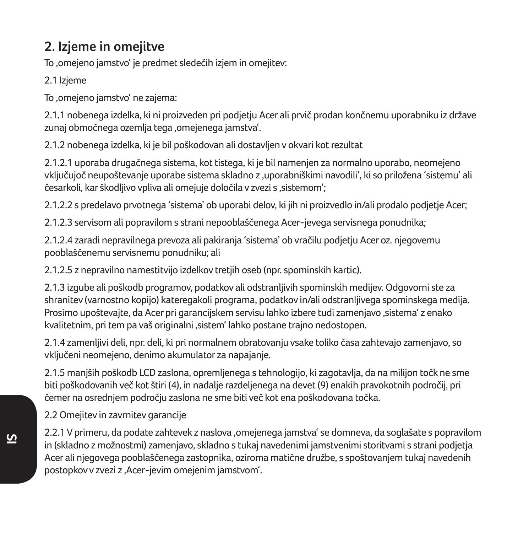## **2. Izjeme in omejitve**

To .omejeno jamstvo' je predmet sledečih izjem in omejitev:

2.1 Izjeme

To ,omejeno jamstvo' ne zajema:

2.1.1 nobenega izdelka, ki ni proizveden pri podjetju Acer ali prvič prodan končnemu uporabniku iz države zunaj območnega ozemlja tega .omejenega jamstva'.

2.1.2 nobenega izdelka, ki je bil poškodovan ali dostavljen v okvari kot rezultat

2.1.2.1 uporaba drugačnega sistema, kot tistega, ki je bil namenjen za normalno uporabo, neomejeno vključujoč neupoštevanje uporabe sistema skladno z 'uporabniškimi navodili', ki so priložena 'sistemu' ali česarkoli, kar škodlijvo vpliva ali omejuje določila v zvezi s .sistemom':

2.1.2.2 s predelavo prvotnega 'sistema' ob uporabi delov, ki jih ni proizvedlo in/ali prodalo podjetje Acer;

2.1.2.3 servisom ali popravilom s strani nepooblaščenega Acer-jevega servisnega ponudnika;

2.1.2.4 zaradi nepravilnega prevoza ali pakiranja 'sistema' ob vračilu podjetju Acer oz. njegovemu pooblaščenemu servisnemu ponudniku; ali

2.1.2.5 z nepravilno namestitvijo izdelkov tretjih oseb (npr. spominskih kartic).

2.1.3 izgube ali poškodb programov, podatkov ali odstranljivih spominskih medijev. Odgovorni ste za shranitev (varnostno kopijo) kateregakoli programa, podatkov in/ali odstranljivega spominskega medija. Prosimo upoštevajte, da Acer pri garancijskem servisu lahko izbere tudi zamenjavo 'sistema' z enako kvalitetnim, pri tem pa vaš originalni 'sistem' lahko postane trajno nedostopen.

2.1.4 zamenljivi deli, npr. deli, ki pri normalnem obratovanju vsake toliko časa zahtevajo zamenjavo, so vključeni neomejeno, denimo akumulator za napajanje.

2.1.5 manjših poškodb LCD zaslona, opremljenega s tehnologijo, ki zagotavlja, da na milijon točk ne sme biti poškodovanih več kot štiri (4), in nadalje razdeljenega na devet (9) enakih pravokotnih področij, pri čemer na osrednjem področju zaslona ne sme biti več kot ena poškodovana točka.

2.2 Omejitev in zavrnitev garancije

2.2.1 V primeru, da podate zahtevek z naslova 'omejenega jamstva' se domneva, da soglašate s popravilom in (skladno z možnostmi) zamenjavo, skladno s tukaj navedenimi jamstvenimi storitvami s strani podjetja Acer ali njegovega pooblaščenega zastopnika, oziroma matične družbe, s spoštovanjem tukaj navedenih postopkov v zvezi z ,Acer-jevim omejenim jamstvom'.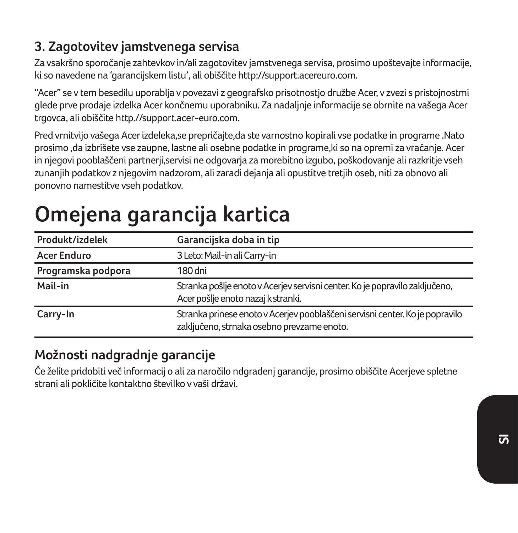## **3. Zagotovitev jamstvenega servisa**

Za vsakršno sporočanje zahtevkov in/ali zagotovitev jamstvenega servisa, prosimo upoštevajte informacije, ki so navedene na 'garancijskem listu', ali obiščite http://support.acereuro.com.

"Acer" se v tem besedilu uporablja v povezavi z geografsko prisotnostjo družbe Acer, v zvezi s pristojnostmi glede prve prodaje izdelka Acer končnemu uporabniku. Za nadaljnje informacije se obrnite na vašega Acer trgovca, ali obiščite http.//support.acer-euro.com.

Pred vrnitvijo vašega Acer izdeleka,se prepričajte,da ste varnostno kopirali vse podatke in programe .Nato prosimo ,da izbrišete vse zaupne, lastne ali osebne podatke in programe,ki so na opremi za vračanje. Acer in njegovi pooblaščeni partnerij,servisi ne odgovarja za morebitno izgubo, poškodovanje ali razkritje vseh zunanjih podatkov z njegovim nadzorom, ali zaradi dejanja ali opustitve tretjih oseb, niti za obnovo ali ponovno namestitve vseh podatkov.

# **Omejena garancija kartica**

| Produkt/izdelek    | Garancijska doba in tip                                                                                                    |  |
|--------------------|----------------------------------------------------------------------------------------------------------------------------|--|
| <b>Acer Enduro</b> | 3 Leto: Mail-in ali Carry-in                                                                                               |  |
| Programska podpora | 180 dni                                                                                                                    |  |
| Mail-in            | Stranka pošlje enoto v Acerjev servisni center. Ko je popravilo zaključeno,<br>Acer pošlje enoto nazaj k stranki.          |  |
| Carry-In           | Stranka prinese enoto v Acerjev pooblaščeni servisni center. Ko je popravilo<br>zaključeno, strnaka osebno prevzame enoto. |  |

### **Možnosti nadgradnje garancije**

Če želite pridobiti več informacij o ali za naročilo ndgradenj garancije, prosimo obiščite Acerjeve spletne strani ali pokličite kontaktno številko v vaši državi.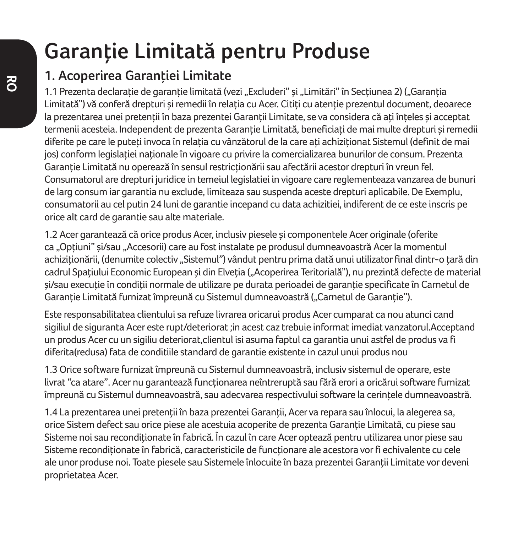## **Garanţie Limitată pentru Produse**

## **1. Acoperirea Garanţiei Limitate**

1.1 Prezenta declarație de garanție limitată (vezi "Excluderi" și "Limitări" în Secțiunea 2) ("Garanția Limitată") vă conferă drepturi și remedii în relația cu Acer. Citiți cu atenție prezentul document, deoarece la prezentarea unei pretenții în baza prezentei Garanții Limitate, se va considera că ați înțeles și acceptat termenii acesteia. Independent de prezenta Garantie Limitată, beneficiati de mai multe drepturi și remedii diferite pe care le puteți invoca în relația cu vânzătorul de la care ați achiziționat Sistemul (definit de mai jos) conform legislatiei nationale în vigoare cu privire la comercializarea bunurilor de consum. Prezenta Garantie Limitată nu operează în sensul restricționării sau afectării acestor drepturi în vreun fel. Consumatorul are drepturi juridice in temeiul legislatiei in vigoare care reglementeaza vanzarea de bunuri de larg consum iar garantia nu exclude, limiteaza sau suspenda aceste drepturi aplicabile. De Exemplu, consumatorii au cel putin 24 luni de garantie incepand cu data achizitiei, indiferent de ce este inscris pe orice alt card de garantie sau alte materiale.

1.2 Acer garantează că orice produs Acer, inclusiv piesele şi componentele Acer originale (oferite ca "Optiuni" și/sau "Accesorii) care au fost instalate pe produsul dumneavoastră Acer la momentul achizitionării, (denumite colectiv "Sistemul") vândut pentru prima dată unui utilizator final dintr-o tară din cadrul Spațiului Economic European și din Elveția ("Acoperirea Teritorială"), nu prezintă defecte de material si/sau executie în condiții normale de utilizare pe durata perioadei de garanție specificate în Carnetul de Garanție Limitată furnizat împreună cu Sistemul dumneavoastră ("Carnetul de Garanție").

Este responsabilitatea clientului sa refuze livrarea oricarui produs Acer cumparat ca nou atunci cand sigiliul de siguranta Acer este rupt/deteriorat ;in acest caz trebuie informat imediat vanzatorul.Acceptand un produs Acer cu un sigiliu deteriorat,clientul isi asuma faptul ca garantia unui astfel de produs va fi diferita(redusa) fata de conditiile standard de garantie existente in cazul unui produs nou

1.3 Orice software furnizat împreună cu Sistemul dumneavoastră, inclusiv sistemul de operare, este livrat "ca atare". Acer nu garantează functionarea neîntreruptă sau fără erori a oricărui software furnizat împreună cu Sistemul dumneavoastră, sau adecvarea respectivului software la cerintele dumneavoastră.

1.4 La prezentarea unei pretenţii în baza prezentei Garanţii, Acer va repara sau înlocui, la alegerea sa, orice Sistem defect sau orice piese ale acestuia acoperite de prezenta Garantie Limitată, cu piese sau Sisteme noi sau reconditionate în fabrică. În cazul în care Acer optează pentru utilizarea unor piese sau Sisteme reconditionate în fabrică, caracteristicile de functionare ale acestora vor fi echivalente cu cele ale unor produse noi. Toate piesele sau Sistemele înlocuite în baza prezentei Garantii Limitate vor deveni proprietatea Acer.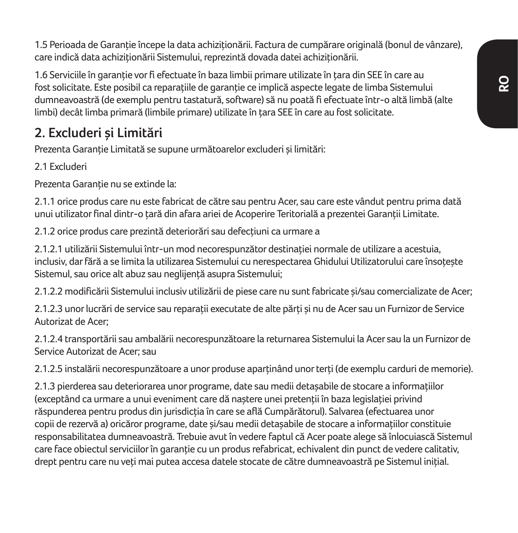**RO**

1.5 Perioada de Garanție începe la data achiziționării. Factura de cumpărare originală (bonul de vânzare), care indică data achiziționării Sistemului, reprezintă dovada datei achiziționării.

1.6 Serviciile în garanție vor fi efectuate în baza limbii primare utilizate în țara din SEE în care au fost solicitate. Este posibil ca reparatiile de garantie ce implică aspecte legate de limba Sistemului dumneavoastră (de exemplu pentru tastatură, software) să nu poată fi efectuate într-o altă limbă (alte limbi) decât limba primară (limbile primare) utilizate în ţara SEE în care au fost solicitate.

## **2. Excluderi şi Limitări**

Prezenta Garanție Limitată se supune următoarelor excluderi și limitări:

2.1 Excluderi

Prezenta Garantie nu se extinde la:

2.1.1 orice produs care nu este fabricat de către sau pentru Acer, sau care este vândut pentru prima dată unui utilizator final dintr-o tară din afara ariei de Acoperire Teritorială a prezentei Garanții Limitate.

2.1.2 orice produs care prezintă deteriorări sau defecțiuni ca urmare a

2.1.2.1 utilizării Sistemului într-un mod necorespunzător destinației normale de utilizare a acestuia, inclusiv, dar fără a se limita la utilizarea Sistemului cu nerespectarea Ghidului Utilizatorului care însotește Sistemul, sau orice alt abuz sau neglijenţă asupra Sistemului;

2.1.2.2 modificării Sistemului inclusiv utilizării de piese care nu sunt fabricate şi/sau comercializate de Acer;

2.1.2.3 unor lucrări de service sau reparații executate de alte părți și nu de Acer sau un Furnizor de Service Autorizat de Acer;

2.1.2.4 transportării sau ambalării necorespunzătoare la returnarea Sistemului la Acer sau la un Furnizor de Service Autorizat de Acer; sau

2.1.2.5 instalării necorespunzătoare a unor produse aparținând unor terți (de exemplu carduri de memorie).

2.1.3 pierderea sau deteriorarea unor programe, date sau medii detasabile de stocare a informatiilor (exceptând ca urmare a unui eveniment care dă naștere unei pretenții în baza legislației privind răspunderea pentru produs din jurisdicția în care se află Cumpărătorul). Salvarea (efectuarea unor copii de rezervă a) oricăror programe, date și/sau medii detasabile de stocare a informațiilor constituie responsabilitatea dumneavoastră. Trebuie avut în vedere faptul că Acer poate alege să înlocuiască Sistemul care face obiectul serviciilor în garanție cu un produs refabricat, echivalent din punct de vedere calitativ, drept pentru care nu veți mai putea accesa datele stocate de către dumneavoastră pe Sistemul inițial.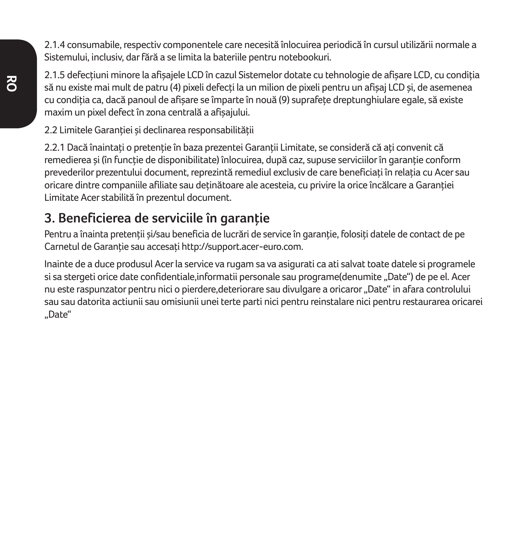2.1.4 consumabile, respectiv componentele care necesită înlocuirea periodică în cursul utilizării normale a Sistemului, inclusiv, dar fără a se limita la bateriile pentru notebookuri.

2.1.5 defectiuni minore la afisajele LCD în cazul Sistemelor dotate cu tehnologie de afisare LCD, cu condiția să nu existe mai mult de patru (4) pixeli defecți la un milion de pixeli pentru un afișaj LCD și, de asemenea cu condiția ca, dacă panoul de afisare se împarte în nouă (9) suprafețe dreptunghiulare egale, să existe maxim un pixel defect în zona centrală a afişajului.

2.2 Limitele Garantiei și declinarea responsabilității

2.2.1 Dacă înaintați o pretenție în baza prezenței Garanții Limitate, se consideră că ați convenit că remedierea și (în funcție de disponibilitate) înlocuirea, după caz, supuse serviciilor în garanție conform prevederilor prezentului document, reprezintă remediul exclusiv de care beneficiaţi în relaţia cu Acer sau oricare dintre companiile afiliate sau deținătoare ale acesteia, cu privire la orice încălcare a Garanției Limitate Acer stabilită în prezentul document.

## **3. Beneficierea de serviciile în garanţie**

Pentru a înainta pretenții si/sau beneficia de lucrări de service în garanție, folosiți datele de contact de pe Carnetul de Garantie sau accesati http://support.acer-euro.com.

Inainte de a duce produsul Acer la service va rugam sa va asigurati ca ati salvat toate datele si programele si sa stergeti orice date confidentiale,informatii personale sau programe(denumite "Date") de pe el. Acer nu este raspunzator pentru nici o pierdere,deteriorare sau divulgare a oricaror "Date" in afara controlului sau sau datorita actiunii sau omisiunii unei terte parti nici pentru reinstalare nici pentru restaurarea oricarei "Date"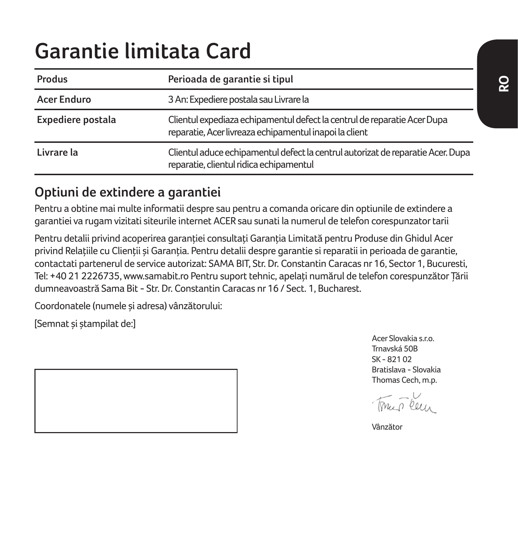## **Garantie limitata Card**

| Produs             | Perioada de garantie si tipul                                                                                                      |  |
|--------------------|------------------------------------------------------------------------------------------------------------------------------------|--|
| <b>Acer Enduro</b> | 3 An: Expediere postala sau Livrare la                                                                                             |  |
| Expediere postala  | Clientul expediaza echipamentul defect la centrul de reparatie Acer Dupa<br>reparatie, Acer livreaza echipamentul inapoi la client |  |
| Livrare la         | Clientul aduce echipamentul defect la centrul autorizat de reparatie Acer. Dupa<br>reparatie, clientul ridica echipamentul         |  |

### **Optiuni de extindere a garantiei**

Pentru a obtine mai multe informatii despre sau pentru a comanda oricare din optiunile de extindere a garantiei va rugam vizitati siteurile internet ACER sau sunati la numerul de telefon corespunzator tarii

Pentru detalii privind acoperirea garantiei consultați Garanția Limitată pentru Produse din Ghidul Acer privind Relatiile cu Clientii și Garanția. Pentru detalii despre garanție și reparatii in perioada de garanție, contactati partenerul de service autorizat: SAMA BIT, Str. Dr. Constantin Caracas nr 16, Sector 1, Bucuresti, Tel: +40 21 2226735, www.samabit.ro Pentru suport tehnic, apelați numărul de telefon corespunzător Tării dumneavoastră Sama Bit - Str. Dr. Constantin Caracas nr 16 / Sect. 1, Bucharest.

Coordonatele (numele şi adresa) vânzătorului:

[Semnat şi ştampilat de:]

Acer Slovakia s.r.o. Trnavská 50B SK - 821 02 Bratislava - Slovakia Thomas Cech, m.p.

 $\sqrt{n}$ ,  $\sqrt{n}$ 

Vânzător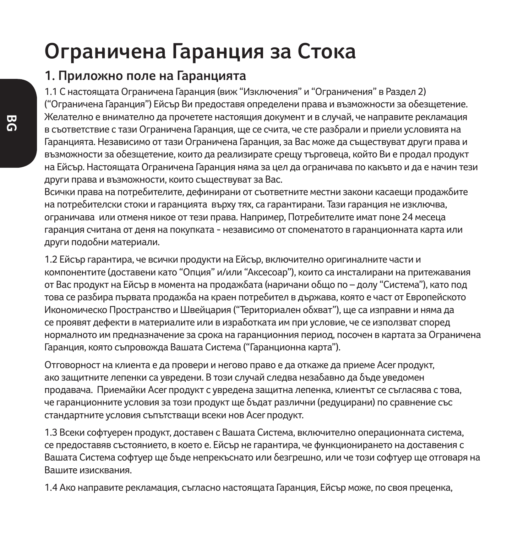## **Ограничена Гаранция за Стока**

### **1. Приложно поле на Гаранцията**

1.1 С настоящата Ограничена Гаранция (виж "Изключения" и "Ограничения" в Раздел 2) ("Ограничена Гаранция") Ейсър Ви предоставя определени права и възможности за обезщетение. Желателно е внимателно да прочетете настоящия документ и в случай, че направите рекламация в съответствие с тази Ограничена Гаранция, ще се счита, че сте разбрали и приели условията на Гаранцията. Независимо от тази Ограничена Гаранция, за Вас може да съществуват други права и възможности за обезщетение, които да реализирате срещу търговеца, който Ви е продал продукт на Ейсър. Настоящата Ограничена Гаранция няма за цел да ограничава по какъвто и да е начин тези други права и възможности, които съществуват за Вас.

Всички права на потребителите, дефинирани от съответните местни закони касаещи продажбите на потребителски стоки и гаранцията върху тях, са гарантирани. Тази гаранция не изключва, ограничава или отменя никое от тези права. Например, Потребителите имат поне 24 месеца гаранция считана от деня на покупката - независимо от споменатото в гаранционната карта или други подобни материали.

1.2 Ейсър гарантира, че всички продукти на Ейсър, включително оригиналните части и компонентите (доставени като "Опция" и/или "Аксесоар"), които са инсталирани на притежавания от Вас продукт на Ейсър в момента на продажбата (наричани общо по – долу "Система"), като под това се разбира първата продажба на краен потребител в държава, която е част от Европейското Икономическо Пространство и Швейцария ("Териториален обхват"), ще са изправни и няма да се проявят дефекти в материалите или в изработката им при условие, че се използват според нормалното им предназначение за срока на гаранционния период, посочен в картата за Ограничена Гаранция, която съпровожда Вашата Система ("Гаранционна карта").

Отговорност на клиента е да провери и негово право е да откаже да приеме Acer продукт, ако защитните лепенки са увредени. В този случай следва незабавно да бъде уведомен продавача. Приемайки Acer продукт с увредена защитна лепенка, клиентът се съгласява с това, че гаранционните условия за този продукт ще бъдат различни (редуцирани) по сравнение със стандартните условия съпътстващи всеки нов Acer продукт.

1.3 Всеки софтуерен продукт, доставен с Вашата Система, включително операционната система, се предоставяв състоянието, в което е. Ейсър не гарантира, че функционирането на доставения с Вашата Система софтуер ще бъде непрекъснато или безгрешно, или че този софтуер ще отговаря на Вашите изисквания.

1.4 Ако направите рекламация, съгласно настоящата Гаранция, Ейсър може, по своя преценка,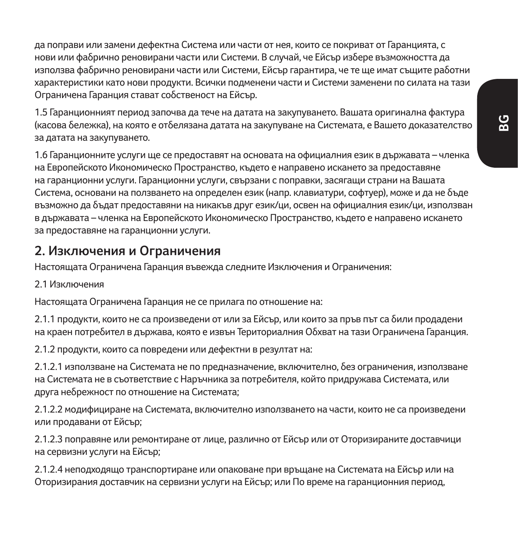да поправи или замени дефектна Система или части от нея, които се покриват от Гаранцията, с нови или фабрично реновирани части или Системи. В случай, че Ейсър избере възможността да използва фабрично реновирани части или Системи, Ейсър гарантира, че те ще имат същите работни характеристики като нови продукти. Всички подменени части и Системи заменени по силата на тази Ограничена Гаранция стават собственост на Ейсър.

1.5 Гаранционният период започва да тече на датата на закупуването. Вашата оригинална фактура (касова бележка), на която е отбелязана датата на закупуване на Системата, е Вашето доказателство за датата на закупуването.

1.6 Гаранционните услуги ще се предоставят на основата на официалния език в държавата – членка на Европейското Икономическо Пространство, където е направено искането за предоставяне на гаранционни услуги. Гаранционни услуги, свързани с поправки, засягащи страни на Вашата Система, основани на ползването на определен език (напр. клавиатури, софтуер), може и да не бъде възможно да бъдат предоставяни на никакъв друг език/ци, освен на официалния език/ци, използван в държавата – членка на Европейското Икономическо Пространство, където е направено искането за предоставяне на гаранционни услуги.

### **2. Изключения и Ограничения**

Настоящата Ограничена Гаранция въвежда следните Изключения и Ограничения:

#### 2.1 Изключения

Настоящата Ограничена Гаранция не се прилага по отношение на:

2.1.1 продукти, които не са произведени от или за Ейсър, или които за пръв път са били продадени на краен потребител в държава, която е извън Териториалния Обхват на тази Ограничена Гаранция.

2.1.2 продукти, които са повредени или дефектни в резултат на:

2.1.2.1 използване на Системата не по предназначение, включително, без ограничения, използване на Системата не в съответствие с Наръчника за потребителя, който придружава Системата, или друга небрежност по отношение на Системата;

2.1.2.2 модифициране на Системата, включително използването на части, които не са произведени или продавани от Ейсър;

2.1.2.3 поправяне или ремонтиране от лице, различно от Ейсър или от Оторизираните доставчици на сервизни услуги на Ейсър;

2.1.2.4 неподходящо транспортиране или опаковане при връщане на Системата на Ейсър или на Оторизирания доставчик на сервизни услуги на Ейсър; или По време на гаранционния период,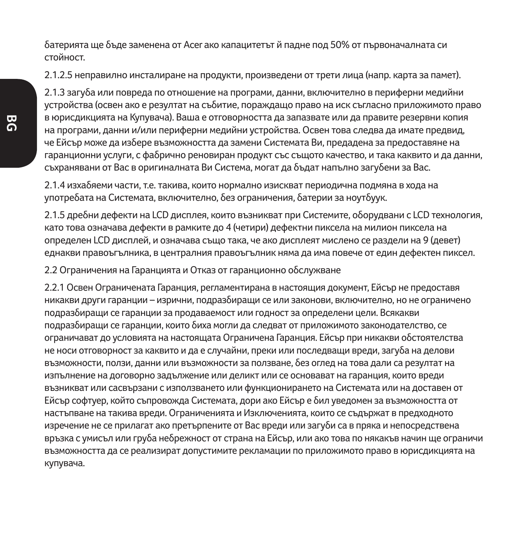батерията ще бъде заменена от Acer ако капацитетът й падне под 50% от първоначалната си стойност.

2.1.2.5 неправилно инсталиране на продукти, произведени от трети лица (напр. карта за памет).

2.1.3 загуба или повреда по отношение на програми, данни, включително в периферни медийни устройства (освен ако е резултат на събитие, пораждащо право на иск съгласно приложимото право в юрисдикцията на Купувача). Ваша е отговорността да запазвате или да правите резервни копия на програми, данни и/или периферни медийни устройства. Освен това следва да имате предвид, че Ейсър може да избере възможността да замени Системата Ви, предадена за предоставяне на гаранционни услуги, с фабрично реновиран продукт със същото качество, и така каквито и да данни, съхранявани от Вас в оригиналната Ви Система, могат да бъдат напълно загубени за Вас.

2.1.4 изхабяеми части, т.е. такива, които нормално изискват периодична подмяна в хода на употребата на Системата, включително, без ограничения, батерии за ноутбуук.

2.1.5 дребни дефекти на LCD дисплея, които възникват при Системите, оборудвани с LCD технология, като това означава дефекти в рамките до 4 (четири) дефектни пиксела на милион пиксела на определен LCD дисплей, и означава също така, че ако дисплеят мислено се раздели на 9 (девет) еднакви правоъгълника, в централния правоъгълник няма да има повече от един дефектен пиксел.

#### 2.2 Ограничения на Гаранцията и Отказ от гаранционно обслужване

2.2.1 Освен Ограничената Гаранция, регламентирана в настоящия документ, Ейсър не предоставя никакви други гаранции – изрични, подразбиращи се или законови, включително, но не ограничено подразбиращи се гаранции за продаваемост или годност за определени цели. Всякакви подразбиращи се гаранции, които биха могли да следват от приложимото законодателство, се ограничават до условията на настоящата Ограничена Гаранция. Ейсър при никакви обстоятелства не носи отговорност за каквито и да е случайни, преки или последващи вреди, загуба на делови възможности, ползи, данни или възможности за ползване, без оглед на това дали са резултат на изпълнение на договорно задължение или деликт или се основават на гаранция, които вреди възникват или сасвързани с използването или функционирането на Системата или на доставен от Ейсър софтуер, който съпровожда Системата, дори ако Ейсър е бил уведомен за възможността от настъпване на такива вреди. Ограниченията и Изключенията, които се съдържат в предходното изречение не се прилагат ако претърпените от Вас вреди или загуби са в пряка и непосредствена връзка с умисъл или груба небрежност от страна на Ейсър, или ако това по някакъв начин ще ограничи възможността да се реализират допустимите рекламации по приложимото право в юрисдикцията на купувача.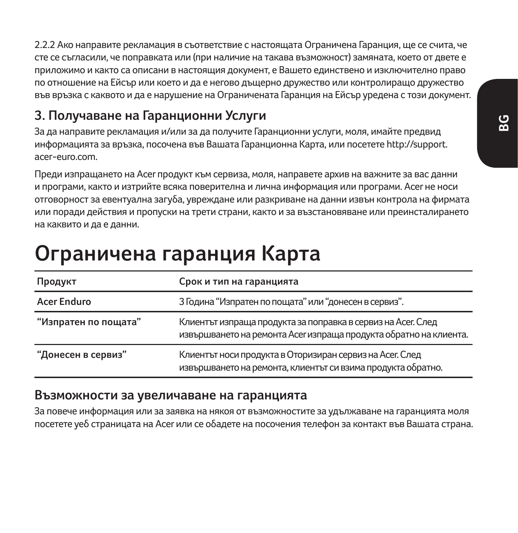2.2.2 Ако направите рекламация в съответствие с настоящата Ограничена Гаранция, ще се счита, че сте се съгласили, че поправката или (при наличие на такава възможност) замяната, което от двете е приложимо и както са описани в настоящия документ, е Вашето единствено и изключително право по отношение на Ейсър или което и да е негово дъщерно дружество или контролиращо дружество във връзка с каквото и да е нарушение на Ограничената Гаранция на Ейсър уредена с този документ.

### **3. Получаване на Гаранционни Услуги**

За да направите рекламация и/или за да получите Гаранционни услуги, моля, имайте предвид информацията за връзка, посочена във Вашата Гаранционна Карта, или посетете http://support. acer-euro.com.

Преди изпращането на Acer продукт към сервиза, моля, направете архив на важните за вас данни и програми, както и изтрийте всяка поверителна и лична информация или програми. Acer не носи отговорност за евентуална загуба, увреждане или разкриване на данни извън контрола на фирмата или поради действия и пропуски на трети страни, както и за възстановяване или преинсталирането на каквито и да е данни.

## **Ограничена гаранция Карта**

| Продукт              | Срок и тип на гаранцията                                                                                                          |  |
|----------------------|-----------------------------------------------------------------------------------------------------------------------------------|--|
| <b>Acer Enduro</b>   | 3 Година "Изпратен по пощата" или "донесен в сервиз".                                                                             |  |
| "Изпратен по пощата" | Клиентът изпраща продукта за поправка в сервиз на Асег. След<br>извършването на ремонта Асег изпраща продукта обратно на клиента. |  |
| "Донесен в сервиз"   | Клиентът носи продукта в Оторизиран сервиз на Асег. След<br>извършването на ремонта, клиентът си взима продукта обратно.          |  |

#### **Възможности за увеличаване на гаранцията**

За повече информация или за заявка на някоя от възможностите за удължаване на гаранцията моля посетете уеб страницата на Acer или се обадете на посочения телефон за контакт във Вашата страна.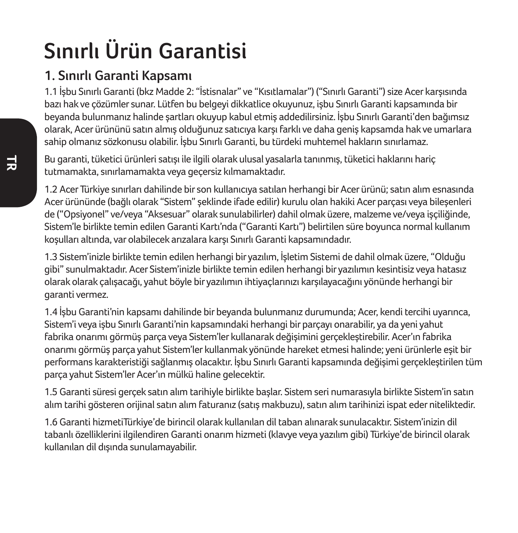# **Sınırlı Ürün Garantisi**

## **1. Sınırlı Garanti Kapsamı**

1.1 İşbu Sınırlı Garanti (bkz Madde 2: "İstisnalar" ve "Kısıtlamalar") ("Sınırlı Garanti") size Acer karşısında bazı hak ve çözümler sunar. Lütfen bu belgeyi dikkatlice okuyunuz, işbu Sınırlı Garanti kapsamında bir beyanda bulunmanız halinde şartları okuyup kabul etmiş addedilirsiniz. İşbu Sınırlı Garanti'den bağımsız olarak, Acer ürününü satın almış olduğunuz satıcıya karşı farklı ve daha geniş kapsamda hak ve umarlara sahip olmanız sözkonusu olabilir. İşbu Sınırlı Garanti, bu türdeki muhtemel hakların sınırlamaz.

Bu garanti, tüketici ürünleri satışı ile ilgili olarak ulusal yasalarla tanınmış, tüketici haklarını hariç tutmamakta, sınırlamamakta veya geçersiz kılmamaktadır.

1.2 Acer Türkiye sınırları dahilinde bir son kullanıcıya satılan herhangi bir Acer ürünü; satın alım esnasında Acer ürününde (bağlı olarak "Sistem" şeklinde ifade edilir) kurulu olan hakiki Acer parçası veya bileşenleri de ("Opsiyonel" ve/veya "Aksesuar" olarak sunulabilirler) dahil olmak üzere, malzeme ve/veya işçiliğinde, Sistem'le birlikte temin edilen Garanti Kartı'nda ("Garanti Kartı") belirtilen süre boyunca normal kullanım koşulları altında, var olabilecek arızalara karşı Sınırlı Garanti kapsamındadır.

1.3 Sistem'inizle birlikte temin edilen herhangi bir yazılım, İşletim Sistemi de dahil olmak üzere, "Olduğu gibi" sunulmaktadır. Acer Sistem'inizle birlikte temin edilen herhangi bir yazılımın kesintisiz veya hatasız olarak olarak çalışacağı, yahut böyle bir yazılımın ihtiyaçlarınızı karşılayacağını yönünde herhangi bir garanti vermez.

1.4 İşbu Garanti'nin kapsamı dahilinde bir beyanda bulunmanız durumunda; Acer, kendi tercihi uyarınca, Sistem'i veya işbu Sınırlı Garanti'nin kapsamındaki herhangi bir parçayı onarabilir, ya da yeni yahut fabrika onarımı görmüş parça veya Sistem'ler kullanarak değişimini gerçekleştirebilir. Acer'ın fabrika onarımı görmüş parça yahut Sistem'ler kullanmak yönünde hareket etmesi halinde; yeni ürünlerle eşit bir performans karakteristiği sağlanmış olacaktır. İşbu Sınırlı Garanti kapsamında değişimi gerçekleştirilen tüm parça yahut Sistem'ler Acer'ın mülkü haline gelecektir.

1.5 Garanti süresi gerçek satın alım tarihiyle birlikte başlar. Sistem seri numarasıyla birlikte Sistem'in satın alım tarihi gösteren orijinal satın alım faturanız (satış makbuzu), satın alım tarihinizi ispat eder niteliktedir.

1.6 Garanti hizmetiTürkiye'de birincil olarak kullanılan dil taban alınarak sunulacaktır. Sistem'inizin dil tabanlı özelliklerini ilgilendiren Garanti onarım hizmeti (klavye veya yazılım gibi) Türkiye'de birincil olarak kullanılan dil dışında sunulamayabilir.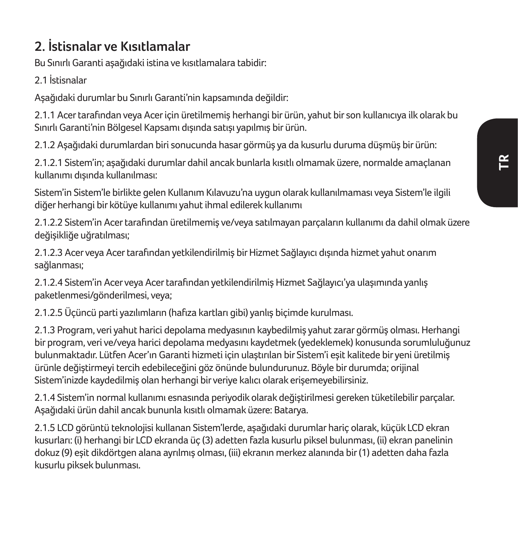## **2. İstisnalar ve Kısıtlamalar**

Bu Sınırlı Garanti aşağıdaki istina ve kısıtlamalara tabidir:

2.1 İstisnalar

Aşağıdaki durumlar bu Sınırlı Garanti'nin kapsamında değildir:

2.1.1 Acer tarafından veya Acer için üretilmemiş herhangi bir ürün, yahut bir son kullanıcıya ilk olarak bu Sınırlı Garanti'nin Bölgesel Kapsamı dışında satışı yapılmış bir ürün.

2.1.2 Aşağıdaki durumlardan biri sonucunda hasar görmüş ya da kusurlu duruma düşmüş bir ürün:

2.1.2.1 Sistem'in; aşağıdaki durumlar dahil ancak bunlarla kısıtlı olmamak üzere, normalde amaçlanan kullanımı dışında kullanılması:

Sistem'in Sistem'le birlikte gelen Kullanım Kılavuzu'na uygun olarak kullanılmaması veya Sistem'le ilgili diğer herhangi bir kötüye kullanımı yahut ihmal edilerek kullanımı

2.1.2.2 Sistem'in Acer tarafından üretilmemiş ve/veya satılmayan parçaların kullanımı da dahil olmak üzere değişikliğe uğratılması;

2.1.2.3 Acer veya Acer tarafından yetkilendirilmiş bir Hizmet Sağlayıcı dışında hizmet yahut onarım sağlanması;

2.1.2.4 Sistem'in Acer veya Acer tarafından yetkilendirilmiş Hizmet Sağlayıcı'ya ulaşımında yanlış paketlenmesi/gönderilmesi, veya;

2.1.2.5 Üçüncü parti yazılımların (hafıza kartları gibi) yanlış biçimde kurulması.

2.1.3 Program, veri yahut harici depolama medyasının kaybedilmiş yahut zarar görmüş olması. Herhangi bir program, veri ve/veya harici depolama medyasını kaydetmek (yedeklemek) konusunda sorumluluğunuz bulunmaktadır. Lütfen Acer'ın Garanti hizmeti için ulaştırılan bir Sistem'i eşit kalitede bir yeni üretilmiş ürünle değiştirmeyi tercih edebileceğini göz önünde bulundurunuz. Böyle bir durumda; orijinal Sistem'inizde kaydedilmiş olan herhangi bir veriye kalıcı olarak erişemeyebilirsiniz.

2.1.4 Sistem'in normal kullanımı esnasında periyodik olarak değiştirilmesi gereken tüketilebilir parçalar. Aşağıdaki ürün dahil ancak bununla kısıtlı olmamak üzere: Batarya.

2.1.5 LCD görüntü teknolojisi kullanan Sistem'lerde, aşağıdaki durumlar hariç olarak, küçük LCD ekran kusurları: (i) herhangi bir LCD ekranda üç (3) adetten fazla kusurlu piksel bulunması, (ii) ekran panelinin dokuz (9) eşit dikdörtgen alana ayrılmış olması, (iii) ekranın merkez alanında bir (1) adetten daha fazla kusurlu piksek bulunması.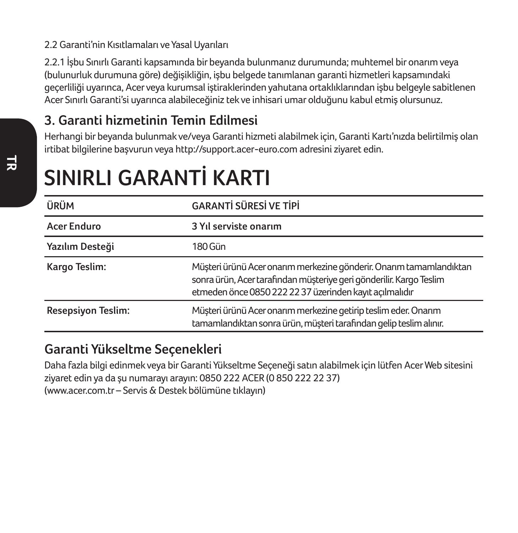#### 2.2 Garanti'nin Kısıtlamaları ve Yasal Uyarıları

2.2.1 İşbu Sınırlı Garanti kapsamında bir beyanda bulunmanız durumunda; muhtemel bir onarım veya (bulunurluk durumuna göre) değişikliğin, işbu belgede tanımlanan garanti hizmetleri kapsamındaki geçerliliği uyarınca, Acer veya kurumsal iştiraklerinden yahutana ortaklıklarından işbu belgeyle sabitlenen Acer Sınırlı Garanti'si uyarınca alabileceğiniz tek ve inhisari umar olduğunu kabul etmiş olursunuz.

## **3. Garanti hizmetinin Temin Edilmesi**

Herhangi bir beyanda bulunmak ve/veya Garanti hizmeti alabilmek için, Garanti Kartı'nızda belirtilmiş olan irtibat bilgilerine başvurun veya http://support.acer-euro.com adresini ziyaret edin.

| ÜRÜM                      | <b>GARANTİ SÜRESİ VE TİPİ</b>                                                                                                                                                                         |  |
|---------------------------|-------------------------------------------------------------------------------------------------------------------------------------------------------------------------------------------------------|--|
| <b>Acer Enduro</b>        | 3 Yıl serviste onarım                                                                                                                                                                                 |  |
| Yazılım Desteği           | 180 Gün                                                                                                                                                                                               |  |
| Kargo Teslim:             | Müşteri ürünü Acer onarım merkezine gönderir. Onarım tamamlandıktan<br>sonra ürün, Acer tarafından müşteriye geri gönderilir. Kargo Teslim<br>etmeden önce 0850 222 22 37 üzerinden kayıt açılmalıdır |  |
| <b>Resepsiyon Teslim:</b> | Müsteri ürünü Acer onarım merkezine getirip teslim eder. Onarım<br>tamamlandıktan sonra ürün, müşteri tarafından gelip teslim alınır.                                                                 |  |

## **SINIRLI GARANTİ KARTI**

### **Garanti Yükseltme Seçenekleri**

Daha fazla bilgi edinmek veya bir Garanti Yükseltme Seçeneği satın alabilmek için lütfen Acer Web sitesini ziyaret edin ya da şu numarayı arayın: 0850 222 ACER (0 850 222 22 37) (www.acer.com.tr – Servis & Destek bölümüne tıklayın)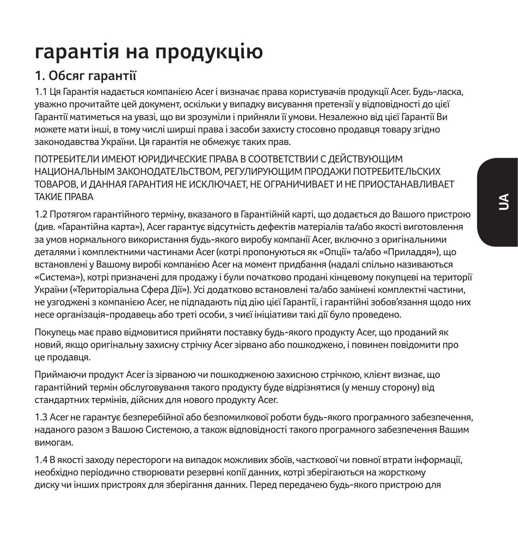## **гарантія на продукцію**

## **1. Обсяг гарантії**

1.1 Ця Гарантія надається компанією Acer і визначає права користувачів продукції Acer. Будь-ласка, уважно прочитайте цей документ, оскільки у випадку висування претензії у відповідності до цієї Гарантії матиметься на увазі, що ви зрозуміли і прийняли її умови. Незалежно від цієї Гарантії Ви можете мати інші, в тому числі ширші права і засоби захисту стосовно продавця товару згідно законодавства України. Ця гарантія не обмежує таких прав.

ПОТРЕБИТЕЛИ ИМЕЮТ ЮРИДИЧЕСКИЕ ПРАВА В СООТВЕТСТВИИ С ДЕЙСТВУЮЩИМ НАЦИОНА ЛЬНЫМ ЗАКОНОЛАТЕЛЬСТВОМ, РЕГУЛИРУЮЩИМ ПРОЛАЖИ ПОТРЕБИТЕЛЬСКИХ ТОВАРОВ, И ДАННАЯ ГАРАНТИЯ НЕ ИСКЛЮЧАЕТ, НЕ ОГРАНИЧИВАЕТ И НЕ ПРИОСТАНАВЛИВАЕТ ТАКИЕ ПРАВА

1.2 Протягом гарантійного терміну, вказаного в Гарантійній карті, що додається до Вашого пристрою (див. «Гарантійна карта»), Acer гарантує відсутність дефектів матеріалів та/або якості виготовлення за умов нормального використання будь-якого виробу компанії Acer, включно з оригінальними деталями і комплектними частинами Acer (котрі пропонуються як «Опції» та/або «Приладдя»), що встановлені у Вашому виробі компанією Acer на момент придбання (надалі спільно називаються «Система»), котрі призначені для продажу і були початково продані кінцевому покупцеві на території України («Територіальна Сфера Дії»). Усі додатково встановлені та/або замінені комплектні частини, не узгоджені з компанією Acer, не підпадають під дію цієї Гарантії, і гарантійні зобов'язання щодо них несе організація-продавець або треті особи, з чиєї ініціативи такі дії було проведено.

Покупець має право відмовитися прийняти поставку будь-якого продукту Acer, що проданий як новий, якщо оригінальну захисну стрічку Acer зірвано або пошкоджено, і повинен повідомити про це продавця.

Приймаючи продукт Acer із зірваною чи пошкодженою захисною стрічкою, клієнт визнає, що гарантійний термін обслуговування такого продукту буде відрізнятися (у меншу сторону) від стандартних термінів, дійсних для нового продукту Acer.

1.3 Acer не гарантує безперебійної або безпомилкової роботи будь-якого програмного забезпечення, наданого разом з Вашою Системою, а також відповідності такого програмного забезпечення Вашим вимогам.

1.4 В якості заходу перестороги на випадок можливих збоїв, часткової чи повної втрати інформації, необхідно періодично створювати резервні копії данних, котрі зберігаються на жорсткому диску чи інших пристроях для зберігання данних. Перед передачею будь-якого пристрою для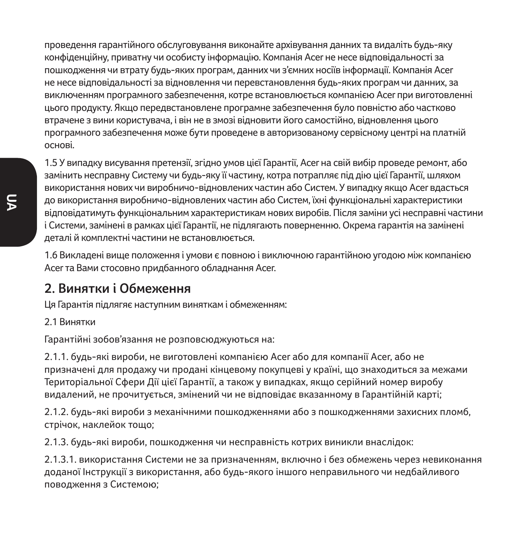проведення гарантійного обслуговування виконайте архівування данних та видаліть будь-яку конфіденційну, приватну чи особисту інформацію. Компанія Acer не несе відповідальності за пошкодження чи втрату будь-яких програм, данних чи з'ємних носіїв інформації. Компанія Acer не несе відповідальності за відновлення чи перевстановлення будь-яких програм чи данних, за виключенням програмного забезпечення, котре встановлюється компанією Acer при виготовленні цього продукту. Якщо передвстановлене програмне забезпечення було повністю або частково втрачене з вини користувача, і він не в змозі відновити його самостійно, відновлення цього програмного забезпечення може бути проведене в авторизованому сервісному центрі на платній основі.

1.5 У випадку висування претензії, згідно умов цієї Гарантії, Acer на свій вибір проведе ремонт, або замінить несправну Систему чи будь-яку її частину, котра потрапляє під дію цієї Гарантії, шляхом використання нових чи виробничо-відновлених частин або Систем. У випадку якщо Acer вдасться до використання виробничо-відновлених частин або Систем, їхні функціональні характеристики відповідатимуть функціональним характеристикам нових виробів. Після заміни усі несправні частини і Системи, замінені в рамках цієї Гарантії, не підлягають поверненню. Окрема гарантія на замінені деталі й комплектні частини не встановлюється.

1.6 Викладені вище положення і умови є повною і виключною гарантійною угодою між компанією Acer та Вами стосовно придбанного обладнання Acer.

### **2. Винятки і Обмеження**

Ця Гарантія підлягяє наступним виняткам і обмеженням:

2.1 Винятки

Гарантійні зобов'язання не розповсюджуються на:

2.1.1. будь-які вироби, не виготовлені компанією Acer або для компанії Acer, або не призначені для продажу чи продані кінцевому покупцеві у країні, що знаходиться за межами Територіальної Сфери Дії цієї Гарантії, а також у випадках, якщо серійний номер виробу видалений, не прочитується, змінений чи не відповідає вказанному в Гарантійній карті;

2.1.2. будь-які вироби з механічними пошкодженнями або з пошкодженнями захисних пломб, стрічок, наклейок тощо;

2.1.3. будь-які вироби, пошкодження чи несправність котрих виникли внаслідок:

2.1.3.1. використання Системи не за призначенням, включно і без обмежень через невиконання доданої Інструкції з використання, або будь-якого іншого неправильного чи недбайливого поводження з Системою;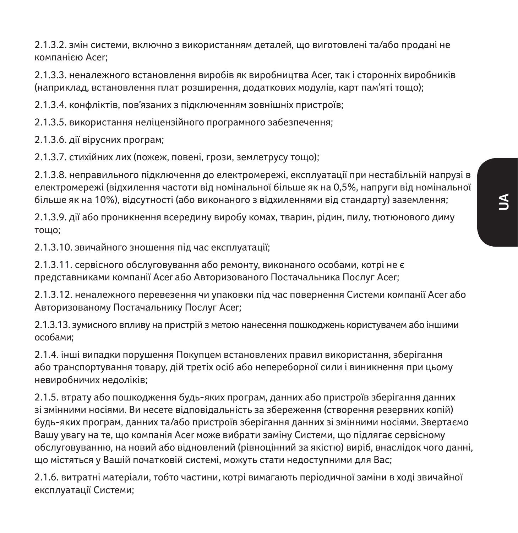2.1.3.2. змін системи, включно з використанням деталей, що виготовлені та/або продані не компанією Acer;

2.1.3.3. неналежного встановлення виробів як виробництва Acer, так і сторонніх виробників (наприклад, встановлення плат розширення, додаткових модулів, карт пам'яті тощо);

2.1.3.4. конфліктів, пов'язаних з підключенням зовнішніх пристроїв;

2.1.3.5. використання неліцензійного програмного забезпечення;

2.1.3.6. дії вірусних програм;

2.1.3.7. стихійних лих (пожеж, повені, грози, землетрусу тощо);

2.1.3.8. неправильного підключення до електромережі, експлуатації при нестабільній напрузі в електромережі (відхилення частоти від номінальної більше як на 0,5%, напруги від номінальної більше як на 10%), відсутності (або виконаного з відхиленнями від стандарту) заземлення;

2.1.3.9. дії або проникнення всередину виробу комах, тварин, рідин, пилу, тютюнового диму тощо;

2.1.3.10. звичайного зношення під час експлуатації;

2.1.3.11. сервісного обслуговування або ремонту, виконаного особами, котрі не є представниками компанії Acer або Авторизованого Постачальника Послуг Acer;

2.1.3.12. неналежного перевезення чи упаковки під час повернення Системи компанії Acer або Авторизованому Постачальнику Послуг Acer;

2.1.3.13. зумисного впливу на пристрій з метою нанесення пошкоджень користувачем або іншими особами;

2.1.4. інші випадки порушення Покупцем встановлених правил використання, зберігання або транспортування товару, дій третіх осіб або непереборної сили і виникнення при цьому невиробничих недоліків;

2.1.5. втрату або пошкодження будь-яких програм, данних або пристроїв зберігання данних зі змінними носіями. Ви несете відповідальність за збереження (створення резервних копій) будь-яких програм, данних та/або пристроїв зберігання данних зі змінними носіями. Звертаємо Вашу увагу на те, що компанія Acer може вибрати заміну Системи, що підлягає сервісному обслуговуванню, на новий або відновлений (рівноцінний за якістю) виріб, внаслідок чого данні, що містяться у Вашій початковій системі, можуть стати недоступними для Вас;

2.1.6. витратні матеріали, тобто частини, котрі вимагають періодичної заміни в ході звичайної експлуатації Системи;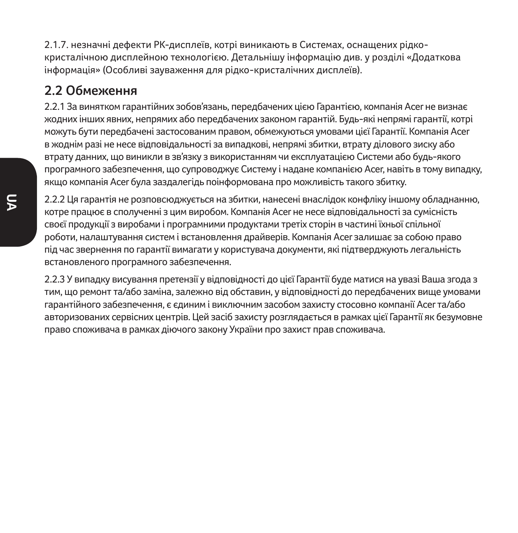2.1.7. незначні дефекти РК-дисплеїв, котрі виникають в Системах, оснащених рідкокристалічною дисплейною технологією. Детальнішу інформацію див. у розділі «Додаткова інформація» (Особливі зауваження для рідко-кристалічних дисплеїв).

### **2.2 Обмеження**

2.2.1 За винятком гарантійних зобов'язань, передбачених цією Гарантією, компанія Acer не визнає жодних інших явних, непрямих або передбачених законом гарантій. Будь-які непрямі гарантії, котрі можуть бути передбачені застосованим правом, обмежуються умовами цієї Гарантії. Компанія Acer в жоднім разі не несе відповідальності за випадкові, непрямі збитки, втрату ділового зиску або втрату данних, що виникли в зв'язку з використанням чи експлуатацією Системи або будь-якого програмного забезпечення, що супроводжує Систему і надане компанією Acer, навіть в тому випадку, якщо компанія Acer була заздалегідь поінформована про можливість такого збитку.

2.2.2 Ця гарантія не розповсюджується на збитки, нанесені внаслідок конфліку іншому обладнанню, котре працює в сполученні з цим виробом. Компанія Acer не несе відповідальності за сумісність своєї продукції з виробами і програмними продуктами третіх сторін в частині їхньої спільної роботи, налаштування систем і встановлення драйверів. Компанія Acer залишає за собою право під час звернення по гарантії вимагати у користувача документи, які підтверджують легальність встановленого програмного забезпечення.

2.2.3 У випадку висування претензії у відповідності до цієї Гарантії буде матися на увазі Ваша згода з тим, що ремонт та/або заміна, залежно від обставин, у відповідності до передбачених вище умовами гарантійного забезпечення, є єдиним і виключним засобом захисту стосовно компанії Acer та/або авторизованих сервісних центрів. Цей засіб захисту розглядається в рамках цієї Гарантії як безумовне право споживача в рамках діючого закону України про захист прав споживача.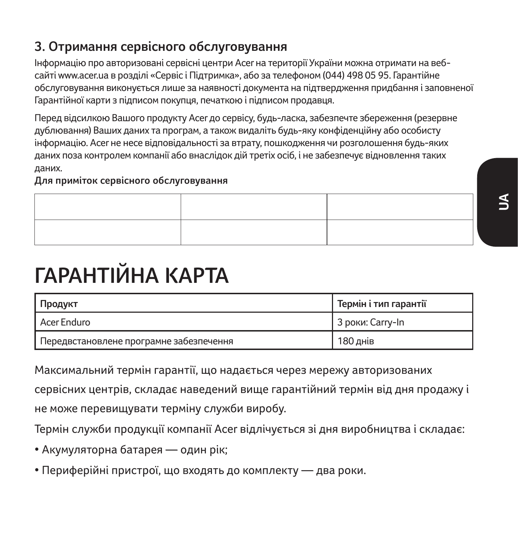## **3. Отримання сервісного обслуговування**

Інформацію про авторизовані сервісні центри Acer на території України можна отримати на вебсайті www.acer.ua в розділі «Сервіс і Підтримка», або за телефоном (044) 498 05 95. Гарантійне обслуговування виконується лише за наявності документа на підтвердження придбання і заповненої Гарантійної карти з підписом покупця, печаткою і підписом продавця.

Перед відсилкою Вашого продукту Acer до сервісу, будь-ласка, забезпечте збереження (резервне дублювання) Ваших даних та програм, а також видаліть будь-яку конфіденційну або особисту інформацію. Acer не несе відповідальності за втрату, пошкодження чи розголошення будь-яких даних поза контролем компанії або внаслідок дій третіх осіб, і не забезпечує відновлення таких даних.

**Для приміток сервісного обслуговування**

| <b>Service Control of the Control</b> |
|---------------------------------------|
|                                       |
|                                       |
|                                       |

# **ГАРАНТІЙНА КАРТА**

| Продукт                                 | Термін і тип гарантії |
|-----------------------------------------|-----------------------|
| Acer Enduro                             | 3 роки: Carry-In      |
| Передвстановлене програмне забезпечення | 180 днів              |

Максимальний термін гарантії, що надається через мережу авторизованих

сервісних центрів, складає наведений вище гарантійний термін від дня продажу і не може перевищувати терміну служби виробу.

Термін служби продукції компанії Acer відлічується зі дня виробництва і складає:

- Акумуляторна батарея один рік;
- Периферійні пристрої, що входять до комплекту два роки.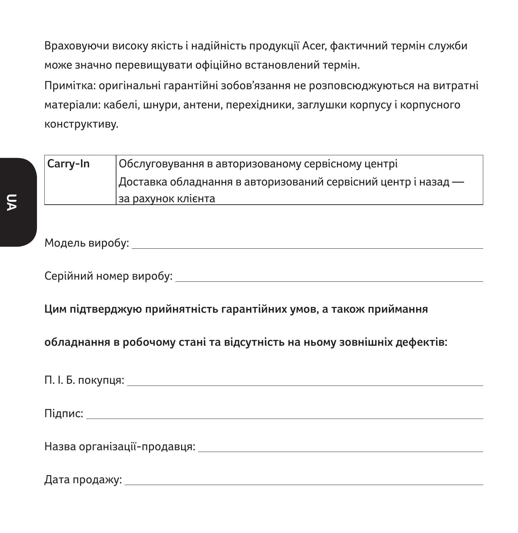Враховуючи високу якість і надійність продукції Acer, фактичний термін служби може значно перевищувати офіційно встановлений термін.

Примітка: оригінальні гарантійні зобов'язання не розповсюджуються на витратні матеріали: кабелі, шнури, антени, перехідники, заглушки корпусу і корпусного конструктиву.

| Carry-In | Обслуговування в авторизованому сервісному центрі             |
|----------|---------------------------------------------------------------|
|          | Доставка обладнання в авторизований сервісний центр і назад — |
|          | за рахунок клієнта                                            |

#### Модель виробу:

Серійний номер виробу:

**Цим підтверджую прийнятність гарантійних умов, а також приймання** 

**обладнання в робочому стані та відсутність на ньому зовнішніх дефектів:** 

П. І. Б. покупця:

Підпис:

Назва організації-продавця:

Дата продажу: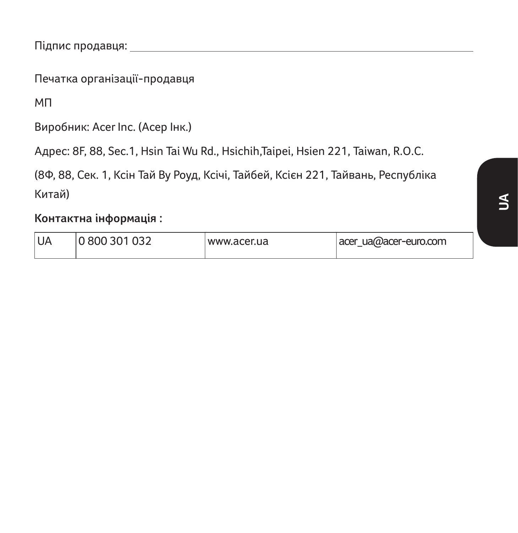Підпис продавця:

Печатка організації-продавця

МП

Виробник: Acer Inc. (Асер Інк.)

Адрес: 8F, 88, Sec.1, Hsin Tai Wu Rd., Hsichih,Taipei, Hsien 221, Taiwan, R.O.C.

(8Ф, 88, Сек. 1, Ксін Тай Ву Роуд, Ксічі, Тайбей, Ксієн 221, Тайвань, Республіка Китай)

**Контактна інформація :**

| UA<br>0800301032 | www.acer.ua | acer ua@acer-euro.com |
|------------------|-------------|-----------------------|
|------------------|-------------|-----------------------|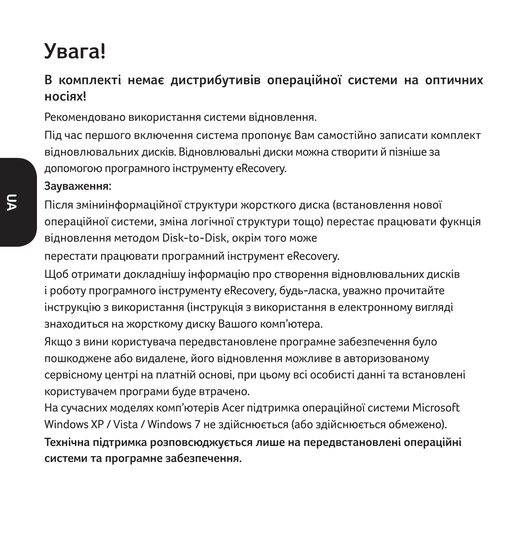## **Увага!**

### **В комплекті немає дистрибутивів операційної системи на оптичних носіях!**

Рекомендовано використання системи відновлення.

Під час першого включення система пропонує Вам самостійно записати комплект відновлювальних дисків. Відновлювальні диски можна створити й пізніше за допомогою програмного інструменту eRecovery.

#### **Зауваження:**

Після зміниінформаційної структури жорсткого диска (встановлення нової операційної системи, зміна логічної структури тощо) перестає працювати фукнція відновлення методом Disk-to-Disk, окрім того може

перестати працювати програмний інструмент eRecovery.

Щоб отримати докладнішу інформацію про створення відновлювальних дисків і роботу програмного інструменту eRecovery, будь-ласка, уважно прочитайте інструкцію з використання (інструкція з використання в електронному вигляді знаходиться на жорсткому диску Вашого комп'ютера.

Якщо з вини користувача передвстановлене програмне забезпечення було пошкоджене або видалене, його відновлення можливе в авторизованому сервісному центрі на платній основі, при цьому всі особисті данні та встановлені користувачем програми буде втрачено.

На сучасних моделях комп'ютерів Acer підтримка операційної системи Microsoft Windows XP / Vista / Windows 7 не здійснюється (або здійснюється обмежено). **Технічна підтримка розповсюджується лише на передвстановлені операційні системи та програмне забезпечення.**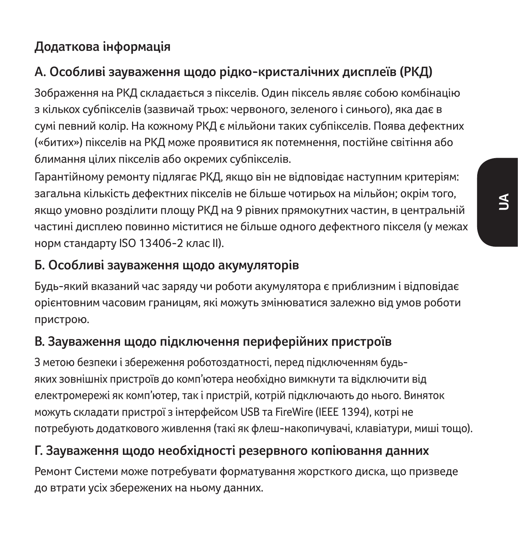## **Додаткова інформація**

## **А. Особливі зауваження щодо рідко-кристалічних дисплеїв (РКД)**

Зображення на РКД складається з пікселів. Один піксель являє собою комбінацію з кількох субпікселів (зазвичай трьох: червоного, зеленого і синього), яка дає в сумі певний колір. На кожному РКД є мільйони таких субпікселів. Поява дефектних («битих») пікселів на РКД може проявитися як потемнення, постійне світіння або блимання цілих пікселів або окремих субпікселів.

Гарантійному ремонту підлягає РКД, якщо він не відповідає наступним критеріям: загальна кількість дефектних пікселів не більше чотирьох на мільйон; окрім того, якщо умовно розділити площу РКД на 9 рівних прямокутних частин, в центральній частині дисплею повинно міститися не більше одного дефектного пікселя (у межах норм стандарту ISO 13406-2 клас II).

### **Б. Особливі зауваження щодо акумуляторів**

Будь-який вказаний час заряду чи роботи акумулятора є приблизним і відповідає орієнтовним часовим границям, які можуть змінюватися залежно від умов роботи пристрою.

## **В. Зауваження щодо підключення периферійних пристроїв**

З метою безпеки і збереження роботоздатності, перед підключенням будьяких зовнішніх пристроїв до комп'ютера необхідно вимкнути та відключити від електромережі як комп'ютер, так і пристрій, котрій підключають до нього. Виняток можуть складати пристрої з інтерфейсом USB та FireWire (IEEE 1394), котрі не потребують додаткового живлення (такі як флеш-накопичувачі, клавіатури, миші тощо).

### **Г. Зауваження щодо необхідності резервного копіювання данних**

Ремонт Системи може потребувати форматування жорсткого диска, що призведе до втрати усіх збережених на ньому данних.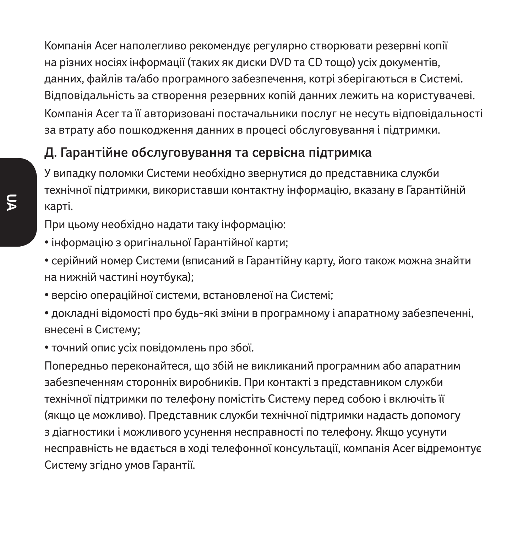Компанія Acer наполегливо рекомендує регулярно створювати резервні копії на різних носіях інформації (таких як диски DVD та CD тощо) усіх документів, данних, файлів та/або програмного забезпечення, котрі зберігаються в Системі. Відповідальність за створення резервних копій данних лежить на користувачеві. Компанія Acer та її авторизовані постачальники послуг не несуть відповідальності за втрату або пошкодження данних в процесі обслуговування і підтримки.

### **Д. Гарантійне обслуговування та сервісна підтримка**

У випадку поломки Системи необхідно звернутися до представника служби технічної підтримки, використавши контактну інформацію, вказану в Гарантійній карті.

При цьому необхідно надати таку інформацію:

- інформацію з оригінальної Гарантійної карти;
- серійний номер Системи (вписаний в Гарантійну карту, його також можна знайти на нижній частині ноутбука);
- версію операційної системи, встановленої на Системі;
- докладні відомості про будь-які зміни в програмному і апаратному забезпеченні, внесені в Систему;
- точний опис усіх повідомлень про збої.

Попередньо переконайтеся, що збій не викликаний програмним або апаратним забезпеченням сторонніх виробників. При контакті з представником служби технічної підтримки по телефону помістіть Систему перед собою і включіть її (якщо це можливо). Представник служби технічної підтримки надасть допомогу з діагностики і можливого усунення несправності по телефону. Якщо усунути несправність не вдається в ході телефонної консультації, компанія Acer відремонтує Систему згідно умов Гарантії.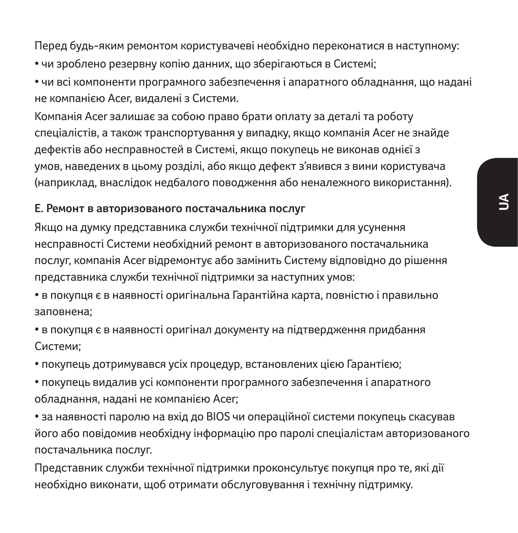Перед будь-яким ремонтом користувачеві необхідно переконатися в наступному:

- чи зроблено резервну копію данних, що зберігаються в Системі;
- чи всі компоненти програмного забезпечення і апаратного обладнання, що надані не компанією Acer, видалені з Системи.

Компанія Acer залишає за собою право брати оплату за деталі та роботу спеціалістів, а також транспортування у випадку, якщо компанія Acer не знайде дефектів або несправностей в Системі, якщо покупець не виконав однієї з умов, наведених в цьому розділі, або якщо дефект з'явився з вини користувача (наприклад, внаслідок недбалого поводження або неналежного використання).

#### **Е. Ремонт в авторизованого постачальника послуг**

Якщо на думку представника служби технічної підтримки для усунення несправності Системи необхідний ремонт в авторизованого постачальника послуг, компанія Acer відремонтує або замінить Систему відповідно до рішення представника служби технічної підтримки за наступних умов:

- в покупця є в наявності оригінальна Гарантійна карта, повністю і правильно заповнена;
- в покупця є в наявності оригінал документу на підтвердження придбання Системи;
- покупець дотримувався усіх процедур, встановлених цією Гарантією;
- покупець видалив усі компоненти програмного забезпечення і апаратного обладнання, надані не компанією Acer;
- за наявності паролю на вхід до BIOS чи операційної системи покупець скасував його або повідомив необхідну інформацію про паролі спеціалістам авторизованого постачальника послуг.
- Представник служби технічної підтримки проконсультує покупця про те, які дії необхідно виконати, щоб отримати обслуговування і технічну підтримку.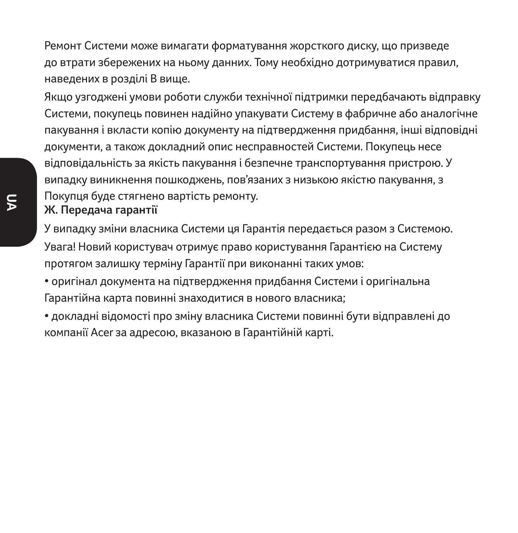Ремонт Системи може вимагати форматування жорсткого диску, що призведе до втрати збережених на ньому данних. Тому необхідно дотримуватися правил, наведених в розділі B вище.

Якщо узгоджені умови роботи служби технічної підтримки передбачають відправку Системи, покупець повинен надійно упакувати Систему в фабричне або аналогічне пакування і вкласти копію документу на підтвердження придбання, інші відповідні документи, а також докладний опис несправностей Системи. Покупець несе відповідальність за якість пакування і безпечне транспортування пристрою. У випадку виникнення пошкоджень, пов'язаних з низькою якістю пакування, з Покупця буде стягнено вартість ремонту.

#### **Ж. Передача гарантії**

У випадку зміни власника Системи ця Гарантія передається разом з Системою. Увага! Новий користувач отримує право користування Гарантією на Систему протягом залишку терміну Гарантії при виконанні таких умов:

• оригінал документа на підтвердження придбання Системи і оригінальна Гарантійна карта повинні знаходитися в нового власника;

• докладні відомості про зміну власника Системи повинні бути відправлені до компанії Acer за адресою, вказаною в Гарантійній карті.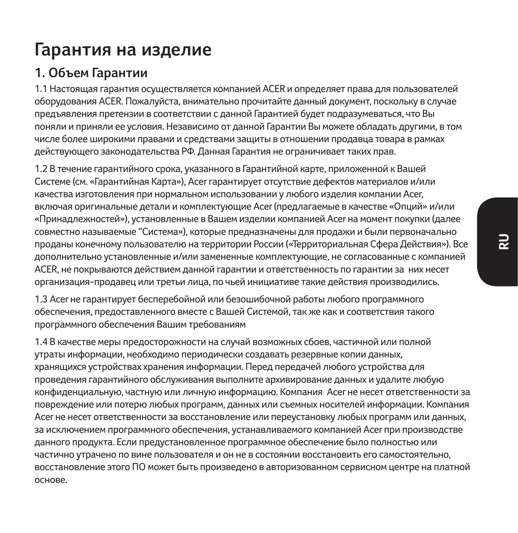## **Гарантия на изделие**

### **1. Объем Гарантии**

1.1 Настоящая гарантия осуществляется компанией ACER и определяет права для пользователей оборудования ACER. Пожалуйста, внимательно прочитайте данный документ, поскольку в случае предъявления претензии в соответствии с данной Гарантией будет подразумеваться, что Вы поняли и приняли ее условия. Независимо от данной Гарантии Вы можете обладать другими, в том числе более широкими правами и средствами защиты в отношении продавца товара в рамках действующего законодательства РФ. Данная Гарантия не ограничивает таких прав.

1.2 В течение гарантийного срока, указанного в Гарантийной карте, приложенной к Вашей Системе (см. «Гарантийная Карта»), Acer гарантирует отсутствие дефектов материалов и/или качества изготовления при нормальном использовании у любого изделия компании Acer, включая оригинальные детали и комплектующие Acer (предлагаемые в качестве «Опций» и/или «Принадлежностей»), установленные в Вашем изделии компанией Acer на момент покупки (далее совместно называемые "Система»), которые предназначены для продажи и были первоначально проданы конечному пользователю на территории России («Территориальная Сфера Действия»). Все дополнительно установленные и/или замененные комплектующие, не согласованные с компанией ACER, не покрываются действием данной гарантии и ответственность по гарантии за них несет организация-продавец или третьи лица, по чьей инициативе такие действия производились.

1.3 Acer не гарантирует бесперебойной или безошибочной работы любого программного обеспечения, предоставленного вместе с Вашей Системой, так же как и соответствия такого программного обеспечения Вашим требованиям

1.4 В качестве меры предосторожности на случай возможных сбоев, частичной или полной утраты информации, необходимо периодически создавать резервные копии данных, хранящихся устройствах хранения информации. Перед передачей любого устройства для проведения гарантийного обслуживания выполните архивирование данных и удалите любую конфиденциальную, частную или личную информацию. Компания Acer не несет ответственности за повреждение или потерю любых программ, данных или съемных носителей информации. Компания Acer не несет ответственности за восстановление или переустановку любых программ или данных, за исключением программного обеспечения, устанавливаемого компанией Acer при производстве данного продукта. Если предустановленное программное обеспечение было полностью или частично утрачено по вине пользователя и он не в состоянии восстановить его самостоятельно, восстановление этого ПО может быть произведено в авторизованном сервисном центре на платной основе.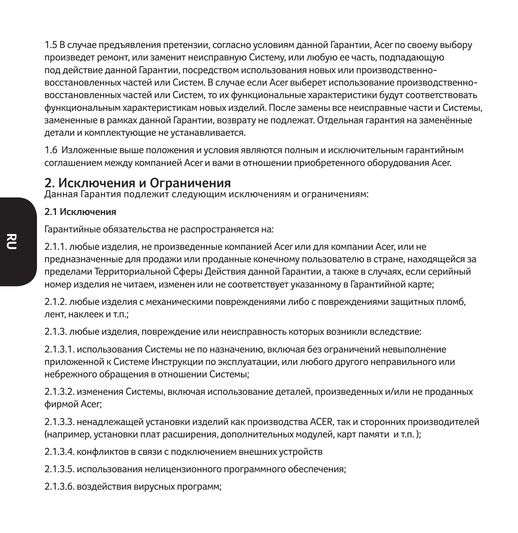1.5 В случае предъявления претензии, согласно условиям данной Гарантии, Acer по своему выбору произведет ремонт, или заменит неисправную Систему, или любую ее часть, подпадающую под действие данной Гарантии, посредством использования новых или производственновосстановленных частей или Систем. В случае если Acer выберет использование производственновосстановленных частей или Систем, то их функциональные характеристики будут соответствовать функциональным характеристикам новых изделий. После замены все неисправные части и Системы, замененные в рамках данной Гарантии, возврату не подлежат. Отдельная гарантия на заменённые детали и комплектующие не устанавливается.

1.6 Изложенные выше положения и условия являются полным и исключительным гарантийным соглашением между компанией Acer и вами в отношении приобретенного оборудования Acer.

#### **2. Исключения и Ограничения**

Данная Гарантия подлежит следующим исключениям и ограничениям:

#### **2.1 Исключения**

Гарантийные обязательства не распространяется на:

2.1.1. любые изделия, не произведенные компанией Acer или для компании Acer, или не предназначенные для продажи или проданные конечному пользователю в стране, находящейся за пределами Территориальной Сферы Действия данной Гарантии, а также в случаях, если серийный номер изделия не читаем, изменен или не соответствует указанному в Гарантийной карте;

2.1.2. любые изделия с механическими повреждениями либо с повреждениями защитных пломб, лент, наклеек и т.п.;

2.1.3. любые изделия, повреждение или неисправность которых возникли вследствие:

2.1.3.1. использования Системы не по назначению, включая без ограничений невыполнение приложенной к Системе Инструкции по эксплуатации, или любого другого неправильного или небрежного обращения в отношении Системы;

2.1.3.2. изменения Системы, включая использование деталей, произведенных и/или не проданных фирмой Acer;

2.1.3.3. ненадлежащей установки изделий как производства ACER, так и сторонних производителей (например, установки плат расширения, дополнительных модулей, карт памяти и т.п. );

2.1.3.4. конфликтов в связи с подключением внешних устройств

2.1.3.5. использования нелицензионного программного обеспечения;

2.1.3.6. воздействия вирусных программ;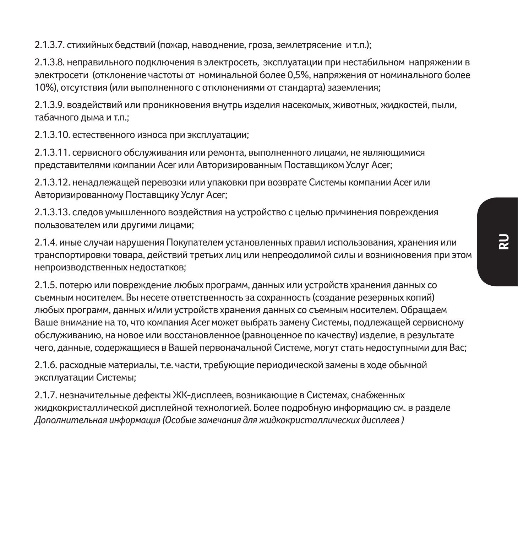2.1.3.7. стихийных бедствий (пожар, наводнение, гроза, землетрясение и т.п.);

2.1.3.8. неправильного подключения в электросеть, эксплуатации при нестабильном напряжении в электросети (отклонение частоты от номинальной более 0,5%, напряжения от номинального более 10%), отсутствия (или выполненного с отклонениями от стандарта) заземления;

2.1.3.9. воздействий или проникновения внутрь изделия насекомых, животных, жидкостей, пыли, табачного дыма и т.п.;

2.1.3.10. естественного износа при эксплуатации;

2.1.3.11. сервисного обслуживания или ремонта, выполненного лицами, не являющимися представителями компании Acer или Авторизированным Поставщиком Услуг Acer;

2.1.3.12. ненадлежащей перевозки или упаковки при возврате Системы компании Acer или Авторизированному Поставщику Услуг Acer;

2.1.3.13. следов умышленного воздействия на устройство с целью причинения повреждения пользователем или другими лицами;

2.1.4. иные случаи нарушения Покупателем установленных правил использования, хранения или транспортировки товара, действий третьих лиц или непреодолимой силы и возникновения при этом непроизводственных недостатков;

2.1.5. потерю или повреждение любых программ, данных или устройств хранения данных со съемным носителем. Вы несете ответственность за сохранность (создание резервных копий) любых программ, данных и/или устройств хранения данных со съемным носителем. Обращаем Ваше внимание на то, что компания Acer может выбрать замену Системы, подлежащей сервисному обслуживанию, на новое или восстановленное (равноценное по качеству) изделие, в результате чего, данные, содержащиеся в Вашей первоначальной Системе, могут стать недоступными для Вас;

2.1.6. расходные материалы, т.е. части, требующие периодической замены в ходе обычной эксплуатации Системы;

2.1.7. незначительные дефекты ЖК-дисплеев, возникающие в Системах, снабженных жидкокристаллической дисплейной технологией. Более подробную информацию см. в разделе *Дополнительная информация (Особые замечания для жидкокристаллических дисплеев )*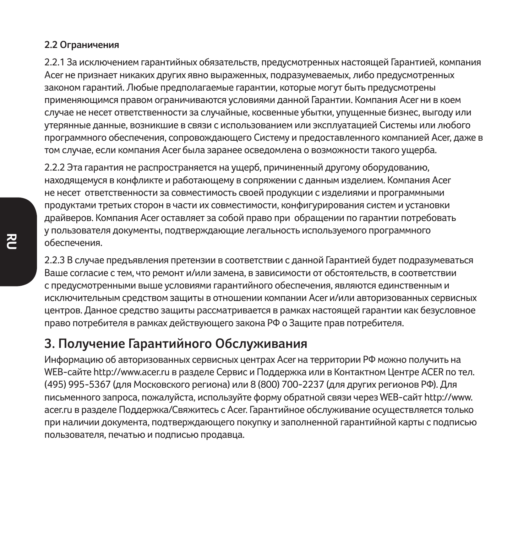#### **2.2 Ограничения**

2.2.1 За исключением гарантийных обязательств, предусмотренных настоящей Гарантией, компания Acer не признает никаких других явно выраженных, подразумеваемых, либо предусмотренных законом гарантий. Любые предполагаемые гарантии, которые могут быть предусмотрены применяющимся правом ограничиваются условиями данной Гарантии. Компания Acer ни в коем случае не несет ответственности за случайные, косвенные убытки, упущенные бизнес, выгоду или утерянные данные, возникшие в связи с использованием или эксплуатацией Системы или любого программного обеспечения, сопровождающего Систему и предоставленного компанией Acer, даже в том случае, если компания Acer была заранее осведомлена о возможности такого ущерба.

2.2.2 Эта гарантия не распространяется на ущерб, причиненный другому оборудованию, находящемуся в конфликте и работающему в сопряжении с данным изделием. Компания Acer не несет ответственности за совместимость своей продукции с изделиями и программными продуктами третьих сторон в части их совместимости, конфигурирования систем и установки драйверов. Компания Acer оставляет за собой право при обращении по гарантии потребовать у пользователя документы, подтверждающие легальность используемого программного обеспечения.

2.2.3 В случае предъявления претензии в соответствии с данной Гарантией будет подразумеваться Ваше согласие с тем, что ремонт и/или замена, в зависимости от обстоятельств, в соответствии с предусмотренными выше условиями гарантийного обеспечения, являются единственным и исключительным средством защиты в отношении компании Acer и/или авторизованных сервисных центров. Данное средство защиты рассматривается в рамках настоящей гарантии как безусловное право потребителя в рамках действующего закона РФ о Защите прав потребителя.

### **3. Получение Гарантийного Обслуживания**

Информацию об авторизованных сервисных центрах Acer на территории РФ можно получить на WEB-сайте http://www.acer.ru в разделе Сервис и Поддержка или в Контактном Центре ACER по тел. (495) 995-5367 (для Московского региона) или 8 (800) 700-2237 (для других регионов РФ). Для письменного запроса, пожалуйста, используйте форму обратной связи через WEB-сайт http://www. acer.ru в разделе Поддержка/Свяжитесь с Acer. Гарантийное обслуживание осуществляется только при наличии документа, подтверждающего покупку и заполненной гарантийной карты с подписью пользователя, печатью и подписью продавца.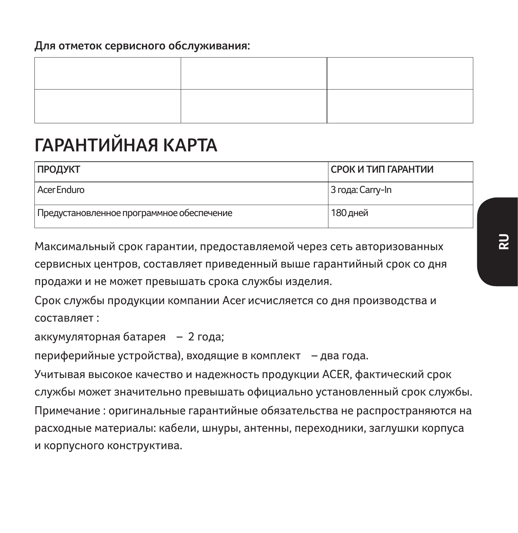#### **Для отметок сервисного обслуживания:**

# **ГАРАНТИЙНАЯ КАРТА**

| ПРОДУКТ                                   | СРОК И ТИП ГАРАНТИИ |
|-------------------------------------------|---------------------|
| Acer Enduro                               | 3 года: Carry-In    |
| Предустановленное программное обеспечение | 180 дней            |

Максимальный срок гарантии, предоставляемой через сеть авторизованных сервисных центров, составляет приведенный выше гарантийный срок со дня продажи и не может превышать срока службы изделия.

Срок службы продукции компании Acer исчисляется со дня производства и составляет :

аккумуляторная батарея – 2 года;

периферийные устройства), входящие в комплект – два года.

Учитывая высокое качество и надежность продукции ACER, фактический срок службы может значительно превышать официально установленный срок службы. Примечание : оригинальные гарантийные обязательства не распространяются на расходные материалы: кабели, шнуры, антенны, переходники, заглушки корпуса и корпусного конструктива.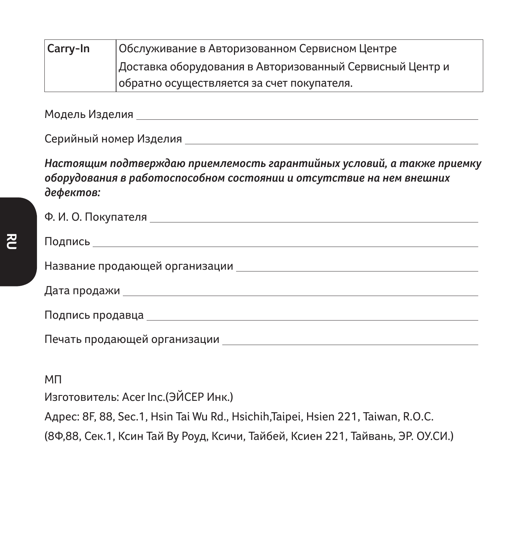| Carry-In                                                 | Обслуживание в Авторизованном Сервисном Центре |  |
|----------------------------------------------------------|------------------------------------------------|--|
| Доставка оборудования в Авторизованный Сервисный Центр и |                                                |  |
|                                                          | обратно осуществляется за счет покупателя.     |  |

Модель Изделия

Серийный номер Изделия

*Настоящим подтверждаю приемлемость гарантийных условий, а также приемку оборудования в работоспособном состоянии и отсутствие на нем внешних дефектов:*

| Подпись до применение при подпись до него в подпись до него в подпись до него в подписа |
|-----------------------------------------------------------------------------------------|
|                                                                                         |
|                                                                                         |
|                                                                                         |
|                                                                                         |
|                                                                                         |

МП

Изготовитель: Acer Inc.(ЭЙСЕР Инк.)

Адрес: 8F, 88, Sec.1, Hsin Tai Wu Rd., Hsichih,Taipei, Hsien 221, Taiwan, R.O.C.

(8Ф,88, Сек.1, Ксин Тай Ву Роуд, Ксичи, Тайбей, Ксиен 221, Тайвань, ЭР. ОУ.СИ.)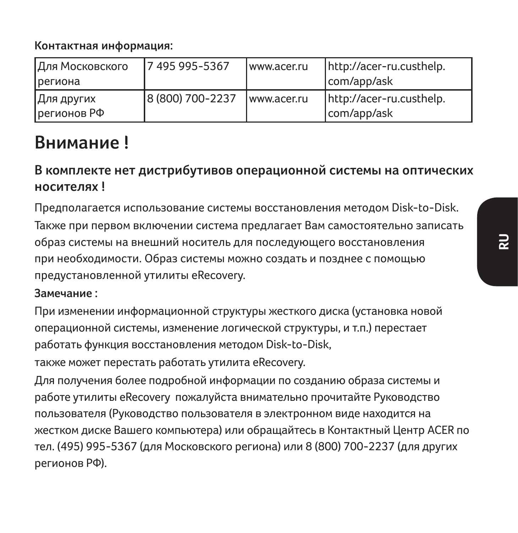**Контактная информация:**

| Для Московского<br><b>Грегиона</b> | 17 495 995-5367  | www.acer.ru | http://acer-ru.custhelp.<br>com/app/ask |
|------------------------------------|------------------|-------------|-----------------------------------------|
| Для других<br>регионов РФ          | 8 (800) 700-2237 | www.acer.ru | http://acer-ru.custhelp.<br>com/app/ask |

# **Внимание !**

## **В комплекте нет дистрибутивов операционной системы на оптических носителях !**

Предполагается использование системы восстановления методом Disk-to-Disk. Также при первом включении система предлагает Вам самостоятельно записать образ системы на внешний носитель для последующего восстановления при необходимости. Образ системы можно создать и позднее с помощью предустановленной утилиты eRecovery.

#### **Замечание :**

При изменении информационной структуры жесткого диска (установка новой операционной системы, изменение логической структуры, и т.п.) перестает работать функция восстановления методом Disk-to-Disk,

также может перестать работать утилита eRecovery.

Для получения более подробной информации по созданию образа системы и работе утилиты eRecovery пожалуйста внимательно прочитайте Руководство пользователя (Руководство пользователя в электронном виде находится на жестком диске Вашего компьютера) или обращайтесь в Контактный Центр ACER по тел. (495) 995-5367 (для Московского региона) или 8 (800) 700-2237 (для других регионов РФ).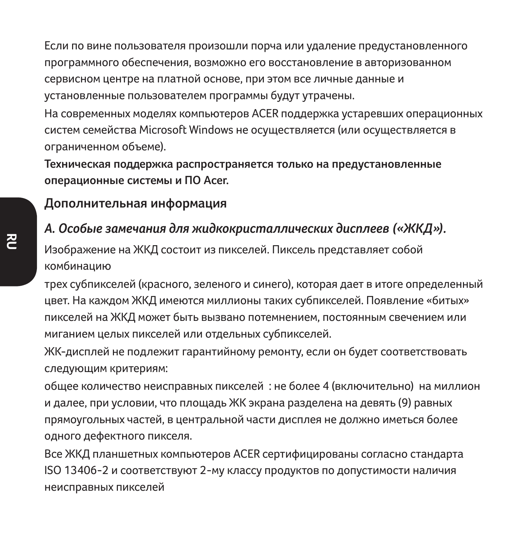Если по вине пользователя произошли порча или удаление предустановленного программного обеспечения, возможно его восстановление в авторизованном сервисном центре на платной основе, при этом все личные данные и установленные пользователем программы будут утрачены.

На современных моделях компьютеров ACER поддержка устаревших операционных систем семейства Microsoft Windows не осуществляется (или осуществляется в ограниченном объеме).

**Техническая поддержка распространяется только на предустановленные операционные системы и ПО Acer.**

#### **Дополнительная информация**

#### *А. Особые замечания для жидкокристаллических дисплеев («ЖКД»).*

Изображение на ЖКД состоит из пикселей. Пиксель представляет собой комбинацию

трех субпикселей (красного, зеленого и синего), которая дает в итоге определенный цвет. На каждом ЖКД имеются миллионы таких субпикселей. Появление «битых» пикселей на ЖКД может быть вызвано потемнением, постоянным свечением или миганием целых пикселей или отдельных субпикселей.

ЖК-дисплей не подлежит гарантийному ремонту, если он будет соответствовать следующим критериям:

общее количество неисправных пикселей : не более 4 (включительно) на миллион и далее, при условии, что площадь ЖК экрана разделена на девять (9) равных прямоугольных частей, в центральной части дисплея не должно иметься более одного дефектного пикселя.

Все ЖКД планшетных компьютеров ACER сертифицированы согласно стандарта ISO 13406-2 и соответствуют 2-му классу продуктов по допустимости наличия неисправных пикселей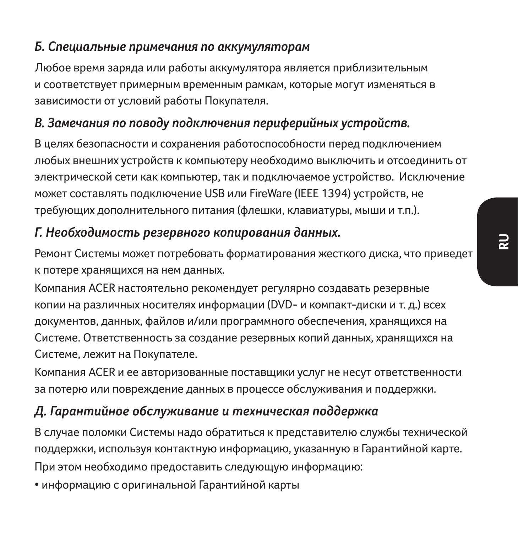### *Б. Специальные примечания по аккумуляторам*

Любое время заряда или работы аккумулятора является приблизительным и соответствует примерным временным рамкам, которые могут изменяться в зависимости от условий работы Покупателя.

# *В. Замечания по поводу подключения периферийных устройств.*

В целях безопасности и сохранения работоспособности перед подключением любых внешних устройств к компьютеру необходимо выключить и отсоединить от электрической сети как компьютер, так и подключаемое устройство. Исключение может составлять подключение USB или FireWare (IEEE 1394) устройств, не требующих дополнительного питания (флешки, клавиатуры, мыши и т.п.).

## *Г. Необходимость резервного копирования данных.*

Ремонт Системы может потребовать форматирования жесткого диска, что приведет к потере хранящихся на нем данных.

Компания ACER настоятельно рекомендует регулярно создавать резервные копии на различных носителях информации (DVD- и компакт-диски и т. д.) всех документов, данных, файлов и/или программного обеспечения, хранящихся на Системе. Ответственность за создание резервных копий данных, хранящихся на Системе, лежит на Покупателе.

Компания ACER и ее авторизованные поставщики услуг не несут ответственности за потерю или повреждение данных в процессе обслуживания и поддержки.

# *Д. Гарантийное обслуживание и техническая поддержка*

В случае поломки Системы надо обратиться к представителю службы технической поддержки, используя контактную информацию, указанную в Гарантийной карте. При этом необходимо предоставить следующую информацию:

• информацию с оригинальной Гарантийной карты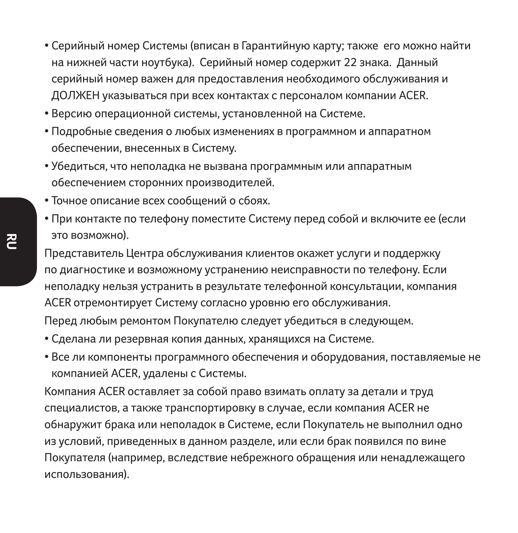- Серийный номер Системы (вписан в Гарантийную карту; также его можно найти на нижней части ноутбука). Серийный номер содержит 22 знака. Данный серийный номер важен для предоставления необходимого обслуживания и ДОЛЖЕН указываться при всех контактах с персоналом компании ACER.
- Версию операционной системы, установленной на Системе.
- Подробные сведения о любых изменениях в программном и аппаратном обеспечении, внесенных в Систему.
- Убедиться, что неполадка не вызвана программным или аппаратным обеспечением сторонних производителей.
- Точное описание всех сообщений о сбоях.
- При контакте по телефону поместите Систему перед собой и включите ее (если это возможно).

Представитель Центра обслуживания клиентов окажет услуги и поддержку по диагностике и возможному устранению неисправности по телефону. Если неполадку нельзя устранить в результате телефонной консультации, компания ACER отремонтирует Систему согласно уровню его обслуживания.

Перед любым ремонтом Покупателю следует убедиться в следующем.

- Сделана ли резервная копия данных, хранящихся на Системе.
- Все ли компоненты программного обеспечения и оборудования, поставляемые не компанией ACER, удалены с Системы.

Компания ACER оставляет за собой право взимать оплату за детали и труд специалистов, а также транспортировку в случае, если компания ACER не обнаружит брака или неполадок в Системе, если Покупатель не выполнил одно из условий, приведенных в данном разделе, или если брак появился по вине Покупателя (например, вследствие небрежного обращения или ненадлежащего использования).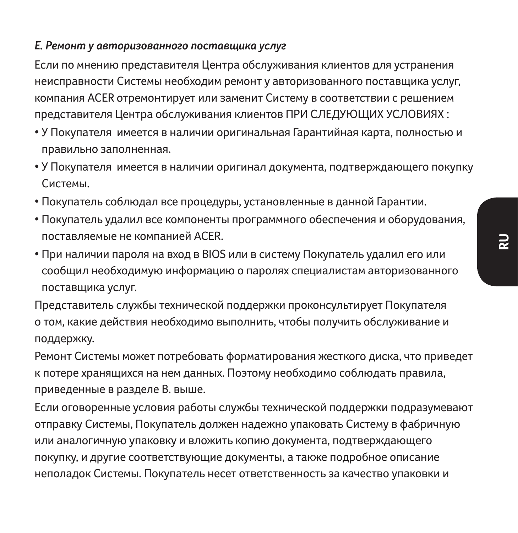#### *Е. Ремонт у авторизованного поставщика услуг*

Если по мнению представителя Центра обслуживания клиентов для устранения неисправности Системы необходим ремонт у авторизованного поставщика услуг, компания ACER отремонтирует или заменит Систему в соответствии с решением представителя Центра обслуживания клиентов ПРИ СЛЕДУЮЩИХ УСЛОВИЯХ :

- У Покупателя имеется в наличии оригинальная Гарантийная карта, полностью и правильно заполненная.
- У Покупателя имеется в наличии оригинал документа, подтверждающего покупку Системы.
- Покупатель соблюдал все процедуры, установленные в данной Гарантии.
- Покупатель удалил все компоненты программного обеспечения и оборудования, поставляемые не компанией ACER.
- При наличии пароля на вход в BIOS или в систему Покупатель удалил его или сообщил необходимую информацию о паролях специалистам авторизованного поставщика услуг.

Представитель службы технической поддержки проконсультирует Покупателя о том, какие действия необходимо выполнить, чтобы получить обслуживание и поддержку.

Ремонт Системы может потребовать форматирования жесткого диска, что приведет к потере хранящихся на нем данных. Поэтому необходимо соблюдать правила, приведенные в разделе В. выше.

Если оговоренные условия работы службы технической поддержки подразумевают отправку Системы, Покупатель должен надежно упаковать Систему в фабричную или аналогичную упаковку и вложить копию документа, подтверждающего покупку, и другие соответствующие документы, а также подробное описание неполадок Системы. Покупатель несет ответственность за качество упаковки и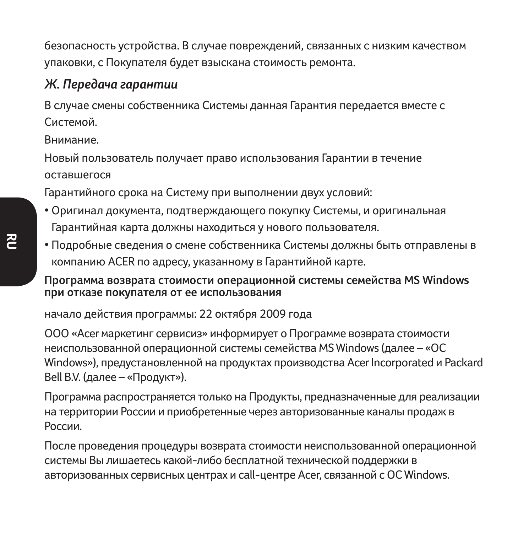безопасность устройства. В случае повреждений, связанных с низким качеством упаковки, с Покупателя будет взыскана стоимость ремонта.

#### *Ж. Передача гарантии*

В случае смены собственника Системы данная Гарантия передается вместе с Системой.

Внимание.

Новый пользователь получает право использования Гарантии в течение оставшегося

Гарантийного срока на Систему при выполнении двух условий:

- Оригинал документа, подтверждающего покупку Системы, и оригинальная Гарантийная карта должны находиться у нового пользователя.
- Подробные сведения о смене собственника Системы должны быть отправлены в компанию ACER по адресу, указанному в Гарантийной карте.

**Программа возврата стоимости операционной системы семейства MS Windows при отказе покупателя от ее использования**

начало действия программы: 22 октября 2009 года

OOO «Acer маркетинг сервисиз» информирует о Программе возврата стоимости неиспользованной операционной системы семейства MS Windows (далее – «ОС Windows»), предустановленной на продуктах производства Acer Incorporated и Packard Bell B.V. (далее – «Продукт»).

Программа распространяется только на Продукты, предназначенные для реализации на территории России и приобретенные через авторизованные каналы продаж в России.

После проведения процедуры возврата стоимости неиспользованной операционной системы Вы лишаетесь какой-либо бесплатной технической поддержки в авторизованных сервисных центрах и call-центре Acer, связанной с ОС Windows.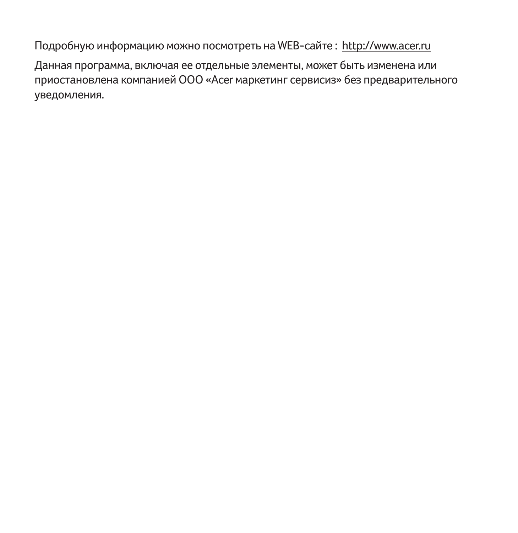Подробную информацию можно посмотреть на WEB-сайте : http://www.acer.ru

Данная программа, включая ее отдельные элементы, может быть изменена или приостановлена компанией OOO «Acer маркетинг сервисиз» без предварительного уведомления.